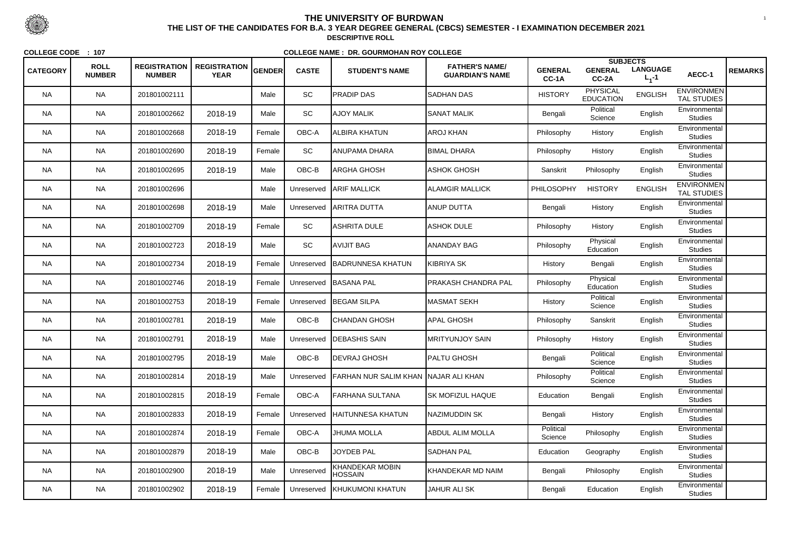|                 |                              |                                      |                                    |        |              |                                             |                                                 |                         | <b>SUBJECTS</b>                     |                              |                                         |                |
|-----------------|------------------------------|--------------------------------------|------------------------------------|--------|--------------|---------------------------------------------|-------------------------------------------------|-------------------------|-------------------------------------|------------------------------|-----------------------------------------|----------------|
| <b>CATEGORY</b> | <b>ROLL</b><br><b>NUMBER</b> | <b>REGISTRATION</b><br><b>NUMBER</b> | <b>REGISTRATION</b><br><b>YEAR</b> | GENDER | <b>CASTE</b> | <b>STUDENT'S NAME</b>                       | <b>FATHER'S NAME/</b><br><b>GUARDIAN'S NAME</b> | <b>GENERAL</b><br>CC-1A | <b>GENERAL</b><br>CC-2A             | <b>LANGUAGE</b><br>$L_1 - 1$ | AECC-1                                  | <b>REMARKS</b> |
| <b>NA</b>       | <b>NA</b>                    | 201801002111                         |                                    | Male   | SC           | <b>PRADIP DAS</b>                           | <b>SADHAN DAS</b>                               | <b>HISTORY</b>          | <b>PHYSICAL</b><br><b>EDUCATION</b> | <b>ENGLISH</b>               | <b>ENVIRONMEN</b><br><b>TAL STUDIES</b> |                |
| <b>NA</b>       | <b>NA</b>                    | 201801002662                         | 2018-19                            | Male   | SC           | <b>AJOY MALIK</b>                           | <b>SANAT MALIK</b>                              | Bengali                 | Political<br>Science                | English                      | Environmental<br><b>Studies</b>         |                |
| <b>NA</b>       | <b>NA</b>                    | 201801002668                         | 2018-19                            | Female | OBC-A        | ALBIRA KHATUN                               | AROJ KHAN                                       | Philosophy              | History                             | English                      | Environmental<br><b>Studies</b>         |                |
| <b>NA</b>       | <b>NA</b>                    | 201801002690                         | 2018-19                            | Female | SC           | ANUPAMA DHARA                               | <b>BIMAL DHARA</b>                              | Philosophy              | History                             | English                      | Environmental<br><b>Studies</b>         |                |
| <b>NA</b>       | <b>NA</b>                    | 201801002695                         | 2018-19                            | Male   | OBC-B        | ARGHA GHOSH                                 | ASHOK GHOSH                                     | Sanskrit                | Philosophy                          | English                      | Environmental<br><b>Studies</b>         |                |
| <b>NA</b>       | <b>NA</b>                    | 201801002696                         |                                    | Male   | Unreserved   | <b>ARIF MALLICK</b>                         | <b>ALAMGIR MALLICK</b>                          | PHILOSOPHY              | <b>HISTORY</b>                      | <b>ENGLISH</b>               | <b>ENVIRONMEN</b><br><b>TAL STUDIES</b> |                |
| <b>NA</b>       | <b>NA</b>                    | 201801002698                         | 2018-19                            | Male   | Unreserved   | <b>JARITRA DUTTA</b>                        | <b>ANUP DUTTA</b>                               | Bengali                 | History                             | English                      | Environmental<br><b>Studies</b>         |                |
| <b>NA</b>       | <b>NA</b>                    | 201801002709                         | 2018-19                            | Female | SC           | ASHRITA DULE                                | <b>ASHOK DULE</b>                               | Philosophy              | History                             | English                      | Environmental<br><b>Studies</b>         |                |
| <b>NA</b>       | <b>NA</b>                    | 201801002723                         | 2018-19                            | Male   | SC           | <b>AVIJIT BAG</b>                           | <b>ANANDAY BAG</b>                              | Philosophy              | Physical<br>Education               | English                      | Environmental<br><b>Studies</b>         |                |
| NA.             | <b>NA</b>                    | 201801002734                         | 2018-19                            | Female | Unreserved   | BADRUNNESA KHATUN                           | <b>KIBRIYA SK</b>                               | History                 | Bengali                             | English                      | Environmental<br><b>Studies</b>         |                |
| <b>NA</b>       | <b>NA</b>                    | 201801002746                         | 2018-19                            | Female | Unreserved   | <b>BASANA PAL</b>                           | PRAKASH CHANDRA PAL                             | Philosophy              | Physical<br>Education               | English                      | Environmental<br><b>Studies</b>         |                |
| <b>NA</b>       | <b>NA</b>                    | 201801002753                         | 2018-19                            | Female | Unreserved   | <b>BEGAM SILPA</b>                          | MASMAT SEKH                                     | History                 | Political<br>Science                | English                      | Environmental<br><b>Studies</b>         |                |
| <b>NA</b>       | <b>NA</b>                    | 201801002781                         | 2018-19                            | Male   | OBC-B        | <b>CHANDAN GHOSH</b>                        | APAL GHOSH                                      | Philosophy              | Sanskrit                            | English                      | Environmental<br><b>Studies</b>         |                |
| <b>NA</b>       | <b>NA</b>                    | 201801002791                         | 2018-19                            | Male   | Unreserved   | <b>IDEBASHIS SAIN</b>                       | <b>MRITYUNJOY SAIN</b>                          | Philosophy              | History                             | English                      | Environmental<br><b>Studies</b>         |                |
| <b>NA</b>       | <b>NA</b>                    | 201801002795                         | 2018-19                            | Male   | OBC-B        | <b>DEVRAJ GHOSH</b>                         | <b>PALTU GHOSH</b>                              | Bengali                 | Political<br>Science                | English                      | Environmental<br><b>Studies</b>         |                |
| <b>NA</b>       | <b>NA</b>                    | 201801002814                         | 2018-19                            | Male   | Unreserved   | <b>FARHAN NUR SALIM KHAN NAJAR ALI KHAN</b> |                                                 | Philosophy              | Political<br>Science                | English                      | Environmental<br><b>Studies</b>         |                |
| <b>NA</b>       | <b>NA</b>                    | 201801002815                         | 2018-19                            | Female | OBC-A        | FARHANA SULTANA                             | <b>ISK MOFIZUL HAQUE</b>                        | Education               | Bengali                             | English                      | Environmental<br><b>Studies</b>         |                |
| <b>NA</b>       | <b>NA</b>                    | 201801002833                         | 2018-19                            | Female | Unreserved   | <b>HAITUNNESA KHATUN</b>                    | NAZIMUDDIN SK                                   | Bengali                 | History                             | English                      | Environmental<br><b>Studies</b>         |                |
| <b>NA</b>       | <b>NA</b>                    | 201801002874                         | 2018-19                            | Female | OBC-A        | <b>JHUMA MOLLA</b>                          | <b>ABDUL ALIM MOLLA</b>                         | Political<br>Science    | Philosophy                          | English                      | Environmental<br><b>Studies</b>         |                |
| <b>NA</b>       | <b>NA</b>                    | 201801002879                         | 2018-19                            | Male   | OBC-B        | <b>JOYDEB PAL</b>                           | <b>SADHAN PAL</b>                               | Education               | Geography                           | English                      | Environmental<br><b>Studies</b>         |                |
| <b>NA</b>       | <b>NA</b>                    | 201801002900                         | 2018-19                            | Male   | Unreserved   | <b>KHANDEKAR MOBIN</b><br><b>HOSSAIN</b>    | KHANDEKAR MD NAIM                               | Bengali                 | Philosophy                          | English                      | Environmental<br><b>Studies</b>         |                |
| NA              | <b>NA</b>                    | 201801002902                         | 2018-19                            | Female | Unreserved   | <b>KHUKUMONI KHATUN</b>                     | <b>JAHUR ALI SK</b>                             | Bengali                 | Education                           | English                      | Environmental<br><b>Studies</b>         |                |



 <sup>1</sup> **THE LIST OF THE CANDIDATES FOR B.A. 3 YEAR DEGREE GENERAL (CBCS) SEMESTER - I EXAMINATION DECEMBER 2021DESCRIPTIVE ROLL**

**COLLEGE CODE : <sup>107</sup>**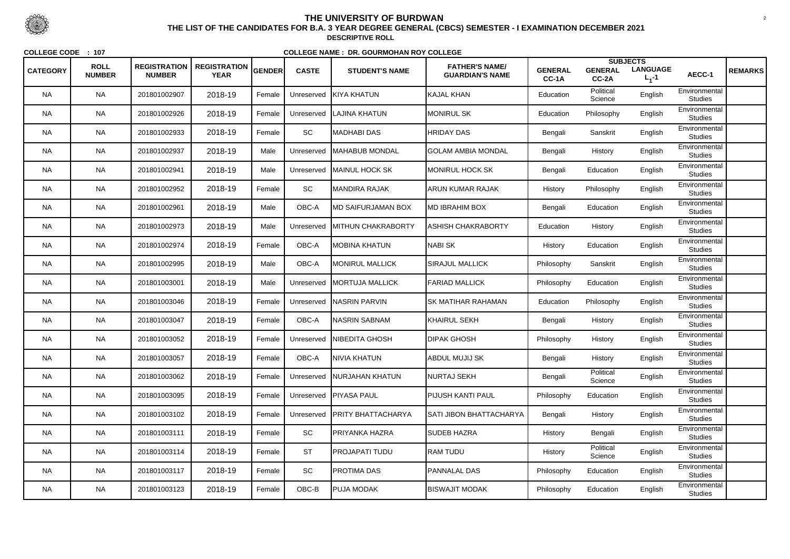| <b>CATEGORY</b> | <b>ROLL</b><br><b>NUMBER</b> | <b>REGISTRATION</b><br><b>NUMBER</b> | <b>REGISTRATION</b><br><b>YEAR</b> | <b>GENDER</b> | <b>CASTE</b> | <b>STUDENT'S NAME</b>        | <b>FATHER'S NAME/</b><br><b>GUARDIAN'S NAME</b> | <b>GENERAL</b><br>CC-1A | <b>GENERAL</b><br>CC-2A | <b>SUBJECTS</b><br><b>LANGUAGE</b><br>$L_1 - 1$ | AECC-1                          | <b>REMARKS</b> |
|-----------------|------------------------------|--------------------------------------|------------------------------------|---------------|--------------|------------------------------|-------------------------------------------------|-------------------------|-------------------------|-------------------------------------------------|---------------------------------|----------------|
| <b>NA</b>       | <b>NA</b>                    | 201801002907                         | 2018-19                            | Female        | Unreserved   | <b>KIYA KHATUN</b>           | KAJAL KHAN                                      | Education               | Political<br>Science    | English                                         | Environmental<br><b>Studies</b> |                |
| <b>NA</b>       | <b>NA</b>                    | 201801002926                         | 2018-19                            | Female        | Unreserved   | LAJINA KHATUN                | <b>MONIRUL SK</b>                               | Education               | Philosophy              | English                                         | Environmental<br><b>Studies</b> |                |
| <b>NA</b>       | <b>NA</b>                    | 201801002933                         | 2018-19                            | Female        | SC           | <b>MADHABI DAS</b>           | <b>HRIDAY DAS</b>                               | Bengali                 | Sanskrit                | English                                         | Environmental<br><b>Studies</b> |                |
| <b>NA</b>       | <b>NA</b>                    | 201801002937                         | 2018-19                            | Male          | Unreserved   | <b>IMAHABUB MONDAL</b>       | <b>GOLAM AMBIA MONDAL</b>                       | Bengali                 | History                 | English                                         | Environmental<br><b>Studies</b> |                |
| <b>NA</b>       | <b>NA</b>                    | 201801002941                         | 2018-19                            | Male          | Unreserved   | <b>MAINUL HOCK SK</b>        | <b>MONIRUL HOCK SK</b>                          | Bengali                 | Education               | English                                         | Environmental<br><b>Studies</b> |                |
| <b>NA</b>       | <b>NA</b>                    | 201801002952                         | 2018-19                            | Female        | SC           | <b>MANDIRA RAJAK</b>         | ARUN KUMAR RAJAK                                | History                 | Philosophy              | English                                         | Environmental<br><b>Studies</b> |                |
| <b>NA</b>       | <b>NA</b>                    | 201801002961                         | 2018-19                            | Male          | OBC-A        | IMD SAIFURJAMAN BOX          | <b>MD IBRAHIM BOX</b>                           | Bengali                 | Education               | English                                         | Environmental<br><b>Studies</b> |                |
| <b>NA</b>       | <b>NA</b>                    | 201801002973                         | 2018-19                            | Male          | Unreserved   | <b>IMITHUN CHAKRABORTY</b>   | <b>ASHISH CHAKRABORTY</b>                       | Education               | History                 | English                                         | Environmental<br><b>Studies</b> |                |
| <b>NA</b>       | <b>NA</b>                    | 201801002974                         | 2018-19                            | Female        | OBC-A        | <b>MOBINA KHATUN</b>         | NABI SK                                         | History                 | Education               | English                                         | Environmental<br><b>Studies</b> |                |
| NA.             | <b>NA</b>                    | 201801002995                         | 2018-19                            | Male          | OBC-A        | <b>MONIRUL MALLICK</b>       | <b>SIRAJUL MALLICK</b>                          | Philosophy              | Sanskrit                | English                                         | Environmental<br><b>Studies</b> |                |
| <b>NA</b>       | <b>NA</b>                    | 201801003001                         | 2018-19                            | Male          | Unreserved   | <b>IMORTUJA MALLICK</b>      | <b>FARIAD MALLICK</b>                           | Philosophy              | Education               | English                                         | Environmental<br><b>Studies</b> |                |
| <b>NA</b>       | <b>NA</b>                    | 201801003046                         | 2018-19                            | Female        | Unreserved   | <b>NASRIN PARVIN</b>         | <b>ISK MATIHAR RAHAMAN</b>                      | Education               | Philosophy              | English                                         | Environmental<br><b>Studies</b> |                |
| <b>NA</b>       | <b>NA</b>                    | 201801003047                         | 2018-19                            | Female        | OBC-A        | <b>NASRIN SABNAM</b>         | KHAIRUL SEKH                                    | Bengali                 | History                 | English                                         | Environmental<br><b>Studies</b> |                |
| <b>NA</b>       | <b>NA</b>                    | 201801003052                         | 2018-19                            | Female        | Unreserved   | INIBEDITA GHOSH              | <b>DIPAK GHOSH</b>                              | Philosophy              | History                 | English                                         | Environmental<br><b>Studies</b> |                |
| <b>NA</b>       | <b>NA</b>                    | 201801003057                         | 2018-19                            | Female        | OBC-A        | NIVIA KHATUN                 | <b>ABDUL MUJIJ SK</b>                           | Bengali                 | History                 | English                                         | Environmental<br><b>Studies</b> |                |
| <b>NA</b>       | <b>NA</b>                    | 201801003062                         | 2018-19                            | Female        |              | Unreserved   NURJAHAN KHATUN | NURTAJ SEKH                                     | Bengali                 | Political<br>Science    | English                                         | Environmental<br><b>Studies</b> |                |
| <b>NA</b>       | <b>NA</b>                    | 201801003095                         | 2018-19                            | Female        | Unreserved   | <b>PIYASA PAUL</b>           | PIJUSH KANTI PAUL                               | Philosophy              | Education               | English                                         | Environmental<br><b>Studies</b> |                |
| <b>NA</b>       | <b>NA</b>                    | 201801003102                         | 2018-19                            | Female        | Unreserved   | <b>PRITY BHATTACHARYA</b>    | SATI JIBON BHATTACHARYA                         | Bengali                 | History                 | English                                         | Environmental<br><b>Studies</b> |                |
| <b>NA</b>       | <b>NA</b>                    | 201801003111                         | 2018-19                            | Female        | SC           | <b>PRIYANKA HAZRA</b>        | <b>SUDEB HAZRA</b>                              | History                 | Bengali                 | English                                         | Environmental<br><b>Studies</b> |                |
| <b>NA</b>       | <b>NA</b>                    | 201801003114                         | 2018-19                            | Female        | <b>ST</b>    | PROJAPATI TUDU               | RAM TUDU                                        | History                 | Political<br>Science    | English                                         | Environmental<br><b>Studies</b> |                |
| <b>NA</b>       | <b>NA</b>                    | 201801003117                         | 2018-19                            | Female        | SC           | <b>PROTIMA DAS</b>           | <b>PANNALAL DAS</b>                             | Philosophy              | Education               | English                                         | Environmental<br><b>Studies</b> |                |
| NA              | <b>NA</b>                    | 201801003123                         | 2018-19                            | Female        | OBC-B        | <b>PUJA MODAK</b>            | <b>BISWAJIT MODAK</b>                           | Philosophy              | Education               | English                                         | Environmental<br><b>Studies</b> |                |



 <sup>2</sup> **THE LIST OF THE CANDIDATES FOR B.A. 3 YEAR DEGREE GENERAL (CBCS) SEMESTER - I EXAMINATION DECEMBER 2021DESCRIPTIVE ROLL**

**COLLEGE CODE : <sup>107</sup>**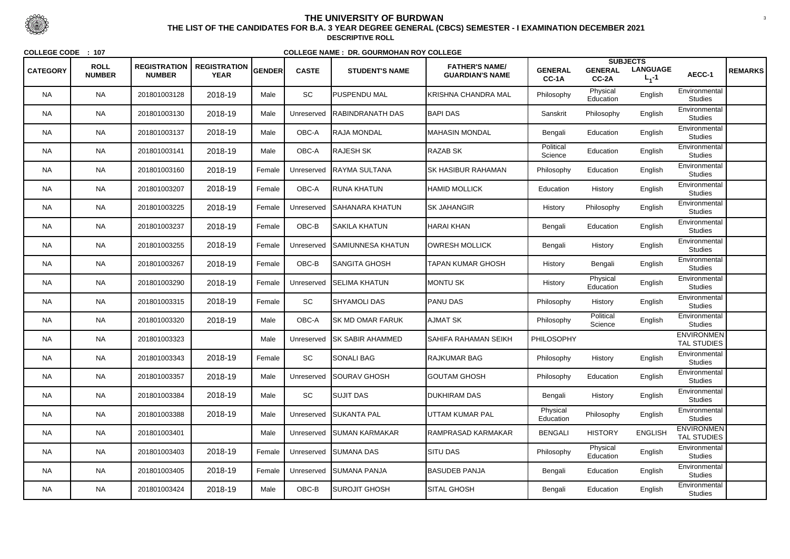|                 |                              |                                      |                                    |               |              |                          |                                                 |                         |                         | <b>SUBJECTS</b>              |                                         |                |
|-----------------|------------------------------|--------------------------------------|------------------------------------|---------------|--------------|--------------------------|-------------------------------------------------|-------------------------|-------------------------|------------------------------|-----------------------------------------|----------------|
| <b>CATEGORY</b> | <b>ROLL</b><br><b>NUMBER</b> | <b>REGISTRATION</b><br><b>NUMBER</b> | <b>REGISTRATION</b><br><b>YEAR</b> | <b>GENDER</b> | <b>CASTE</b> | <b>STUDENT'S NAME</b>    | <b>FATHER'S NAME/</b><br><b>GUARDIAN'S NAME</b> | <b>GENERAL</b><br>CC-1A | <b>GENERAL</b><br>CC-2A | <b>LANGUAGE</b><br>$L_1 - 1$ | AECC-1                                  | <b>REMARKS</b> |
| <b>NA</b>       | <b>NA</b>                    | 201801003128                         | 2018-19                            | Male          | SC           | <b>PUSPENDU MAL</b>      | KRISHNA CHANDRA MAL                             | Philosophy              | Physical<br>Education   | English                      | Environmental<br><b>Studies</b>         |                |
| <b>NA</b>       | <b>NA</b>                    | 201801003130                         | 2018-19                            | Male          | Unreserved   | <b>RABINDRANATH DAS</b>  | <b>BAPI DAS</b>                                 | Sanskrit                | Philosophy              | English                      | Environmental<br><b>Studies</b>         |                |
| <b>NA</b>       | <b>NA</b>                    | 201801003137                         | 2018-19                            | Male          | OBC-A        | IRAJA MONDAL             | IMAHASIN MONDAL                                 | Bengali                 | Education               | English                      | Environmental<br><b>Studies</b>         |                |
| <b>NA</b>       | <b>NA</b>                    | 201801003141                         | 2018-19                            | Male          | OBC-A        | <b>I</b> RAJESH SK       | <b>RAZAB SK</b>                                 | Political<br>Science    | Education               | English                      | Environmental<br><b>Studies</b>         |                |
| <b>NA</b>       | <b>NA</b>                    | 201801003160                         | 2018-19                            | Female        | Unreserved   | RAYMA SULTANA            | <b>SK HASIBUR RAHAMAN</b>                       | Philosophy              | Education               | English                      | Environmental<br><b>Studies</b>         |                |
| <b>NA</b>       | <b>NA</b>                    | 201801003207                         | 2018-19                            | Female        | OBC-A        | RUNA KHATUN              | <b>HAMID MOLLICK</b>                            | Education               | History                 | English                      | Environmental<br><b>Studies</b>         |                |
| <b>NA</b>       | <b>NA</b>                    | 201801003225                         | 2018-19                            | Female        | Unreserved   | SAHANARA KHATUN          | <b>ISK JAHANGIR</b>                             | History                 | Philosophy              | English                      | Environmental<br><b>Studies</b>         |                |
| <b>NA</b>       | <b>NA</b>                    | 201801003237                         | 2018-19                            | Female        | OBC-B        | SAKILA KHATUN            | <b>HARAI KHAN</b>                               | Bengali                 | Education               | English                      | Environmental<br><b>Studies</b>         |                |
| <b>NA</b>       | <b>NA</b>                    | 201801003255                         | 2018-19                            | Female        | Unreserved   | SAMIUNNESA KHATUN        | <b>OWRESH MOLLICK</b>                           | Bengali                 | History                 | English                      | Environmental<br><b>Studies</b>         |                |
| <b>NA</b>       | <b>NA</b>                    | 201801003267                         | 2018-19                            | Female        | OBC-B        | SANGITA GHOSH            | TAPAN KUMAR GHOSH                               | History                 | Bengali                 | English                      | Environmental<br><b>Studies</b>         |                |
| <b>NA</b>       | <b>NA</b>                    | 201801003290                         | 2018-19                            | Female        | Unreserved   | <b>SELIMA KHATUN</b>     | <b>MONTU SK</b>                                 | History                 | Physical<br>Education   | English                      | Environmental<br><b>Studies</b>         |                |
| <b>NA</b>       | <b>NA</b>                    | 201801003315                         | 2018-19                            | Female        | SC           | <b>SHYAMOLI DAS</b>      | <b>PANU DAS</b>                                 | Philosophy              | History                 | English                      | Environmental<br><b>Studies</b>         |                |
| <b>NA</b>       | <b>NA</b>                    | 201801003320                         | 2018-19                            | Male          | OBC-A        | <b>SK MD OMAR FARUK</b>  | <b>AJMAT SK</b>                                 | Philosophy              | Political<br>Science    | English                      | Environmental<br><b>Studies</b>         |                |
| <b>NA</b>       | <b>NA</b>                    | 201801003323                         |                                    | Male          | Unreserved   | <b>ISK SABIR AHAMMED</b> | ISAHIFA RAHAMAN SEIKH                           | PHILOSOPHY              |                         |                              | <b>ENVIRONMEN</b><br><b>TAL STUDIES</b> |                |
| <b>NA</b>       | <b>NA</b>                    | 201801003343                         | 2018-19                            | Female        | <b>SC</b>    | SONALI BAG               | <b>RAJKUMAR BAG</b>                             | Philosophy              | History                 | English                      | Environmental<br><b>Studies</b>         |                |
| <b>NA</b>       | <b>NA</b>                    | 201801003357                         | 2018-19                            | Male          | Unreserved   | <b>SOURAV GHOSH</b>      | <b>GOUTAM GHOSH</b>                             | Philosophy              | Education               | English                      | Environmental<br><b>Studies</b>         |                |
| <b>NA</b>       | <b>NA</b>                    | 201801003384                         | 2018-19                            | Male          | SC           | <b>SUJIT DAS</b>         | <b>DUKHIRAM DAS</b>                             | Bengali                 | History                 | English                      | Environmental<br><b>Studies</b>         |                |
| <b>NA</b>       | <b>NA</b>                    | 201801003388                         | 2018-19                            | Male          | Unreserved   | <b>SUKANTA PAL</b>       | UTTAM KUMAR PAL                                 | Physical<br>Education   | Philosophy              | English                      | Environmental<br><b>Studies</b>         |                |
| <b>NA</b>       | <b>NA</b>                    | 201801003401                         |                                    | Male          | Unreserved   | <b>SUMAN KARMAKAR</b>    | RAMPRASAD KARMAKAR                              | <b>BENGALI</b>          | <b>HISTORY</b>          | <b>ENGLISH</b>               | <b>ENVIRONMEN</b><br><b>TAL STUDIES</b> |                |
| <b>NA</b>       | <b>NA</b>                    | 201801003403                         | 2018-19                            | Female        | Unreserved   | <b>SUMANA DAS</b>        | <b>SITU DAS</b>                                 | Philosophy              | Physical<br>Education   | English                      | Environmental<br><b>Studies</b>         |                |
| <b>NA</b>       | <b>NA</b>                    | 201801003405                         | 2018-19                            | Female        | Unreserved   | <b>SUMANA PANJA</b>      | <b>BASUDEB PANJA</b>                            | Bengali                 | Education               | English                      | Environmental<br><b>Studies</b>         |                |
| <b>NA</b>       | <b>NA</b>                    | 201801003424                         | 2018-19                            | Male          | OBC-B        | SUROJIT GHOSH            | <b>SITAL GHOSH</b>                              | Bengali                 | Education               | English                      | Environmental<br><b>Studies</b>         |                |



 <sup>3</sup> **THE LIST OF THE CANDIDATES FOR B.A. 3 YEAR DEGREE GENERAL (CBCS) SEMESTER - I EXAMINATION DECEMBER 2021DESCRIPTIVE ROLL**

**COLLEGE CODE : <sup>107</sup>**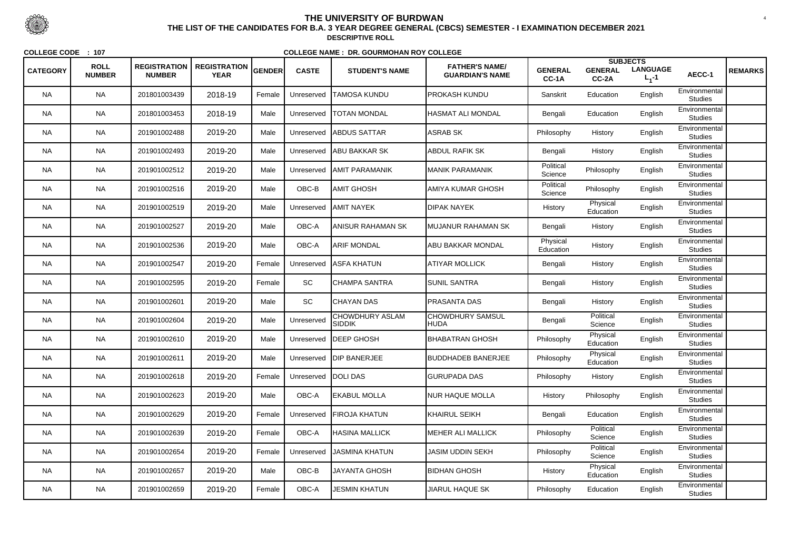|                 | <b>ROLL</b>   | <b>REGISTRATION</b> | <b>REGISTRATION</b> |        |                       |                                         | <b>FATHER'S NAME/</b>           |                         |                         | <b>SUBJECTS</b>              |                                 |                |
|-----------------|---------------|---------------------|---------------------|--------|-----------------------|-----------------------------------------|---------------------------------|-------------------------|-------------------------|------------------------------|---------------------------------|----------------|
| <b>CATEGORY</b> | <b>NUMBER</b> | <b>NUMBER</b>       | <b>YEAR</b>         | GENDER | <b>CASTE</b>          | <b>STUDENT'S NAME</b>                   | <b>GUARDIAN'S NAME</b>          | <b>GENERAL</b><br>CC-1A | <b>GENERAL</b><br>CC-2A | <b>LANGUAGE</b><br>$L_1 - 1$ | AECC-1                          | <b>REMARKS</b> |
| <b>NA</b>       | <b>NA</b>     | 201801003439        | 2018-19             | Female | Unreserved            | <b>TAMOSA KUNDU</b>                     | <b>IPROKASH KUNDU</b>           | Sanskrit                | Education               | English                      | Environmental<br><b>Studies</b> |                |
| <b>NA</b>       | <b>NA</b>     | 201801003453        | 2018-19             | Male   | Unreserved            | <b>TOTAN MONDAL</b>                     | HASMAT ALI MONDAL               | Bengali                 | Education               | English                      | Environmental<br><b>Studies</b> |                |
| <b>NA</b>       | <b>NA</b>     | 201901002488        | 2019-20             | Male   | Unreserved            | <b>ABDUS SATTAR</b>                     | <b>ASRAB SK</b>                 | Philosophy              | History                 | English                      | Environmental<br><b>Studies</b> |                |
| <b>NA</b>       | <b>NA</b>     | 201901002493        | 2019-20             | Male   | Unreserved            | <b>JABU BAKKAR SK</b>                   | <b>ABDUL RAFIK SK</b>           | Bengali                 | History                 | English                      | Environmental<br><b>Studies</b> |                |
| <b>NA</b>       | <b>NA</b>     | 201901002512        | 2019-20             | Male   | Unreserved            | <b>JAMIT PARAMANIK</b>                  | <b>MANIK PARAMANIK</b>          | Political<br>Science    | Philosophy              | English                      | Environmental<br><b>Studies</b> |                |
| <b>NA</b>       | <b>NA</b>     | 201901002516        | 2019-20             | Male   | OBC-B                 | IAMIT GHOSH                             | AMIYA KUMAR GHOSH               | Political<br>Science    | Philosophy              | English                      | Environmental<br><b>Studies</b> |                |
| <b>NA</b>       | <b>NA</b>     | 201901002519        | 2019-20             | Male   | Unreserved            | <b>JAMIT NAYEK</b>                      | <b>DIPAK NAYEK</b>              | History                 | Physical<br>Education   | English                      | Environmental<br><b>Studies</b> |                |
| <b>NA</b>       | <b>NA</b>     | 201901002527        | 2019-20             | Male   | OBC-A                 | ANISUR RAHAMAN SK                       | MUJANUR RAHAMAN SK              | Bengali                 | History                 | English                      | Environmental<br><b>Studies</b> |                |
| <b>NA</b>       | <b>NA</b>     | 201901002536        | 2019-20             | Male   | OBC-A                 | <b>ARIF MONDAL</b>                      | <b>ABU BAKKAR MONDAL</b>        | Physical<br>Education   | History                 | English                      | Environmental<br><b>Studies</b> |                |
| <b>NA</b>       | <b>NA</b>     | 201901002547        | 2019-20             | Female | Unreserved            | <b>ASFA KHATUN</b>                      | <b>ATIYAR MOLLICK</b>           | Bengali                 | History                 | English                      | Environmental<br><b>Studies</b> |                |
| <b>NA</b>       | <b>NA</b>     | 201901002595        | 2019-20             | Female | SC                    | <b>CHAMPA SANTRA</b>                    | <b>SUNIL SANTRA</b>             | Bengali                 | History                 | English                      | Environmental<br><b>Studies</b> |                |
| <b>NA</b>       | <b>NA</b>     | 201901002601        | 2019-20             | Male   | SC                    | <b>CHAYAN DAS</b>                       | <b>PRASANTA DAS</b>             | Bengali                 | History                 | English                      | Environmental<br><b>Studies</b> |                |
| <b>NA</b>       | <b>NA</b>     | 201901002604        | 2019-20             | Male   | Unreserved            | <b>CHOWDHURY ASLAM</b><br><b>SIDDIK</b> | <b>CHOWDHURY SAMSUL</b><br>HUDA | Bengali                 | Political<br>Science    | English                      | Environmental<br><b>Studies</b> |                |
| <b>NA</b>       | <b>NA</b>     | 201901002610        | 2019-20             | Male   | Unreserved            | <b>IDEEP GHOSH</b>                      | BHABATRAN GHOSH                 | Philosophy              | Physical<br>Education   | English                      | Environmental<br><b>Studies</b> |                |
| <b>NA</b>       | <b>NA</b>     | 201901002611        | 2019-20             | Male   |                       | Unreserved   DIP BANERJEE               | <b>BUDDHADEB BANERJEE</b>       | Philosophy              | Physical<br>Education   | English                      | Environmental<br><b>Studies</b> |                |
| <b>NA</b>       | <b>NA</b>     | 201901002618        | 2019-20             | Female | Unreserved   DOLI DAS |                                         | <b>GURUPADA DAS</b>             | Philosophy              | History                 | English                      | Environmental<br><b>Studies</b> |                |
| <b>NA</b>       | <b>NA</b>     | 201901002623        | 2019-20             | Male   | OBC-A                 | <b>EKABUL MOLLA</b>                     | <b>NUR HAQUE MOLLA</b>          | History                 | Philosophy              | English                      | Environmental<br><b>Studies</b> |                |
| <b>NA</b>       | <b>NA</b>     | 201901002629        | 2019-20             | Female | Unreserved            | <b>FIROJA KHATUN</b>                    | KHAIRUL SEIKH                   | Bengali                 | Education               | English                      | Environmental<br><b>Studies</b> |                |
| <b>NA</b>       | <b>NA</b>     | 201901002639        | 2019-20             | Female | OBC-A                 | <b>HASINA MALLICK</b>                   | <b>MEHER ALI MALLICK</b>        | Philosophy              | Political<br>Science    | English                      | Environmental<br><b>Studies</b> |                |
| <b>NA</b>       | <b>NA</b>     | 201901002654        | 2019-20             | Female | Unreserved            | <b>JASMINA KHATUN</b>                   | <b>JASIM UDDIN SEKH</b>         | Philosophy              | Political<br>Science    | English                      | Environmental<br><b>Studies</b> |                |
| <b>NA</b>       | <b>NA</b>     | 201901002657        | 2019-20             | Male   | OBC-B                 | <b>JAYANTA GHOSH</b>                    | <b>BIDHAN GHOSH</b>             | History                 | Physical<br>Education   | English                      | Environmental<br><b>Studies</b> |                |
| <b>NA</b>       | <b>NA</b>     | 201901002659        | 2019-20             | Female | OBC-A                 | <b>JESMIN KHATUN</b>                    | <b>JIARUL HAQUE SK</b>          | Philosophy              | Education               | English                      | Environmental<br><b>Studies</b> |                |



 <sup>4</sup> **THE LIST OF THE CANDIDATES FOR B.A. 3 YEAR DEGREE GENERAL (CBCS) SEMESTER - I EXAMINATION DECEMBER 2021DESCRIPTIVE ROLL**

**COLLEGE CODE : <sup>107</sup>**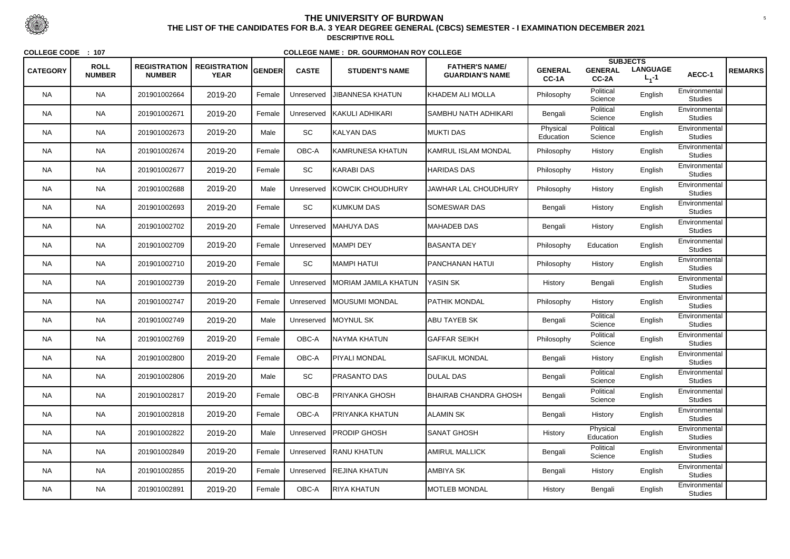| <b>CATEGORY</b> | <b>ROLL</b><br><b>NUMBER</b> | <b>REGISTRATION</b><br><b>NUMBER</b> | <b>REGISTRATION</b><br><b>YEAR</b> | <b>GENDER</b> | <b>CASTE</b> | <b>STUDENT'S NAME</b>   | <b>FATHER'S NAME/</b><br><b>GUARDIAN'S NAME</b> | <b>GENERAL</b><br>CC-1A | <b>GENERAL</b><br>CC-2A | <b>SUBJECTS</b><br><b>LANGUAGE</b><br>$L_1 - 1$ | AECC-1                          | <b>REMARKS</b> |
|-----------------|------------------------------|--------------------------------------|------------------------------------|---------------|--------------|-------------------------|-------------------------------------------------|-------------------------|-------------------------|-------------------------------------------------|---------------------------------|----------------|
| <b>NA</b>       | <b>NA</b>                    | 201901002664                         | 2019-20                            | Female        | Unreserved   | <b>JIBANNESA KHATUN</b> | IKHADEM ALI MOLLA                               | Philosophy              | Political<br>Science    | English                                         | Environmental<br><b>Studies</b> |                |
| <b>NA</b>       | <b>NA</b>                    | 201901002671                         | 2019-20                            | Female        | Unreserved   | <b>KAKULI ADHIKARI</b>  | <b>SAMBHU NATH ADHIKARI</b>                     | Bengali                 | Political<br>Science    | English                                         | Environmental<br><b>Studies</b> |                |
| <b>NA</b>       | <b>NA</b>                    | 201901002673                         | 2019-20                            | Male          | <b>SC</b>    | KALYAN DAS              | <b>MUKTI DAS</b>                                | Physical<br>Education   | Political<br>Science    | English                                         | Environmental<br><b>Studies</b> |                |
| <b>NA</b>       | <b>NA</b>                    | 201901002674                         | 2019-20                            | Female        | OBC-A        | KAMRUNESA KHATUN        | KAMRUL ISLAM MONDAL                             | Philosophy              | History                 | English                                         | Environmental<br><b>Studies</b> |                |
| <b>NA</b>       | <b>NA</b>                    | 201901002677                         | 2019-20                            | Female        | <b>SC</b>    | KARABI DAS              | <b>HARIDAS DAS</b>                              | Philosophy              | History                 | English                                         | Environmental<br><b>Studies</b> |                |
| <b>NA</b>       | <b>NA</b>                    | 201901002688                         | 2019-20                            | Male          | Unreserved   | <b>KOWCIK CHOUDHURY</b> | JAWHAR LAL CHOUDHURY                            | Philosophy              | History                 | English                                         | Environmental<br><b>Studies</b> |                |
| <b>NA</b>       | <b>NA</b>                    | 201901002693                         | 2019-20                            | Female        | SC           | <b>KUMKUM DAS</b>       | <b>SOMESWAR DAS</b>                             | Bengali                 | History                 | English                                         | Environmental<br><b>Studies</b> |                |
| <b>NA</b>       | <b>NA</b>                    | 201901002702                         | 2019-20                            | Female        | Unreserved   | <b>IMAHUYA DAS</b>      | MAHADEB DAS                                     | Bengali                 | History                 | English                                         | Environmental<br><b>Studies</b> |                |
| <b>NA</b>       | <b>NA</b>                    | 201901002709                         | 2019-20                            | Female        | Unreserved   | <b>MAMPI DEY</b>        | <b>BASANTA DEY</b>                              | Philosophy              | Education               | English                                         | Environmental<br><b>Studies</b> |                |
| <b>NA</b>       | <b>NA</b>                    | 201901002710                         | 2019-20                            | Female        | SC           | MAMPI HATUI             | <b> PANCHANAN HATUI</b>                         | Philosophy              | History                 | English                                         | Environmental<br><b>Studies</b> |                |
| <b>NA</b>       | <b>NA</b>                    | 201901002739                         | 2019-20                            | Female        | Unreserved   | MORIAM JAMILA KHATUN    | <b>YASIN SK</b>                                 | History                 | Bengali                 | English                                         | Environmental<br><b>Studies</b> |                |
| <b>NA</b>       | <b>NA</b>                    | 201901002747                         | 2019-20                            | Female        | Unreserved   | <b>MOUSUMI MONDAL</b>   | <b>PATHIK MONDAL</b>                            | Philosophy              | History                 | English                                         | Environmental<br><b>Studies</b> |                |
| <b>NA</b>       | <b>NA</b>                    | 201901002749                         | 2019-20                            | Male          |              | Unreserved   MOYNUL SK  | <b>ABU TAYEB SK</b>                             | Bengali                 | Political<br>Science    | English                                         | Environmental<br><b>Studies</b> |                |
| <b>NA</b>       | <b>NA</b>                    | 201901002769                         | 2019-20                            | Female        | OBC-A        | NAYMA KHATUN            | <b>GAFFAR SEIKH</b>                             | Philosophy              | Political<br>Science    | English                                         | Environmental<br><b>Studies</b> |                |
| <b>NA</b>       | <b>NA</b>                    | 201901002800                         | 2019-20                            | Female        | OBC-A        | <b>PIYALI MONDAL</b>    | <b>SAFIKUL MONDAL</b>                           | Bengali                 | History                 | English                                         | Environmental<br><b>Studies</b> |                |
| <b>NA</b>       | <b>NA</b>                    | 201901002806                         | 2019-20                            | Male          | SC           | <b>PRASANTO DAS</b>     | <b>DULAL DAS</b>                                | Bengali                 | Political<br>Science    | English                                         | Environmental<br><b>Studies</b> |                |
| <b>NA</b>       | <b>NA</b>                    | 201901002817                         | 2019-20                            | Female        | OBC-B        | PRIYANKA GHOSH          | <b>BHAIRAB CHANDRA GHOSH</b>                    | Bengali                 | Political<br>Science    | English                                         | Environmental<br><b>Studies</b> |                |
| <b>NA</b>       | <b>NA</b>                    | 201901002818                         | 2019-20                            | Female        | OBC-A        | PRIYANKA KHATUN         | ALAMIN SK                                       | Bengali                 | History                 | English                                         | Environmental<br><b>Studies</b> |                |
| <b>NA</b>       | <b>NA</b>                    | 201901002822                         | 2019-20                            | Male          | Unreserved   | <b>PRODIP GHOSH</b>     | <b>SANAT GHOSH</b>                              | History                 | Physical<br>Education   | English                                         | Environmental<br><b>Studies</b> |                |
| <b>NA</b>       | <b>NA</b>                    | 201901002849                         | 2019-20                            | Female        |              | Unreserved RANU KHATUN  | <b>AMIRUL MALLICK</b>                           | Bengali                 | Political<br>Science    | English                                         | Environmental<br><b>Studies</b> |                |
| <b>NA</b>       | <b>NA</b>                    | 201901002855                         | 2019-20                            | Female        | Unreserved   | <b>REJINA KHATUN</b>    | AMBIYA SK                                       | Bengali                 | History                 | English                                         | Environmental<br><b>Studies</b> |                |
| <b>NA</b>       | <b>NA</b>                    | 201901002891                         | 2019-20                            | Female        | OBC-A        | RIYA KHATUN             | <b>MOTLEB MONDAL</b>                            | History                 | Bengali                 | English                                         | Environmental<br><b>Studies</b> |                |



 <sup>5</sup> **THE LIST OF THE CANDIDATES FOR B.A. 3 YEAR DEGREE GENERAL (CBCS) SEMESTER - I EXAMINATION DECEMBER 2021DESCRIPTIVE ROLL**

**COLLEGE CODE : <sup>107</sup>**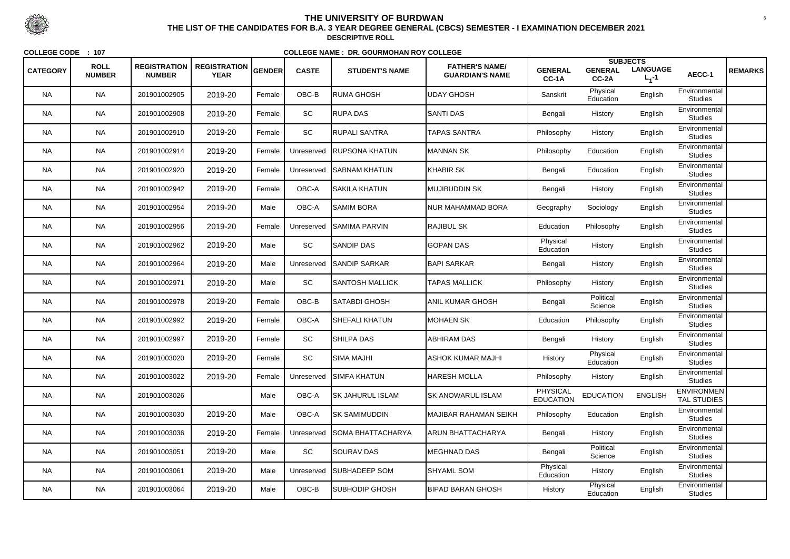| <b>CATEGORY</b> | <b>ROLL</b><br><b>NUMBER</b> | <b>REGISTRATION</b><br><b>NUMBER</b> | <b>REGISTRATION</b><br><b>YEAR</b> | GENDER | <b>CASTE</b> | <b>STUDENT'S NAME</b>    | <b>FATHER'S NAME/</b><br><b>GUARDIAN'S NAME</b> | <b>GENERAL</b><br>$CC-1A$           | <b>SUBJECTS</b><br><b>GENERAL</b><br>CC-2A | <b>LANGUAGE</b><br>$L_1 - 1$ | AECC-1                                  | <b>REMARKS</b> |
|-----------------|------------------------------|--------------------------------------|------------------------------------|--------|--------------|--------------------------|-------------------------------------------------|-------------------------------------|--------------------------------------------|------------------------------|-----------------------------------------|----------------|
| <b>NA</b>       | <b>NA</b>                    | 201901002905                         | 2019-20                            | Female | OBC-B        | <b>RUMA GHOSH</b>        | <b>UDAY GHOSH</b>                               | Sanskrit                            | Physical<br>Education                      | English                      | Environmental<br><b>Studies</b>         |                |
| <b>NA</b>       | <b>NA</b>                    | 201901002908                         | 2019-20                            | Female | SC           | <b>RUPA DAS</b>          | <b>SANTI DAS</b>                                | Bengali                             | History                                    | English                      | Environmental<br><b>Studies</b>         |                |
| <b>NA</b>       | <b>NA</b>                    | 201901002910                         | 2019-20                            | Female | SC           | <b>RUPALI SANTRA</b>     | <b>TAPAS SANTRA</b>                             | Philosophy                          | History                                    | English                      | Environmental<br><b>Studies</b>         |                |
| <b>NA</b>       | <b>NA</b>                    | 201901002914                         | 2019-20                            | Female | Unreserved   | <b>RUPSONA KHATUN</b>    | MANNAN SK                                       | Philosophy                          | Education                                  | English                      | Environmental<br><b>Studies</b>         |                |
| <b>NA</b>       | <b>NA</b>                    | 201901002920                         | 2019-20                            | Female | Unreserved   | <b>SABNAM KHATUN</b>     | <b>KHABIR SK</b>                                | Bengali                             | Education                                  | English                      | Environmental<br><b>Studies</b>         |                |
| <b>NA</b>       | <b>NA</b>                    | 201901002942                         | 2019-20                            | Female | OBC-A        | <b>SAKILA KHATUN</b>     | MUJIBUDDIN SK                                   | Bengali                             | History                                    | English                      | Environmental<br><b>Studies</b>         |                |
| <b>NA</b>       | <b>NA</b>                    | 201901002954                         | 2019-20                            | Male   | OBC-A        | <b>SAMIM BORA</b>        | NUR MAHAMMAD BORA                               | Geography                           | Sociology                                  | English                      | Environmental<br><b>Studies</b>         |                |
| <b>NA</b>       | <b>NA</b>                    | 201901002956                         | 2019-20                            | Female | Unreserved   | <b>SAMIMA PARVIN</b>     | <b>RAJIBUL SK</b>                               | Education                           | Philosophy                                 | English                      | Environmental<br><b>Studies</b>         |                |
| <b>NA</b>       | <b>NA</b>                    | 201901002962                         | 2019-20                            | Male   | SC           | <b>SANDIP DAS</b>        | <b>GOPAN DAS</b>                                | Physical<br>Education               | History                                    | English                      | Environmental<br><b>Studies</b>         |                |
| <b>NA</b>       | <b>NA</b>                    | 201901002964                         | 2019-20                            | Male   | Unreserved   | <b>SANDIP SARKAR</b>     | <b>BAPI SARKAR</b>                              | Bengali                             | History                                    | English                      | Environmental<br><b>Studies</b>         |                |
| <b>NA</b>       | <b>NA</b>                    | 201901002971                         | 2019-20                            | Male   | SC           | <b>SANTOSH MALLICK</b>   | <b>TAPAS MALLICK</b>                            | Philosophy                          | History                                    | English                      | Environmental<br><b>Studies</b>         |                |
| <b>NA</b>       | <b>NA</b>                    | 201901002978                         | 2019-20                            | Female | OBC-B        | <b>SATABDI GHOSH</b>     | <b>ANIL KUMAR GHOSH</b>                         | Bengali                             | Political<br>Science                       | English                      | Environmental<br><b>Studies</b>         |                |
| <b>NA</b>       | <b>NA</b>                    | 201901002992                         | 2019-20                            | Female | OBC-A        | <b>SHEFALI KHATUN</b>    | <b>MOHAEN SK</b>                                | Education                           | Philosophy                                 | English                      | Environmental<br><b>Studies</b>         |                |
| <b>NA</b>       | <b>NA</b>                    | 201901002997                         | 2019-20                            | Female | SC           | <b>SHILPA DAS</b>        | <b>ABHIRAM DAS</b>                              | Bengali                             | History                                    | English                      | Environmental<br><b>Studies</b>         |                |
| <b>NA</b>       | <b>NA</b>                    | 201901003020                         | 2019-20                            | Female | <b>SC</b>    | <b>SIMA MAJHI</b>        | ASHOK KUMAR MAJHI                               | History                             | Physical<br>Education                      | English                      | Environmental<br><b>Studies</b>         |                |
| <b>NA</b>       | <b>NA</b>                    | 201901003022                         | 2019-20                            | Female | Unreserved   | <b>SIMFA KHATUN</b>      | <b>HARESH MOLLA</b>                             | Philosophy                          | History                                    | English                      | Environmental<br><b>Studies</b>         |                |
| <b>NA</b>       | <b>NA</b>                    | 201901003026                         |                                    | Male   | OBC-A        | <b>SK JAHURUL ISLAM</b>  | <b>SK ANOWARUL ISLAM</b>                        | <b>PHYSICAL</b><br><b>EDUCATION</b> | <b>EDUCATION</b>                           | <b>ENGLISH</b>               | <b>ENVIRONMEN</b><br><b>TAL STUDIES</b> |                |
| <b>NA</b>       | <b>NA</b>                    | 201901003030                         | 2019-20                            | Male   | OBC-A        | <b>SK SAMIMUDDIN</b>     | <b>MAJIBAR RAHAMAN SEIKH</b>                    | Philosophy                          | Education                                  | English                      | Environmental<br><b>Studies</b>         |                |
| <b>NA</b>       | <b>NA</b>                    | 201901003036                         | 2019-20                            | Female | Unreserved   | <b>SOMA BHATTACHARYA</b> | <b>ARUN BHATTACHARYA</b>                        | Bengali                             | History                                    | English                      | Environmental<br><b>Studies</b>         |                |
| <b>NA</b>       | <b>NA</b>                    | 201901003051                         | 2019-20                            | Male   | SC           | <b>SOURAV DAS</b>        | <b>MEGHNAD DAS</b>                              | Bengali                             | Political<br>Science                       | English                      | Environmental<br><b>Studies</b>         |                |
| <b>NA</b>       | <b>NA</b>                    | 201901003061                         | 2019-20                            | Male   | Unreserved   | <b>SUBHADEEP SOM</b>     | <b>SHYAML SOM</b>                               | Physical<br>Education               | History                                    | English                      | Environmental<br><b>Studies</b>         |                |
| <b>NA</b>       | <b>NA</b>                    | 201901003064                         | 2019-20                            | Male   | OBC-B        | <b>SUBHODIP GHOSH</b>    | <b>BIPAD BARAN GHOSH</b>                        | History                             | Physical<br>Education                      | English                      | Environmental<br><b>Studies</b>         |                |



 <sup>6</sup> **THE LIST OF THE CANDIDATES FOR B.A. 3 YEAR DEGREE GENERAL (CBCS) SEMESTER - I EXAMINATION DECEMBER 2021DESCRIPTIVE ROLL**

**COLLEGE CODE : <sup>107</sup>**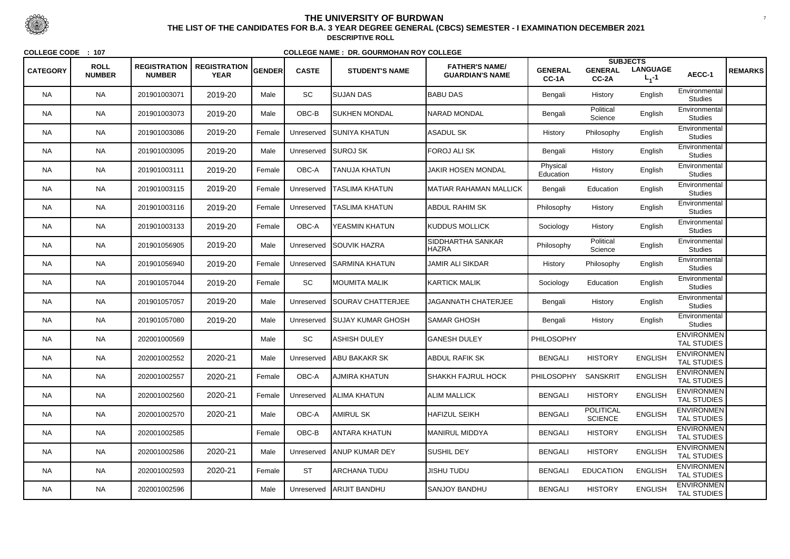|                 |                              |                                      |                                    |               |              |                            |                                                 |                         | <b>SUBJECTS</b>                    |                              |                                         |                |
|-----------------|------------------------------|--------------------------------------|------------------------------------|---------------|--------------|----------------------------|-------------------------------------------------|-------------------------|------------------------------------|------------------------------|-----------------------------------------|----------------|
| <b>CATEGORY</b> | <b>ROLL</b><br><b>NUMBER</b> | <b>REGISTRATION</b><br><b>NUMBER</b> | <b>REGISTRATION</b><br><b>YEAR</b> | <b>GENDER</b> | <b>CASTE</b> | <b>STUDENT'S NAME</b>      | <b>FATHER'S NAME/</b><br><b>GUARDIAN'S NAME</b> | <b>GENERAL</b><br>CC-1A | <b>GENERAL</b><br>CC-2A            | <b>LANGUAGE</b><br>$L_1 - 1$ | AECC-1                                  | <b>REMARKS</b> |
| <b>NA</b>       | <b>NA</b>                    | 201901003071                         | 2019-20                            | Male          | <b>SC</b>    | ISUJAN DAS                 | <b>BABU DAS</b>                                 | Bengali                 | History                            | English                      | Environmental<br><b>Studies</b>         |                |
| <b>NA</b>       | <b>NA</b>                    | 201901003073                         | 2019-20                            | Male          | OBC-B        | SUKHEN MONDAL              | NARAD MONDAL                                    | Bengali                 | Political<br>Science               | English                      | Environmental<br><b>Studies</b>         |                |
| <b>NA</b>       | <b>NA</b>                    | 201901003086                         | 2019-20                            | Female        | Unreserved   | <b>ISUNIYA KHATUN</b>      | <b>ASADUL SK</b>                                | History                 | Philosophy                         | English                      | Environmental<br><b>Studies</b>         |                |
| <b>NA</b>       | <b>NA</b>                    | 201901003095                         | 2019-20                            | Male          | Unreserved   | <b>SUROJ SK</b>            | FOROJ ALI SK                                    | Bengali                 | History                            | English                      | Environmental<br><b>Studies</b>         |                |
| <b>NA</b>       | <b>NA</b>                    | 201901003111                         | 2019-20                            | Female        | OBC-A        | <b>TANUJA KHATUN</b>       | <b>JAKIR HOSEN MONDAL</b>                       | Physical<br>Education   | History                            | English                      | Environmental<br><b>Studies</b>         |                |
| <b>NA</b>       | <b>NA</b>                    | 201901003115                         | 2019-20                            | Female        | Unreserved   | <b>TASLIMA KHATUN</b>      | IMATIAR RAHAMAN MALLICK                         | Bengali                 | Education                          | English                      | Environmental<br><b>Studies</b>         |                |
| <b>NA</b>       | <b>NA</b>                    | 201901003116                         | 2019-20                            | Female        | Unreserved   | TASLIMA KHATUN             | <b>ABDUL RAHIM SK</b>                           | Philosophy              | History                            | English                      | Environmental<br><b>Studies</b>         |                |
| <b>NA</b>       | <b>NA</b>                    | 201901003133                         | 2019-20                            | Female        | OBC-A        | <b>YEASMIN KHATUN</b>      | KUDDUS MOLLICK                                  | Sociology               | History                            | English                      | Environmental<br><b>Studies</b>         |                |
| <b>NA</b>       | <b>NA</b>                    | 201901056905                         | 2019-20                            | Male          | Unreserved   | <b>SOUVIK HAZRA</b>        | SIDDHARTHA SANKAR<br><b>HAZRA</b>               | Philosophy              | Political<br>Science               | English                      | Environmental<br><b>Studies</b>         |                |
| <b>NA</b>       | <b>NA</b>                    | 201901056940                         | 2019-20                            | Female        | Unreserved   | <b>ISARMINA KHATUN</b>     | <b>JAMIR ALI SIKDAR</b>                         | History                 | Philosophy                         | English                      | Environmental<br><b>Studies</b>         |                |
| <b>NA</b>       | <b>NA</b>                    | 201901057044                         | 2019-20                            | Female        | SC           | <b>MOUMITA MALIK</b>       | <b>KARTICK MALIK</b>                            | Sociology               | Education                          | English                      | Environmental<br><b>Studies</b>         |                |
| <b>NA</b>       | <b>NA</b>                    | 201901057057                         | 2019-20                            | Male          | Unreserved   | <b>SOURAV CHATTERJEE</b>   | <b>JAGANNATH CHATERJEE</b>                      | Bengali                 | History                            | English                      | Environmental<br><b>Studies</b>         |                |
| <b>NA</b>       | <b>NA</b>                    | 201901057080                         | 2019-20                            | Male          | Unreserved   | <b>SUJAY KUMAR GHOSH</b>   | <b>I</b> SAMAR GHOSH                            | Bengali                 | History                            | English                      | Environmental<br><b>Studies</b>         |                |
| <b>NA</b>       | <b>NA</b>                    | 202001000569                         |                                    | Male          | SC           | ASHISH DULEY               | GANESH DULEY                                    | PHILOSOPHY              |                                    |                              | <b>ENVIRONMEN</b><br>TAL STUDIES        |                |
| <b>NA</b>       | <b>NA</b>                    | 202001002552                         | 2020-21                            | Male          | Unreserved   | <b>ABU BAKAKR SK</b>       | <b>ABDUL RAFIK SK</b>                           | <b>BENGALI</b>          | <b>HISTORY</b>                     | <b>ENGLISH</b>               | <b>ENVIRONMEN</b><br>TAL STUDIES        |                |
| <b>NA</b>       | <b>NA</b>                    | 202001002557                         | 2020-21                            | Female        | OBC-A        | AJMIRA KHATUN              | SHAKKH FAJRUL HOCK                              | <b>PHILOSOPHY</b>       | <b>SANSKRIT</b>                    | <b>ENGLISH</b>               | <b>ENVIRONMEN</b><br>TAL STUDIES        |                |
| <b>NA</b>       | <b>NA</b>                    | 202001002560                         | 2020-21                            | Female        | Unreserved   | <b>ALIMA KHATUN</b>        | <b>ALIM MALLICK</b>                             | <b>BENGALI</b>          | <b>HISTORY</b>                     | <b>ENGLISH</b>               | <b>ENVIRONMEN</b><br><b>TAL STUDIES</b> |                |
| <b>NA</b>       | <b>NA</b>                    | 202001002570                         | 2020-21                            | Male          | OBC-A        | AMIRUL SK                  | <b>HAFIZUL SEIKH</b>                            | <b>BENGALI</b>          | <b>POLITICAL</b><br><b>SCIENCE</b> | <b>ENGLISH</b>               | <b>ENVIRONMEN</b><br>TAL STUDIES        |                |
| <b>NA</b>       | <b>NA</b>                    | 202001002585                         |                                    | Female        | OBC-B        | ANTARA KHATUN              | MANIRUL MIDDYA                                  | <b>BENGALI</b>          | <b>HISTORY</b>                     | <b>ENGLISH</b>               | <b>ENVIRONMEN</b><br>TAL STUDIES        |                |
| <b>NA</b>       | <b>NA</b>                    | 202001002586                         | 2020-21                            | Male          |              | Unreserved ANUP KUMAR DEY  | <b>SUSHIL DEY</b>                               | <b>BENGALI</b>          | <b>HISTORY</b>                     | <b>ENGLISH</b>               | <b>ENVIRONMEN</b><br><b>TAL STUDIES</b> |                |
| <b>NA</b>       | <b>NA</b>                    | 202001002593                         | 2020-21                            | Female        | <b>ST</b>    | ARCHANA TUDU               | <b>JISHU TUDU</b>                               | <b>BENGALI</b>          | <b>EDUCATION</b>                   | <b>ENGLISH</b>               | <b>ENVIRONMEN</b><br>TAL STUDIES        |                |
| <b>NA</b>       | <b>NA</b>                    | 202001002596                         |                                    | Male          |              | Unreserved   ARIJIT BANDHU | <b>SANJOY BANDHU</b>                            | <b>BENGALI</b>          | <b>HISTORY</b>                     | <b>ENGLISH</b>               | <b>ENVIRONMEN</b><br>TAL STUDIES        |                |



 <sup>7</sup> **THE LIST OF THE CANDIDATES FOR B.A. 3 YEAR DEGREE GENERAL (CBCS) SEMESTER - I EXAMINATION DECEMBER 2021DESCRIPTIVE ROLL**

**COLLEGE CODE : <sup>107</sup>**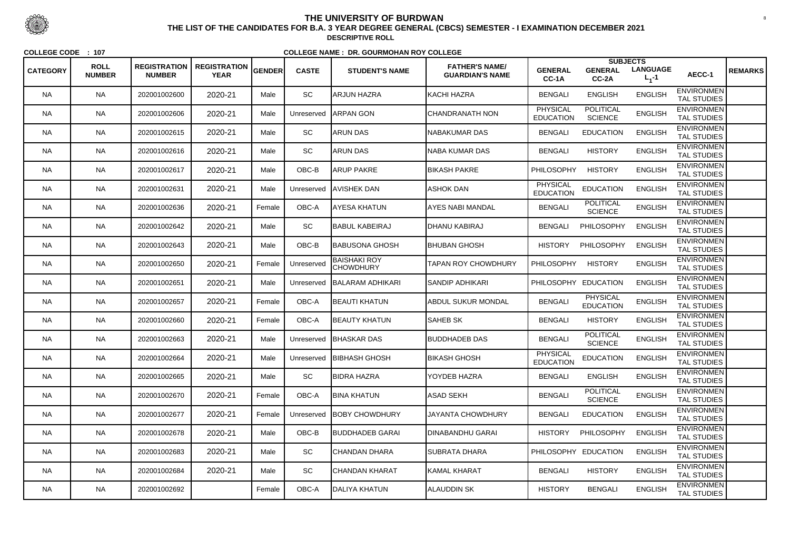|                 |                              |                                      |                                    |        |              |                                         |                                                 |                                     | <b>SUBJECTS</b>                     |                              |                                         |                |
|-----------------|------------------------------|--------------------------------------|------------------------------------|--------|--------------|-----------------------------------------|-------------------------------------------------|-------------------------------------|-------------------------------------|------------------------------|-----------------------------------------|----------------|
| <b>CATEGORY</b> | <b>ROLL</b><br><b>NUMBER</b> | <b>REGISTRATION</b><br><b>NUMBER</b> | <b>REGISTRATION</b><br><b>YEAR</b> | GENDER | <b>CASTE</b> | <b>STUDENT'S NAME</b>                   | <b>FATHER'S NAME/</b><br><b>GUARDIAN'S NAME</b> | <b>GENERAL</b><br>CC-1A             | <b>GENERAL</b><br>$CC-2A$           | <b>LANGUAGE</b><br>$L_1 - 1$ | AECC-1                                  | <b>REMARKS</b> |
| <b>NA</b>       | <b>NA</b>                    | 202001002600                         | 2020-21                            | Male   | SC           | ARJUN HAZRA                             | IKACHI HAZRA                                    | <b>BENGALI</b>                      | <b>ENGLISH</b>                      | <b>ENGLISH</b>               | <b>ENVIRONMEN</b><br><b>TAL STUDIES</b> |                |
| <b>NA</b>       | <b>NA</b>                    | 202001002606                         | 2020-21                            | Male   | Unreserved   | ARPAN GON                               | CHANDRANATH NON                                 | <b>PHYSICAL</b><br><b>EDUCATION</b> | <b>POLITICAL</b><br><b>SCIENCE</b>  | <b>ENGLISH</b>               | <b>ENVIRONMEN</b><br>TAL STUDIES        |                |
| <b>NA</b>       | <b>NA</b>                    | 202001002615                         | 2020-21                            | Male   | <b>SC</b>    | <b>ARUN DAS</b>                         | NABAKUMAR DAS                                   | <b>BENGALI</b>                      | <b>EDUCATION</b>                    | <b>ENGLISH</b>               | <b>ENVIRONMEN</b><br><b>TAL STUDIES</b> |                |
| <b>NA</b>       | <b>NA</b>                    | 202001002616                         | 2020-21                            | Male   | SC           | ARUN DAS                                | NABA KUMAR DAS                                  | <b>BENGALI</b>                      | <b>HISTORY</b>                      | <b>ENGLISH</b>               | <b>ENVIRONMEN</b><br><b>TAL STUDIES</b> |                |
| <b>NA</b>       | <b>NA</b>                    | 202001002617                         | 2020-21                            | Male   | OBC-B        | <b>ARUP PAKRE</b>                       | <b>BIKASH PAKRE</b>                             | PHILOSOPHY                          | <b>HISTORY</b>                      | <b>ENGLISH</b>               | <b>ENVIRONMEN</b><br><b>TAL STUDIES</b> |                |
| <b>NA</b>       | <b>NA</b>                    | 202001002631                         | 2020-21                            | Male   | Unreserved   | <b>AVISHEK DAN</b>                      | <b>ASHOK DAN</b>                                | <b>PHYSICAL</b><br><b>EDUCATION</b> | <b>EDUCATION</b>                    | <b>ENGLISH</b>               | <b>ENVIRONMEN</b><br><b>TAL STUDIES</b> |                |
| NA.             | <b>NA</b>                    | 202001002636                         | 2020-21                            | Female | OBC-A        | AYESA KHATUN                            | IAYES NABI MANDAL                               | <b>BENGALI</b>                      | <b>POLITICAL</b><br><b>SCIENCE</b>  | <b>ENGLISH</b>               | <b>ENVIRONMEN</b><br><b>TAL STUDIES</b> |                |
| <b>NA</b>       | <b>NA</b>                    | 202001002642                         | 2020-21                            | Male   | SC           | <b>BABUL KABEIRAJ</b>                   | DHANU KABIRAJ                                   | <b>BENGALI</b>                      | PHILOSOPHY                          | <b>ENGLISH</b>               | <b>ENVIRONMEN</b><br><b>TAL STUDIES</b> |                |
| <b>NA</b>       | <b>NA</b>                    | 202001002643                         | 2020-21                            | Male   | OBC-B        | <b>BABUSONA GHOSH</b>                   | <b>BHUBAN GHOSH</b>                             | <b>HISTORY</b>                      | PHILOSOPHY                          | <b>ENGLISH</b>               | <b>ENVIRONMEN</b><br><b>TAL STUDIES</b> |                |
| NA.             | <b>NA</b>                    | 202001002650                         | 2020-21                            | Female | Unreserved   | <b>BAISHAKI ROY</b><br><b>CHOWDHURY</b> | TAPAN ROY CHOWDHURY                             | <b>PHILOSOPHY</b>                   | <b>HISTORY</b>                      | <b>ENGLISH</b>               | <b>ENVIRONMEN</b><br><b>TAL STUDIES</b> |                |
| <b>NA</b>       | <b>NA</b>                    | 202001002651                         | 2020-21                            | Male   | Unreserved   | BALARAM ADHIKARI                        | ISANDIP ADHIKARI                                | PHILOSOPHY EDUCATION                |                                     | <b>ENGLISH</b>               | <b>ENVIRONMEN</b><br><b>TAL STUDIES</b> |                |
| <b>NA</b>       | <b>NA</b>                    | 202001002657                         | 2020-21                            | Female | OBC-A        | <b>BEAUTI KHATUN</b>                    | <b>ABDUL SUKUR MONDAL</b>                       | <b>BENGALI</b>                      | <b>PHYSICAL</b><br><b>EDUCATION</b> | <b>ENGLISH</b>               | <b>ENVIRONMEN</b><br><b>TAL STUDIES</b> |                |
| <b>NA</b>       | <b>NA</b>                    | 202001002660                         | 2020-21                            | Female | OBC-A        | <b>BEAUTY KHATUN</b>                    | <b>SAHEB SK</b>                                 | <b>BENGALI</b>                      | <b>HISTORY</b>                      | <b>ENGLISH</b>               | <b>ENVIRONMEN</b><br><b>TAL STUDIES</b> |                |
| NA.             | <b>NA</b>                    | 202001002663                         | 2020-21                            | Male   |              | Unreserved   BHASKAR DAS                | <b>BUDDHADEB DAS</b>                            | <b>BENGALI</b>                      | <b>POLITICAL</b><br><b>SCIENCE</b>  | <b>ENGLISH</b>               | <b>ENVIRONMEN</b><br><b>TAL STUDIES</b> |                |
| <b>NA</b>       | <b>NA</b>                    | 202001002664                         | 2020-21                            | Male   | Unreserved   | <b>BIBHASH GHOSH</b>                    | <b>BIKASH GHOSH</b>                             | <b>PHYSICAL</b><br><b>EDUCATION</b> | <b>EDUCATION</b>                    | <b>ENGLISH</b>               | <b>ENVIRONMEN</b><br><b>TAL STUDIES</b> |                |
| <b>NA</b>       | <b>NA</b>                    | 202001002665                         | 2020-21                            | Male   | SC           | <b>BIDRA HAZRA</b>                      | YOYDEB HAZRA                                    | <b>BENGALI</b>                      | <b>ENGLISH</b>                      | <b>ENGLISH</b>               | <b>ENVIRONMEN</b><br>TAL STUDIES        |                |
| <b>NA</b>       | <b>NA</b>                    | 202001002670                         | 2020-21                            | Female | OBC-A        | <b>BINA KHATUN</b>                      | <b>ASAD SEKH</b>                                | <b>BENGALI</b>                      | <b>POLITICAL</b><br><b>SCIENCE</b>  | <b>ENGLISH</b>               | <b>ENVIRONMEN</b><br><b>TAL STUDIES</b> |                |
| <b>NA</b>       | <b>NA</b>                    | 202001002677                         | 2020-21                            | Female | Unreserved   | <b>BOBY CHOWDHURY</b>                   | <b>JAYANTA CHOWDHURY</b>                        | <b>BENGALI</b>                      | <b>EDUCATION</b>                    | <b>ENGLISH</b>               | <b>ENVIRONMEN</b><br>TAL STUDIES        |                |
| <b>NA</b>       | <b>NA</b>                    | 202001002678                         | 2020-21                            | Male   | OBC-B        | <b>BUDDHADEB GARAI</b>                  | <b>DINABANDHU GARAI</b>                         | <b>HISTORY</b>                      | PHILOSOPHY                          | <b>ENGLISH</b>               | <b>ENVIRONMEN</b><br><b>TAL STUDIES</b> |                |
| <b>NA</b>       | <b>NA</b>                    | 202001002683                         | 2020-21                            | Male   | SC           | CHANDAN DHARA                           | <b>SUBRATA DHARA</b>                            |                                     | PHILOSOPHY EDUCATION                | <b>ENGLISH</b>               | <b>ENVIRONMEN</b><br>TAL STUDIES        |                |
| NA.             | <b>NA</b>                    | 202001002684                         | 2020-21                            | Male   | <b>SC</b>    | CHANDAN KHARAT                          | KAMAL KHARAT                                    | <b>BENGALI</b>                      | <b>HISTORY</b>                      | <b>ENGLISH</b>               | <b>ENVIRONMEN</b><br>TAL STUDIES        |                |
| <b>NA</b>       | <b>NA</b>                    | 202001002692                         |                                    | Female | OBC-A        | DALIYA KHATUN                           | <b>ALAUDDIN SK</b>                              | <b>HISTORY</b>                      | <b>BENGALI</b>                      | <b>ENGLISH</b>               | <b>ENVIRONMEN</b><br>TAL STUDIES        |                |



 <sup>8</sup> **THE LIST OF THE CANDIDATES FOR B.A. 3 YEAR DEGREE GENERAL (CBCS) SEMESTER - I EXAMINATION DECEMBER 2021DESCRIPTIVE ROLL**

**COLLEGE CODE : <sup>107</sup>**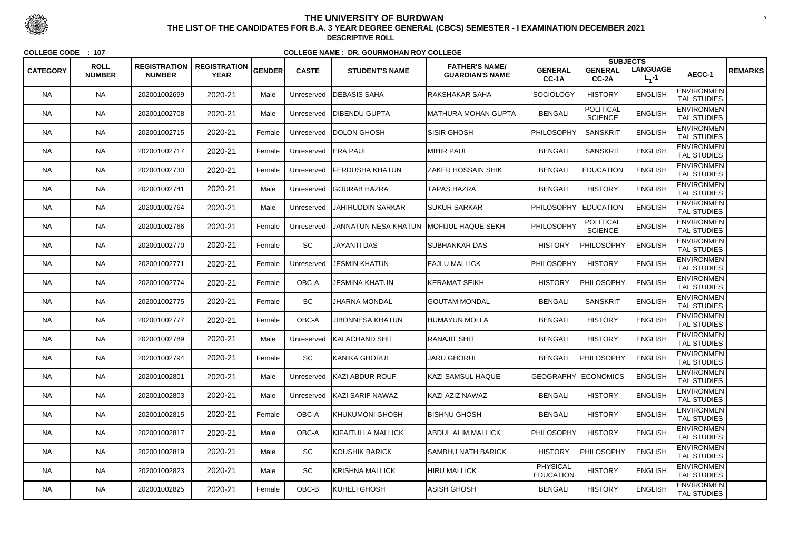|                 |                              |                                      |                                    |               |              |                             |                                                 |                                     | <b>SUBJECTS</b>                    |                              |                                         |                |
|-----------------|------------------------------|--------------------------------------|------------------------------------|---------------|--------------|-----------------------------|-------------------------------------------------|-------------------------------------|------------------------------------|------------------------------|-----------------------------------------|----------------|
| <b>CATEGORY</b> | <b>ROLL</b><br><b>NUMBER</b> | <b>REGISTRATION</b><br><b>NUMBER</b> | <b>REGISTRATION</b><br><b>YEAR</b> | <b>GENDER</b> | <b>CASTE</b> | <b>STUDENT'S NAME</b>       | <b>FATHER'S NAME/</b><br><b>GUARDIAN'S NAME</b> | <b>GENERAL</b><br>CC-1A             | <b>GENERAL</b><br>CC-2A            | <b>LANGUAGE</b><br>$L_1 - 1$ | AECC-1                                  | <b>REMARKS</b> |
| <b>NA</b>       | <b>NA</b>                    | 202001002699                         | 2020-21                            | Male          | Unreserved   | <b>DEBASIS SAHA</b>         | RAKSHAKAR SAHA                                  | <b>SOCIOLOGY</b>                    | <b>HISTORY</b>                     | <b>ENGLISH</b>               | <b>ENVIRONMEN</b><br><b>TAL STUDIES</b> |                |
| <b>NA</b>       | <b>NA</b>                    | 202001002708                         | 2020-21                            | Male          | Unreserved   | <b>DIBENDU GUPTA</b>        | MATHURA MOHAN GUPTA                             | <b>BENGALI</b>                      | <b>POLITICAL</b><br><b>SCIENCE</b> | <b>ENGLISH</b>               | <b>ENVIRONMEN</b><br>TAL STUDIES        |                |
| <b>NA</b>       | <b>NA</b>                    | 202001002715                         | 2020-21                            | Female        | Unreserved   | <b>IDOLON GHOSH</b>         | <b>SISIR GHOSH</b>                              | <b>PHILOSOPHY</b>                   | <b>SANSKRIT</b>                    | <b>ENGLISH</b>               | <b>ENVIRONMEN</b><br><b>TAL STUDIES</b> |                |
| <b>NA</b>       | <b>NA</b>                    | 202001002717                         | 2020-21                            | Female        | Unreserved   | <b>ERA PAUL</b>             | <b>MIHIR PAUL</b>                               | <b>BENGALI</b>                      | <b>SANSKRIT</b>                    | <b>ENGLISH</b>               | <b>ENVIRONMEN</b><br><b>TAL STUDIES</b> |                |
| <b>NA</b>       | <b>NA</b>                    | 202001002730                         | 2020-21                            | Female        | Unreserved   | FERDUSHA KHATUN             | <b>ZAKER HOSSAIN SHIK</b>                       | <b>BENGALI</b>                      | <b>EDUCATION</b>                   | <b>ENGLISH</b>               | <b>ENVIRONMEN</b><br><b>TAL STUDIES</b> |                |
| <b>NA</b>       | <b>NA</b>                    | 202001002741                         | 2020-21                            | Male          | Unreserved   | <b>IGOURAB HAZRA</b>        | <b>TAPAS HAZRA</b>                              | <b>BENGALI</b>                      | <b>HISTORY</b>                     | <b>ENGLISH</b>               | <b>ENVIRONMEN</b><br><b>TAL STUDIES</b> |                |
| <b>NA</b>       | <b>NA</b>                    | 202001002764                         | 2020-21                            | Male          | Unreserved   | IJAHIRUDDIN SARKAR          | <b>SUKUR SARKAR</b>                             | PHILOSOPHY                          | <b>EDUCATION</b>                   | <b>ENGLISH</b>               | <b>ENVIRONMEN</b><br><b>TAL STUDIES</b> |                |
| <b>NA</b>       | <b>NA</b>                    | 202001002766                         | 2020-21                            | Female        | Unreserved   | JANNATUN NESA KHATUN        | <b>IMOFIJUL HAQUE SEKH</b>                      | PHILOSOPHY                          | <b>POLITICAL</b><br><b>SCIENCE</b> | <b>ENGLISH</b>               | <b>ENVIRONMEN</b><br><b>TAL STUDIES</b> |                |
| <b>NA</b>       | <b>NA</b>                    | 202001002770                         | 2020-21                            | Female        | SC           | <b>JAYANTI DAS</b>          | <b>SUBHANKAR DAS</b>                            | <b>HISTORY</b>                      | PHILOSOPHY                         | <b>ENGLISH</b>               | <b>ENVIRONMEN</b><br><b>TAL STUDIES</b> |                |
| <b>NA</b>       | <b>NA</b>                    | 202001002771                         | 2020-21                            | Female        | Unreserved   | <b>JESMIN KHATUN</b>        | <b>FAJLU MALLICK</b>                            | <b>PHILOSOPHY</b>                   | <b>HISTORY</b>                     | <b>ENGLISH</b>               | <b>ENVIRONMEN</b><br><b>TAL STUDIES</b> |                |
| <b>NA</b>       | <b>NA</b>                    | 202001002774                         | 2020-21                            | Female        | OBC-A        | <b>JESMINA KHATUN</b>       | KERAMAT SEIKH                                   | <b>HISTORY</b>                      | PHILOSOPHY                         | <b>ENGLISH</b>               | <b>ENVIRONMEN</b><br><b>TAL STUDIES</b> |                |
| <b>NA</b>       | <b>NA</b>                    | 202001002775                         | 2020-21                            | Female        | SC           | <b>JHARNA MONDAL</b>        | <b>GOUTAM MONDAL</b>                            | <b>BENGALI</b>                      | <b>SANSKRIT</b>                    | <b>ENGLISH</b>               | <b>ENVIRONMEN</b><br><b>TAL STUDIES</b> |                |
| <b>NA</b>       | <b>NA</b>                    | 202001002777                         | 2020-21                            | Female        | OBC-A        | <b>JIBONNESA KHATUN</b>     | <b>HUMAYUN MOLLA</b>                            | <b>BENGALI</b>                      | <b>HISTORY</b>                     | <b>ENGLISH</b>               | <b>ENVIRONMEN</b><br><b>TAL STUDIES</b> |                |
| <b>NA</b>       | <b>NA</b>                    | 202001002789                         | 2020-21                            | Male          | Unreserved   | KALACHAND SHIT              | <b>RANAJIT SHIT</b>                             | <b>BENGALI</b>                      | <b>HISTORY</b>                     | <b>ENGLISH</b>               | <b>ENVIRONMEN</b><br><b>TAL STUDIES</b> |                |
| <b>NA</b>       | <b>NA</b>                    | 202001002794                         | 2020-21                            | Female        | <b>SC</b>    | KANIKA GHORUI               | <b>JARU GHORUI</b>                              | <b>BENGALI</b>                      | PHILOSOPHY                         | <b>ENGLISH</b>               | <b>ENVIRONMEN</b><br><b>TAL STUDIES</b> |                |
| <b>NA</b>       | <b>NA</b>                    | 202001002801                         | 2020-21                            | Male          | Unreserved   | <b>KAZI ABDUR ROUF</b>      | KAZI SAMSUL HAQUE                               |                                     | GEOGRAPHY ECONOMICS                | <b>ENGLISH</b>               | <b>ENVIRONMEN</b><br><b>TAL STUDIES</b> |                |
| <b>NA</b>       | <b>NA</b>                    | 202001002803                         | 2020-21                            | Male          | Unreserved   | KAZI SARIF NAWAZ            | KAZI AZIZ NAWAZ                                 | <b>BENGALI</b>                      | <b>HISTORY</b>                     | <b>ENGLISH</b>               | <b>ENVIRONMEN</b><br>TAL STUDIES        |                |
| <b>NA</b>       | <b>NA</b>                    | 202001002815                         | 2020-21                            | Female        | OBC-A        | KHUKUMONI GHOSH             | <b>BISHNU GHOSH</b>                             | <b>BENGALI</b>                      | <b>HISTORY</b>                     | <b>ENGLISH</b>               | <b>ENVIRONMEN</b><br><b>TAL STUDIES</b> |                |
| <b>NA</b>       | <b>NA</b>                    | 202001002817                         | 2020-21                            | Male          | OBC-A        | <b>I</b> KIFAITULLA MALLICK | <b>ABDUL ALIM MALLICK</b>                       | <b>PHILOSOPHY</b>                   | <b>HISTORY</b>                     | <b>ENGLISH</b>               | <b>ENVIRONMEN</b><br>TAL STUDIES        |                |
| <b>NA</b>       | <b>NA</b>                    | 202001002819                         | 2020-21                            | Male          | SC           | KOUSHIK BARICK              | <b>SAMBHU NATH BARICK</b>                       | <b>HISTORY</b>                      | PHILOSOPHY                         | <b>ENGLISH</b>               | <b>ENVIRONMEN</b><br>TAL STUDIES        |                |
| <b>NA</b>       | <b>NA</b>                    | 202001002823                         | 2020-21                            | Male          | SC           | KRISHNA MALLICK             | <b>HIRU MALLICK</b>                             | <b>PHYSICAL</b><br><b>EDUCATION</b> | <b>HISTORY</b>                     | <b>ENGLISH</b>               | <b>ENVIRONMEN</b><br>TAL STUDIES        |                |
| <b>NA</b>       | <b>NA</b>                    | 202001002825                         | 2020-21                            | Female        | OBC-B        | KUHELI GHOSH                | ASISH GHOSH                                     | <b>BENGALI</b>                      | <b>HISTORY</b>                     | <b>ENGLISH</b>               | <b>ENVIRONMEN</b><br>TAL STUDIES        |                |



 <sup>9</sup> **THE LIST OF THE CANDIDATES FOR B.A. 3 YEAR DEGREE GENERAL (CBCS) SEMESTER - I EXAMINATION DECEMBER 2021DESCRIPTIVE ROLL**

**COLLEGE CODE : <sup>107</sup>**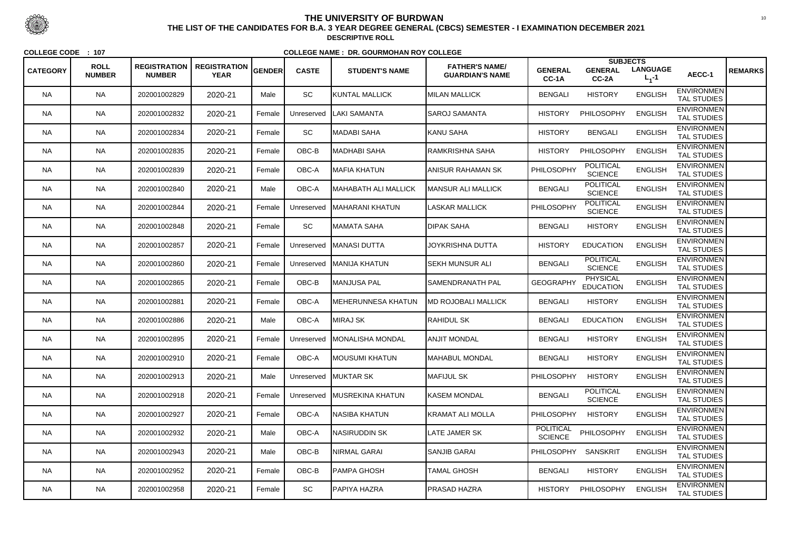|                 |                              |                                      |                                    |        |              |                           |                                                 |                             | <b>SUBJECTS</b>                     |                              |                                         |                |
|-----------------|------------------------------|--------------------------------------|------------------------------------|--------|--------------|---------------------------|-------------------------------------------------|-----------------------------|-------------------------------------|------------------------------|-----------------------------------------|----------------|
| <b>CATEGORY</b> | <b>ROLL</b><br><b>NUMBER</b> | <b>REGISTRATION</b><br><b>NUMBER</b> | <b>REGISTRATION</b><br><b>YEAR</b> | GENDER | <b>CASTE</b> | <b>STUDENT'S NAME</b>     | <b>FATHER'S NAME/</b><br><b>GUARDIAN'S NAME</b> | <b>GENERAL</b><br>CC-1A     | <b>GENERAL</b><br>$CC-2A$           | <b>LANGUAGE</b><br>$L_1 - 1$ | AECC-1                                  | <b>REMARKS</b> |
| <b>NA</b>       | <b>NA</b>                    | 202001002829                         | 2020-21                            | Male   | SC           | KUNTAL MALLICK            | <b>MILAN MALLICK</b>                            | <b>BENGALI</b>              | <b>HISTORY</b>                      | <b>ENGLISH</b>               | <b>ENVIRONMEN</b><br><b>TAL STUDIES</b> |                |
| <b>NA</b>       | <b>NA</b>                    | 202001002832                         | 2020-21                            | Female | Unreserved   | LAKI SAMANTA              | SAROJ SAMANTA                                   | <b>HISTORY</b>              | PHILOSOPHY                          | <b>ENGLISH</b>               | <b>ENVIRONMEN</b><br><b>TAL STUDIES</b> |                |
| <b>NA</b>       | <b>NA</b>                    | 202001002834                         | 2020-21                            | Female | <b>SC</b>    | ∣MADABI SAHA              | KANU SAHA                                       | <b>HISTORY</b>              | <b>BENGALI</b>                      | <b>ENGLISH</b>               | <b>ENVIRONMEN</b><br><b>TAL STUDIES</b> |                |
| <b>NA</b>       | <b>NA</b>                    | 202001002835                         | 2020-21                            | Female | $OBC-B$      | MADHABI SAHA              | RAMKRISHNA SAHA                                 | <b>HISTORY</b>              | PHILOSOPHY                          | <b>ENGLISH</b>               | <b>ENVIRONMEN</b><br><b>TAL STUDIES</b> |                |
| <b>NA</b>       | <b>NA</b>                    | 202001002839                         | 2020-21                            | Female | OBC-A        | MAFIA KHATUN              | <b>ANISUR RAHAMAN SK</b>                        | PHILOSOPHY                  | <b>POLITICAL</b><br><b>SCIENCE</b>  | <b>ENGLISH</b>               | <b>ENVIRONMEN</b><br><b>TAL STUDIES</b> |                |
| <b>NA</b>       | <b>NA</b>                    | 202001002840                         | 2020-21                            | Male   | OBC-A        | MAHABATH ALI MALLICK      | MANSUR ALI MALLICK                              | <b>BENGALI</b>              | <b>POLITICAL</b><br><b>SCIENCE</b>  | <b>ENGLISH</b>               | <b>ENVIRONMEN</b><br><b>TAL STUDIES</b> |                |
| NA.             | <b>NA</b>                    | 202001002844                         | 2020-21                            | Female | Unreserved   | <b>MAHARANI KHATUN</b>    | <b>LASKAR MALLICK</b>                           | PHILOSOPHY                  | <b>POLITICAL</b><br><b>SCIENCE</b>  | <b>ENGLISH</b>               | <b>ENVIRONMEN</b><br><b>TAL STUDIES</b> |                |
| <b>NA</b>       | <b>NA</b>                    | 202001002848                         | 2020-21                            | Female | SC           | ∥MAMATA SAHA              | <b>DIPAK SAHA</b>                               | <b>BENGALI</b>              | <b>HISTORY</b>                      | <b>ENGLISH</b>               | <b>ENVIRONMEN</b><br><b>TAL STUDIES</b> |                |
| <b>NA</b>       | <b>NA</b>                    | 202001002857                         | 2020-21                            | Female |              | Unreserved   MANASI DUTTA | JOYKRISHNA DUTTA                                | <b>HISTORY</b>              | <b>EDUCATION</b>                    | <b>ENGLISH</b>               | <b>ENVIRONMEN</b><br><b>TAL STUDIES</b> |                |
| NA.             | <b>NA</b>                    | 202001002860                         | 2020-21                            | Female | Unreserved   | <b>IMANIJA KHATUN</b>     | SEKH MUNSUR ALI                                 | <b>BENGALI</b>              | <b>POLITICAL</b><br><b>SCIENCE</b>  | <b>ENGLISH</b>               | <b>ENVIRONMEN</b><br><b>TAL STUDIES</b> |                |
| <b>NA</b>       | <b>NA</b>                    | 202001002865                         | 2020-21                            | Female | $OBC-B$      | MANJUSA PAL               | SAMENDRANATH PAL                                | <b>GEOGRAPHY</b>            | <b>PHYSICAL</b><br><b>EDUCATION</b> | <b>ENGLISH</b>               | <b>ENVIRONMEN</b><br><b>TAL STUDIES</b> |                |
| <b>NA</b>       | <b>NA</b>                    | 202001002881                         | 2020-21                            | Female | OBC-A        | MEHERUNNESA KHATUN        | <b>IMD ROJOBALI MALLICK</b>                     | <b>BENGALI</b>              | <b>HISTORY</b>                      | <b>ENGLISH</b>               | <b>ENVIRONMEN</b><br><b>TAL STUDIES</b> |                |
| <b>NA</b>       | <b>NA</b>                    | 202001002886                         | 2020-21                            | Male   | OBC-A        | MIRAJ SK                  | <b>RAHIDUL SK</b>                               | <b>BENGALI</b>              | <b>EDUCATION</b>                    | <b>ENGLISH</b>               | <b>ENVIRONMEN</b><br><b>TAL STUDIES</b> |                |
| NA.             | <b>NA</b>                    | 202001002895                         | 2020-21                            | Female | Unreserved   | <b>IMONALISHA MONDAL</b>  | <b>ANJIT MONDAL</b>                             | <b>BENGALI</b>              | <b>HISTORY</b>                      | <b>ENGLISH</b>               | <b>ENVIRONMEN</b><br><b>TAL STUDIES</b> |                |
| <b>NA</b>       | <b>NA</b>                    | 202001002910                         | 2020-21                            | Female | OBC-A        | MOUSUMI KHATUN            | MAHABUL MONDAL                                  | <b>BENGALI</b>              | <b>HISTORY</b>                      | <b>ENGLISH</b>               | <b>ENVIRONMEN</b><br><b>TAL STUDIES</b> |                |
| <b>NA</b>       | <b>NA</b>                    | 202001002913                         | 2020-21                            | Male   |              | Unreserved MUKTAR SK      | <b>MAFIJUL SK</b>                               | <b>PHILOSOPHY</b>           | <b>HISTORY</b>                      | <b>ENGLISH</b>               | <b>ENVIRONMEN</b><br>TAL STUDIES        |                |
| <b>NA</b>       | <b>NA</b>                    | 202001002918                         | 2020-21                            | Female | Unreserved   | <b>IMUSREKINA KHATUN</b>  | KASEM MONDAL                                    | <b>BENGALI</b>              | <b>POLITICAL</b><br><b>SCIENCE</b>  | <b>ENGLISH</b>               | <b>ENVIRONMEN</b><br><b>TAL STUDIES</b> |                |
| <b>NA</b>       | <b>NA</b>                    | 202001002927                         | 2020-21                            | Female | OBC-A        | NASIBA KHATUN             | <b>KRAMAT ALI MOLLA</b>                         | PHILOSOPHY                  | <b>HISTORY</b>                      | <b>ENGLISH</b>               | <b>ENVIRONMEN</b><br>TAL STUDIES        |                |
| <b>NA</b>       | <b>NA</b>                    | 202001002932                         | 2020-21                            | Male   | OBC-A        | NASIRUDDIN SK             | <b>LATE JAMER SK</b>                            | POLITICAL<br><b>SCIENCE</b> | PHILOSOPHY                          | <b>ENGLISH</b>               | <b>ENVIRONMEN</b><br>TAL STUDIES        |                |
| <b>NA</b>       | <b>NA</b>                    | 202001002943                         | 2020-21                            | Male   | $OBC-B$      | NIRMAL GARAI              | <b>SANJIB GARAI</b>                             | <b>PHILOSOPHY</b>           | <b>SANSKRIT</b>                     | <b>ENGLISH</b>               | <b>ENVIRONMEN</b><br>TAL STUDIES        |                |
| NA.             | <b>NA</b>                    | 202001002952                         | 2020-21                            | Female | OBC-B        | PAMPA GHOSH               | <b>TAMAL GHOSH</b>                              | <b>BENGALI</b>              | <b>HISTORY</b>                      | <b>ENGLISH</b>               | <b>ENVIRONMEN</b><br>TAL STUDIES        |                |
| <b>NA</b>       | <b>NA</b>                    | 202001002958                         | 2020-21                            | Female | SC           | PAPIYA HAZRA              | <b>PRASAD HAZRA</b>                             | <b>HISTORY</b>              | PHILOSOPHY                          | <b>ENGLISH</b>               | <b>ENVIRONMEN</b><br>TAL STUDIES        |                |



 <sup>10</sup> **THE LIST OF THE CANDIDATES FOR B.A. 3 YEAR DEGREE GENERAL (CBCS) SEMESTER - I EXAMINATION DECEMBER 2021DESCRIPTIVE ROLL**

**COLLEGE CODE : <sup>107</sup>**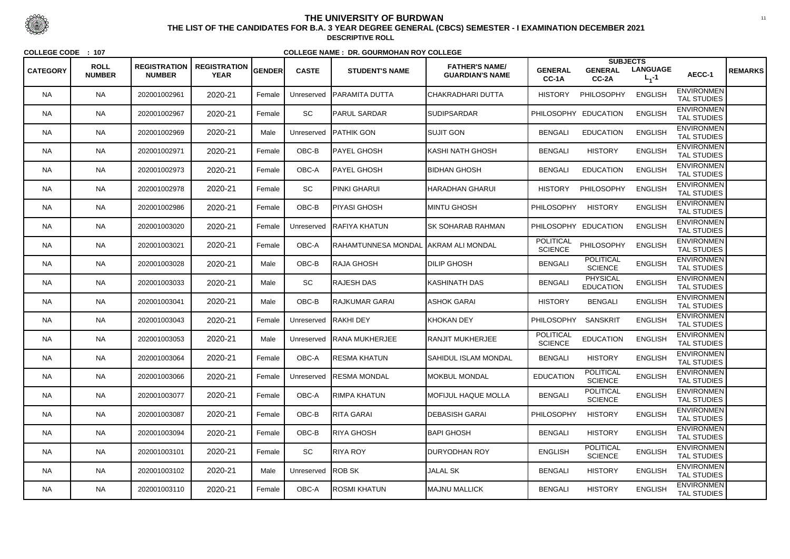| <b>CATEGORY</b> | <b>ROLL</b><br><b>NUMBER</b> | <b>REGISTRATION</b><br><b>NUMBER</b> | <b>REGISTRATION</b><br><b>YEAR</b> | <b>GENDER</b> | <b>CASTE</b> | <b>STUDENT'S NAME</b>                 | <b>FATHER'S NAME/</b><br><b>GUARDIAN'S NAME</b> | <b>GENERAL</b>                     | <b>SUBJECTS</b><br><b>GENERAL</b>   | <b>LANGUAGE</b> | AECC-1                                  | <b>REMARKS</b> |
|-----------------|------------------------------|--------------------------------------|------------------------------------|---------------|--------------|---------------------------------------|-------------------------------------------------|------------------------------------|-------------------------------------|-----------------|-----------------------------------------|----------------|
|                 |                              |                                      |                                    |               |              |                                       |                                                 | CC-1A                              | CC-2A                               | $L_1 - 1$       |                                         |                |
| <b>NA</b>       | <b>NA</b>                    | 202001002961                         | 2020-21                            | Female        | Unreserved   | IPARAMITA DUTTA                       | <b> CHAKRADHARI DUTTA</b>                       | <b>HISTORY</b>                     | PHILOSOPHY                          | <b>ENGLISH</b>  | <b>ENVIRONMEN</b><br><b>TAL STUDIES</b> |                |
| <b>NA</b>       | <b>NA</b>                    | 202001002967                         | 2020-21                            | Female        | SC           | <b>PARUL SARDAR</b>                   | <b>SUDIPSARDAR</b>                              |                                    | PHILOSOPHY EDUCATION                | <b>ENGLISH</b>  | <b>ENVIRONMEN</b><br>TAL STUDIES        |                |
| <b>NA</b>       | <b>NA</b>                    | 202001002969                         | 2020-21                            | Male          | Unreserved   | PATHIK GON                            | <b>SUJIT GON</b>                                | <b>BENGALI</b>                     | <b>EDUCATION</b>                    | <b>ENGLISH</b>  | <b>ENVIRONMEN</b><br><b>TAL STUDIES</b> |                |
| <b>NA</b>       | <b>NA</b>                    | 202001002971                         | 2020-21                            | Female        | OBC-B        | PAYEL GHOSH                           | KASHI NATH GHOSH                                | <b>BENGALI</b>                     | <b>HISTORY</b>                      | <b>ENGLISH</b>  | <b>ENVIRONMEN</b><br><b>TAL STUDIES</b> |                |
| <b>NA</b>       | <b>NA</b>                    | 202001002973                         | 2020-21                            | Female        | OBC-A        | <b>PAYEL GHOSH</b>                    | <b>BIDHAN GHOSH</b>                             | <b>BENGALI</b>                     | <b>EDUCATION</b>                    | <b>ENGLISH</b>  | <b>ENVIRONMEN</b><br><b>TAL STUDIES</b> |                |
| <b>NA</b>       | <b>NA</b>                    | 202001002978                         | 2020-21                            | Female        | SC           | <b>PINKI GHARUI</b>                   | HARADHAN GHARUI                                 | <b>HISTORY</b>                     | PHILOSOPHY                          | <b>ENGLISH</b>  | <b>ENVIRONMEN</b><br><b>TAL STUDIES</b> |                |
| <b>NA</b>       | <b>NA</b>                    | 202001002986                         | 2020-21                            | Female        | OBC-B        | <b>I</b> PIYASI GHOSH                 | <b>IMINTU GHOSH</b>                             | <b>PHILOSOPHY</b>                  | <b>HISTORY</b>                      | <b>ENGLISH</b>  | <b>ENVIRONMEN</b><br><b>TAL STUDIES</b> |                |
| <b>NA</b>       | <b>NA</b>                    | 202001003020                         | 2020-21                            | Female        | Unreserved   | RAFIYA KHATUN                         | ISK SOHARAB RAHMAN                              |                                    | PHILOSOPHY EDUCATION                | <b>ENGLISH</b>  | <b>ENVIRONMEN</b><br><b>TAL STUDIES</b> |                |
| <b>NA</b>       | <b>NA</b>                    | 202001003021                         | 2020-21                            | Female        | OBC-A        | RAHAMTUNNESA MONDAL  AKRAM ALI MONDAL |                                                 | <b>POLITICAL</b><br><b>SCIENCE</b> | PHILOSOPHY                          | <b>ENGLISH</b>  | <b>ENVIRONMEN</b><br><b>TAL STUDIES</b> |                |
| <b>NA</b>       | <b>NA</b>                    | 202001003028                         | 2020-21                            | Male          | OBC-B        | RAJA GHOSH                            | <b>DILIP GHOSH</b>                              | <b>BENGALI</b>                     | <b>POLITICAL</b><br><b>SCIENCE</b>  | <b>ENGLISH</b>  | <b>ENVIRONMEN</b><br><b>TAL STUDIES</b> |                |
| <b>NA</b>       | <b>NA</b>                    | 202001003033                         | 2020-21                            | Male          | SC           | RAJESH DAS                            | KASHINATH DAS                                   | <b>BENGALI</b>                     | <b>PHYSICAL</b><br><b>EDUCATION</b> | <b>ENGLISH</b>  | <b>ENVIRONMEN</b><br><b>TAL STUDIES</b> |                |
| <b>NA</b>       | <b>NA</b>                    | 202001003041                         | 2020-21                            | Male          | OBC-B        | <b>RAJKUMAR GARAI</b>                 | <b>ASHOK GARAI</b>                              | <b>HISTORY</b>                     | <b>BENGALI</b>                      | <b>ENGLISH</b>  | <b>ENVIRONMEN</b><br><b>TAL STUDIES</b> |                |
| <b>NA</b>       | <b>NA</b>                    | 202001003043                         | 2020-21                            | Female        | Unreserved   | <b>RAKHI DEY</b>                      | KHOKAN DEY                                      | <b>PHILOSOPHY</b>                  | <b>SANSKRIT</b>                     | <b>ENGLISH</b>  | <b>ENVIRONMEN</b><br><b>TAL STUDIES</b> |                |
| <b>NA</b>       | <b>NA</b>                    | 202001003053                         | 2020-21                            | Male          | Unreserved   | <b>RANA MUKHERJEE</b>                 | <b>RANJIT MUKHERJEE</b>                         | <b>POLITICAL</b><br><b>SCIENCE</b> | <b>EDUCATION</b>                    | <b>ENGLISH</b>  | <b>ENVIRONMEN</b><br><b>TAL STUDIES</b> |                |
| <b>NA</b>       | <b>NA</b>                    | 202001003064                         | 2020-21                            | Female        | OBC-A        | <b>RESMA KHATUN</b>                   | <b>SAHIDUL ISLAM MONDAL</b>                     | <b>BENGALI</b>                     | <b>HISTORY</b>                      | <b>ENGLISH</b>  | <b>ENVIRONMEN</b><br><b>TAL STUDIES</b> |                |
| <b>NA</b>       | <b>NA</b>                    | 202001003066                         | 2020-21                            | Female        | Unreserved   | <b>RESMA MONDAL</b>                   | <b>MOKBUL MONDAL</b>                            | <b>EDUCATION</b>                   | <b>POLITICAL</b><br><b>SCIENCE</b>  | <b>ENGLISH</b>  | <b>ENVIRONMEN</b><br><b>TAL STUDIES</b> |                |
| <b>NA</b>       | <b>NA</b>                    | 202001003077                         | 2020-21                            | Female        | OBC-A        | RIMPA KHATUN                          | <b>MOFIJUL HAQUE MOLLA</b>                      | <b>BENGALI</b>                     | <b>POLITICAL</b><br><b>SCIENCE</b>  | <b>ENGLISH</b>  | <b>ENVIRONMEN</b><br><b>TAL STUDIES</b> |                |
| <b>NA</b>       | <b>NA</b>                    | 202001003087                         | 2020-21                            | Female        | OBC-B        | RITA GARAI                            | <b>DEBASISH GARAI</b>                           | <b>PHILOSOPHY</b>                  | <b>HISTORY</b>                      | <b>ENGLISH</b>  | <b>ENVIRONMEN</b><br><b>TAL STUDIES</b> |                |
| <b>NA</b>       | <b>NA</b>                    | 202001003094                         | 2020-21                            | Female        | OBC-B        | RIYA GHOSH                            | <b>BAPI GHOSH</b>                               | <b>BENGALI</b>                     | <b>HISTORY</b>                      | <b>ENGLISH</b>  | <b>ENVIRONMEN</b><br>TAL STUDIES        |                |
| <b>NA</b>       | <b>NA</b>                    | 202001003101                         | 2020-21                            | Female        | SC           | RIYA ROY                              | <b>DURYODHAN ROY</b>                            | <b>ENGLISH</b>                     | <b>POLITICAL</b><br><b>SCIENCE</b>  | <b>ENGLISH</b>  | <b>ENVIRONMEN</b><br><b>TAL STUDIES</b> |                |
| <b>NA</b>       | <b>NA</b>                    | 202001003102                         | 2020-21                            | Male          | Unreserved   | ROB SK                                | <b>JALAL SK</b>                                 | <b>BENGALI</b>                     | <b>HISTORY</b>                      | <b>ENGLISH</b>  | <b>ENVIRONMEN</b><br>TAL STUDIES        |                |
| <b>NA</b>       | <b>NA</b>                    | 202001003110                         | 2020-21                            | Female        | OBC-A        | <b>ROSMI KHATUN</b>                   | MAJNU MALLICK                                   | <b>BENGALI</b>                     | <b>HISTORY</b>                      | <b>ENGLISH</b>  | <b>ENVIRONMEN</b><br>TAL STUDIES        |                |



 <sup>11</sup> **THE LIST OF THE CANDIDATES FOR B.A. 3 YEAR DEGREE GENERAL (CBCS) SEMESTER - I EXAMINATION DECEMBER 2021DESCRIPTIVE ROLL**

**COLLEGE CODE : <sup>107</sup>**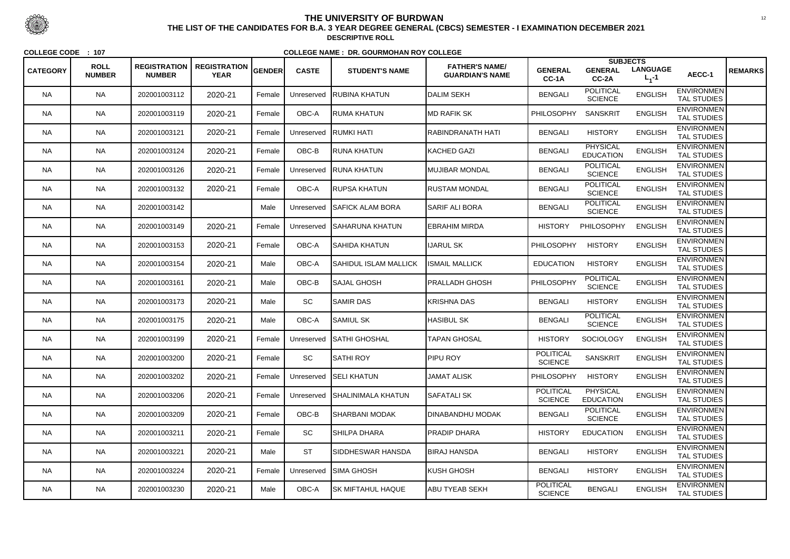|                 |                              |                                      |                                    |               |              |                           |                                                 |                                    | <b>SUBJECTS</b>                     |                              |                                         |                |
|-----------------|------------------------------|--------------------------------------|------------------------------------|---------------|--------------|---------------------------|-------------------------------------------------|------------------------------------|-------------------------------------|------------------------------|-----------------------------------------|----------------|
| <b>CATEGORY</b> | <b>ROLL</b><br><b>NUMBER</b> | <b>REGISTRATION</b><br><b>NUMBER</b> | <b>REGISTRATION</b><br><b>YEAR</b> | <b>GENDER</b> | <b>CASTE</b> | <b>STUDENT'S NAME</b>     | <b>FATHER'S NAME/</b><br><b>GUARDIAN'S NAME</b> | <b>GENERAL</b><br>CC-1A            | <b>GENERAL</b><br>CC-2A             | <b>LANGUAGE</b><br>$L_1 - 1$ | AECC-1                                  | <b>REMARKS</b> |
| <b>NA</b>       | <b>NA</b>                    | 202001003112                         | 2020-21                            | Female        | Unreserved   | <b>IRUBINA KHATUN</b>     | <b>DALIM SEKH</b>                               | <b>BENGALI</b>                     | <b>POLITICAL</b><br><b>SCIENCE</b>  | <b>ENGLISH</b>               | <b>ENVIRONMEN</b><br><b>TAL STUDIES</b> |                |
| <b>NA</b>       | <b>NA</b>                    | 202001003119                         | 2020-21                            | Female        | OBC-A        | RUMA KHATUN               | <b>IMD RAFIK SK</b>                             | PHILOSOPHY                         | <b>SANSKRIT</b>                     | <b>ENGLISH</b>               | <b>ENVIRONMEN</b><br><b>TAL STUDIES</b> |                |
| NA.             | <b>NA</b>                    | 202001003121                         | 2020-21                            | Female        | Unreserved   | <b>RUMKI HATI</b>         | RABINDRANATH HATI                               | <b>BENGALI</b>                     | <b>HISTORY</b>                      | <b>ENGLISH</b>               | <b>ENVIRONMEN</b><br><b>TAL STUDIES</b> |                |
| <b>NA</b>       | <b>NA</b>                    | 202001003124                         | 2020-21                            | Female        | OBC-B        | <b>IRUNA KHATUN</b>       | <b>KACHED GAZI</b>                              | <b>BENGALI</b>                     | <b>PHYSICAL</b><br><b>EDUCATION</b> | <b>ENGLISH</b>               | <b>ENVIRONMEN</b><br><b>TAL STUDIES</b> |                |
| <b>NA</b>       | <b>NA</b>                    | 202001003126                         | 2020-21                            | Female        | Unreserved   | <b>RUNA KHATUN</b>        | MUJIBAR MONDAL                                  | <b>BENGALI</b>                     | <b>POLITICAL</b><br><b>SCIENCE</b>  | <b>ENGLISH</b>               | <b>ENVIRONMEN</b><br><b>TAL STUDIES</b> |                |
| <b>NA</b>       | <b>NA</b>                    | 202001003132                         | 2020-21                            | Female        | OBC-A        | <b>I</b> RUPSA KHATUN     | <b>IRUSTAM MONDAL</b>                           | <b>BENGALI</b>                     | <b>POLITICAL</b><br><b>SCIENCE</b>  | <b>ENGLISH</b>               | <b>ENVIRONMEN</b><br><b>TAL STUDIES</b> |                |
| NA.             | <b>NA</b>                    | 202001003142                         |                                    | Male          | Unreserved   | <b>I</b> SAFICK ALAM BORA | <b>SARIF ALI BORA</b>                           | <b>BENGALI</b>                     | <b>POLITICAL</b><br><b>SCIENCE</b>  | <b>ENGLISH</b>               | <b>ENVIRONMEN</b><br><b>TAL STUDIES</b> |                |
| <b>NA</b>       | <b>NA</b>                    | 202001003149                         | 2020-21                            | Female        | Unreserved   | <b>I</b> SAHARUNA KHATUN  | EBRAHIM MIRDA                                   | <b>HISTORY</b>                     | PHILOSOPHY                          | <b>ENGLISH</b>               | <b>ENVIRONMEN</b><br>TAL STUDIES        |                |
| <b>NA</b>       | <b>NA</b>                    | 202001003153                         | 2020-21                            | Female        | OBC-A        | <b>SAHIDA KHATUN</b>      | <b>IJARUL SK</b>                                | <b>PHILOSOPHY</b>                  | <b>HISTORY</b>                      | <b>ENGLISH</b>               | <b>ENVIRONMEN</b><br><b>TAL STUDIES</b> |                |
| NA.             | <b>NA</b>                    | 202001003154                         | 2020-21                            | Male          | OBC-A        | SAHIDUL ISLAM MALLICK     | <b>ISMAIL MALLICK</b>                           | <b>EDUCATION</b>                   | <b>HISTORY</b>                      | <b>ENGLISH</b>               | <b>ENVIRONMEN</b><br><b>TAL STUDIES</b> |                |
| <b>NA</b>       | <b>NA</b>                    | 202001003161                         | 2020-21                            | Male          | OBC-B        | <b>SAJAL GHOSH</b>        | <b>PRALLADH GHOSH</b>                           | PHILOSOPHY                         | <b>POLITICAL</b><br><b>SCIENCE</b>  | <b>ENGLISH</b>               | <b>ENVIRONMEN</b><br><b>TAL STUDIES</b> |                |
| <b>NA</b>       | <b>NA</b>                    | 202001003173                         | 2020-21                            | Male          | SC           | <b>SAMIR DAS</b>          | <b>KRISHNA DAS</b>                              | <b>BENGALI</b>                     | <b>HISTORY</b>                      | <b>ENGLISH</b>               | <b>ENVIRONMEN</b><br><b>TAL STUDIES</b> |                |
| <b>NA</b>       | <b>NA</b>                    | 202001003175                         | 2020-21                            | Male          | OBC-A        | SAMIUL SK                 | <b>HASIBUL SK</b>                               | <b>BENGALI</b>                     | <b>POLITICAL</b><br><b>SCIENCE</b>  | <b>ENGLISH</b>               | <b>ENVIRONMEN</b><br><b>TAL STUDIES</b> |                |
| NA.             | <b>NA</b>                    | 202001003199                         | 2020-21                            | Female        | Unreserved   | <b>SATHI GHOSHAL</b>      | <b>TAPAN GHOSAL</b>                             | <b>HISTORY</b>                     | <b>SOCIOLOGY</b>                    | <b>ENGLISH</b>               | <b>ENVIRONMEN</b><br><b>TAL STUDIES</b> |                |
| <b>NA</b>       | <b>NA</b>                    | 202001003200                         | 2020-21                            | Female        | <b>SC</b>    | SATHI ROY                 | <b>PIPU ROY</b>                                 | <b>POLITICAL</b><br><b>SCIENCE</b> | <b>SANSKRIT</b>                     | <b>ENGLISH</b>               | <b>ENVIRONMEN</b><br><b>TAL STUDIES</b> |                |
| <b>NA</b>       | <b>NA</b>                    | 202001003202                         | 2020-21                            | Female        | Unreserved   | <b>SELI KHATUN</b>        | <b>JAMAT ALISK</b>                              | <b>PHILOSOPHY</b>                  | <b>HISTORY</b>                      | <b>ENGLISH</b>               | <b>ENVIRONMEN</b><br><b>TAL STUDIES</b> |                |
| NA.             | <b>NA</b>                    | 202001003206                         | 2020-21                            | Female        | Unreserved   | <b>SHALINIMALA KHATUN</b> | <b>SAFATALI SK</b>                              | <b>POLITICAL</b><br><b>SCIENCE</b> | <b>PHYSICAL</b><br><b>EDUCATION</b> | <b>ENGLISH</b>               | <b>ENVIRONMEN</b><br>TAL STUDIES        |                |
| <b>NA</b>       | <b>NA</b>                    | 202001003209                         | 2020-21                            | Female        | $OBC-B$      | SHARBANI MODAK            | <b>DINABANDHU MODAK</b>                         | <b>BENGALI</b>                     | <b>POLITICAL</b><br><b>SCIENCE</b>  | <b>ENGLISH</b>               | <b>ENVIRONMEN</b><br><b>TAL STUDIES</b> |                |
| <b>NA</b>       | <b>NA</b>                    | 202001003211                         | 2020-21                            | Female        | SC           | SHILPA DHARA              | <b>PRADIP DHARA</b>                             | <b>HISTORY</b>                     | <b>EDUCATION</b>                    | <b>ENGLISH</b>               | <b>ENVIRONMEN</b><br><b>TAL STUDIES</b> |                |
| <b>NA</b>       | <b>NA</b>                    | 202001003221                         | 2020-21                            | Male          | <b>ST</b>    | SIDDHESWAR HANSDA         | <b>BIRAJ HANSDA</b>                             | <b>BENGALI</b>                     | <b>HISTORY</b>                      | <b>ENGLISH</b>               | <b>ENVIRONMEN</b><br>TAL STUDIES        |                |
| NA.             | <b>NA</b>                    | 202001003224                         | 2020-21                            | Female        | Unreserved   | <b>SIMA GHOSH</b>         | <b>KUSH GHOSH</b>                               | <b>BENGALI</b>                     | <b>HISTORY</b>                      | <b>ENGLISH</b>               | <b>ENVIRONMEN</b><br>TAL STUDIES        |                |
| NA              | <b>NA</b>                    | 202001003230                         | 2020-21                            | Male          | OBC-A        | SK MIFTAHUL HAQUE         | ABU TYEAB SEKH                                  | <b>POLITICAL</b><br><b>SCIENCE</b> | <b>BENGALI</b>                      | <b>ENGLISH</b>               | <b>ENVIRONMEN</b><br>TAL STUDIES        |                |



 <sup>12</sup> **THE LIST OF THE CANDIDATES FOR B.A. 3 YEAR DEGREE GENERAL (CBCS) SEMESTER - I EXAMINATION DECEMBER 2021DESCRIPTIVE ROLL**

**COLLEGE CODE : <sup>107</sup>**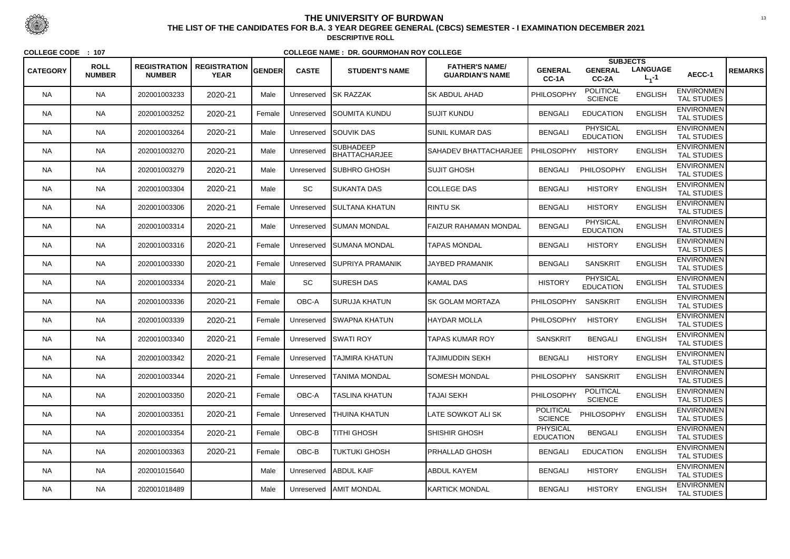|                 |                              |                                      |                                    |        |              |                                   |                                                 |                                     | <b>SUBJECTS</b>                     |                              |                                         |                |
|-----------------|------------------------------|--------------------------------------|------------------------------------|--------|--------------|-----------------------------------|-------------------------------------------------|-------------------------------------|-------------------------------------|------------------------------|-----------------------------------------|----------------|
| <b>CATEGORY</b> | <b>ROLL</b><br><b>NUMBER</b> | <b>REGISTRATION</b><br><b>NUMBER</b> | <b>REGISTRATION</b><br><b>YEAR</b> | GENDER | <b>CASTE</b> | <b>STUDENT'S NAME</b>             | <b>FATHER'S NAME/</b><br><b>GUARDIAN'S NAME</b> | <b>GENERAL</b><br>CC-1A             | <b>GENERAL</b><br>CC-2A             | <b>LANGUAGE</b><br>$L_1 - 1$ | AECC-1                                  | <b>REMARKS</b> |
| <b>NA</b>       | <b>NA</b>                    | 202001003233                         | 2020-21                            | Male   | Unreserved   | <b>SK RAZZAK</b>                  | <b>SK ABDUL AHAD</b>                            | PHILOSOPHY                          | <b>POLITICAL</b><br><b>SCIENCE</b>  | <b>ENGLISH</b>               | <b>ENVIRONMEN</b><br><b>TAL STUDIES</b> |                |
| <b>NA</b>       | <b>NA</b>                    | 202001003252                         | 2020-21                            | Female | Unreserved   | <b>SOUMITA KUNDU</b>              | <b>SUJIT KUNDU</b>                              | <b>BENGALI</b>                      | <b>EDUCATION</b>                    | <b>ENGLISH</b>               | <b>ENVIRONMEN</b><br>TAL STUDIES        |                |
| NA.             | <b>NA</b>                    | 202001003264                         | 2020-21                            | Male   | Unreserved   | <b>SOUVIK DAS</b>                 | <b>SUNIL KUMAR DAS</b>                          | <b>BENGALI</b>                      | <b>PHYSICAL</b><br><b>EDUCATION</b> | <b>ENGLISH</b>               | <b>ENVIRONMEN</b><br><b>TAL STUDIES</b> |                |
| <b>NA</b>       | <b>NA</b>                    | 202001003270                         | 2020-21                            | Male   | Unreserved   | <b>SUBHADEEP</b><br>BHATTACHARJEE | SAHADEV BHATTACHARJEE                           | <b>PHILOSOPHY</b>                   | <b>HISTORY</b>                      | <b>ENGLISH</b>               | <b>ENVIRONMEN</b><br><b>TAL STUDIES</b> |                |
| <b>NA</b>       | <b>NA</b>                    | 202001003279                         | 2020-21                            | Male   | Unreserved   | SUBHRO GHOSH                      | <b>SUJIT GHOSH</b>                              | <b>BENGALI</b>                      | PHILOSOPHY                          | <b>ENGLISH</b>               | <b>ENVIRONMEN</b><br><b>TAL STUDIES</b> |                |
| <b>NA</b>       | <b>NA</b>                    | 202001003304                         | 2020-21                            | Male   | <b>SC</b>    | ISUKANTA DAS                      | <b>COLLEGE DAS</b>                              | <b>BENGALI</b>                      | <b>HISTORY</b>                      | <b>ENGLISH</b>               | <b>ENVIRONMEN</b><br><b>TAL STUDIES</b> |                |
| NA.             | <b>NA</b>                    | 202001003306                         | 2020-21                            | Female | Unreserved   | <b>ISULTANA KHATUN</b>            | <b>RINTU SK</b>                                 | <b>BENGALI</b>                      | <b>HISTORY</b>                      | <b>ENGLISH</b>               | <b>ENVIRONMEN</b><br><b>TAL STUDIES</b> |                |
| <b>NA</b>       | <b>NA</b>                    | 202001003314                         | 2020-21                            | Male   | Unreserved   | ISUMAN MONDAL                     | FAIZUR RAHAMAN MONDAL                           | <b>BENGALI</b>                      | <b>PHYSICAL</b><br><b>EDUCATION</b> | <b>ENGLISH</b>               | <b>ENVIRONMEN</b><br><b>TAL STUDIES</b> |                |
| <b>NA</b>       | <b>NA</b>                    | 202001003316                         | 2020-21                            | Female | Unreserved   | <b>ISUMANA MONDAL</b>             | <b>TAPAS MONDAL</b>                             | <b>BENGALI</b>                      | <b>HISTORY</b>                      | <b>ENGLISH</b>               | <b>ENVIRONMEN</b><br><b>TAL STUDIES</b> |                |
| NA.             | <b>NA</b>                    | 202001003330                         | 2020-21                            | Female | Unreserved   | <b>SUPRIYA PRAMANIK</b>           | <b>JAYBED PRAMANIK</b>                          | <b>BENGALI</b>                      | <b>SANSKRIT</b>                     | <b>ENGLISH</b>               | <b>ENVIRONMEN</b><br>TAL STUDIES        |                |
| <b>NA</b>       | <b>NA</b>                    | 202001003334                         | 2020-21                            | Male   | SC           | <b>SURESH DAS</b>                 | KAMAL DAS                                       | <b>HISTORY</b>                      | <b>PHYSICAL</b><br><b>EDUCATION</b> | <b>ENGLISH</b>               | <b>ENVIRONMEN</b><br><b>TAL STUDIES</b> |                |
| <b>NA</b>       | <b>NA</b>                    | 202001003336                         | 2020-21                            | Female | OBC-A        | SURUJA KHATUN                     | SK GOLAM MORTAZA                                | <b>PHILOSOPHY</b>                   | <b>SANSKRIT</b>                     | <b>ENGLISH</b>               | <b>ENVIRONMEN</b><br><b>TAL STUDIES</b> |                |
| <b>NA</b>       | <b>NA</b>                    | 202001003339                         | 2020-21                            | Female | Unreserved   | <b>ISWAPNA KHATUN</b>             | HAYDAR MOLLA                                    | <b>PHILOSOPHY</b>                   | <b>HISTORY</b>                      | <b>ENGLISH</b>               | <b>ENVIRONMEN</b><br><b>TAL STUDIES</b> |                |
| NA.             | <b>NA</b>                    | 202001003340                         | 2020-21                            | Female | Unreserved   | <b>SWATI ROY</b>                  | TAPAS KUMAR ROY                                 | <b>SANSKRIT</b>                     | <b>BENGALI</b>                      | <b>ENGLISH</b>               | <b>ENVIRONMEN</b><br><b>TAL STUDIES</b> |                |
| <b>NA</b>       | <b>NA</b>                    | 202001003342                         | 2020-21                            | Female |              | Unreserved TAJMIRA KHATUN         | <b>TAJIMUDDIN SEKH</b>                          | <b>BENGALI</b>                      | <b>HISTORY</b>                      | <b>ENGLISH</b>               | <b>ENVIRONMEN</b><br><b>TAL STUDIES</b> |                |
| <b>NA</b>       | <b>NA</b>                    | 202001003344                         | 2020-21                            | Female | Unreserved   | <b>TANIMA MONDAL</b>              | <b>SOMESH MONDAL</b>                            | <b>PHILOSOPHY</b>                   | <b>SANSKRIT</b>                     | <b>ENGLISH</b>               | <b>ENVIRONMEN</b><br><b>TAL STUDIES</b> |                |
| NA.             | <b>NA</b>                    | 202001003350                         | 2020-21                            | Female | OBC-A        | <b>TASLINA KHATUN</b>             | <b>TAJAI SEKH</b>                               | <b>PHILOSOPHY</b>                   | <b>POLITICAL</b><br><b>SCIENCE</b>  | <b>ENGLISH</b>               | <b>ENVIRONMEN</b><br>TAL STUDIES        |                |
| <b>NA</b>       | <b>NA</b>                    | 202001003351                         | 2020-21                            | Female | Unreserved   | <b>THUINA KHATUN</b>              | LATE SOWKOT ALI SK                              | <b>POLITICAL</b><br><b>SCIENCE</b>  | PHILOSOPHY                          | <b>ENGLISH</b>               | <b>ENVIRONMEN</b><br><b>TAL STUDIES</b> |                |
| <b>NA</b>       | <b>NA</b>                    | 202001003354                         | 2020-21                            | Female | OBC-B        | TITHI GHOSH                       | SHISHIR GHOSH                                   | <b>PHYSICAL</b><br><b>EDUCATION</b> | <b>BENGALI</b>                      | <b>ENGLISH</b>               | <b>ENVIRONMEN</b><br>TAL STUDIES        |                |
| <b>NA</b>       | <b>NA</b>                    | 202001003363                         | 2020-21                            | Female | OBC-B        | <b>TUKTUKI GHOSH</b>              | <b>PRHALLAD GHOSH</b>                           | <b>BENGALI</b>                      | <b>EDUCATION</b>                    | <b>ENGLISH</b>               | <b>ENVIRONMEN</b><br>TAL STUDIES        |                |
| NA.             | <b>NA</b>                    | 202001015640                         |                                    | Male   | Unreserved   | <b>ABDUL KAIF</b>                 | <b>ABDUL KAYEM</b>                              | <b>BENGALI</b>                      | <b>HISTORY</b>                      | <b>ENGLISH</b>               | <b>ENVIRONMEN</b><br>TAL STUDIES        |                |
| NA              | <b>NA</b>                    | 202001018489                         |                                    | Male   |              | Unreserved   AMIT MONDAL          | <b>KARTICK MONDAL</b>                           | <b>BENGALI</b>                      | <b>HISTORY</b>                      | <b>ENGLISH</b>               | <b>ENVIRONMEN</b><br>TAL STUDIES        |                |



 <sup>13</sup> **THE LIST OF THE CANDIDATES FOR B.A. 3 YEAR DEGREE GENERAL (CBCS) SEMESTER - I EXAMINATION DECEMBER 2021DESCRIPTIVE ROLL**

**COLLEGE CODE : <sup>107</sup>**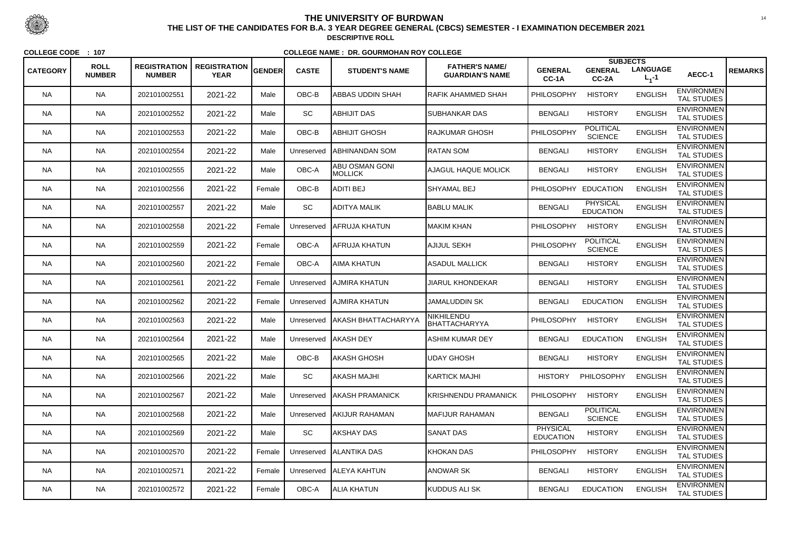|                 | <b>ROLL</b>   | <b>REGISTRATION</b> | <b>REGISTRATION</b> |        |              |                                         | <b>FATHER'S NAME/</b>       |                                     | <b>SUBJECTS</b>                     |                              |                                         |                |
|-----------------|---------------|---------------------|---------------------|--------|--------------|-----------------------------------------|-----------------------------|-------------------------------------|-------------------------------------|------------------------------|-----------------------------------------|----------------|
| <b>CATEGORY</b> | <b>NUMBER</b> | <b>NUMBER</b>       | <b>YEAR</b>         | GENDER | <b>CASTE</b> | <b>STUDENT'S NAME</b>                   | <b>GUARDIAN'S NAME</b>      | <b>GENERAL</b><br>CC-1A             | <b>GENERAL</b><br>CC-2A             | <b>LANGUAGE</b><br>$L_1 - 1$ | AECC-1                                  | <b>REMARKS</b> |
| <b>NA</b>       | <b>NA</b>     | 202101002551        | 2021-22             | Male   | OBC-B        | <b>ABBAS UDDIN SHAH</b>                 | <b>RAFIK AHAMMED SHAH</b>   | PHILOSOPHY                          | <b>HISTORY</b>                      | <b>ENGLISH</b>               | <b>ENVIRONMEN</b><br><b>TAL STUDIES</b> |                |
| <b>NA</b>       | <b>NA</b>     | 202101002552        | 2021-22             | Male   | SC           | <b>ABHIJIT DAS</b>                      | <b>SUBHANKAR DAS</b>        | <b>BENGALI</b>                      | <b>HISTORY</b>                      | <b>ENGLISH</b>               | <b>ENVIRONMEN</b><br><b>TAL STUDIES</b> |                |
| <b>NA</b>       | <b>NA</b>     | 202101002553        | 2021-22             | Male   | OBC-B        | <b>ABHIJIT GHOSH</b>                    | <b>RAJKUMAR GHOSH</b>       | PHILOSOPHY                          | <b>POLITICAL</b><br><b>SCIENCE</b>  | <b>ENGLISH</b>               | <b>ENVIRONMEN</b><br><b>TAL STUDIES</b> |                |
| <b>NA</b>       | <b>NA</b>     | 202101002554        | 2021-22             | Male   | Unreserved   | <b>ABHINANDAN SOM</b>                   | <b>IRATAN SOM</b>           | <b>BENGALI</b>                      | <b>HISTORY</b>                      | <b>ENGLISH</b>               | <b>ENVIRONMEN</b><br><b>TAL STUDIES</b> |                |
| <b>NA</b>       | <b>NA</b>     | 202101002555        | 2021-22             | Male   | OBC-A        | <b>ABU OSMAN GONI</b><br><b>MOLLICK</b> | <b>AJAGUL HAQUE MOLICK</b>  | <b>BENGALI</b>                      | <b>HISTORY</b>                      | <b>ENGLISH</b>               | <b>ENVIRONMEN</b><br><b>TAL STUDIES</b> |                |
| <b>NA</b>       | <b>NA</b>     | 202101002556        | 2021-22             | Female | OBC-B        | <b>ADITI BEJ</b>                        | <b>I</b> SHYAMAL BEJ        | <b>PHILOSOPHY</b>                   | <b>EDUCATION</b>                    | <b>ENGLISH</b>               | <b>ENVIRONMEN</b><br><b>TAL STUDIES</b> |                |
| <b>NA</b>       | <b>NA</b>     | 202101002557        | 2021-22             | Male   | SC           | ADITYA MALIK                            | <b>BABLU MALIK</b>          | <b>BENGALI</b>                      | <b>PHYSICAL</b><br><b>EDUCATION</b> | <b>ENGLISH</b>               | <b>ENVIRONMEN</b><br><b>TAL STUDIES</b> |                |
| <b>NA</b>       | <b>NA</b>     | 202101002558        | 2021-22             | Female | Unreserved   | IAFRUJA KHATUN                          | IMAKIM KHAN                 | PHILOSOPHY                          | <b>HISTORY</b>                      | <b>ENGLISH</b>               | <b>ENVIRONMEN</b><br><b>TAL STUDIES</b> |                |
| <b>NA</b>       | <b>NA</b>     | 202101002559        | 2021-22             | Female | OBC-A        | AFRUJA KHATUN                           | AJIJUL SEKH                 | PHILOSOPHY                          | <b>POLITICAL</b><br><b>SCIENCE</b>  | <b>ENGLISH</b>               | <b>ENVIRONMEN</b><br><b>TAL STUDIES</b> |                |
| <b>NA</b>       | <b>NA</b>     | 202101002560        | 2021-22             | Female | OBC-A        | AIMA KHATUN                             | <b>ASADUL MALLICK</b>       | <b>BENGALI</b>                      | <b>HISTORY</b>                      | <b>ENGLISH</b>               | <b>ENVIRONMEN</b><br>TAL STUDIES        |                |
| <b>NA</b>       | <b>NA</b>     | 202101002561        | 2021-22             | Female | Unreserved   | AJMIRA KHATUN                           | <b>JIARUL KHONDEKAR</b>     | <b>BENGALI</b>                      | <b>HISTORY</b>                      | <b>ENGLISH</b>               | <b>ENVIRONMEN</b><br><b>TAL STUDIES</b> |                |
| <b>NA</b>       | <b>NA</b>     | 202101002562        | 2021-22             | Female | Unreserved   | <b>AJMIRA KHATUN</b>                    | <b>JAMALUDDIN SK</b>        | <b>BENGALI</b>                      | <b>EDUCATION</b>                    | <b>ENGLISH</b>               | <b>ENVIRONMEN</b><br><b>TAL STUDIES</b> |                |
| <b>NA</b>       | <b>NA</b>     | 202101002563        | 2021-22             | Male   |              | Unreserved   AKASH BHATTACHARYYA        | NIKHILENDU<br>BHATTACHARYYA | <b>PHILOSOPHY</b>                   | <b>HISTORY</b>                      | <b>ENGLISH</b>               | <b>ENVIRONMEN</b><br><b>TAL STUDIES</b> |                |
| <b>NA</b>       | <b>NA</b>     | 202101002564        | 2021-22             | Male   | Unreserved   | <b>AKASH DEY</b>                        | <b>ASHIM KUMAR DEY</b>      | <b>BENGALI</b>                      | <b>EDUCATION</b>                    | <b>ENGLISH</b>               | <b>ENVIRONMEN</b><br><b>TAL STUDIES</b> |                |
| <b>NA</b>       | <b>NA</b>     | 202101002565        | 2021-22             | Male   | OBC-B        | AKASH GHOSH                             | UDAY GHOSH                  | <b>BENGALI</b>                      | <b>HISTORY</b>                      | <b>ENGLISH</b>               | <b>ENVIRONMEN</b><br><b>TAL STUDIES</b> |                |
| <b>NA</b>       | <b>NA</b>     | 202101002566        | 2021-22             | Male   | SC           | AKASH MAJHI                             | <b>KARTICK MAJHI</b>        | <b>HISTORY</b>                      | PHILOSOPHY                          | <b>ENGLISH</b>               | <b>ENVIRONMEN</b><br><b>TAL STUDIES</b> |                |
| <b>NA</b>       | <b>NA</b>     | 202101002567        | 2021-22             | Male   | Unreserved   | <b>AKASH PRAMANICK</b>                  | KRISHNENDU PRAMANICK        | <b>PHILOSOPHY</b>                   | <b>HISTORY</b>                      | <b>ENGLISH</b>               | <b>ENVIRONMEN</b><br><b>TAL STUDIES</b> |                |
| <b>NA</b>       | <b>NA</b>     | 202101002568        | 2021-22             | Male   | Unreserved   | <b>AKIJUR RAHAMAN</b>                   | <b>MAFIJUR RAHAMAN</b>      | <b>BENGALI</b>                      | <b>POLITICAL</b><br><b>SCIENCE</b>  | <b>ENGLISH</b>               | <b>ENVIRONMEN</b><br><b>TAL STUDIES</b> |                |
| <b>NA</b>       | <b>NA</b>     | 202101002569        | 2021-22             | Male   | SC           | AKSHAY DAS                              | <b>SANAT DAS</b>            | <b>PHYSICAL</b><br><b>EDUCATION</b> | <b>HISTORY</b>                      | <b>ENGLISH</b>               | <b>ENVIRONMEN</b><br>TAL STUDIES        |                |
| <b>NA</b>       | <b>NA</b>     | 202101002570        | 2021-22             | Female |              | Unreserved   ALANTIKA DAS               | <b>KHOKAN DAS</b>           | PHILOSOPHY                          | <b>HISTORY</b>                      | <b>ENGLISH</b>               | <b>ENVIRONMEN</b><br><b>TAL STUDIES</b> |                |
| <b>NA</b>       | <b>NA</b>     | 202101002571        | 2021-22             | Female |              | Unreserved   ALEYA KAHTUN               | <b>ANOWAR SK</b>            | <b>BENGALI</b>                      | <b>HISTORY</b>                      | <b>ENGLISH</b>               | <b>ENVIRONMEN</b><br>TAL STUDIES        |                |
| <b>NA</b>       | <b>NA</b>     | 202101002572        | 2021-22             | Female | OBC-A        | <b>ALIA KHATUN</b>                      | KUDDUS ALI SK               | <b>BENGALI</b>                      | <b>EDUCATION</b>                    | <b>ENGLISH</b>               | <b>ENVIRONMEN</b><br>TAL STUDIES        |                |



 <sup>14</sup> **THE LIST OF THE CANDIDATES FOR B.A. 3 YEAR DEGREE GENERAL (CBCS) SEMESTER - I EXAMINATION DECEMBER 2021DESCRIPTIVE ROLL**

**COLLEGE CODE : <sup>107</sup>**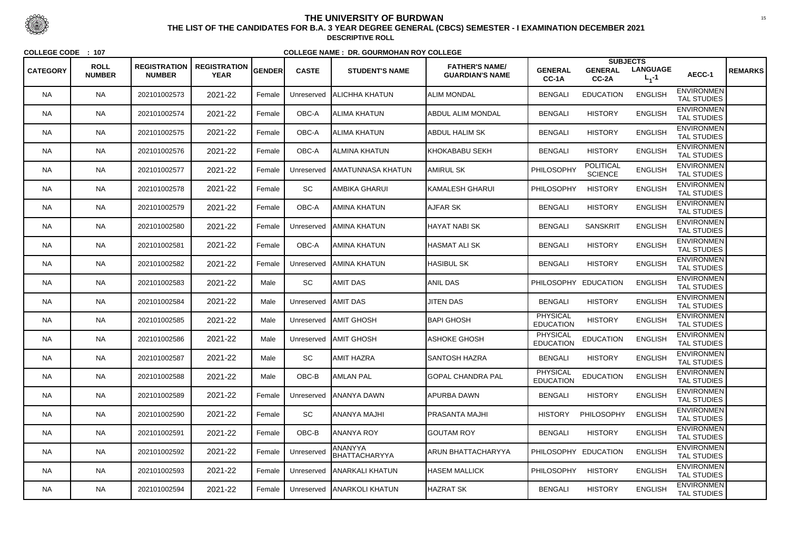|                 | <b>ROLL</b>   | <b>REGISTRATION</b> | <b>REGISTRATION</b> |        |              |                                 | <b>FATHER'S NAME/</b>     |                                     | <b>SUBJECTS</b>                    |                              |                                         |                |
|-----------------|---------------|---------------------|---------------------|--------|--------------|---------------------------------|---------------------------|-------------------------------------|------------------------------------|------------------------------|-----------------------------------------|----------------|
| <b>CATEGORY</b> | <b>NUMBER</b> | <b>NUMBER</b>       | <b>YEAR</b>         | GENDER | <b>CASTE</b> | <b>STUDENT'S NAME</b>           | <b>GUARDIAN'S NAME</b>    | <b>GENERAL</b><br>CC-1A             | <b>GENERAL</b><br>$CC-2A$          | <b>LANGUAGE</b><br>$L_1 - 1$ | AECC-1                                  | <b>REMARKS</b> |
| <b>NA</b>       | <b>NA</b>     | 202101002573        | 2021-22             | Female | Unreserved   | <b>ALICHHA KHATUN</b>           | <b>ALIM MONDAL</b>        | <b>BENGALI</b>                      | <b>EDUCATION</b>                   | <b>ENGLISH</b>               | <b>ENVIRONMEN</b><br><b>TAL STUDIES</b> |                |
| <b>NA</b>       | <b>NA</b>     | 202101002574        | 2021-22             | Female | OBC-A        | ALIMA KHATUN                    | <b>ABDUL ALIM MONDAL</b>  | <b>BENGALI</b>                      | <b>HISTORY</b>                     | <b>ENGLISH</b>               | <b>ENVIRONMEN</b><br><b>TAL STUDIES</b> |                |
| NA.             | <b>NA</b>     | 202101002575        | 2021-22             | Female | OBC-A        | ALIMA KHATUN                    | <b>ABDUL HALIM SK</b>     | <b>BENGALI</b>                      | <b>HISTORY</b>                     | <b>ENGLISH</b>               | <b>ENVIRONMEN</b><br><b>TAL STUDIES</b> |                |
| <b>NA</b>       | <b>NA</b>     | 202101002576        | 2021-22             | Female | OBC-A        | ALMINA KHATUN                   | KHOKABABU SEKH            | <b>BENGALI</b>                      | <b>HISTORY</b>                     | <b>ENGLISH</b>               | <b>ENVIRONMEN</b><br><b>TAL STUDIES</b> |                |
| <b>NA</b>       | <b>NA</b>     | 202101002577        | 2021-22             | Female | Unreserved   | <b>JAMATUNNASA KHATUN</b>       | <b>AMIRUL SK</b>          | PHILOSOPHY                          | <b>POLITICAL</b><br><b>SCIENCE</b> | <b>ENGLISH</b>               | <b>ENVIRONMEN</b><br><b>TAL STUDIES</b> |                |
| <b>NA</b>       | <b>NA</b>     | 202101002578        | 2021-22             | Female | <b>SC</b>    | AMBIKA GHARUI                   | KAMALESH GHARUI           | <b>PHILOSOPHY</b>                   | <b>HISTORY</b>                     | <b>ENGLISH</b>               | <b>ENVIRONMEN</b><br><b>TAL STUDIES</b> |                |
| NA.             | <b>NA</b>     | 202101002579        | 2021-22             | Female | OBC-A        | AMINA KHATUN                    | <b>AJFAR SK</b>           | <b>BENGALI</b>                      | <b>HISTORY</b>                     | <b>ENGLISH</b>               | <b>ENVIRONMEN</b><br><b>TAL STUDIES</b> |                |
| <b>NA</b>       | <b>NA</b>     | 202101002580        | 2021-22             | Female | Unreserved   | <b>JAMINA KHATUN</b>            | HAYAT NABI SK             | <b>BENGALI</b>                      | <b>SANSKRIT</b>                    | <b>ENGLISH</b>               | <b>ENVIRONMEN</b><br><b>TAL STUDIES</b> |                |
| <b>NA</b>       | <b>NA</b>     | 202101002581        | 2021-22             | Female | OBC-A        | AMINA KHATUN                    | <b>HASMAT ALI SK</b>      | <b>BENGALI</b>                      | <b>HISTORY</b>                     | <b>ENGLISH</b>               | <b>ENVIRONMEN</b><br><b>TAL STUDIES</b> |                |
| NA.             | <b>NA</b>     | 202101002582        | 2021-22             | Female | Unreserved   | <b>JAMINA KHATUN</b>            | <b>HASIBUL SK</b>         | <b>BENGALI</b>                      | <b>HISTORY</b>                     | <b>ENGLISH</b>               | <b>ENVIRONMEN</b><br><b>TAL STUDIES</b> |                |
| <b>NA</b>       | <b>NA</b>     | 202101002583        | 2021-22             | Male   | SC           | AMIT DAS                        | <b>ANIL DAS</b>           | PHILOSOPHY EDUCATION                |                                    | <b>ENGLISH</b>               | <b>ENVIRONMEN</b><br><b>TAL STUDIES</b> |                |
| <b>NA</b>       | <b>NA</b>     | 202101002584        | 2021-22             | Male   | Unreserved   | AMIT DAS                        | <b>JITEN DAS</b>          | <b>BENGALI</b>                      | <b>HISTORY</b>                     | <b>ENGLISH</b>               | <b>ENVIRONMEN</b><br><b>TAL STUDIES</b> |                |
| <b>NA</b>       | <b>NA</b>     | 202101002585        | 2021-22             | Male   |              | Unreserved AMIT GHOSH           | <b>BAPI GHOSH</b>         | PHYSICAL<br><b>EDUCATION</b>        | <b>HISTORY</b>                     | <b>ENGLISH</b>               | <b>ENVIRONMEN</b><br><b>TAL STUDIES</b> |                |
| NA.             | <b>NA</b>     | 202101002586        | 2021-22             | Male   |              | Unreserved   AMIT GHOSH         | ASHOKE GHOSH              | <b>PHYSICAL</b><br><b>EDUCATION</b> | <b>EDUCATION</b>                   | <b>ENGLISH</b>               | <b>ENVIRONMEN</b><br><b>TAL STUDIES</b> |                |
| <b>NA</b>       | <b>NA</b>     | 202101002587        | 2021-22             | Male   | <b>SC</b>    | AMIT HAZRA                      | <b>SANTOSH HAZRA</b>      | <b>BENGALI</b>                      | <b>HISTORY</b>                     | <b>ENGLISH</b>               | <b>ENVIRONMEN</b><br><b>TAL STUDIES</b> |                |
| <b>NA</b>       | <b>NA</b>     | 202101002588        | 2021-22             | Male   | OBC-B        | AMLAN PAL                       | <b>GOPAL CHANDRA PAL</b>  | <b>PHYSICAL</b><br><b>EDUCATION</b> | <b>EDUCATION</b>                   | <b>ENGLISH</b>               | <b>ENVIRONMEN</b><br><b>TAL STUDIES</b> |                |
| NA.             | <b>NA</b>     | 202101002589        | 2021-22             | Female | Unreserved   | <b>JANANYA DAWN</b>             | APURBA DAWN               | <b>BENGALI</b>                      | <b>HISTORY</b>                     | <b>ENGLISH</b>               | <b>ENVIRONMEN</b><br><b>TAL STUDIES</b> |                |
| <b>NA</b>       | <b>NA</b>     | 202101002590        | 2021-22             | Female | SC           | ANANYA MAJHI                    | <b>PRASANTA MAJHI</b>     | <b>HISTORY</b>                      | PHILOSOPHY                         | <b>ENGLISH</b>               | <b>ENVIRONMEN</b><br><b>TAL STUDIES</b> |                |
| <b>NA</b>       | <b>NA</b>     | 202101002591        | 2021-22             | Female | OBC-B        | ANANYA ROY                      | <b>GOUTAM ROY</b>         | <b>BENGALI</b>                      | <b>HISTORY</b>                     | <b>ENGLISH</b>               | <b>ENVIRONMEN</b><br>TAL STUDIES        |                |
| <b>NA</b>       | <b>NA</b>     | 202101002592        | 2021-22             | Female | Unreserved   | <b>ANANYYA</b><br>BHATTACHARYYA | <b>ARUN BHATTACHARYYA</b> |                                     | PHILOSOPHY EDUCATION               | <b>ENGLISH</b>               | <b>ENVIRONMEN</b><br><b>TAL STUDIES</b> |                |
| NA.             | <b>NA</b>     | 202101002593        | 2021-22             | Female | Unreserved   | <b>JANARKALI KHATUN</b>         | <b>HASEM MALLICK</b>      | <b>PHILOSOPHY</b>                   | <b>HISTORY</b>                     | <b>ENGLISH</b>               | <b>ENVIRONMEN</b><br>TAL STUDIES        |                |
| <b>NA</b>       | <b>NA</b>     | 202101002594        | 2021-22             | Female |              | Unreserved   ANARKOLI KHATUN    | <b>HAZRAT SK</b>          | <b>BENGALI</b>                      | <b>HISTORY</b>                     | <b>ENGLISH</b>               | <b>ENVIRONMEN</b><br>TAL STUDIES        |                |



 <sup>15</sup> **THE LIST OF THE CANDIDATES FOR B.A. 3 YEAR DEGREE GENERAL (CBCS) SEMESTER - I EXAMINATION DECEMBER 2021DESCRIPTIVE ROLL**

**COLLEGE CODE : <sup>107</sup>**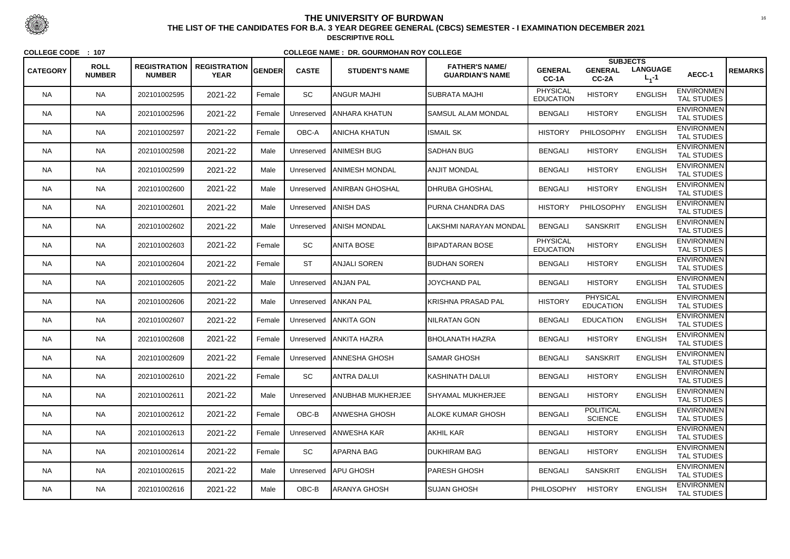|                 |                              |                                      |                                    |               |              |                          |                                                 |                                     | <b>SUBJECTS</b>                     |                              |                                         |                |
|-----------------|------------------------------|--------------------------------------|------------------------------------|---------------|--------------|--------------------------|-------------------------------------------------|-------------------------------------|-------------------------------------|------------------------------|-----------------------------------------|----------------|
| <b>CATEGORY</b> | <b>ROLL</b><br><b>NUMBER</b> | <b>REGISTRATION</b><br><b>NUMBER</b> | <b>REGISTRATION</b><br><b>YEAR</b> | <b>GENDER</b> | <b>CASTE</b> | <b>STUDENT'S NAME</b>    | <b>FATHER'S NAME/</b><br><b>GUARDIAN'S NAME</b> | <b>GENERAL</b><br>CC-1A             | <b>GENERAL</b><br>CC-2A             | <b>LANGUAGE</b><br>$L_1 - 1$ | AECC-1                                  | <b>REMARKS</b> |
| <b>NA</b>       | <b>NA</b>                    | 202101002595                         | 2021-22                            | Female        | SC           | ANGUR MAJHI              | SUBRATA MAJHI                                   | <b>PHYSICAL</b><br><b>EDUCATION</b> | <b>HISTORY</b>                      | <b>ENGLISH</b>               | <b>ENVIRONMEN</b><br><b>TAL STUDIES</b> |                |
| <b>NA</b>       | <b>NA</b>                    | 202101002596                         | 2021-22                            | Female        | Unreserved   | <b>JANHARA KHATUN</b>    | SAMSUL ALAM MONDAL                              | <b>BENGALI</b>                      | <b>HISTORY</b>                      | <b>ENGLISH</b>               | <b>ENVIRONMEN</b><br><b>TAL STUDIES</b> |                |
| NA.             | <b>NA</b>                    | 202101002597                         | 2021-22                            | Female        | OBC-A        | ANICHA KHATUN            | <b>ISMAIL SK</b>                                | <b>HISTORY</b>                      | PHILOSOPHY                          | <b>ENGLISH</b>               | <b>ENVIRONMEN</b><br><b>TAL STUDIES</b> |                |
| <b>NA</b>       | <b>NA</b>                    | 202101002598                         | 2021-22                            | Male          | Unreserved   | <b>JANIMESH BUG</b>      | <b>SADHAN BUG</b>                               | <b>BENGALI</b>                      | <b>HISTORY</b>                      | <b>ENGLISH</b>               | <b>ENVIRONMEN</b><br><b>TAL STUDIES</b> |                |
| <b>NA</b>       | <b>NA</b>                    | 202101002599                         | 2021-22                            | Male          | Unreserved   | <b>JANIMESH MONDAL</b>   | ANJIT MONDAL                                    | <b>BENGALI</b>                      | <b>HISTORY</b>                      | <b>ENGLISH</b>               | <b>ENVIRONMEN</b><br><b>TAL STUDIES</b> |                |
| <b>NA</b>       | <b>NA</b>                    | 202101002600                         | 2021-22                            | Male          | Unreserved   | <b>JANIRBAN GHOSHAL</b>  | <b>IDHRUBA GHOSHAL</b>                          | <b>BENGALI</b>                      | <b>HISTORY</b>                      | <b>ENGLISH</b>               | <b>ENVIRONMEN</b><br><b>TAL STUDIES</b> |                |
| NA.             | <b>NA</b>                    | 202101002601                         | 2021-22                            | Male          | Unreserved   | <b>JANISH DAS</b>        | PURNA CHANDRA DAS                               | <b>HISTORY</b>                      | PHILOSOPHY                          | <b>ENGLISH</b>               | <b>ENVIRONMEN</b><br><b>TAL STUDIES</b> |                |
| <b>NA</b>       | <b>NA</b>                    | 202101002602                         | 2021-22                            | Male          | Unreserved   | <b>JANISH MONDAL</b>     | LAKSHMI NARAYAN MONDAL                          | <b>BENGALI</b>                      | <b>SANSKRIT</b>                     | <b>ENGLISH</b>               | <b>ENVIRONMEN</b><br><b>TAL STUDIES</b> |                |
| <b>NA</b>       | <b>NA</b>                    | 202101002603                         | 2021-22                            | Female        | SC           | ANITA BOSE               | <b>BIPADTARAN BOSE</b>                          | <b>PHYSICAL</b><br><b>EDUCATION</b> | <b>HISTORY</b>                      | <b>ENGLISH</b>               | <b>ENVIRONMEN</b><br><b>TAL STUDIES</b> |                |
| NA.             | <b>NA</b>                    | 202101002604                         | 2021-22                            | Female        | <b>ST</b>    | ANJALI SOREN             | <b>BUDHAN SOREN</b>                             | <b>BENGALI</b>                      | <b>HISTORY</b>                      | <b>ENGLISH</b>               | <b>ENVIRONMEN</b><br>TAL STUDIES        |                |
| <b>NA</b>       | <b>NA</b>                    | 202101002605                         | 2021-22                            | Male          |              | Unreserved ANJAN PAL     | <b>JOYCHAND PAL</b>                             | <b>BENGALI</b>                      | <b>HISTORY</b>                      | <b>ENGLISH</b>               | <b>ENVIRONMEN</b><br><b>TAL STUDIES</b> |                |
| <b>NA</b>       | <b>NA</b>                    | 202101002606                         | 2021-22                            | Male          |              | Unreserved ANKAN PAL     | KRISHNA PRASAD PAL                              | <b>HISTORY</b>                      | <b>PHYSICAL</b><br><b>EDUCATION</b> | <b>ENGLISH</b>               | <b>ENVIRONMEN</b><br><b>TAL STUDIES</b> |                |
| <b>NA</b>       | <b>NA</b>                    | 202101002607                         | 2021-22                            | Female        | Unreserved   | <b>JANKITA GON</b>       | NILRATAN GON                                    | <b>BENGALI</b>                      | <b>EDUCATION</b>                    | <b>ENGLISH</b>               | <b>ENVIRONMEN</b><br><b>TAL STUDIES</b> |                |
| <b>NA</b>       | <b>NA</b>                    | 202101002608                         | 2021-22                            | Female        | Unreserved   | <b>JANKITA HAZRA</b>     | <b>BHOLANATH HAZRA</b>                          | <b>BENGALI</b>                      | <b>HISTORY</b>                      | <b>ENGLISH</b>               | <b>ENVIRONMEN</b><br>TAL STUDIES        |                |
| <b>NA</b>       | <b>NA</b>                    | 202101002609                         | 2021-22                            | Female        | Unreserved   | <b>ANNESHA GHOSH</b>     | <b>SAMAR GHOSH</b>                              | <b>BENGALI</b>                      | <b>SANSKRIT</b>                     | <b>ENGLISH</b>               | <b>ENVIRONMEN</b><br><b>TAL STUDIES</b> |                |
| <b>NA</b>       | <b>NA</b>                    | 202101002610                         | 2021-22                            | Female        | SC           | ANTRA DALUI              | KASHINATH DALUI                                 | <b>BENGALI</b>                      | <b>HISTORY</b>                      | <b>ENGLISH</b>               | <b>ENVIRONMEN</b><br><b>TAL STUDIES</b> |                |
| NA.             | <b>NA</b>                    | 202101002611                         | 2021-22                            | Male          | Unreserved   | <b>ANUBHAB MUKHERJEE</b> | <b>SHYAMAL MUKHERJEE</b>                        | <b>BENGALI</b>                      | <b>HISTORY</b>                      | <b>ENGLISH</b>               | <b>ENVIRONMEN</b><br>TAL STUDIES        |                |
| <b>NA</b>       | <b>NA</b>                    | 202101002612                         | 2021-22                            | Female        | OBC-B        | ANWESHA GHOSH            | <b>ALOKE KUMAR GHOSH</b>                        | <b>BENGALI</b>                      | <b>POLITICAL</b><br><b>SCIENCE</b>  | <b>ENGLISH</b>               | <b>ENVIRONMEN</b><br><b>TAL STUDIES</b> |                |
| <b>NA</b>       | <b>NA</b>                    | 202101002613                         | 2021-22                            | Female        | Unreserved   | <b>JANWESHA KAR</b>      | <b>AKHIL KAR</b>                                | <b>BENGALI</b>                      | <b>HISTORY</b>                      | <b>ENGLISH</b>               | <b>ENVIRONMEN</b><br>TAL STUDIES        |                |
| <b>NA</b>       | <b>NA</b>                    | 202101002614                         | 2021-22                            | Female        | SC           | APARNA BAG               | <b>DUKHIRAM BAG</b>                             | <b>BENGALI</b>                      | <b>HISTORY</b>                      | <b>ENGLISH</b>               | <b>ENVIRONMEN</b><br><b>TAL STUDIES</b> |                |
| <b>NA</b>       | <b>NA</b>                    | 202101002615                         | 2021-22                            | Male          |              | Unreserved   APU GHOSH   | <b>PARESH GHOSH</b>                             | <b>BENGALI</b>                      | <b>SANSKRIT</b>                     | <b>ENGLISH</b>               | <b>ENVIRONMEN</b><br>TAL STUDIES        |                |
| <b>NA</b>       | <b>NA</b>                    | 202101002616                         | 2021-22                            | Male          | OBC-B        | ARANYA GHOSH             | <b>SUJAN GHOSH</b>                              | <b>PHILOSOPHY</b>                   | <b>HISTORY</b>                      | <b>ENGLISH</b>               | <b>ENVIRONMEN</b><br>TAL STUDIES        |                |



 <sup>16</sup> **THE LIST OF THE CANDIDATES FOR B.A. 3 YEAR DEGREE GENERAL (CBCS) SEMESTER - I EXAMINATION DECEMBER 2021DESCRIPTIVE ROLL**

**COLLEGE CODE : <sup>107</sup>**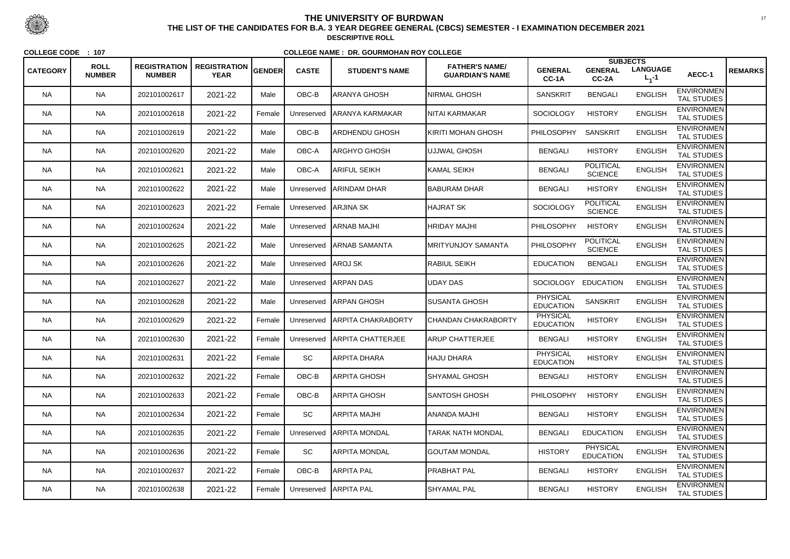|                 | <b>ROLL</b>   | <b>REGISTRATION</b> | <b>REGISTRATION</b> |        |              |                           | <b>FATHER'S NAME/</b>      |                                     | <b>SUBJECTS</b>                     |                              |                                         |                |
|-----------------|---------------|---------------------|---------------------|--------|--------------|---------------------------|----------------------------|-------------------------------------|-------------------------------------|------------------------------|-----------------------------------------|----------------|
| <b>CATEGORY</b> | <b>NUMBER</b> | <b>NUMBER</b>       | <b>YEAR</b>         | GENDER | <b>CASTE</b> | <b>STUDENT'S NAME</b>     | <b>GUARDIAN'S NAME</b>     | <b>GENERAL</b><br>CC-1A             | <b>GENERAL</b><br>CC-2A             | <b>LANGUAGE</b><br>$L_1 - 1$ | AECC-1                                  | <b>REMARKS</b> |
| <b>NA</b>       | <b>NA</b>     | 202101002617        | 2021-22             | Male   | OBC-B        | ARANYA GHOSH              | <b>NIRMAL GHOSH</b>        | <b>SANSKRIT</b>                     | <b>BENGALI</b>                      | <b>ENGLISH</b>               | <b>ENVIRONMEN</b><br><b>TAL STUDIES</b> |                |
| <b>NA</b>       | <b>NA</b>     | 202101002618        | 2021-22             | Female | Unreserved   | <b>JARANYA KARMAKAR</b>   | NITAI KARMAKAR             | <b>SOCIOLOGY</b>                    | <b>HISTORY</b>                      | <b>ENGLISH</b>               | <b>ENVIRONMEN</b><br>TAL STUDIES        |                |
| NA.             | <b>NA</b>     | 202101002619        | 2021-22             | Male   | OBC-B        | ARDHENDU GHOSH            | KIRITI MOHAN GHOSH         | <b>PHILOSOPHY</b>                   | <b>SANSKRIT</b>                     | <b>ENGLISH</b>               | <b>ENVIRONMEN</b><br><b>TAL STUDIES</b> |                |
| <b>NA</b>       | <b>NA</b>     | 202101002620        | 2021-22             | Male   | OBC-A        | ARGHYO GHOSH              | UJJWAL GHOSH               | <b>BENGALI</b>                      | <b>HISTORY</b>                      | <b>ENGLISH</b>               | <b>ENVIRONMEN</b><br><b>TAL STUDIES</b> |                |
| <b>NA</b>       | <b>NA</b>     | 202101002621        | 2021-22             | Male   | OBC-A        | <b>ARIFUL SEIKH</b>       | KAMAL SEIKH                | <b>BENGALI</b>                      | <b>POLITICAL</b><br><b>SCIENCE</b>  | <b>ENGLISH</b>               | <b>ENVIRONMEN</b><br><b>TAL STUDIES</b> |                |
| <b>NA</b>       | <b>NA</b>     | 202101002622        | 2021-22             | Male   | Unreserved   | <b>JARINDAM DHAR</b>      | <b>BABURAM DHAR</b>        | <b>BENGALI</b>                      | <b>HISTORY</b>                      | <b>ENGLISH</b>               | <b>ENVIRONMEN</b><br><b>TAL STUDIES</b> |                |
| NA.             | <b>NA</b>     | 202101002623        | 2021-22             | Female | Unreserved   | <b>ARJINA SK</b>          | HAJRAT SK                  | <b>SOCIOLOGY</b>                    | <b>POLITICAL</b><br><b>SCIENCE</b>  | <b>ENGLISH</b>               | <b>ENVIRONMEN</b><br><b>TAL STUDIES</b> |                |
| <b>NA</b>       | <b>NA</b>     | 202101002624        | 2021-22             | Male   | Unreserved   | <b>ARNAB MAJHI</b>        | <b>HRIDAY MAJHI</b>        | PHILOSOPHY                          | <b>HISTORY</b>                      | <b>ENGLISH</b>               | <b>ENVIRONMEN</b><br><b>TAL STUDIES</b> |                |
| <b>NA</b>       | <b>NA</b>     | 202101002625        | 2021-22             | Male   | Unreserved   | <b>ARNAB SAMANTA</b>      | <b>IMRITYUNJOY SAMANTA</b> | PHILOSOPHY                          | <b>POLITICAL</b><br><b>SCIENCE</b>  | <b>ENGLISH</b>               | <b>ENVIRONMEN</b><br><b>TAL STUDIES</b> |                |
| NA.             | <b>NA</b>     | 202101002626        | 2021-22             | Male   | Unreserved   | AROJ SK                   | <b>RABIUL SEIKH</b>        | <b>EDUCATION</b>                    | <b>BENGALI</b>                      | <b>ENGLISH</b>               | <b>ENVIRONMEN</b><br>TAL STUDIES        |                |
| <b>NA</b>       | <b>NA</b>     | 202101002627        | 2021-22             | Male   | Unreserved   | ARPAN DAS                 | <b>UDAY DAS</b>            | <b>SOCIOLOGY</b>                    | <b>EDUCATION</b>                    | <b>ENGLISH</b>               | <b>ENVIRONMEN</b><br><b>TAL STUDIES</b> |                |
| <b>NA</b>       | <b>NA</b>     | 202101002628        | 2021-22             | Male   | Unreserved   | <b>ARPAN GHOSH</b>        | <b>SUSANTA GHOSH</b>       | <b>PHYSICAL</b><br><b>EDUCATION</b> | <b>SANSKRIT</b>                     | <b>ENGLISH</b>               | <b>ENVIRONMEN</b><br><b>TAL STUDIES</b> |                |
| <b>NA</b>       | <b>NA</b>     | 202101002629        | 2021-22             | Female | Unreserved   | <b>ARPITA CHAKRABORTY</b> | CHANDAN CHAKRABORTY        | <b>PHYSICAL</b><br><b>EDUCATION</b> | <b>HISTORY</b>                      | <b>ENGLISH</b>               | <b>ENVIRONMEN</b><br><b>TAL STUDIES</b> |                |
| NA.             | <b>NA</b>     | 202101002630        | 2021-22             | Female | Unreserved   | <b>JARPITA CHATTERJEE</b> | <b>ARUP CHATTERJEE</b>     | <b>BENGALI</b>                      | <b>HISTORY</b>                      | <b>ENGLISH</b>               | <b>ENVIRONMEN</b><br><b>TAL STUDIES</b> |                |
| <b>NA</b>       | <b>NA</b>     | 202101002631        | 2021-22             | Female | <b>SC</b>    | ARPITA DHARA              | <b>HAJU DHARA</b>          | <b>PHYSICAL</b><br><b>EDUCATION</b> | <b>HISTORY</b>                      | <b>ENGLISH</b>               | <b>ENVIRONMEN</b><br><b>TAL STUDIES</b> |                |
| <b>NA</b>       | <b>NA</b>     | 202101002632        | 2021-22             | Female | OBC-B        | ARPITA GHOSH              | <b>SHYAMAL GHOSH</b>       | <b>BENGALI</b>                      | <b>HISTORY</b>                      | <b>ENGLISH</b>               | <b>ENVIRONMEN</b><br><b>TAL STUDIES</b> |                |
| NA.             | <b>NA</b>     | 202101002633        | 2021-22             | Female | OBC-B        | ARPITA GHOSH              | <b>I</b> SANTOSH GHOSH     | <b>PHILOSOPHY</b>                   | <b>HISTORY</b>                      | <b>ENGLISH</b>               | <b>ENVIRONMEN</b><br><b>TAL STUDIES</b> |                |
| <b>NA</b>       | <b>NA</b>     | 202101002634        | 2021-22             | Female | SC           | ARPITA MAJHI              | ANANDA MAJHI               | <b>BENGALI</b>                      | <b>HISTORY</b>                      | <b>ENGLISH</b>               | <b>ENVIRONMEN</b><br><b>TAL STUDIES</b> |                |
| <b>NA</b>       | <b>NA</b>     | 202101002635        | 2021-22             | Female | Unreserved   | <b>ARPITA MONDAL</b>      | TARAK NATH MONDAL          | <b>BENGALI</b>                      | <b>EDUCATION</b>                    | <b>ENGLISH</b>               | <b>ENVIRONMEN</b><br>TAL STUDIES        |                |
| <b>NA</b>       | <b>NA</b>     | 202101002636        | 2021-22             | Female | SC           | ARPITA MONDAL             | <b>GOUTAM MONDAL</b>       | <b>HISTORY</b>                      | <b>PHYSICAL</b><br><b>EDUCATION</b> | <b>ENGLISH</b>               | <b>ENVIRONMEN</b><br><b>TAL STUDIES</b> |                |
| NA.             | <b>NA</b>     | 202101002637        | 2021-22             | Female | OBC-B        | ARPITA PAL                | <b>PRABHAT PAL</b>         | <b>BENGALI</b>                      | <b>HISTORY</b>                      | <b>ENGLISH</b>               | <b>ENVIRONMEN</b><br>TAL STUDIES        |                |
| <b>NA</b>       | <b>NA</b>     | 202101002638        | 2021-22             | Female |              | Unreserved ARPITA PAL     | <b>SHYAMAL PAL</b>         | <b>BENGALI</b>                      | <b>HISTORY</b>                      | <b>ENGLISH</b>               | <b>ENVIRONMEN</b><br>TAL STUDIES        |                |



 <sup>17</sup> **THE LIST OF THE CANDIDATES FOR B.A. 3 YEAR DEGREE GENERAL (CBCS) SEMESTER - I EXAMINATION DECEMBER 2021DESCRIPTIVE ROLL**

**COLLEGE CODE : <sup>107</sup>**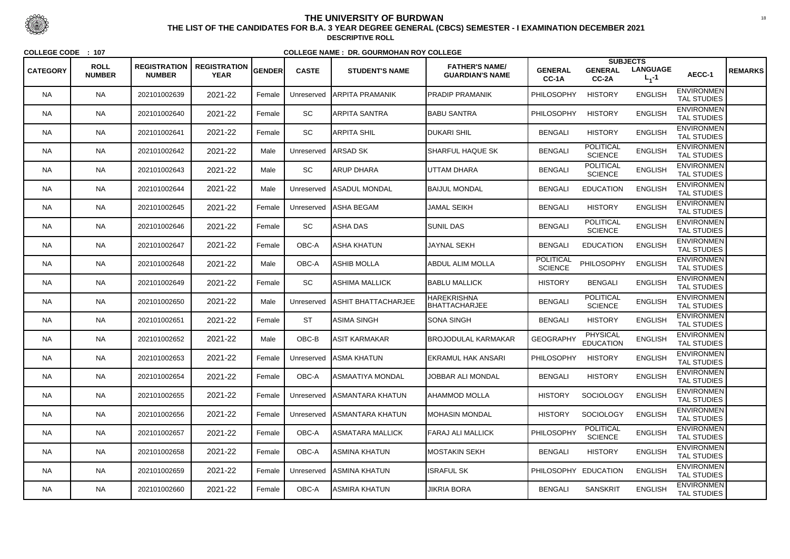|                 |                              |                                      |                                    |               |              |                            |                                                 |                                    | <b>SUBJECTS</b>                     |                              |                                         |                |
|-----------------|------------------------------|--------------------------------------|------------------------------------|---------------|--------------|----------------------------|-------------------------------------------------|------------------------------------|-------------------------------------|------------------------------|-----------------------------------------|----------------|
| <b>CATEGORY</b> | <b>ROLL</b><br><b>NUMBER</b> | <b>REGISTRATION</b><br><b>NUMBER</b> | <b>REGISTRATION</b><br><b>YEAR</b> | <b>GENDER</b> | <b>CASTE</b> | <b>STUDENT'S NAME</b>      | <b>FATHER'S NAME/</b><br><b>GUARDIAN'S NAME</b> | <b>GENERAL</b><br>CC-1A            | <b>GENERAL</b><br>$CC-2A$           | <b>LANGUAGE</b><br>$L_1 - 1$ | AECC-1                                  | <b>REMARKS</b> |
| <b>NA</b>       | <b>NA</b>                    | 202101002639                         | 2021-22                            | Female        | Unreserved   | IARPITA PRAMANIK           | <b>PRADIP PRAMANIK</b>                          | PHILOSOPHY                         | <b>HISTORY</b>                      | <b>ENGLISH</b>               | <b>ENVIRONMEN</b><br><b>TAL STUDIES</b> |                |
| <b>NA</b>       | <b>NA</b>                    | 202101002640                         | 2021-22                            | Female        | SC           | ARPITA SANTRA              | <b>BABU SANTRA</b>                              | PHILOSOPHY                         | <b>HISTORY</b>                      | <b>ENGLISH</b>               | <b>ENVIRONMEN</b><br><b>TAL STUDIES</b> |                |
| NA.             | <b>NA</b>                    | 202101002641                         | 2021-22                            | Female        | <b>SC</b>    | ARPITA SHIL                | <b>DUKARI SHIL</b>                              | <b>BENGALI</b>                     | <b>HISTORY</b>                      | <b>ENGLISH</b>               | <b>ENVIRONMEN</b><br><b>TAL STUDIES</b> |                |
| <b>NA</b>       | <b>NA</b>                    | 202101002642                         | 2021-22                            | Male          | Unreserved   | <b>ARSAD SK</b>            | <b>SHARFUL HAQUE SK</b>                         | <b>BENGALI</b>                     | <b>POLITICAL</b><br><b>SCIENCE</b>  | <b>ENGLISH</b>               | <b>ENVIRONMEN</b><br><b>TAL STUDIES</b> |                |
| <b>NA</b>       | <b>NA</b>                    | 202101002643                         | 2021-22                            | Male          | SC           | <b>ARUP DHARA</b>          | UTTAM DHARA                                     | <b>BENGALI</b>                     | <b>POLITICAL</b><br><b>SCIENCE</b>  | <b>ENGLISH</b>               | <b>ENVIRONMEN</b><br><b>TAL STUDIES</b> |                |
| <b>NA</b>       | <b>NA</b>                    | 202101002644                         | 2021-22                            | Male          | Unreserved   | <b>IASADUL MONDAL</b>      | <b>BAIJUL MONDAL</b>                            | <b>BENGALI</b>                     | <b>EDUCATION</b>                    | <b>ENGLISH</b>               | <b>ENVIRONMEN</b><br><b>TAL STUDIES</b> |                |
| NA.             | <b>NA</b>                    | 202101002645                         | 2021-22                            | Female        | Unreserved   | ∣ASHA BEGAM                | <b>JAMAL SEIKH</b>                              | <b>BENGALI</b>                     | <b>HISTORY</b>                      | <b>ENGLISH</b>               | <b>ENVIRONMEN</b><br><b>TAL STUDIES</b> |                |
| <b>NA</b>       | <b>NA</b>                    | 202101002646                         | 2021-22                            | Female        | SC           | ASHA DAS                   | <b>SUNIL DAS</b>                                | <b>BENGALI</b>                     | <b>POLITICAL</b><br><b>SCIENCE</b>  | <b>ENGLISH</b>               | <b>ENVIRONMEN</b><br><b>TAL STUDIES</b> |                |
| <b>NA</b>       | <b>NA</b>                    | 202101002647                         | 2021-22                            | Female        | OBC-A        | <b>ASHA KHATUN</b>         | <b>JAYNAL SEKH</b>                              | <b>BENGALI</b>                     | <b>EDUCATION</b>                    | <b>ENGLISH</b>               | <b>ENVIRONMEN</b><br><b>TAL STUDIES</b> |                |
| NA.             | <b>NA</b>                    | 202101002648                         | 2021-22                            | Male          | OBC-A        | ASHIB MOLLA                | <b>ABDUL ALIM MOLLA</b>                         | <b>POLITICAL</b><br><b>SCIENCE</b> | <b>PHILOSOPHY</b>                   | <b>ENGLISH</b>               | <b>ENVIRONMEN</b><br>TAL STUDIES        |                |
| <b>NA</b>       | <b>NA</b>                    | 202101002649                         | 2021-22                            | Female        | SC           | IASHIMA MALLICK            | <b>BABLU MALLICK</b>                            | <b>HISTORY</b>                     | <b>BENGALI</b>                      | <b>ENGLISH</b>               | <b>ENVIRONMEN</b><br><b>TAL STUDIES</b> |                |
| <b>NA</b>       | <b>NA</b>                    | 202101002650                         | 2021-22                            | Male          | Unreserved   | <b>ASHIT BHATTACHARJEE</b> | <b>HAREKRISHNA</b><br><b>BHATTACHARJEE</b>      | <b>BENGALI</b>                     | <b>POLITICAL</b><br><b>SCIENCE</b>  | <b>ENGLISH</b>               | <b>ENVIRONMEN</b><br><b>TAL STUDIES</b> |                |
| <b>NA</b>       | <b>NA</b>                    | 202101002651                         | 2021-22                            | Female        | <b>ST</b>    | ASIMA SINGH                | <b>SONA SINGH</b>                               | <b>BENGALI</b>                     | <b>HISTORY</b>                      | <b>ENGLISH</b>               | <b>ENVIRONMEN</b><br><b>TAL STUDIES</b> |                |
| NA.             | <b>NA</b>                    | 202101002652                         | 2021-22                            | Male          | OBC-B        | ASIT KARMAKAR              | <b>BROJODULAL KARMAKAR</b>                      | <b>GEOGRAPHY</b>                   | <b>PHYSICAL</b><br><b>EDUCATION</b> | <b>ENGLISH</b>               | <b>ENVIRONMEN</b><br><b>TAL STUDIES</b> |                |
| <b>NA</b>       | <b>NA</b>                    | 202101002653                         | 2021-22                            | Female        |              | Unreserved ASMA KHATUN     | <b>EKRAMUL HAK ANSARI</b>                       | <b>PHILOSOPHY</b>                  | <b>HISTORY</b>                      | <b>ENGLISH</b>               | <b>ENVIRONMEN</b><br><b>TAL STUDIES</b> |                |
| <b>NA</b>       | <b>NA</b>                    | 202101002654                         | 2021-22                            | Female        | OBC-A        | ASMAATIYA MONDAL           | <b>JOBBAR ALI MONDAL</b>                        | <b>BENGALI</b>                     | <b>HISTORY</b>                      | <b>ENGLISH</b>               | <b>ENVIRONMEN</b><br>TAL STUDIES        |                |
| NA.             | <b>NA</b>                    | 202101002655                         | 2021-22                            | Female        | Unreserved   | <b>ASMANTARA KHATUN</b>    | <b>AHAMMOD MOLLA</b>                            | <b>HISTORY</b>                     | <b>SOCIOLOGY</b>                    | <b>ENGLISH</b>               | <b>ENVIRONMEN</b><br><b>TAL STUDIES</b> |                |
| <b>NA</b>       | <b>NA</b>                    | 202101002656                         | 2021-22                            | Female        | Unreserved   | <b>ASMANTARA KHATUN</b>    | <b>MOHASIN MONDAL</b>                           | <b>HISTORY</b>                     | SOCIOLOGY                           | <b>ENGLISH</b>               | <b>ENVIRONMEN</b><br><b>TAL STUDIES</b> |                |
| <b>NA</b>       | <b>NA</b>                    | 202101002657                         | 2021-22                            | Female        | OBC-A        | ASMATARA MALLICK           | <b>FARAJ ALI MALLICK</b>                        | PHILOSOPHY                         | <b>POLITICAL</b><br><b>SCIENCE</b>  | <b>ENGLISH</b>               | <b>ENVIRONMEN</b><br>TAL STUDIES        |                |
| <b>NA</b>       | <b>NA</b>                    | 202101002658                         | 2021-22                            | Female        | OBC-A        | ASMINA KHATUN              | MOSTAKIN SEKH                                   | <b>BENGALI</b>                     | <b>HISTORY</b>                      | <b>ENGLISH</b>               | <b>ENVIRONMEN</b><br>TAL STUDIES        |                |
| NA.             | <b>NA</b>                    | 202101002659                         | 2021-22                            | Female        | Unreserved   | <b>JASMINA KHATUN</b>      | <b>ISRAFUL SK</b>                               | PHILOSOPHY EDUCATION               |                                     | <b>ENGLISH</b>               | <b>ENVIRONMEN</b><br>TAL STUDIES        |                |
| NA              | <b>NA</b>                    | 202101002660                         | 2021-22                            | Female        | OBC-A        | ASMIRA KHATUN              | <b>JIKRIA BORA</b>                              | <b>BENGALI</b>                     | <b>SANSKRIT</b>                     | <b>ENGLISH</b>               | <b>ENVIRONMEN</b><br>TAL STUDIES        |                |



 <sup>18</sup> **THE LIST OF THE CANDIDATES FOR B.A. 3 YEAR DEGREE GENERAL (CBCS) SEMESTER - I EXAMINATION DECEMBER 2021DESCRIPTIVE ROLL**

**COLLEGE CODE : <sup>107</sup>**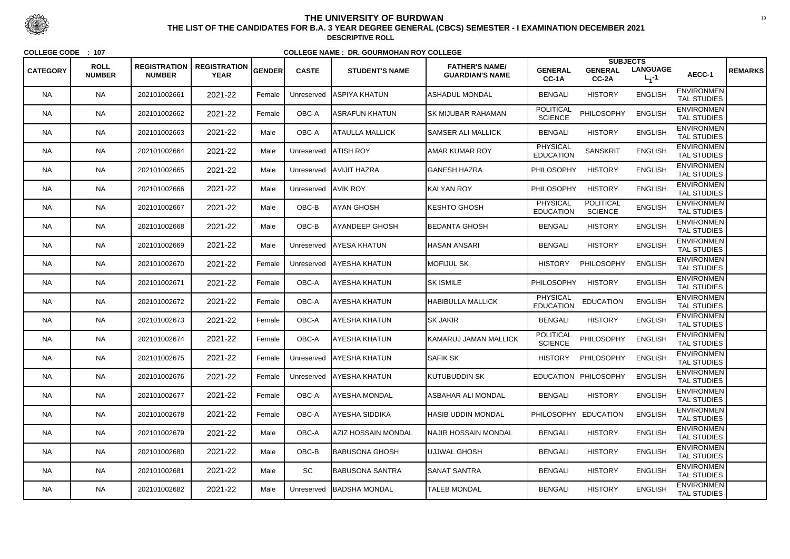| <b>CATEGORY</b> | <b>ROLL</b>   | <b>REGISTRATION</b> | <b>REGISTRATION</b> | <b>GENDER</b> | <b>CASTE</b>        | <b>STUDENT'S NAME</b>      | <b>FATHER'S NAME/</b>       | <b>GENERAL</b>                      | <b>SUBJECTS</b><br><b>GENERAL</b>  | <b>LANGUAGE</b> | AECC-1                                  | <b>REMARKS</b> |
|-----------------|---------------|---------------------|---------------------|---------------|---------------------|----------------------------|-----------------------------|-------------------------------------|------------------------------------|-----------------|-----------------------------------------|----------------|
|                 | <b>NUMBER</b> | <b>NUMBER</b>       | <b>YEAR</b>         |               |                     |                            | <b>GUARDIAN'S NAME</b>      | CC-1A                               | CC-2A                              | $L_1 - 1$       |                                         |                |
| <b>NA</b>       | <b>NA</b>     | 202101002661        | 2021-22             | Female        | Unreserved          | ASPIYA KHATUN              | <b>ASHADUL MONDAL</b>       | <b>BENGALI</b>                      | <b>HISTORY</b>                     | <b>ENGLISH</b>  | <b>ENVIRONMEN</b><br><b>TAL STUDIES</b> |                |
| <b>NA</b>       | <b>NA</b>     | 202101002662        | 2021-22             | Female        | OBC-A               | ASRAFUN KHATUN             | <b>SK MIJUBAR RAHAMAN</b>   | <b>POLITICAL</b><br><b>SCIENCE</b>  | PHILOSOPHY                         | <b>ENGLISH</b>  | <b>ENVIRONMEN</b><br><b>TAL STUDIES</b> |                |
| NA.             | <b>NA</b>     | 202101002663        | 2021-22             | Male          | OBC-A               | IATAULLA MALLICK           | <b>SAMSER ALI MALLICK</b>   | <b>BENGALI</b>                      | <b>HISTORY</b>                     | <b>ENGLISH</b>  | <b>ENVIRONMEN</b><br><b>TAL STUDIES</b> |                |
| <b>NA</b>       | <b>NA</b>     | 202101002664        | 2021-22             | Male          | Unreserved          | <b>ATISH ROY</b>           | IAMAR KUMAR ROY             | <b>PHYSICAL</b><br><b>EDUCATION</b> | <b>SANSKRIT</b>                    | <b>ENGLISH</b>  | <b>ENVIRONMEN</b><br><b>TAL STUDIES</b> |                |
| <b>NA</b>       | <b>NA</b>     | 202101002665        | 2021-22             | Male          |                     | Unreserved   AVIJIT HAZRA  | GANESH HAZRA                | PHILOSOPHY                          | <b>HISTORY</b>                     | <b>ENGLISH</b>  | <b>ENVIRONMEN</b><br><b>TAL STUDIES</b> |                |
| <b>NA</b>       | <b>NA</b>     | 202101002666        | 2021-22             | Male          | Unreserved AVIK ROY |                            | KALYAN ROY                  | <b>PHILOSOPHY</b>                   | <b>HISTORY</b>                     | <b>ENGLISH</b>  | <b>ENVIRONMEN</b><br><b>TAL STUDIES</b> |                |
| NA.             | <b>NA</b>     | 202101002667        | 2021-22             | Male          | OBC-B               | AYAN GHOSH                 | KESHTO GHOSH                | <b>PHYSICAL</b><br><b>EDUCATION</b> | <b>POLITICAL</b><br><b>SCIENCE</b> | <b>ENGLISH</b>  | <b>ENVIRONMEN</b><br><b>TAL STUDIES</b> |                |
| <b>NA</b>       | <b>NA</b>     | 202101002668        | 2021-22             | Male          | OBC-B               | AYANDEEP GHOSH             | BEDANTA GHOSH               | <b>BENGALI</b>                      | <b>HISTORY</b>                     | <b>ENGLISH</b>  | <b>ENVIRONMEN</b><br><b>TAL STUDIES</b> |                |
| <b>NA</b>       | <b>NA</b>     | 202101002669        | 2021-22             | Male          | Unreserved          | <b>AYESA KHATUN</b>        | <b>HASAN ANSARI</b>         | <b>BENGALI</b>                      | <b>HISTORY</b>                     | <b>ENGLISH</b>  | <b>ENVIRONMEN</b><br><b>TAL STUDIES</b> |                |
| NA.             | <b>NA</b>     | 202101002670        | 2021-22             | Female        | Unreserved          | <b>JAYESHA KHATUN</b>      | <b>MOFIJUL SK</b>           | <b>HISTORY</b>                      | PHILOSOPHY                         | <b>ENGLISH</b>  | <b>ENVIRONMEN</b><br><b>TAL STUDIES</b> |                |
| <b>NA</b>       | <b>NA</b>     | 202101002671        | 2021-22             | Female        | OBC-A               | <b>AYESHA KHATUN</b>       | <b>SK ISMILE</b>            | <b>PHILOSOPHY</b>                   | <b>HISTORY</b>                     | <b>ENGLISH</b>  | <b>ENVIRONMEN</b><br><b>TAL STUDIES</b> |                |
| <b>NA</b>       | <b>NA</b>     | 202101002672        | 2021-22             | Female        | OBC-A               | AYESHA KHATUN              | <b>HABIBULLA MALLICK</b>    | <b>PHYSICAL</b><br><b>EDUCATION</b> | <b>EDUCATION</b>                   | <b>ENGLISH</b>  | <b>ENVIRONMEN</b><br><b>TAL STUDIES</b> |                |
| <b>NA</b>       | <b>NA</b>     | 202101002673        | 2021-22             | Female        | OBC-A               | AYESHA KHATUN              | <b>SK JAKIR</b>             | <b>BENGALI</b>                      | <b>HISTORY</b>                     | <b>ENGLISH</b>  | <b>ENVIRONMEN</b><br><b>TAL STUDIES</b> |                |
| NA.             | <b>NA</b>     | 202101002674        | 2021-22             | Female        | OBC-A               | AYESHA KHATUN              | KAMARUJ JAMAN MALLICK       | POLITICAL<br><b>SCIENCE</b>         | PHILOSOPHY                         | <b>ENGLISH</b>  | <b>ENVIRONMEN</b><br><b>TAL STUDIES</b> |                |
| <b>NA</b>       | <b>NA</b>     | 202101002675        | 2021-22             | Female        |                     | Unreserved AYESHA KHATUN   | <b>SAFIK SK</b>             | <b>HISTORY</b>                      | PHILOSOPHY                         | <b>ENGLISH</b>  | <b>ENVIRONMEN</b><br><b>TAL STUDIES</b> |                |
| <b>NA</b>       | <b>NA</b>     | 202101002676        | 2021-22             | Female        |                     | Unreserved   AYESHA KHATUN | KUTUBUDDIN SK               |                                     | EDUCATION PHILOSOPHY               | <b>ENGLISH</b>  | <b>ENVIRONMEN</b><br><b>TAL STUDIES</b> |                |
| NA.             | <b>NA</b>     | 202101002677        | 2021-22             | Female        | OBC-A               | <b>AYESHA MONDAL</b>       | ASBAHAR ALI MONDAL          | <b>BENGALI</b>                      | <b>HISTORY</b>                     | <b>ENGLISH</b>  | <b>ENVIRONMEN</b><br>TAL STUDIES        |                |
| <b>NA</b>       | <b>NA</b>     | 202101002678        | 2021-22             | Female        | OBC-A               | AYESHA SIDDIKA             | HASIB UDDIN MONDAL          |                                     | PHILOSOPHY EDUCATION               | <b>ENGLISH</b>  | <b>ENVIRONMEN</b><br><b>TAL STUDIES</b> |                |
| <b>NA</b>       | <b>NA</b>     | 202101002679        | 2021-22             | Male          | OBC-A               | AZIZ HOSSAIN MONDAL        | <b>NAJIR HOSSAIN MONDAL</b> | <b>BENGALI</b>                      | <b>HISTORY</b>                     | <b>ENGLISH</b>  | <b>ENVIRONMEN</b><br>TAL STUDIES        |                |
| <b>NA</b>       | <b>NA</b>     | 202101002680        | 2021-22             | Male          | $OBC-B$             | <b>BABUSONA GHOSH</b>      | UJJWAL GHOSH                | <b>BENGALI</b>                      | <b>HISTORY</b>                     | <b>ENGLISH</b>  | <b>ENVIRONMEN</b><br>TAL STUDIES        |                |
| NA.             | <b>NA</b>     | 202101002681        | 2021-22             | Male          | SC                  | BABUSONA SANTRA            | <b>SANAT SANTRA</b>         | <b>BENGALI</b>                      | <b>HISTORY</b>                     | <b>ENGLISH</b>  | <b>ENVIRONMEN</b><br>TAL STUDIES        |                |
| NA              | <b>NA</b>     | 202101002682        | 2021-22             | Male          | Unreserved          | BADSHA MONDAL              | <b>TALEB MONDAL</b>         | <b>BENGALI</b>                      | <b>HISTORY</b>                     | <b>ENGLISH</b>  | <b>ENVIRONMEN</b><br>TAL STUDIES        |                |



 <sup>19</sup> **THE LIST OF THE CANDIDATES FOR B.A. 3 YEAR DEGREE GENERAL (CBCS) SEMESTER - I EXAMINATION DECEMBER 2021DESCRIPTIVE ROLL**

**COLLEGE CODE : <sup>107</sup>**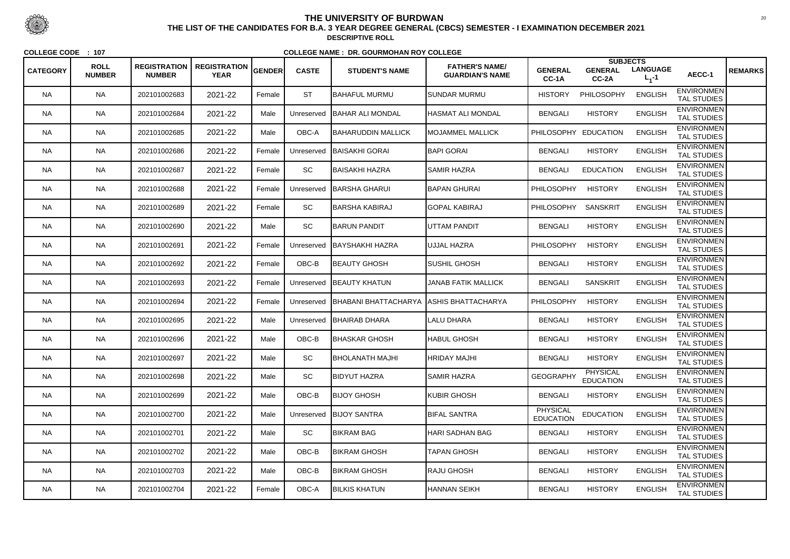|                 | <b>ROLL</b>   | <b>REGISTRATION</b> | <b>REGISTRATION</b> |               |              |                                          | <b>FATHER'S NAME/</b>      |                              | <b>SUBJECTS</b>                     |                              |                                         |                |
|-----------------|---------------|---------------------|---------------------|---------------|--------------|------------------------------------------|----------------------------|------------------------------|-------------------------------------|------------------------------|-----------------------------------------|----------------|
| <b>CATEGORY</b> | <b>NUMBER</b> | <b>NUMBER</b>       | <b>YEAR</b>         | <b>GENDER</b> | <b>CASTE</b> | <b>STUDENT'S NAME</b>                    | <b>GUARDIAN'S NAME</b>     | <b>GENERAL</b><br>CC-1A      | <b>GENERAL</b><br>CC-2A             | <b>LANGUAGE</b><br>$L_1 - 1$ | AECC-1                                  | <b>REMARKS</b> |
| <b>NA</b>       | <b>NA</b>     | 202101002683        | 2021-22             | Female        | <b>ST</b>    | <b>BAHAFUL MURMU</b>                     | <b>ISUNDAR MURMU</b>       | <b>HISTORY</b>               | PHILOSOPHY                          | <b>ENGLISH</b>               | <b>ENVIRONMEN</b><br><b>TAL STUDIES</b> |                |
| <b>NA</b>       | <b>NA</b>     | 202101002684        | 2021-22             | Male          | Unreserved   | BAHAR ALI MONDAL                         | <b>HASMAT ALI MONDAL</b>   | <b>BENGALI</b>               | <b>HISTORY</b>                      | <b>ENGLISH</b>               | <b>ENVIRONMEN</b><br>TAL STUDIES        |                |
| <b>NA</b>       | <b>NA</b>     | 202101002685        | 2021-22             | Male          | OBC-A        | BAHARUDDIN MALLICK                       | <b>MOJAMMEL MALLICK</b>    | <b>PHILOSOPHY</b>            | <b>EDUCATION</b>                    | <b>ENGLISH</b>               | <b>ENVIRONMEN</b><br><b>TAL STUDIES</b> |                |
| <b>NA</b>       | <b>NA</b>     | 202101002686        | 2021-22             | Female        | Unreserved   | BAISAKHI GORAI                           | <b>BAPI GORAI</b>          | <b>BENGALI</b>               | <b>HISTORY</b>                      | <b>ENGLISH</b>               | <b>ENVIRONMEN</b><br><b>TAL STUDIES</b> |                |
| <b>NA</b>       | <b>NA</b>     | 202101002687        | 2021-22             | Female        | SC           | BAISAKHI HAZRA                           | <b>SAMIR HAZRA</b>         | <b>BENGALI</b>               | <b>EDUCATION</b>                    | <b>ENGLISH</b>               | <b>ENVIRONMEN</b><br><b>TAL STUDIES</b> |                |
| <b>NA</b>       | <b>NA</b>     | 202101002688        | 2021-22             | Female        | Unreserved   | <b>I</b> BARSHA GHARUI                   | <b>IBAPAN GHURAI</b>       | <b>PHILOSOPHY</b>            | <b>HISTORY</b>                      | <b>ENGLISH</b>               | <b>ENVIRONMEN</b><br><b>TAL STUDIES</b> |                |
| NA              | <b>NA</b>     | 202101002689        | 2021-22             | Female        | SC           | BARSHA KABIRAJ                           | <b>GOPAL KABIRAJ</b>       | <b>PHILOSOPHY</b>            | <b>SANSKRIT</b>                     | <b>ENGLISH</b>               | <b>ENVIRONMEN</b><br><b>TAL STUDIES</b> |                |
| <b>NA</b>       | <b>NA</b>     | 202101002690        | 2021-22             | Male          | SC           | <b>BARUN PANDIT</b>                      | UTTAM PANDIT               | <b>BENGALI</b>               | <b>HISTORY</b>                      | <b>ENGLISH</b>               | <b>ENVIRONMEN</b><br><b>TAL STUDIES</b> |                |
| <b>NA</b>       | <b>NA</b>     | 202101002691        | 2021-22             | Female        | Unreserved   | BAYSHAKHI HAZRA                          | <b>JUJJAL HAZRA</b>        | <b>PHILOSOPHY</b>            | <b>HISTORY</b>                      | <b>ENGLISH</b>               | <b>ENVIRONMEN</b><br><b>TAL STUDIES</b> |                |
| NA.             | <b>NA</b>     | 202101002692        | 2021-22             | Female        | OBC-B        | <b>BEAUTY GHOSH</b>                      | <b>SUSHIL GHOSH</b>        | <b>BENGALI</b>               | <b>HISTORY</b>                      | <b>ENGLISH</b>               | <b>ENVIRONMEN</b><br><b>TAL STUDIES</b> |                |
| <b>NA</b>       | <b>NA</b>     | 202101002693        | 2021-22             | Female        | Unreserved   | <b>BEAUTY KHATUN</b>                     | <b>JANAB FATIK MALLICK</b> | <b>BENGALI</b>               | <b>SANSKRIT</b>                     | <b>ENGLISH</b>               | <b>ENVIRONMEN</b><br><b>TAL STUDIES</b> |                |
| <b>NA</b>       | <b>NA</b>     | 202101002694        | 2021-22             | Female        | Unreserved   | BHABANI BHATTACHARYA  ASHIS BHATTACHARYA |                            | PHILOSOPHY                   | <b>HISTORY</b>                      | <b>ENGLISH</b>               | <b>ENVIRONMEN</b><br><b>TAL STUDIES</b> |                |
| <b>NA</b>       | <b>NA</b>     | 202101002695        | 2021-22             | Male          | Unreserved   | <b>BHAIRAB DHARA</b>                     | LALU DHARA                 | <b>BENGALI</b>               | <b>HISTORY</b>                      | <b>ENGLISH</b>               | <b>ENVIRONMEN</b><br><b>TAL STUDIES</b> |                |
| <b>NA</b>       | <b>NA</b>     | 202101002696        | 2021-22             | Male          | OBC-B        | BHASKAR GHOSH                            | HABUL GHOSH                | <b>BENGALI</b>               | <b>HISTORY</b>                      | <b>ENGLISH</b>               | <b>ENVIRONMEN</b><br><b>TAL STUDIES</b> |                |
| <b>NA</b>       | <b>NA</b>     | 202101002697        | 2021-22             | Male          | <b>SC</b>    | <b>BHOLANATH MAJHI</b>                   | <b>HRIDAY MAJHI</b>        | <b>BENGALI</b>               | <b>HISTORY</b>                      | <b>ENGLISH</b>               | <b>ENVIRONMEN</b><br><b>TAL STUDIES</b> |                |
| <b>NA</b>       | <b>NA</b>     | 202101002698        | 2021-22             | Male          | SC           | <b>BIDYUT HAZRA</b>                      | <b>SAMIR HAZRA</b>         | <b>GEOGRAPHY</b>             | <b>PHYSICAL</b><br><b>EDUCATION</b> | <b>ENGLISH</b>               | <b>ENVIRONMEN</b><br><b>TAL STUDIES</b> |                |
| <b>NA</b>       | <b>NA</b>     | 202101002699        | 2021-22             | Male          | OBC-B        | <b>BIJOY GHOSH</b>                       | <b>KUBIR GHOSH</b>         | <b>BENGALI</b>               | <b>HISTORY</b>                      | <b>ENGLISH</b>               | <b>ENVIRONMEN</b><br><b>TAL STUDIES</b> |                |
| <b>NA</b>       | <b>NA</b>     | 202101002700        | 2021-22             | Male          | Unreserved   | <b>BIJOY SANTRA</b>                      | <b>BIFAL SANTRA</b>        | PHYSICAL<br><b>EDUCATION</b> | <b>EDUCATION</b>                    | <b>ENGLISH</b>               | <b>ENVIRONMEN</b><br><b>TAL STUDIES</b> |                |
| <b>NA</b>       | <b>NA</b>     | 202101002701        | 2021-22             | Male          | SC           | <b>BIKRAM BAG</b>                        | <b>HARI SADHAN BAG</b>     | <b>BENGALI</b>               | <b>HISTORY</b>                      | <b>ENGLISH</b>               | <b>ENVIRONMEN</b><br>TAL STUDIES        |                |
| <b>NA</b>       | <b>NA</b>     | 202101002702        | 2021-22             | Male          | OBC-B        | <b>BIKRAM GHOSH</b>                      | <b>TAPAN GHOSH</b>         | <b>BENGALI</b>               | <b>HISTORY</b>                      | <b>ENGLISH</b>               | <b>ENVIRONMEN</b><br><b>TAL STUDIES</b> |                |
| <b>NA</b>       | <b>NA</b>     | 202101002703        | 2021-22             | Male          | OBC-B        | <b>BIKRAM GHOSH</b>                      | <b>RAJU GHOSH</b>          | <b>BENGALI</b>               | <b>HISTORY</b>                      | <b>ENGLISH</b>               | <b>ENVIRONMEN</b><br>TAL STUDIES        |                |
| NA              | <b>NA</b>     | 202101002704        | 2021-22             | Female        | OBC-A        | <b>BILKIS KHATUN</b>                     | HANNAN SEIKH               | <b>BENGALI</b>               | <b>HISTORY</b>                      | <b>ENGLISH</b>               | <b>ENVIRONMEN</b><br>TAL STUDIES        |                |



 <sup>20</sup> **THE LIST OF THE CANDIDATES FOR B.A. 3 YEAR DEGREE GENERAL (CBCS) SEMESTER - I EXAMINATION DECEMBER 2021DESCRIPTIVE ROLL**

**COLLEGE CODE : <sup>107</sup>**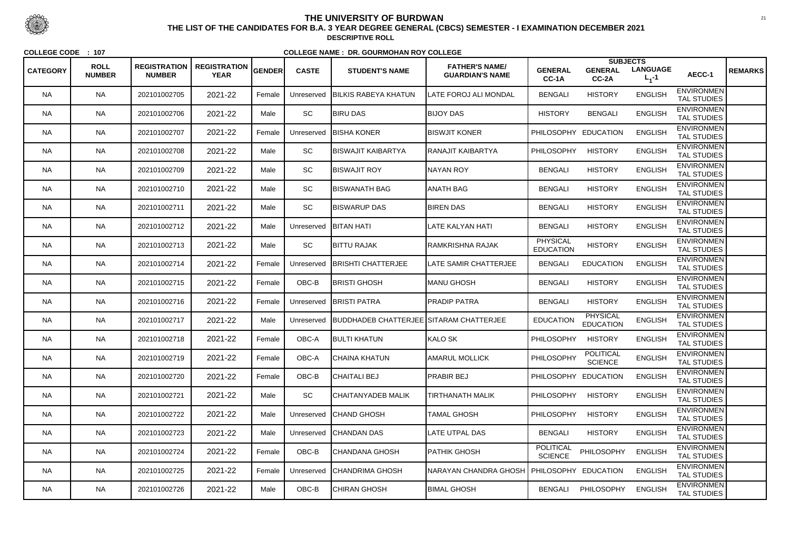| <b>CATEGORY</b> | <b>ROLL</b><br><b>NUMBER</b> | <b>REGISTRATION</b><br><b>NUMBER</b> | <b>REGISTRATION</b><br><b>YEAR</b> | GENDER | <b>CASTE</b> | <b>STUDENT'S NAME</b>                   | <b>FATHER'S NAME/</b><br><b>GUARDIAN'S NAME</b> | <b>GENERAL</b><br>CC-1A             | <b>SUBJECTS</b><br><b>GENERAL</b><br>CC-2A | <b>LANGUAGE</b><br>$L_1 - 1$ | AECC-1                                  | <b>REMARKS</b> |
|-----------------|------------------------------|--------------------------------------|------------------------------------|--------|--------------|-----------------------------------------|-------------------------------------------------|-------------------------------------|--------------------------------------------|------------------------------|-----------------------------------------|----------------|
| <b>NA</b>       | <b>NA</b>                    | 202101002705                         | 2021-22                            | Female | Unreserved   | <b>BILKIS RABEYA KHATUN</b>             | <b>LATE FOROJ ALI MONDAL</b>                    | <b>BENGALI</b>                      | <b>HISTORY</b>                             | <b>ENGLISH</b>               | <b>ENVIRONMEN</b><br><b>TAL STUDIES</b> |                |
| <b>NA</b>       | <b>NA</b>                    | 202101002706                         | 2021-22                            | Male   | SC           | <b>BIRU DAS</b>                         | <b>BIJOY DAS</b>                                | <b>HISTORY</b>                      | <b>BENGALI</b>                             | <b>ENGLISH</b>               | <b>ENVIRONMEN</b><br><b>TAL STUDIES</b> |                |
| NA.             | <b>NA</b>                    | 202101002707                         | 2021-22                            | Female | Unreserved   | <b>BISHA KONER</b>                      | <b>BISWJIT KONER</b>                            | PHILOSOPHY EDUCATION                |                                            | <b>ENGLISH</b>               | <b>ENVIRONMEN</b><br><b>TAL STUDIES</b> |                |
| <b>NA</b>       | <b>NA</b>                    | 202101002708                         | 2021-22                            | Male   | SC           | <b>IBISWAJIT KAIBARTYA</b>              | RANAJIT KAIBARTYA                               | <b>PHILOSOPHY</b>                   | <b>HISTORY</b>                             | <b>ENGLISH</b>               | <b>ENVIRONMEN</b><br><b>TAL STUDIES</b> |                |
| <b>NA</b>       | <b>NA</b>                    | 202101002709                         | 2021-22                            | Male   | SC           | <b>BISWAJIT ROY</b>                     | <b>NAYAN ROY</b>                                | <b>BENGALI</b>                      | <b>HISTORY</b>                             | <b>ENGLISH</b>               | <b>ENVIRONMEN</b><br><b>TAL STUDIES</b> |                |
| <b>NA</b>       | <b>NA</b>                    | 202101002710                         | 2021-22                            | Male   | <b>SC</b>    | BISWANATH BAG                           | <b>ANATH BAG</b>                                | <b>BENGALI</b>                      | <b>HISTORY</b>                             | <b>ENGLISH</b>               | <b>ENVIRONMEN</b><br><b>TAL STUDIES</b> |                |
| NA.             | <b>NA</b>                    | 202101002711                         | 2021-22                            | Male   | SC           | <b>BISWARUP DAS</b>                     | <b>BIREN DAS</b>                                | <b>BENGALI</b>                      | <b>HISTORY</b>                             | <b>ENGLISH</b>               | <b>ENVIRONMEN</b><br><b>TAL STUDIES</b> |                |
| <b>NA</b>       | <b>NA</b>                    | 202101002712                         | 2021-22                            | Male   | Unreserved   | <b>BITAN HATI</b>                       | <b>LATE KALYAN HATI</b>                         | <b>BENGALI</b>                      | <b>HISTORY</b>                             | <b>ENGLISH</b>               | <b>ENVIRONMEN</b><br>TAL STUDIES        |                |
| <b>NA</b>       | <b>NA</b>                    | 202101002713                         | 2021-22                            | Male   | SC           | <b>BITTU RAJAK</b>                      | RAMKRISHNA RAJAK                                | <b>PHYSICAL</b><br><b>EDUCATION</b> | <b>HISTORY</b>                             | <b>ENGLISH</b>               | <b>ENVIRONMEN</b><br><b>TAL STUDIES</b> |                |
| NA.             | <b>NA</b>                    | 202101002714                         | 2021-22                            | Female | Unreserved   | <b>BRISHTI CHATTERJEE</b>               | <b>LATE SAMIR CHATTERJEE</b>                    | <b>BENGALI</b>                      | <b>EDUCATION</b>                           | <b>ENGLISH</b>               | <b>ENVIRONMEN</b><br><b>TAL STUDIES</b> |                |
| <b>NA</b>       | <b>NA</b>                    | 202101002715                         | 2021-22                            | Female | OBC-B        | BRISTI GHOSH                            | <b>MANU GHOSH</b>                               | <b>BENGALI</b>                      | <b>HISTORY</b>                             | <b>ENGLISH</b>               | <b>ENVIRONMEN</b><br><b>TAL STUDIES</b> |                |
| <b>NA</b>       | <b>NA</b>                    | 202101002716                         | 2021-22                            | Female | Unreserved   | <b>BRISTI PATRA</b>                     | <b>PRADIP PATRA</b>                             | <b>BENGALI</b>                      | <b>HISTORY</b>                             | <b>ENGLISH</b>               | <b>ENVIRONMEN</b><br><b>TAL STUDIES</b> |                |
| <b>NA</b>       | <b>NA</b>                    | 202101002717                         | 2021-22                            | Male   | Unreserved   | BUDDHADEB CHATTERJEE SITARAM CHATTERJEE |                                                 | <b>EDUCATION</b>                    | <b>PHYSICAL</b><br><b>EDUCATION</b>        | <b>ENGLISH</b>               | <b>ENVIRONMEN</b><br><b>TAL STUDIES</b> |                |
| NA.             | <b>NA</b>                    | 202101002718                         | 2021-22                            | Female | OBC-A        | <b>BULTI KHATUN</b>                     | KALO SK                                         | PHILOSOPHY                          | <b>HISTORY</b>                             | <b>ENGLISH</b>               | <b>ENVIRONMEN</b><br><b>TAL STUDIES</b> |                |
| <b>NA</b>       | <b>NA</b>                    | 202101002719                         | 2021-22                            | Female | OBC-A        | CHAINA KHATUN                           | <b>AMARUL MOLLICK</b>                           | PHILOSOPHY                          | <b>POLITICAL</b><br><b>SCIENCE</b>         | <b>ENGLISH</b>               | <b>ENVIRONMEN</b><br><b>TAL STUDIES</b> |                |
| <b>NA</b>       | <b>NA</b>                    | 202101002720                         | 2021-22                            | Female | OBC-B        | <b>CHAITALI BEJ</b>                     | <b>PRABIR BEJ</b>                               | PHILOSOPHY EDUCATION                |                                            | <b>ENGLISH</b>               | <b>ENVIRONMEN</b><br><b>TAL STUDIES</b> |                |
| NA.             | <b>NA</b>                    | 202101002721                         | 2021-22                            | Male   | <b>SC</b>    | CHAITANYADEB MALIK                      | <b>TIRTHANATH MALIK</b>                         | <b>PHILOSOPHY</b>                   | <b>HISTORY</b>                             | <b>ENGLISH</b>               | <b>ENVIRONMEN</b><br><b>TAL STUDIES</b> |                |
| <b>NA</b>       | <b>NA</b>                    | 202101002722                         | 2021-22                            | Male   | Unreserved   | <b>CHAND GHOSH</b>                      | TAMAL GHOSH                                     | <b>PHILOSOPHY</b>                   | <b>HISTORY</b>                             | <b>ENGLISH</b>               | <b>ENVIRONMEN</b><br><b>TAL STUDIES</b> |                |
| <b>NA</b>       | <b>NA</b>                    | 202101002723                         | 2021-22                            | Male   | Unreserved   | <b>CHANDAN DAS</b>                      | <b>LATE UTPAL DAS</b>                           | <b>BENGALI</b>                      | <b>HISTORY</b>                             | <b>ENGLISH</b>               | <b>ENVIRONMEN</b><br>TAL STUDIES        |                |
| <b>NA</b>       | <b>NA</b>                    | 202101002724                         | 2021-22                            | Female | OBC-B        | CHANDANA GHOSH                          | <b>PATHIK GHOSH</b>                             | <b>POLITICAL</b><br><b>SCIENCE</b>  | PHILOSOPHY                                 | <b>ENGLISH</b>               | <b>ENVIRONMEN</b><br><b>TAL STUDIES</b> |                |
| NA.             | <b>NA</b>                    | 202101002725                         | 2021-22                            | Female | Unreserved   | <b>CHANDRIMA GHOSH</b>                  | <b>NARAYAN CHANDRA GHOSH</b>                    | PHILOSOPHY EDUCATION                |                                            | <b>ENGLISH</b>               | <b>ENVIRONMEN</b><br>TAL STUDIES        |                |
| <b>NA</b>       | <b>NA</b>                    | 202101002726                         | 2021-22                            | Male   | OBC-B        | CHIRAN GHOSH                            | <b>BIMAL GHOSH</b>                              | <b>BENGALI</b>                      | <b>PHILOSOPHY</b>                          | <b>ENGLISH</b>               | <b>ENVIRONMEN</b><br>TAL STUDIES        |                |



 <sup>21</sup> **THE LIST OF THE CANDIDATES FOR B.A. 3 YEAR DEGREE GENERAL (CBCS) SEMESTER - I EXAMINATION DECEMBER 2021DESCRIPTIVE ROLL**

**COLLEGE CODE : <sup>107</sup>**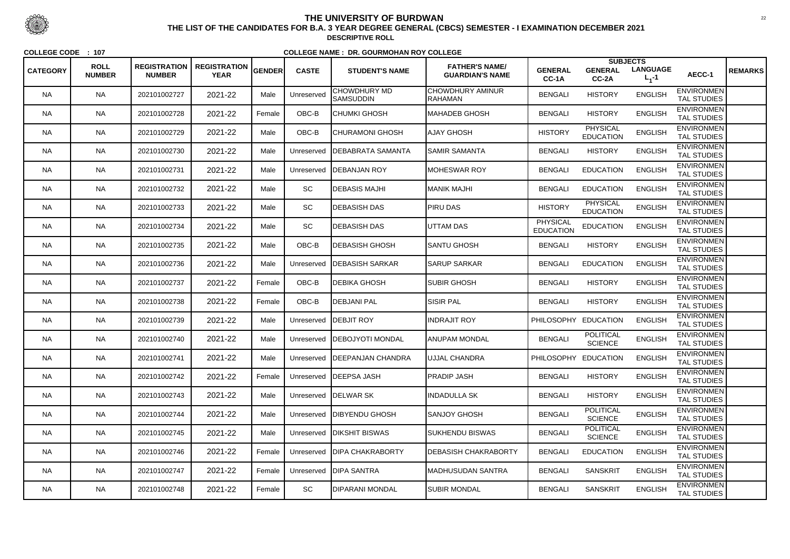| <b>CATEGORY</b> | <b>ROLL</b><br><b>NUMBER</b> | <b>REGISTRATION</b><br><b>NUMBER</b> | $R$ REGISTRATION $ _{\sf GENDER} $<br><b>YEAR</b> |        | <b>CASTE</b> | <b>STUDENT'S NAME</b>                   | <b>FATHER'S NAME/</b><br><b>GUARDIAN'S NAME</b> | <b>GENERAL</b><br>CC-1A             | <b>SUBJECTS</b><br><b>GENERAL</b><br>$CC-2A$ | <b>LANGUAGE</b><br>$L_1 - 1$ | AECC-1                                  | <b>REMARKS</b> |
|-----------------|------------------------------|--------------------------------------|---------------------------------------------------|--------|--------------|-----------------------------------------|-------------------------------------------------|-------------------------------------|----------------------------------------------|------------------------------|-----------------------------------------|----------------|
| <b>NA</b>       | <b>NA</b>                    | 202101002727                         | 2021-22                                           | Male   | Unreserved   | <b>CHOWDHURY MD</b><br><b>SAMSUDDIN</b> | <b>CHOWDHURY AMINUR</b><br><b>RAHAMAN</b>       | <b>BENGALI</b>                      | <b>HISTORY</b>                               | <b>ENGLISH</b>               | <b>ENVIRONMEN</b><br><b>TAL STUDIES</b> |                |
| <b>NA</b>       | <b>NA</b>                    | 202101002728                         | 2021-22                                           | Female | OBC-B        | <b>CHUMKI GHOSH</b>                     | <b>MAHADEB GHOSH</b>                            | <b>BENGALI</b>                      | <b>HISTORY</b>                               | <b>ENGLISH</b>               | <b>ENVIRONMEN</b><br>TAL STUDIES        |                |
| <b>NA</b>       | <b>NA</b>                    | 202101002729                         | 2021-22                                           | Male   | OBC-B        | <b>CHURAMONI GHOSH</b>                  | <b>AJAY GHOSH</b>                               | <b>HISTORY</b>                      | <b>PHYSICAL</b><br><b>EDUCATION</b>          | <b>ENGLISH</b>               | <b>ENVIRONMEN</b><br><b>TAL STUDIES</b> |                |
| <b>NA</b>       | <b>NA</b>                    | 202101002730                         | 2021-22                                           | Male   | Unreserved   | <b>IDEBABRATA SAMANTA</b>               | <b>SAMIR SAMANTA</b>                            | <b>BENGALI</b>                      | <b>HISTORY</b>                               | <b>ENGLISH</b>               | <b>ENVIRONMEN</b><br><b>TAL STUDIES</b> |                |
| <b>NA</b>       | <b>NA</b>                    | 202101002731                         | 2021-22                                           | Male   |              | Unreserved   DEBANJAN ROY               | <b>MOHESWAR ROY</b>                             | <b>BENGALI</b>                      | <b>EDUCATION</b>                             | <b>ENGLISH</b>               | <b>ENVIRONMEN</b><br><b>TAL STUDIES</b> |                |
| <b>NA</b>       | <b>NA</b>                    | 202101002732                         | 2021-22                                           | Male   | <b>SC</b>    | <b>IDEBASIS MAJHI</b>                   | <b>MANIK MAJHI</b>                              | <b>BENGALI</b>                      | <b>EDUCATION</b>                             | <b>ENGLISH</b>               | <b>ENVIRONMEN</b><br><b>TAL STUDIES</b> |                |
| NA.             | <b>NA</b>                    | 202101002733                         | 2021-22                                           | Male   | SC           | <b>IDEBASISH DAS</b>                    | <b>PIRU DAS</b>                                 | <b>HISTORY</b>                      | <b>PHYSICAL</b><br><b>EDUCATION</b>          | <b>ENGLISH</b>               | <b>ENVIRONMEN</b><br><b>TAL STUDIES</b> |                |
| <b>NA</b>       | <b>NA</b>                    | 202101002734                         | 2021-22                                           | Male   | SC           | <b>DEBASISH DAS</b>                     | <b>UTTAM DAS</b>                                | <b>PHYSICAL</b><br><b>EDUCATION</b> | <b>EDUCATION</b>                             | <b>ENGLISH</b>               | <b>ENVIRONMEN</b><br><b>TAL STUDIES</b> |                |
| <b>NA</b>       | <b>NA</b>                    | 202101002735                         | 2021-22                                           | Male   | OBC-B        | <b>IDEBASISH GHOSH</b>                  | <b>SANTU GHOSH</b>                              | <b>BENGALI</b>                      | <b>HISTORY</b>                               | <b>ENGLISH</b>               | <b>ENVIRONMEN</b><br><b>TAL STUDIES</b> |                |
| NA.             | <b>NA</b>                    | 202101002736                         | 2021-22                                           | Male   | Unreserved   | <b>IDEBASISH SARKAR</b>                 | <b>SARUP SARKAR</b>                             | <b>BENGALI</b>                      | <b>EDUCATION</b>                             | <b>ENGLISH</b>               | <b>ENVIRONMEN</b><br>TAL STUDIES        |                |
| <b>NA</b>       | <b>NA</b>                    | 202101002737                         | 2021-22                                           | Female | OBC-B        | <b>DEBIKA GHOSH</b>                     | <b>SUBIR GHOSH</b>                              | <b>BENGALI</b>                      | <b>HISTORY</b>                               | <b>ENGLISH</b>               | <b>ENVIRONMEN</b><br><b>TAL STUDIES</b> |                |
| <b>NA</b>       | <b>NA</b>                    | 202101002738                         | 2021-22                                           | Female | OBC-B        | <b>DEBJANI PAL</b>                      | <b>SISIR PAL</b>                                | <b>BENGALI</b>                      | <b>HISTORY</b>                               | <b>ENGLISH</b>               | <b>ENVIRONMEN</b><br><b>TAL STUDIES</b> |                |
| <b>NA</b>       | <b>NA</b>                    | 202101002739                         | 2021-22                                           | Male   |              | Unreserved   DEBJIT ROY                 | <b>INDRAJIT ROY</b>                             | PHILOSOPHY                          | <b>EDUCATION</b>                             | <b>ENGLISH</b>               | <b>ENVIRONMEN</b><br><b>TAL STUDIES</b> |                |
| NA.             | <b>NA</b>                    | 202101002740                         | 2021-22                                           | Male   |              | Unreserved   DEBOJYOTI MONDAL           | ANUPAM MONDAL                                   | <b>BENGALI</b>                      | <b>POLITICAL</b><br><b>SCIENCE</b>           | <b>ENGLISH</b>               | <b>ENVIRONMEN</b><br><b>TAL STUDIES</b> |                |
| <b>NA</b>       | <b>NA</b>                    | 202101002741                         | 2021-22                                           | Male   |              | Unreserved   DEEPANJAN CHANDRA          | <b>UJJAL CHANDRA</b>                            | PHILOSOPHY EDUCATION                |                                              | <b>ENGLISH</b>               | <b>ENVIRONMEN</b><br><b>TAL STUDIES</b> |                |
| <b>NA</b>       | <b>NA</b>                    | 202101002742                         | 2021-22                                           | Female |              | Unreserved   DEEPSA JASH                | <b>PRADIP JASH</b>                              | <b>BENGALI</b>                      | <b>HISTORY</b>                               | <b>ENGLISH</b>               | <b>ENVIRONMEN</b><br>TAL STUDIES        |                |
| <b>NA</b>       | <b>NA</b>                    | 202101002743                         | 2021-22                                           | Male   |              | Unreserved   DELWAR SK                  | <b>INDADULLA SK</b>                             | <b>BENGALI</b>                      | <b>HISTORY</b>                               | <b>ENGLISH</b>               | <b>ENVIRONMEN</b><br><b>TAL STUDIES</b> |                |
| <b>NA</b>       | <b>NA</b>                    | 202101002744                         | 2021-22                                           | Male   |              | Unreserved   DIBYENDU GHOSH             | SANJOY GHOSH                                    | <b>BENGALI</b>                      | <b>POLITICAL</b><br><b>SCIENCE</b>           | <b>ENGLISH</b>               | <b>ENVIRONMEN</b><br><b>TAL STUDIES</b> |                |
| <b>NA</b>       | <b>NA</b>                    | 202101002745                         | 2021-22                                           | Male   |              | Unreserved DIKSHIT BISWAS               | <b>SUKHENDU BISWAS</b>                          | <b>BENGALI</b>                      | <b>POLITICAL</b><br><b>SCIENCE</b>           | <b>ENGLISH</b>               | <b>ENVIRONMEN</b><br>TAL STUDIES        |                |
| <b>NA</b>       | <b>NA</b>                    | 202101002746                         | 2021-22                                           | Female |              | Unreserved   DIPA CHAKRABORTY           | <b>DEBASISH CHAKRABORTY</b>                     | <b>BENGALI</b>                      | <b>EDUCATION</b>                             | <b>ENGLISH</b>               | <b>ENVIRONMEN</b><br><b>TAL STUDIES</b> |                |
| <b>NA</b>       | <b>NA</b>                    | 202101002747                         | 2021-22                                           | Female |              | Unreserved   DIPA SANTRA                | <b>MADHUSUDAN SANTRA</b>                        | <b>BENGALI</b>                      | <b>SANSKRIT</b>                              | <b>ENGLISH</b>               | <b>ENVIRONMEN</b><br>TAL STUDIES        |                |
| NA              | <b>NA</b>                    | 202101002748                         | 2021-22                                           | Female | SC           | <b>DIPARANI MONDAL</b>                  | <b>SUBIR MONDAL</b>                             | <b>BENGALI</b>                      | <b>SANSKRIT</b>                              | <b>ENGLISH</b>               | <b>ENVIRONMEN</b><br>TAL STUDIES        |                |



 <sup>22</sup> **THE LIST OF THE CANDIDATES FOR B.A. 3 YEAR DEGREE GENERAL (CBCS) SEMESTER - I EXAMINATION DECEMBER 2021DESCRIPTIVE ROLL**

**COLLEGE CODE : <sup>107</sup>**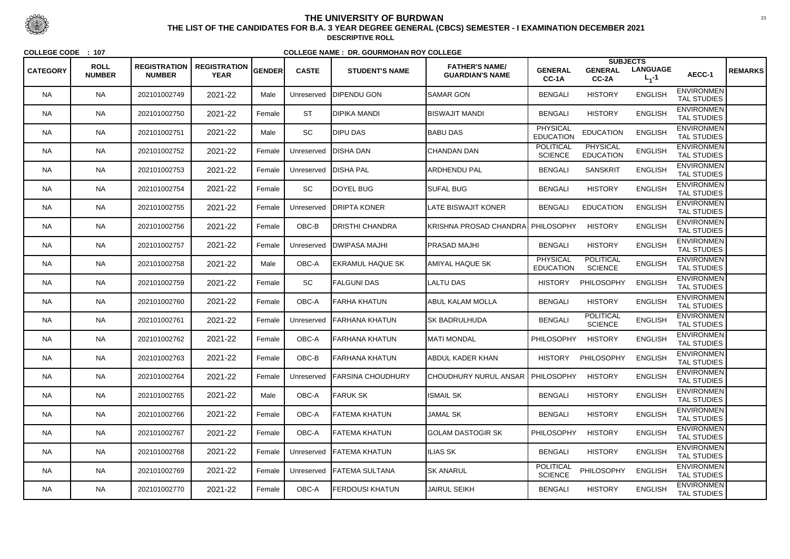| <b>CATEGORY</b> | <b>ROLL</b><br><b>NUMBER</b> | <b>REGISTRATION</b><br><b>NUMBER</b> | <b>REGISTRATION</b><br><b>YEAR</b> | GENDER | <b>CASTE</b> | <b>STUDENT'S NAME</b>    | <b>FATHER'S NAME/</b><br><b>GUARDIAN'S NAME</b> | <b>GENERAL</b><br>CC-1A             | <b>SUBJECTS</b><br><b>GENERAL</b><br>CC-2A | <b>LANGUAGE</b><br>$L_1 - 1$ | AECC-1                                  | <b>REMARKS</b> |
|-----------------|------------------------------|--------------------------------------|------------------------------------|--------|--------------|--------------------------|-------------------------------------------------|-------------------------------------|--------------------------------------------|------------------------------|-----------------------------------------|----------------|
| <b>NA</b>       | <b>NA</b>                    | 202101002749                         | 2021-22                            | Male   | Unreserved   | <b>DIPENDU GON</b>       | <b>I</b> SAMAR GON                              | <b>BENGALI</b>                      | <b>HISTORY</b>                             | <b>ENGLISH</b>               | <b>ENVIRONMEN</b><br><b>TAL STUDIES</b> |                |
| <b>NA</b>       | <b>NA</b>                    | 202101002750                         | 2021-22                            | Female | <b>ST</b>    | IDIPIKA MANDI            | <b>BISWAJIT MANDI</b>                           | <b>BENGALI</b>                      | <b>HISTORY</b>                             | <b>ENGLISH</b>               | <b>ENVIRONMEN</b><br><b>TAL STUDIES</b> |                |
| NA.             | <b>NA</b>                    | 202101002751                         | 2021-22                            | Male   | <b>SC</b>    | <b>DIPU DAS</b>          | <b>BABU DAS</b>                                 | <b>PHYSICAL</b><br><b>EDUCATION</b> | <b>EDUCATION</b>                           | <b>ENGLISH</b>               | <b>ENVIRONMEN</b><br><b>TAL STUDIES</b> |                |
| <b>NA</b>       | <b>NA</b>                    | 202101002752                         | 2021-22                            | Female | Unreserved   | <b>IDISHA DAN</b>        | <b>CHANDAN DAN</b>                              | <b>POLITICAL</b><br><b>SCIENCE</b>  | <b>PHYSICAL</b><br><b>EDUCATION</b>        | <b>ENGLISH</b>               | <b>ENVIRONMEN</b><br><b>TAL STUDIES</b> |                |
| <b>NA</b>       | <b>NA</b>                    | 202101002753                         | 2021-22                            | Female | Unreserved   | <b>DISHA PAL</b>         | <b>ARDHENDU PAL</b>                             | <b>BENGALI</b>                      | <b>SANSKRIT</b>                            | <b>ENGLISH</b>               | <b>ENVIRONMEN</b><br><b>TAL STUDIES</b> |                |
| <b>NA</b>       | <b>NA</b>                    | 202101002754                         | 2021-22                            | Female | <b>SC</b>    | DOYEL BUG                | <b>SUFAL BUG</b>                                | <b>BENGALI</b>                      | <b>HISTORY</b>                             | <b>ENGLISH</b>               | <b>ENVIRONMEN</b><br><b>TAL STUDIES</b> |                |
| NA.             | <b>NA</b>                    | 202101002755                         | 2021-22                            | Female | Unreserved   | <b>IDRIPTA KONER</b>     | <b>LATE BISWAJIT KONER</b>                      | <b>BENGALI</b>                      | <b>EDUCATION</b>                           | <b>ENGLISH</b>               | <b>ENVIRONMEN</b><br><b>TAL STUDIES</b> |                |
| <b>NA</b>       | <b>NA</b>                    | 202101002756                         | 2021-22                            | Female | OBC-B        | DRISTHI CHANDRA          | KRISHNA PROSAD CHANDRA PHILOSOPHY               |                                     | <b>HISTORY</b>                             | <b>ENGLISH</b>               | <b>ENVIRONMEN</b><br><b>TAL STUDIES</b> |                |
| <b>NA</b>       | <b>NA</b>                    | 202101002757                         | 2021-22                            | Female | Unreserved   | <b>DWIPASA MAJHI</b>     | <b>PRASAD MAJHI</b>                             | <b>BENGALI</b>                      | <b>HISTORY</b>                             | <b>ENGLISH</b>               | <b>ENVIRONMEN</b><br><b>TAL STUDIES</b> |                |
| NA.             | <b>NA</b>                    | 202101002758                         | 2021-22                            | Male   | OBC-A        | <b>EKRAMUL HAQUE SK</b>  | AMIYAL HAQUE SK                                 | <b>PHYSICAL</b><br><b>EDUCATION</b> | <b>POLITICAL</b><br><b>SCIENCE</b>         | <b>ENGLISH</b>               | <b>ENVIRONMEN</b><br><b>TAL STUDIES</b> |                |
| <b>NA</b>       | <b>NA</b>                    | 202101002759                         | 2021-22                            | Female | SC           | <b>FALGUNI DAS</b>       | <b>LALTU DAS</b>                                | <b>HISTORY</b>                      | PHILOSOPHY                                 | <b>ENGLISH</b>               | <b>ENVIRONMEN</b><br><b>TAL STUDIES</b> |                |
| <b>NA</b>       | <b>NA</b>                    | 202101002760                         | 2021-22                            | Female | OBC-A        | FARHA KHATUN             | <b>ABUL KALAM MOLLA</b>                         | <b>BENGALI</b>                      | <b>HISTORY</b>                             | <b>ENGLISH</b>               | <b>ENVIRONMEN</b><br><b>TAL STUDIES</b> |                |
| <b>NA</b>       | <b>NA</b>                    | 202101002761                         | 2021-22                            | Female | Unreserved   | <b>IFARHANA KHATUN</b>   | <b>SK BADRULHUDA</b>                            | <b>BENGALI</b>                      | <b>POLITICAL</b><br><b>SCIENCE</b>         | <b>ENGLISH</b>               | <b>ENVIRONMEN</b><br><b>TAL STUDIES</b> |                |
| <b>NA</b>       | <b>NA</b>                    | 202101002762                         | 2021-22                            | Female | OBC-A        | FARHANA KHATUN           | <b>MATI MONDAL</b>                              | <b>PHILOSOPHY</b>                   | <b>HISTORY</b>                             | <b>ENGLISH</b>               | <b>ENVIRONMEN</b><br>TAL STUDIES        |                |
| <b>NA</b>       | <b>NA</b>                    | 202101002763                         | 2021-22                            | Female | OBC-B        | FARHANA KHATUN           | <b>ABDUL KADER KHAN</b>                         | <b>HISTORY</b>                      | PHILOSOPHY                                 | <b>ENGLISH</b>               | <b>ENVIRONMEN</b><br><b>TAL STUDIES</b> |                |
| <b>NA</b>       | <b>NA</b>                    | 202101002764                         | 2021-22                            | Female | Unreserved   | <b>FARSINA CHOUDHURY</b> | CHOUDHURY NURUL ANSAR   PHILOSOPHY              |                                     | <b>HISTORY</b>                             | <b>ENGLISH</b>               | <b>ENVIRONMEN</b><br><b>TAL STUDIES</b> |                |
| NA.             | <b>NA</b>                    | 202101002765                         | 2021-22                            | Male   | OBC-A        | FARUK SK                 | <b>ISMAIL SK</b>                                | <b>BENGALI</b>                      | <b>HISTORY</b>                             | <b>ENGLISH</b>               | <b>ENVIRONMEN</b><br>TAL STUDIES        |                |
| <b>NA</b>       | <b>NA</b>                    | 202101002766                         | 2021-22                            | Female | OBC-A        | FATEMA KHATUN            | <b>JAMAL SK</b>                                 | <b>BENGALI</b>                      | <b>HISTORY</b>                             | <b>ENGLISH</b>               | <b>ENVIRONMEN</b><br>TAL STUDIES        |                |
| <b>NA</b>       | <b>NA</b>                    | 202101002767                         | 2021-22                            | Female | OBC-A        | FATEMA KHATUN            | <b>GOLAM DASTOGIR SK</b>                        | <b>PHILOSOPHY</b>                   | <b>HISTORY</b>                             | <b>ENGLISH</b>               | <b>ENVIRONMEN</b><br>TAL STUDIES        |                |
| <b>NA</b>       | <b>NA</b>                    | 202101002768                         | 2021-22                            | Female | Unreserved   | <b>FATEMA KHATUN</b>     | <b>ILIAS SK</b>                                 | <b>BENGALI</b>                      | <b>HISTORY</b>                             | <b>ENGLISH</b>               | <b>ENVIRONMEN</b><br>TAL STUDIES        |                |
| <b>NA</b>       | <b>NA</b>                    | 202101002769                         | 2021-22                            | Female | Unreserved   | <b>FATEMA SULTANA</b>    | <b>SK ANARUL</b>                                | <b>POLITICAL</b><br><b>SCIENCE</b>  | PHILOSOPHY                                 | <b>ENGLISH</b>               | <b>ENVIRONMEN</b><br>TAL STUDIES        |                |
| <b>NA</b>       | <b>NA</b>                    | 202101002770                         | 2021-22                            | Female | OBC-A        | <b>FERDOUSI KHATUN</b>   | <b>JAIRUL SEIKH</b>                             | <b>BENGALI</b>                      | <b>HISTORY</b>                             | <b>ENGLISH</b>               | <b>ENVIRONMEN</b><br>TAL STUDIES        |                |



 <sup>23</sup> **THE LIST OF THE CANDIDATES FOR B.A. 3 YEAR DEGREE GENERAL (CBCS) SEMESTER - I EXAMINATION DECEMBER 2021DESCRIPTIVE ROLL**

**COLLEGE CODE : <sup>107</sup>**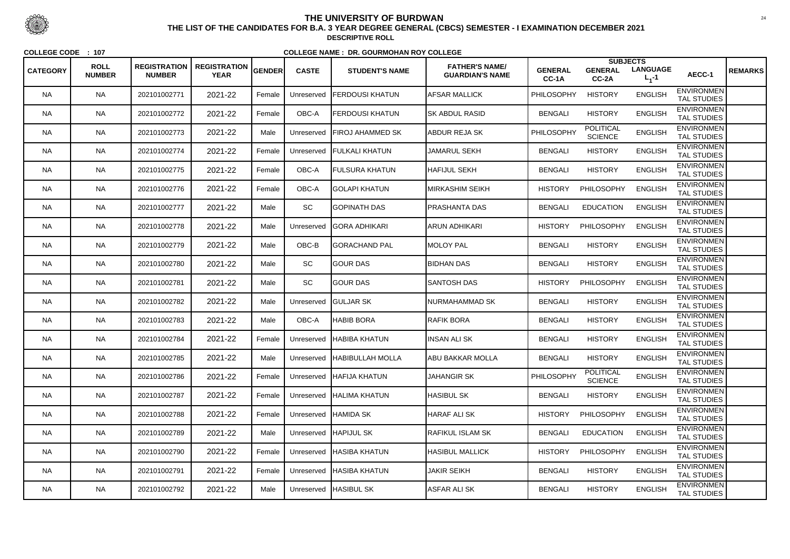|                 | <b>ROLL</b>   | <b>REGISTRATION</b> | <b>REGISTRATION</b> |               |              |                         | <b>FATHER'S NAME/</b>   |                         | <b>SUBJECTS</b>                    |                              |                                         |                |
|-----------------|---------------|---------------------|---------------------|---------------|--------------|-------------------------|-------------------------|-------------------------|------------------------------------|------------------------------|-----------------------------------------|----------------|
| <b>CATEGORY</b> | <b>NUMBER</b> | <b>NUMBER</b>       | <b>YEAR</b>         | <b>GENDER</b> | <b>CASTE</b> | <b>STUDENT'S NAME</b>   | <b>GUARDIAN'S NAME</b>  | <b>GENERAL</b><br>CC-1A | <b>GENERAL</b><br>CC-2A            | <b>LANGUAGE</b><br>$L_1 - 1$ | AECC-1                                  | <b>REMARKS</b> |
| <b>NA</b>       | <b>NA</b>     | 202101002771        | 2021-22             | Female        | Unreserved   | <b>FERDOUSI KHATUN</b>  | <b>AFSAR MALLICK</b>    | PHILOSOPHY              | <b>HISTORY</b>                     | <b>ENGLISH</b>               | <b>ENVIRONMEN</b><br><b>TAL STUDIES</b> |                |
| <b>NA</b>       | <b>NA</b>     | 202101002772        | 2021-22             | Female        | OBC-A        | <b>FERDOUSI KHATUN</b>  | <b>SK ABDUL RASID</b>   | <b>BENGALI</b>          | <b>HISTORY</b>                     | <b>ENGLISH</b>               | <b>ENVIRONMEN</b><br><b>TAL STUDIES</b> |                |
| <b>NA</b>       | <b>NA</b>     | 202101002773        | 2021-22             | Male          | Unreserved   | <b>FIROJ AHAMMED SK</b> | ABDUR REJA SK           | PHILOSOPHY              | <b>POLITICAL</b><br><b>SCIENCE</b> | <b>ENGLISH</b>               | <b>ENVIRONMEN</b><br><b>TAL STUDIES</b> |                |
| <b>NA</b>       | <b>NA</b>     | 202101002774        | 2021-22             | Female        | Unreserved   | <b>FULKALI KHATUN</b>   | <b>JAMARUL SEKH</b>     | <b>BENGALI</b>          | <b>HISTORY</b>                     | <b>ENGLISH</b>               | <b>ENVIRONMEN</b><br><b>TAL STUDIES</b> |                |
| <b>NA</b>       | <b>NA</b>     | 202101002775        | 2021-22             | Female        | OBC-A        | <b>FULSURA KHATUN</b>   | <b>HAFIJUL SEKH</b>     | <b>BENGALI</b>          | <b>HISTORY</b>                     | <b>ENGLISH</b>               | <b>ENVIRONMEN</b><br><b>TAL STUDIES</b> |                |
| <b>NA</b>       | <b>NA</b>     | 202101002776        | 2021-22             | Female        | OBC-A        | İGOLAPI KHATUN          | <b>IMIRKASHIM SEIKH</b> | <b>HISTORY</b>          | PHILOSOPHY                         | <b>ENGLISH</b>               | <b>ENVIRONMEN</b><br><b>TAL STUDIES</b> |                |
| <b>NA</b>       | <b>NA</b>     | 202101002777        | 2021-22             | Male          | SC           | <b>I</b> GOPINATH DAS   | <b>IPRASHANTA DAS</b>   | <b>BENGALI</b>          | <b>EDUCATION</b>                   | <b>ENGLISH</b>               | <b>ENVIRONMEN</b><br><b>TAL STUDIES</b> |                |
| <b>NA</b>       | <b>NA</b>     | 202101002778        | 2021-22             | Male          | Unreserved   | GORA ADHIKARI           | ARUN ADHIKARI           | <b>HISTORY</b>          | PHILOSOPHY                         | <b>ENGLISH</b>               | <b>ENVIRONMEN</b><br><b>TAL STUDIES</b> |                |
| <b>NA</b>       | <b>NA</b>     | 202101002779        | 2021-22             | Male          | OBC-B        | <b>GORACHAND PAL</b>    | <b>MOLOY PAL</b>        | <b>BENGALI</b>          | <b>HISTORY</b>                     | <b>ENGLISH</b>               | <b>ENVIRONMEN</b><br><b>TAL STUDIES</b> |                |
| NA.             | <b>NA</b>     | 202101002780        | 2021-22             | Male          | SC           | <b>GOUR DAS</b>         | <b>BIDHAN DAS</b>       | <b>BENGALI</b>          | <b>HISTORY</b>                     | <b>ENGLISH</b>               | <b>ENVIRONMEN</b><br><b>TAL STUDIES</b> |                |
| <b>NA</b>       | <b>NA</b>     | 202101002781        | 2021-22             | Male          | SC           | <b>GOUR DAS</b>         | <b>SANTOSH DAS</b>      | <b>HISTORY</b>          | PHILOSOPHY                         | <b>ENGLISH</b>               | <b>ENVIRONMEN</b><br><b>TAL STUDIES</b> |                |
| <b>NA</b>       | <b>NA</b>     | 202101002782        | 2021-22             | Male          | Unreserved   | <b>GULJAR SK</b>        | NURMAHAMMAD SK          | <b>BENGALI</b>          | <b>HISTORY</b>                     | <b>ENGLISH</b>               | <b>ENVIRONMEN</b><br><b>TAL STUDIES</b> |                |
| <b>NA</b>       | <b>NA</b>     | 202101002783        | 2021-22             | Male          | OBC-A        | <b>HABIB BORA</b>       | <b>RAFIK BORA</b>       | <b>BENGALI</b>          | <b>HISTORY</b>                     | <b>ENGLISH</b>               | <b>ENVIRONMEN</b><br><b>TAL STUDIES</b> |                |
| <b>NA</b>       | <b>NA</b>     | 202101002784        | 2021-22             | Female        | Unreserved   | <b>HABIBA KHATUN</b>    | <b>INSAN ALI SK</b>     | <b>BENGALI</b>          | <b>HISTORY</b>                     | <b>ENGLISH</b>               | <b>ENVIRONMEN</b><br><b>TAL STUDIES</b> |                |
| <b>NA</b>       | <b>NA</b>     | 202101002785        | 2021-22             | Male          | Unreserved   | <b>HABIBULLAH MOLLA</b> | <b>ABU BAKKAR MOLLA</b> | <b>BENGALI</b>          | <b>HISTORY</b>                     | <b>ENGLISH</b>               | <b>ENVIRONMEN</b><br><b>TAL STUDIES</b> |                |
| <b>NA</b>       | <b>NA</b>     | 202101002786        | 2021-22             | Female        | Unreserved   | <b>HAFIJA KHATUN</b>    | <b>JAHANGIR SK</b>      | <b>PHILOSOPHY</b>       | <b>POLITICAL</b><br><b>SCIENCE</b> | <b>ENGLISH</b>               | <b>ENVIRONMEN</b><br><b>TAL STUDIES</b> |                |
| <b>NA</b>       | <b>NA</b>     | 202101002787        | 2021-22             | Female        | Unreserved   | <b>HALIMA KHATUN</b>    | <b>HASIBUL SK</b>       | <b>BENGALI</b>          | <b>HISTORY</b>                     | <b>ENGLISH</b>               | <b>ENVIRONMEN</b><br><b>TAL STUDIES</b> |                |
| <b>NA</b>       | <b>NA</b>     | 202101002788        | 2021-22             | Female        | Unreserved   | ∣HAMIDA SK              | <b>HARAF ALI SK</b>     | <b>HISTORY</b>          | PHILOSOPHY                         | <b>ENGLISH</b>               | <b>ENVIRONMEN</b><br><b>TAL STUDIES</b> |                |
| <b>NA</b>       | <b>NA</b>     | 202101002789        | 2021-22             | Male          | Unreserved   | <b>HAPIJUL SK</b>       | <b>RAFIKUL ISLAM SK</b> | <b>BENGALI</b>          | <b>EDUCATION</b>                   | <b>ENGLISH</b>               | <b>ENVIRONMEN</b><br>TAL STUDIES        |                |
| <b>NA</b>       | <b>NA</b>     | 202101002790        | 2021-22             | Female        | Unreserved   | HASIBA KHATUN           | <b>HASIBUL MALLICK</b>  | <b>HISTORY</b>          | PHILOSOPHY                         | <b>ENGLISH</b>               | <b>ENVIRONMEN</b><br><b>TAL STUDIES</b> |                |
| <b>NA</b>       | <b>NA</b>     | 202101002791        | 2021-22             | Female        | Unreserved   | <b>HASIBA KHATUN</b>    | <b>JAKIR SEIKH</b>      | <b>BENGALI</b>          | <b>HISTORY</b>                     | <b>ENGLISH</b>               | <b>ENVIRONMEN</b><br>TAL STUDIES        |                |
| <b>NA</b>       | <b>NA</b>     | 202101002792        | 2021-22             | Male          | Unreserved   | <b>HASIBUL SK</b>       | <b>ASFAR ALI SK</b>     | <b>BENGALI</b>          | <b>HISTORY</b>                     | <b>ENGLISH</b>               | <b>ENVIRONMEN</b><br>TAL STUDIES        |                |



 <sup>24</sup> **THE LIST OF THE CANDIDATES FOR B.A. 3 YEAR DEGREE GENERAL (CBCS) SEMESTER - I EXAMINATION DECEMBER 2021DESCRIPTIVE ROLL**

**COLLEGE CODE : <sup>107</sup>**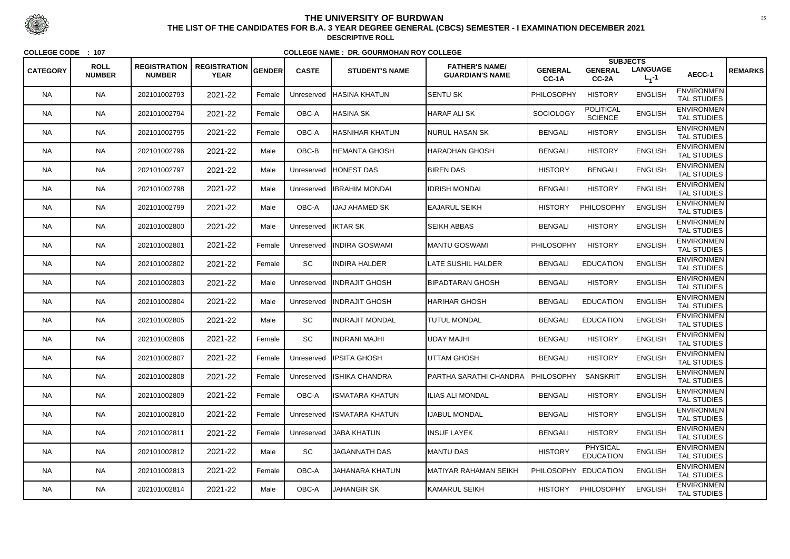|                 |                              |                                      |                                    |        |              |                           |                                                 |                         | <b>SUBJECTS</b>                     |                              |                                         |                |
|-----------------|------------------------------|--------------------------------------|------------------------------------|--------|--------------|---------------------------|-------------------------------------------------|-------------------------|-------------------------------------|------------------------------|-----------------------------------------|----------------|
| <b>CATEGORY</b> | <b>ROLL</b><br><b>NUMBER</b> | <b>REGISTRATION</b><br><b>NUMBER</b> | <b>REGISTRATION</b><br><b>YEAR</b> | GENDER | <b>CASTE</b> | <b>STUDENT'S NAME</b>     | <b>FATHER'S NAME/</b><br><b>GUARDIAN'S NAME</b> | <b>GENERAL</b><br>CC-1A | <b>GENERAL</b><br>CC-2A             | <b>LANGUAGE</b><br>$L_1 - 1$ | AECC-1                                  | <b>REMARKS</b> |
| <b>NA</b>       | <b>NA</b>                    | 202101002793                         | 2021-22                            | Female | Unreserved   | <b>HASINA KHATUN</b>      | <b>SENTU SK</b>                                 | PHILOSOPHY              | <b>HISTORY</b>                      | <b>ENGLISH</b>               | <b>ENVIRONMEN</b><br><b>TAL STUDIES</b> |                |
| <b>NA</b>       | <b>NA</b>                    | 202101002794                         | 2021-22                            | Female | OBC-A        | HASINA SK                 | <b>HARAF ALI SK</b>                             | <b>SOCIOLOGY</b>        | <b>POLITICAL</b><br><b>SCIENCE</b>  | <b>ENGLISH</b>               | <b>ENVIRONMEN</b><br><b>TAL STUDIES</b> |                |
| NA.             | <b>NA</b>                    | 202101002795                         | 2021-22                            | Female | OBC-A        | HASNIHAR KHATUN           | NURUL HASAN SK                                  | <b>BENGALI</b>          | <b>HISTORY</b>                      | <b>ENGLISH</b>               | <b>ENVIRONMEN</b><br><b>TAL STUDIES</b> |                |
| <b>NA</b>       | <b>NA</b>                    | 202101002796                         | 2021-22                            | Male   | OBC-B        | <b>HEMANTA GHOSH</b>      | HARADHAN GHOSH                                  | <b>BENGALI</b>          | <b>HISTORY</b>                      | <b>ENGLISH</b>               | <b>ENVIRONMEN</b><br><b>TAL STUDIES</b> |                |
| <b>NA</b>       | <b>NA</b>                    | 202101002797                         | 2021-22                            | Male   | Unreserved   | HONEST DAS                | <b>BIREN DAS</b>                                | <b>HISTORY</b>          | <b>BENGALI</b>                      | <b>ENGLISH</b>               | <b>ENVIRONMEN</b><br><b>TAL STUDIES</b> |                |
| <b>NA</b>       | <b>NA</b>                    | 202101002798                         | 2021-22                            | Male   | Unreserved   | <b>IBRAHIM MONDAL</b>     | <b>IDRISH MONDAL</b>                            | <b>BENGALI</b>          | <b>HISTORY</b>                      | <b>ENGLISH</b>               | <b>ENVIRONMEN</b><br><b>TAL STUDIES</b> |                |
| NA.             | <b>NA</b>                    | 202101002799                         | 2021-22                            | Male   | OBC-A        | <b>IJAJ AHAMED SK</b>     | <b>EAJARUL SEIKH</b>                            | <b>HISTORY</b>          | PHILOSOPHY                          | <b>ENGLISH</b>               | <b>ENVIRONMEN</b><br><b>TAL STUDIES</b> |                |
| <b>NA</b>       | <b>NA</b>                    | 202101002800                         | 2021-22                            | Male   | Unreserved   | <b>IKTAR SK</b>           | <b>SEIKH ABBAS</b>                              | <b>BENGALI</b>          | <b>HISTORY</b>                      | <b>ENGLISH</b>               | <b>ENVIRONMEN</b><br><b>TAL STUDIES</b> |                |
| <b>NA</b>       | <b>NA</b>                    | 202101002801                         | 2021-22                            | Female | Unreserved   | <b>INDIRA GOSWAMI</b>     | MANTU GOSWAMI                                   | <b>PHILOSOPHY</b>       | <b>HISTORY</b>                      | <b>ENGLISH</b>               | <b>ENVIRONMEN</b><br><b>TAL STUDIES</b> |                |
| NA.             | <b>NA</b>                    | 202101002802                         | 2021-22                            | Female | SC           | <b>INDIRA HALDER</b>      | <b>LATE SUSHIL HALDER</b>                       | <b>BENGALI</b>          | <b>EDUCATION</b>                    | <b>ENGLISH</b>               | <b>ENVIRONMEN</b><br><b>TAL STUDIES</b> |                |
| <b>NA</b>       | <b>NA</b>                    | 202101002803                         | 2021-22                            | Male   | Unreserved   | IINDRAJIT GHOSH           | BIPADTARAN GHOSH                                | <b>BENGALI</b>          | <b>HISTORY</b>                      | <b>ENGLISH</b>               | <b>ENVIRONMEN</b><br><b>TAL STUDIES</b> |                |
| <b>NA</b>       | <b>NA</b>                    | 202101002804                         | 2021-22                            | Male   | Unreserved   | <b>INDRAJIT GHOSH</b>     | <b>HARIHAR GHOSH</b>                            | <b>BENGALI</b>          | <b>EDUCATION</b>                    | <b>ENGLISH</b>               | <b>ENVIRONMEN</b><br><b>TAL STUDIES</b> |                |
| <b>NA</b>       | <b>NA</b>                    | 202101002805                         | 2021-22                            | Male   | SC           | <b>INDRAJIT MONDAL</b>    | <b>TUTUL MONDAL</b>                             | <b>BENGALI</b>          | <b>EDUCATION</b>                    | <b>ENGLISH</b>               | <b>ENVIRONMEN</b><br><b>TAL STUDIES</b> |                |
| <b>NA</b>       | <b>NA</b>                    | 202101002806                         | 2021-22                            | Female | SC           | <b>INDRANI MAJHI</b>      | <b>UDAY MAJHI</b>                               | <b>BENGALI</b>          | <b>HISTORY</b>                      | <b>ENGLISH</b>               | <b>ENVIRONMEN</b><br>TAL STUDIES        |                |
| <b>NA</b>       | <b>NA</b>                    | 202101002807                         | 2021-22                            | Female |              | Unreserved IPSITA GHOSH   | UTTAM GHOSH                                     | <b>BENGALI</b>          | <b>HISTORY</b>                      | <b>ENGLISH</b>               | <b>ENVIRONMEN</b><br><b>TAL STUDIES</b> |                |
| <b>NA</b>       | <b>NA</b>                    | 202101002808                         | 2021-22                            | Female |              | Unreserved ISHIKA CHANDRA | PARTHA SARATHI CHANDRA   PHILOSOPHY             |                         | <b>SANSKRIT</b>                     | <b>ENGLISH</b>               | <b>ENVIRONMEN</b><br><b>TAL STUDIES</b> |                |
| NA.             | <b>NA</b>                    | 202101002809                         | 2021-22                            | Female | OBC-A        | IISMATARA KHATUN          | <b>ILIAS ALI MONDAL</b>                         | <b>BENGALI</b>          | <b>HISTORY</b>                      | <b>ENGLISH</b>               | <b>ENVIRONMEN</b><br><b>TAL STUDIES</b> |                |
| <b>NA</b>       | <b>NA</b>                    | 202101002810                         | 2021-22                            | Female | Unreserved   | <b>ISMATARA KHATUN</b>    | <b>IJABUL MONDAL</b>                            | <b>BENGALI</b>          | <b>HISTORY</b>                      | <b>ENGLISH</b>               | <b>ENVIRONMEN</b><br>TAL STUDIES        |                |
| <b>NA</b>       | <b>NA</b>                    | 202101002811                         | 2021-22                            | Female | Unreserved   | <b>JABA KHATUN</b>        | <b>INSUF LAYEK</b>                              | <b>BENGALI</b>          | <b>HISTORY</b>                      | <b>ENGLISH</b>               | <b>ENVIRONMEN</b><br>TAL STUDIES        |                |
| <b>NA</b>       | <b>NA</b>                    | 202101002812                         | 2021-22                            | Male   | SC           | <b>JAGANNATH DAS</b>      | MANTU DAS                                       | <b>HISTORY</b>          | <b>PHYSICAL</b><br><b>EDUCATION</b> | <b>ENGLISH</b>               | <b>ENVIRONMEN</b><br><b>TAL STUDIES</b> |                |
| <b>NA</b>       | <b>NA</b>                    | 202101002813                         | 2021-22                            | Female | OBC-A        | <b>JAHANARA KHATUN</b>    | MATIYAR RAHAMAN SEIKH                           | PHILOSOPHY EDUCATION    |                                     | <b>ENGLISH</b>               | <b>ENVIRONMEN</b><br>TAL STUDIES        |                |
| <b>NA</b>       | <b>NA</b>                    | 202101002814                         | 2021-22                            | Male   | OBC-A        | <b>JAHANGIR SK</b>        | KAMARUL SEIKH                                   | <b>HISTORY</b>          | PHILOSOPHY                          | <b>ENGLISH</b>               | <b>ENVIRONMEN</b><br>TAL STUDIES        |                |



 <sup>25</sup> **THE LIST OF THE CANDIDATES FOR B.A. 3 YEAR DEGREE GENERAL (CBCS) SEMESTER - I EXAMINATION DECEMBER 2021DESCRIPTIVE ROLL**

**COLLEGE CODE : <sup>107</sup>**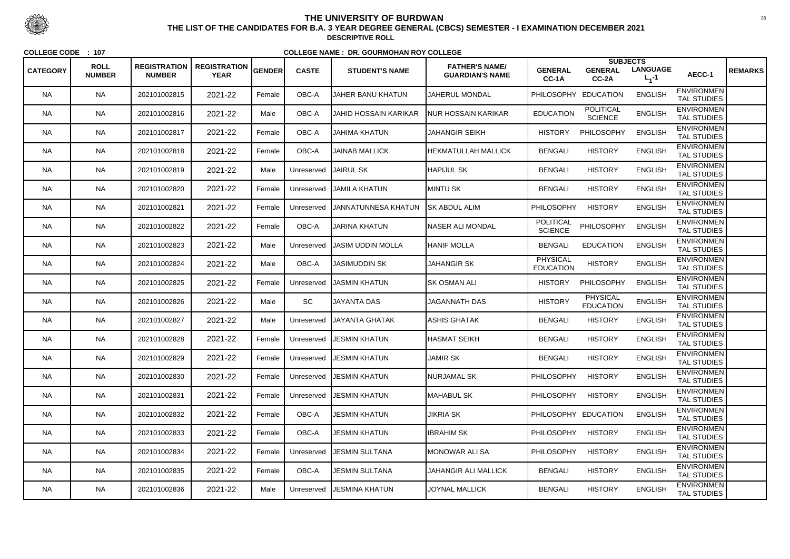|                 |                              |                                      |                                                   |        |              |                            |                                                 |                                     | <b>SUBJECTS</b>                    |                              |                                         |                |
|-----------------|------------------------------|--------------------------------------|---------------------------------------------------|--------|--------------|----------------------------|-------------------------------------------------|-------------------------------------|------------------------------------|------------------------------|-----------------------------------------|----------------|
| <b>CATEGORY</b> | <b>ROLL</b><br><b>NUMBER</b> | <b>REGISTRATION</b><br><b>NUMBER</b> | $R$ REGISTRATION $ _{\sf GENDER} $<br><b>YEAR</b> |        | <b>CASTE</b> | <b>STUDENT'S NAME</b>      | <b>FATHER'S NAME/</b><br><b>GUARDIAN'S NAME</b> | <b>GENERAL</b><br>CC-1A             | <b>GENERAL</b><br>$CC-2A$          | <b>LANGUAGE</b><br>$L_1 - 1$ | AECC-1                                  | <b>REMARKS</b> |
| <b>NA</b>       | <b>NA</b>                    | 202101002815                         | 2021-22                                           | Female | OBC-A        | <b>JAHER BANU KHATUN</b>   | <b>JAHERUL MONDAL</b>                           | <b>PHILOSOPHY</b>                   | <b>EDUCATION</b>                   | <b>ENGLISH</b>               | <b>ENVIRONMEN</b><br><b>TAL STUDIES</b> |                |
| <b>NA</b>       | <b>NA</b>                    | 202101002816                         | 2021-22                                           | Male   | OBC-A        | JAHID HOSSAIN KARIKAR      | NUR HOSSAIN KARIKAR                             | <b>EDUCATION</b>                    | <b>POLITICAL</b><br><b>SCIENCE</b> | <b>ENGLISH</b>               | <b>ENVIRONMEN</b><br><b>TAL STUDIES</b> |                |
| <b>NA</b>       | <b>NA</b>                    | 202101002817                         | 2021-22                                           | Female | OBC-A        | <b>JAHIMA KHATUN</b>       | <b>JAHANGIR SEIKH</b>                           | <b>HISTORY</b>                      | PHILOSOPHY                         | <b>ENGLISH</b>               | <b>ENVIRONMEN</b><br><b>TAL STUDIES</b> |                |
| <b>NA</b>       | <b>NA</b>                    | 202101002818                         | 2021-22                                           | Female | OBC-A        | <b>JAINAB MALLICK</b>      | <b>HEKMATULLAH MALLICK</b>                      | <b>BENGALI</b>                      | <b>HISTORY</b>                     | <b>ENGLISH</b>               | <b>ENVIRONMEN</b><br><b>TAL STUDIES</b> |                |
| <b>NA</b>       | <b>NA</b>                    | 202101002819                         | 2021-22                                           | Male   | Unreserved   | JAIRUL SK                  | <b>HAPIJUL SK</b>                               | <b>BENGALI</b>                      | <b>HISTORY</b>                     | <b>ENGLISH</b>               | <b>ENVIRONMEN</b><br><b>TAL STUDIES</b> |                |
| <b>NA</b>       | <b>NA</b>                    | 202101002820                         | 2021-22                                           | Female | Unreserved   | <b>JAMILA KHATUN</b>       | <b>MINTU SK</b>                                 | <b>BENGALI</b>                      | <b>HISTORY</b>                     | <b>ENGLISH</b>               | <b>ENVIRONMEN</b><br><b>TAL STUDIES</b> |                |
| NA.             | <b>NA</b>                    | 202101002821                         | 2021-22                                           | Female | Unreserved   | <b>JANNATUNNESA KHATUN</b> | <b>SK ABDUL ALIM</b>                            | PHILOSOPHY                          | <b>HISTORY</b>                     | <b>ENGLISH</b>               | <b>ENVIRONMEN</b><br><b>TAL STUDIES</b> |                |
| <b>NA</b>       | <b>NA</b>                    | 202101002822                         | 2021-22                                           | Female | OBC-A        | <b>JARINA KHATUN</b>       | <b>NASER ALI MONDAL</b>                         | <b>POLITICAL</b><br><b>SCIENCE</b>  | PHILOSOPHY                         | <b>ENGLISH</b>               | <b>ENVIRONMEN</b><br><b>TAL STUDIES</b> |                |
| <b>NA</b>       | <b>NA</b>                    | 202101002823                         | 2021-22                                           | Male   | Unreserved   | <b>JASIM UDDIN MOLLA</b>   | <b>HANIF MOLLA</b>                              | <b>BENGALI</b>                      | <b>EDUCATION</b>                   | <b>ENGLISH</b>               | <b>ENVIRONMEN</b><br><b>TAL STUDIES</b> |                |
| NA.             | <b>NA</b>                    | 202101002824                         | 2021-22                                           | Male   | OBC-A        | <b>JASIMUDDIN SK</b>       | <b>JAHANGIR SK</b>                              | <b>PHYSICAL</b><br><b>EDUCATION</b> | <b>HISTORY</b>                     | <b>ENGLISH</b>               | <b>ENVIRONMEN</b><br><b>TAL STUDIES</b> |                |
| <b>NA</b>       | <b>NA</b>                    | 202101002825                         | 2021-22                                           | Female | Unreserved   | JASMIN KHATUN              | <b>SK OSMAN ALI</b>                             | <b>HISTORY</b>                      | PHILOSOPHY                         | <b>ENGLISH</b>               | <b>ENVIRONMEN</b><br><b>TAL STUDIES</b> |                |
| <b>NA</b>       | <b>NA</b>                    | 202101002826                         | 2021-22                                           | Male   | SC           | <b>JAYANTA DAS</b>         | <b>JAGANNATH DAS</b>                            | <b>HISTORY</b>                      | PHYSICAL<br><b>EDUCATION</b>       | <b>ENGLISH</b>               | <b>ENVIRONMEN</b><br><b>TAL STUDIES</b> |                |
| <b>NA</b>       | <b>NA</b>                    | 202101002827                         | 2021-22                                           | Male   | Unreserved   | JAYANTA GHATAK             | ASHIS GHATAK                                    | <b>BENGALI</b>                      | <b>HISTORY</b>                     | <b>ENGLISH</b>               | <b>ENVIRONMEN</b><br><b>TAL STUDIES</b> |                |
| NA.             | <b>NA</b>                    | 202101002828                         | 2021-22                                           | Female | Unreserved   | <b>JESMIN KHATUN</b>       | <b>HASMAT SEIKH</b>                             | <b>BENGALI</b>                      | <b>HISTORY</b>                     | <b>ENGLISH</b>               | <b>ENVIRONMEN</b><br><b>TAL STUDIES</b> |                |
| <b>NA</b>       | <b>NA</b>                    | 202101002829                         | 2021-22                                           | Female | Unreserved   | <b>JESMIN KHATUN</b>       | <b>JAMIR SK</b>                                 | <b>BENGALI</b>                      | <b>HISTORY</b>                     | <b>ENGLISH</b>               | <b>ENVIRONMEN</b><br><b>TAL STUDIES</b> |                |
| <b>NA</b>       | <b>NA</b>                    | 202101002830                         | 2021-22                                           | Female | Unreserved   | <b>JESMIN KHATUN</b>       | <b>NURJAMAL SK</b>                              | <b>PHILOSOPHY</b>                   | <b>HISTORY</b>                     | <b>ENGLISH</b>               | <b>ENVIRONMEN</b><br>TAL STUDIES        |                |
| <b>NA</b>       | <b>NA</b>                    | 202101002831                         | 2021-22                                           | Female | Unreserved   | <b>JESMIN KHATUN</b>       | MAHABUL SK                                      | <b>PHILOSOPHY</b>                   | <b>HISTORY</b>                     | <b>ENGLISH</b>               | <b>ENVIRONMEN</b><br><b>TAL STUDIES</b> |                |
| <b>NA</b>       | <b>NA</b>                    | 202101002832                         | 2021-22                                           | Female | OBC-A        | <b>JESMIN KHATUN</b>       | <b>JIKRIA SK</b>                                |                                     | PHILOSOPHY EDUCATION               | <b>ENGLISH</b>               | <b>ENVIRONMEN</b><br><b>TAL STUDIES</b> |                |
| <b>NA</b>       | <b>NA</b>                    | 202101002833                         | 2021-22                                           | Female | OBC-A        | <b>JESMIN KHATUN</b>       | <b>IBRAHIM SK</b>                               | <b>PHILOSOPHY</b>                   | <b>HISTORY</b>                     | <b>ENGLISH</b>               | <b>ENVIRONMEN</b><br>TAL STUDIES        |                |
| <b>NA</b>       | <b>NA</b>                    | 202101002834                         | 2021-22                                           | Female | Unreserved   | <b>JESMIN SULTANA</b>      | <b>MONOWAR ALI SA</b>                           | <b>PHILOSOPHY</b>                   | <b>HISTORY</b>                     | <b>ENGLISH</b>               | <b>ENVIRONMEN</b><br><b>TAL STUDIES</b> |                |
| <b>NA</b>       | <b>NA</b>                    | 202101002835                         | 2021-22                                           | Female | OBC-A        | <b>JESMIN SULTANA</b>      | JAHANGIR ALI MALLICK                            | <b>BENGALI</b>                      | <b>HISTORY</b>                     | <b>ENGLISH</b>               | <b>ENVIRONMEN</b><br>TAL STUDIES        |                |
| <b>NA</b>       | <b>NA</b>                    | 202101002836                         | 2021-22                                           | Male   | Unreserved   | JESMINA KHATUN             | <b>JOYNAL MALLICK</b>                           | <b>BENGALI</b>                      | <b>HISTORY</b>                     | <b>ENGLISH</b>               | <b>ENVIRONMEN</b><br>TAL STUDIES        |                |



 <sup>26</sup> **THE LIST OF THE CANDIDATES FOR B.A. 3 YEAR DEGREE GENERAL (CBCS) SEMESTER - I EXAMINATION DECEMBER 2021DESCRIPTIVE ROLL**

**COLLEGE CODE : <sup>107</sup>**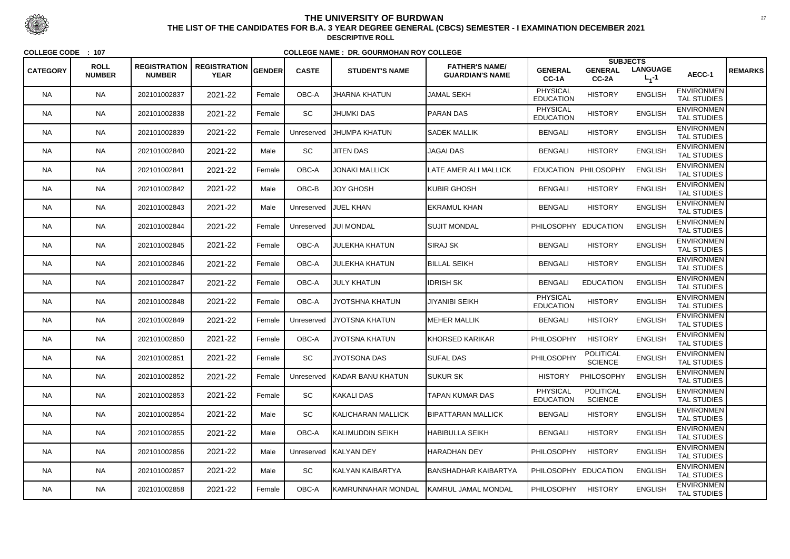|                 |                              |                                      |                                    |        |              |                        |                                                 |                                     | <b>SUBJECTS</b>                    |                              |                                         |                |
|-----------------|------------------------------|--------------------------------------|------------------------------------|--------|--------------|------------------------|-------------------------------------------------|-------------------------------------|------------------------------------|------------------------------|-----------------------------------------|----------------|
| <b>CATEGORY</b> | <b>ROLL</b><br><b>NUMBER</b> | <b>REGISTRATION</b><br><b>NUMBER</b> | <b>REGISTRATION</b><br><b>YEAR</b> | GENDER | <b>CASTE</b> | <b>STUDENT'S NAME</b>  | <b>FATHER'S NAME/</b><br><b>GUARDIAN'S NAME</b> | <b>GENERAL</b><br>CC-1A             | <b>GENERAL</b><br>CC-2A            | <b>LANGUAGE</b><br>$L_1 - 1$ | AECC-1                                  | <b>REMARKS</b> |
| <b>NA</b>       | <b>NA</b>                    | 202101002837                         | 2021-22                            | Female | OBC-A        | <b>JHARNA KHATUN</b>   | <b>JAMAL SEKH</b>                               | <b>PHYSICAL</b><br><b>EDUCATION</b> | <b>HISTORY</b>                     | <b>ENGLISH</b>               | <b>ENVIRONMEN</b><br><b>TAL STUDIES</b> |                |
| <b>NA</b>       | <b>NA</b>                    | 202101002838                         | 2021-22                            | Female | SC           | <b>JHUMKI DAS</b>      | <b>PARAN DAS</b>                                | <b>PHYSICAL</b><br><b>EDUCATION</b> | <b>HISTORY</b>                     | <b>ENGLISH</b>               | <b>ENVIRONMEN</b><br><b>TAL STUDIES</b> |                |
| NA.             | <b>NA</b>                    | 202101002839                         | 2021-22                            | Female | Unreserved   | IJHUMPA KHATUN         | <b>SADEK MALLIK</b>                             | <b>BENGALI</b>                      | <b>HISTORY</b>                     | <b>ENGLISH</b>               | <b>ENVIRONMEN</b><br><b>TAL STUDIES</b> |                |
| <b>NA</b>       | <b>NA</b>                    | 202101002840                         | 2021-22                            | Male   | SC           | <b>JITEN DAS</b>       | <b>JAGAI DAS</b>                                | <b>BENGALI</b>                      | <b>HISTORY</b>                     | <b>ENGLISH</b>               | <b>ENVIRONMEN</b><br><b>TAL STUDIES</b> |                |
| <b>NA</b>       | <b>NA</b>                    | 202101002841                         | 2021-22                            | Female | OBC-A        | <b>JONAKI MALLICK</b>  | LATE AMER ALI MALLICK                           |                                     | EDUCATION PHILOSOPHY               | <b>ENGLISH</b>               | <b>ENVIRONMEN</b><br><b>TAL STUDIES</b> |                |
| NA.             | <b>NA</b>                    | 202101002842                         | 2021-22                            | Male   | OBC-B        | <b>JOY GHOSH</b>       | KUBIR GHOSH                                     | <b>BENGALI</b>                      | <b>HISTORY</b>                     | <b>ENGLISH</b>               | <b>ENVIRONMEN</b><br><b>TAL STUDIES</b> |                |
| NA.             | <b>NA</b>                    | 202101002843                         | 2021-22                            | Male   | Unreserved   | <b>JUEL KHAN</b>       | EKRAMUL KHAN                                    | <b>BENGALI</b>                      | <b>HISTORY</b>                     | <b>ENGLISH</b>               | <b>ENVIRONMEN</b><br><b>TAL STUDIES</b> |                |
| <b>NA</b>       | <b>NA</b>                    | 202101002844                         | 2021-22                            | Female | Unreserved   | <b>JUI MONDAL</b>      | <b>SUJIT MONDAL</b>                             | PHILOSOPHY EDUCATION                |                                    | <b>ENGLISH</b>               | <b>ENVIRONMEN</b><br><b>TAL STUDIES</b> |                |
| <b>NA</b>       | <b>NA</b>                    | 202101002845                         | 2021-22                            | Female | OBC-A        | <b>JULEKHA KHATUN</b>  | <b>SIRAJ SK</b>                                 | <b>BENGALI</b>                      | <b>HISTORY</b>                     | <b>ENGLISH</b>               | <b>ENVIRONMEN</b><br><b>TAL STUDIES</b> |                |
| NA.             | <b>NA</b>                    | 202101002846                         | 2021-22                            | Female | OBC-A        | JULEKHA KHATUN         | <b>BILLAL SEIKH</b>                             | <b>BENGALI</b>                      | <b>HISTORY</b>                     | <b>ENGLISH</b>               | <b>ENVIRONMEN</b><br><b>TAL STUDIES</b> |                |
| <b>NA</b>       | <b>NA</b>                    | 202101002847                         | 2021-22                            | Female | OBC-A        | <b>JULY KHATUN</b>     | <b>IDRISH SK</b>                                | <b>BENGALI</b>                      | <b>EDUCATION</b>                   | <b>ENGLISH</b>               | <b>ENVIRONMEN</b><br><b>TAL STUDIES</b> |                |
| <b>NA</b>       | <b>NA</b>                    | 202101002848                         | 2021-22                            | Female | OBC-A        | IJYOTSHNA KHATUN       | <b>JIYANIBI SEIKH</b>                           | <b>PHYSICAL</b><br><b>EDUCATION</b> | <b>HISTORY</b>                     | <b>ENGLISH</b>               | <b>ENVIRONMEN</b><br><b>TAL STUDIES</b> |                |
| <b>NA</b>       | <b>NA</b>                    | 202101002849                         | 2021-22                            | Female | Unreserved   | <b>IJYOTSNA KHATUN</b> | IMEHER MALLIK                                   | <b>BENGALI</b>                      | <b>HISTORY</b>                     | <b>ENGLISH</b>               | <b>ENVIRONMEN</b><br><b>TAL STUDIES</b> |                |
| <b>NA</b>       | <b>NA</b>                    | 202101002850                         | 2021-22                            | Female | OBC-A        | <b>JYOTSNA KHATUN</b>  | KHORSED KARIKAR                                 | <b>PHILOSOPHY</b>                   | <b>HISTORY</b>                     | <b>ENGLISH</b>               | <b>ENVIRONMEN</b><br><b>TAL STUDIES</b> |                |
| <b>NA</b>       | <b>NA</b>                    | 202101002851                         | 2021-22                            | Female | <b>SC</b>    | <b>JYOTSONA DAS</b>    | <b>SUFAL DAS</b>                                | PHILOSOPHY                          | <b>POLITICAL</b><br><b>SCIENCE</b> | <b>ENGLISH</b>               | <b>ENVIRONMEN</b><br><b>TAL STUDIES</b> |                |
| <b>NA</b>       | <b>NA</b>                    | 202101002852                         | 2021-22                            | Female | Unreserved   | KADAR BANU KHATUN      | <b>SUKUR SK</b>                                 | <b>HISTORY</b>                      | PHILOSOPHY                         | <b>ENGLISH</b>               | <b>ENVIRONMEN</b><br><b>TAL STUDIES</b> |                |
| NA.             | <b>NA</b>                    | 202101002853                         | 2021-22                            | Female | SC           | KAKALI DAS             | TAPAN KUMAR DAS                                 | <b>PHYSICAL</b><br><b>EDUCATION</b> | <b>POLITICAL</b><br><b>SCIENCE</b> | <b>ENGLISH</b>               | <b>ENVIRONMEN</b><br><b>TAL STUDIES</b> |                |
| <b>NA</b>       | <b>NA</b>                    | 202101002854                         | 2021-22                            | Male   | <b>SC</b>    | KALICHARAN MALLICK     | <b>BIPATTARAN MALLICK</b>                       | <b>BENGALI</b>                      | <b>HISTORY</b>                     | <b>ENGLISH</b>               | <b>ENVIRONMEN</b><br>TAL STUDIES        |                |
| <b>NA</b>       | <b>NA</b>                    | 202101002855                         | 2021-22                            | Male   | OBC-A        | KALIMUDDIN SEIKH       | <b>HABIBULLA SEIKH</b>                          | <b>BENGALI</b>                      | <b>HISTORY</b>                     | <b>ENGLISH</b>               | <b>ENVIRONMEN</b><br>TAL STUDIES        |                |
| <b>NA</b>       | <b>NA</b>                    | 202101002856                         | 2021-22                            | Male   |              | Unreserved KALYAN DEY  | HARADHAN DEY                                    | <b>PHILOSOPHY</b>                   | <b>HISTORY</b>                     | <b>ENGLISH</b>               | <b>ENVIRONMEN</b><br><b>TAL STUDIES</b> |                |
| <b>NA</b>       | <b>NA</b>                    | 202101002857                         | 2021-22                            | Male   | SC           | KALYAN KAIBARTYA       | BANSHADHAR KAIBARTYA                            | PHILOSOPHY EDUCATION                |                                    | <b>ENGLISH</b>               | <b>ENVIRONMEN</b><br>TAL STUDIES        |                |
| <b>NA</b>       | <b>NA</b>                    | 202101002858                         | 2021-22                            | Female | OBC-A        | KAMRUNNAHAR MONDAL     | KAMRUL JAMAL MONDAL                             | <b>PHILOSOPHY</b>                   | <b>HISTORY</b>                     | <b>ENGLISH</b>               | <b>ENVIRONMEN</b><br>TAL STUDIES        |                |



 <sup>27</sup> **THE LIST OF THE CANDIDATES FOR B.A. 3 YEAR DEGREE GENERAL (CBCS) SEMESTER - I EXAMINATION DECEMBER 2021DESCRIPTIVE ROLL**

**COLLEGE CODE : <sup>107</sup>**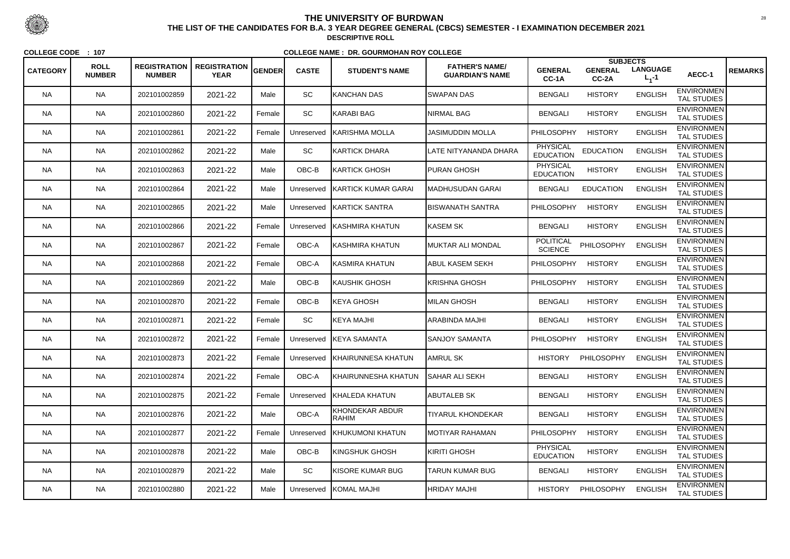|                 |                              |                                      |                                    |               |              |                            |                                                 |                                     | <b>SUBJECTS</b>         |                              |                                         |                |
|-----------------|------------------------------|--------------------------------------|------------------------------------|---------------|--------------|----------------------------|-------------------------------------------------|-------------------------------------|-------------------------|------------------------------|-----------------------------------------|----------------|
| <b>CATEGORY</b> | <b>ROLL</b><br><b>NUMBER</b> | <b>REGISTRATION</b><br><b>NUMBER</b> | <b>REGISTRATION</b><br><b>YEAR</b> | <b>GENDER</b> | <b>CASTE</b> | <b>STUDENT'S NAME</b>      | <b>FATHER'S NAME/</b><br><b>GUARDIAN'S NAME</b> | <b>GENERAL</b><br>CC-1A             | <b>GENERAL</b><br>CC-2A | <b>LANGUAGE</b><br>$L_1 - 1$ | AECC-1                                  | <b>REMARKS</b> |
| <b>NA</b>       | <b>NA</b>                    | 202101002859                         | 2021-22                            | Male          | <b>SC</b>    | KANCHAN DAS                | <b>SWAPAN DAS</b>                               | <b>BENGALI</b>                      | <b>HISTORY</b>          | <b>ENGLISH</b>               | <b>ENVIRONMEN</b><br><b>TAL STUDIES</b> |                |
| <b>NA</b>       | <b>NA</b>                    | 202101002860                         | 2021-22                            | Female        | SC           | KARABI BAG                 | <b>NIRMAL BAG</b>                               | <b>BENGALI</b>                      | <b>HISTORY</b>          | <b>ENGLISH</b>               | <b>ENVIRONMEN</b><br><b>TAL STUDIES</b> |                |
| NA.             | <b>NA</b>                    | 202101002861                         | 2021-22                            | Female        | Unreserved   | ∥KARISHMA MOLLA            | JASIMUDDIN MOLLA                                | PHILOSOPHY                          | <b>HISTORY</b>          | <b>ENGLISH</b>               | <b>ENVIRONMEN</b><br><b>TAL STUDIES</b> |                |
| <b>NA</b>       | <b>NA</b>                    | 202101002862                         | 2021-22                            | Male          | SC           | <b>IKARTICK DHARA</b>      | LATE NITYANANDA DHARA                           | <b>PHYSICAL</b><br><b>EDUCATION</b> | <b>EDUCATION</b>        | <b>ENGLISH</b>               | <b>ENVIRONMEN</b><br><b>TAL STUDIES</b> |                |
| <b>NA</b>       | <b>NA</b>                    | 202101002863                         | 2021-22                            | Male          | OBC-B        | KARTICK GHOSH              | <b>PURAN GHOSH</b>                              | <b>PHYSICAL</b><br><b>EDUCATION</b> | <b>HISTORY</b>          | <b>ENGLISH</b>               | <b>ENVIRONMEN</b><br><b>TAL STUDIES</b> |                |
| <b>NA</b>       | <b>NA</b>                    | 202101002864                         | 2021-22                            | Male          | Unreserved   | <b>KARTICK KUMAR GARAI</b> | MADHUSUDAN GARAI                                | <b>BENGALI</b>                      | <b>EDUCATION</b>        | <b>ENGLISH</b>               | <b>ENVIRONMEN</b><br><b>TAL STUDIES</b> |                |
| NA.             | <b>NA</b>                    | 202101002865                         | 2021-22                            | Male          | Unreserved   | <b>IKARTICK SANTRA</b>     | IBISWANATH SANTRA                               | <b>PHILOSOPHY</b>                   | <b>HISTORY</b>          | <b>ENGLISH</b>               | <b>ENVIRONMEN</b><br><b>TAL STUDIES</b> |                |
| <b>NA</b>       | <b>NA</b>                    | 202101002866                         | 2021-22                            | Female        | Unreserved   | <b>KASHMIRA KHATUN</b>     | KASEM SK                                        | <b>BENGALI</b>                      | <b>HISTORY</b>          | <b>ENGLISH</b>               | <b>ENVIRONMEN</b><br><b>TAL STUDIES</b> |                |
| <b>NA</b>       | <b>NA</b>                    | 202101002867                         | 2021-22                            | Female        | OBC-A        | KASHMIRA KHATUN            | MUKTAR ALI MONDAL                               | <b>POLITICAL</b><br><b>SCIENCE</b>  | PHILOSOPHY              | <b>ENGLISH</b>               | <b>ENVIRONMEN</b><br><b>TAL STUDIES</b> |                |
| NA.             | <b>NA</b>                    | 202101002868                         | 2021-22                            | Female        | OBC-A        | KASMIRA KHATUN             | ABUL KASEM SEKH                                 | <b>PHILOSOPHY</b>                   | <b>HISTORY</b>          | <b>ENGLISH</b>               | <b>ENVIRONMEN</b><br><b>TAL STUDIES</b> |                |
| <b>NA</b>       | <b>NA</b>                    | 202101002869                         | 2021-22                            | Male          | OBC-B        | KAUSHIK GHOSH              | KRISHNA GHOSH                                   | <b>PHILOSOPHY</b>                   | <b>HISTORY</b>          | <b>ENGLISH</b>               | <b>ENVIRONMEN</b><br><b>TAL STUDIES</b> |                |
| <b>NA</b>       | <b>NA</b>                    | 202101002870                         | 2021-22                            | Female        | OBC-B        | <b>IKEYA GHOSH</b>         | <b>MILAN GHOSH</b>                              | <b>BENGALI</b>                      | <b>HISTORY</b>          | <b>ENGLISH</b>               | <b>ENVIRONMEN</b><br><b>TAL STUDIES</b> |                |
| <b>NA</b>       | <b>NA</b>                    | 202101002871                         | 2021-22                            | Female        | SC           | KEYA MAJHI                 | ARABINDA MAJHI                                  | <b>BENGALI</b>                      | <b>HISTORY</b>          | <b>ENGLISH</b>               | <b>ENVIRONMEN</b><br><b>TAL STUDIES</b> |                |
| <b>NA</b>       | <b>NA</b>                    | 202101002872                         | 2021-22                            | Female        | Unreserved   | <b>IKEYA SAMANTA</b>       | SANJOY SAMANTA                                  | PHILOSOPHY                          | <b>HISTORY</b>          | <b>ENGLISH</b>               | <b>ENVIRONMEN</b><br>TAL STUDIES        |                |
| <b>NA</b>       | <b>NA</b>                    | 202101002873                         | 2021-22                            | Female        | Unreserved   | <b>KHAIRUNNESA KHATUN</b>  | AMRUL SK                                        | <b>HISTORY</b>                      | PHILOSOPHY              | <b>ENGLISH</b>               | <b>ENVIRONMEN</b><br><b>TAL STUDIES</b> |                |
| <b>NA</b>       | <b>NA</b>                    | 202101002874                         | 2021-22                            | Female        | OBC-A        | KHAIRUNNESHA KHATUN        | <b>ISAHAR ALI SEKH</b>                          | <b>BENGALI</b>                      | <b>HISTORY</b>          | <b>ENGLISH</b>               | <b>ENVIRONMEN</b><br><b>TAL STUDIES</b> |                |
| NA.             | <b>NA</b>                    | 202101002875                         | 2021-22                            | Female        | Unreserved   | <b>KHALEDA KHATUN</b>      | <b>ABUTALEB SK</b>                              | <b>BENGALI</b>                      | <b>HISTORY</b>          | <b>ENGLISH</b>               | <b>ENVIRONMEN</b><br><b>TAL STUDIES</b> |                |
| <b>NA</b>       | <b>NA</b>                    | 202101002876                         | 2021-22                            | Male          | OBC-A        | KHONDEKAR ABDUR<br> RAHIM  | <b>TIYARUL KHONDEKAR</b>                        | <b>BENGALI</b>                      | <b>HISTORY</b>          | <b>ENGLISH</b>               | <b>ENVIRONMEN</b><br>TAL STUDIES        |                |
| <b>NA</b>       | <b>NA</b>                    | 202101002877                         | 2021-22                            | Female        | Unreserved   | <b>KHUKUMONI KHATUN</b>    | MOTIYAR RAHAMAN                                 | <b>PHILOSOPHY</b>                   | <b>HISTORY</b>          | <b>ENGLISH</b>               | <b>ENVIRONMEN</b><br>TAL STUDIES        |                |
| <b>NA</b>       | <b>NA</b>                    | 202101002878                         | 2021-22                            | Male          | OBC-B        | KINGSHUK GHOSH             | KIRITI GHOSH                                    | <b>PHYSICAL</b><br><b>EDUCATION</b> | <b>HISTORY</b>          | <b>ENGLISH</b>               | <b>ENVIRONMEN</b><br><b>TAL STUDIES</b> |                |
| <b>NA</b>       | <b>NA</b>                    | 202101002879                         | 2021-22                            | Male          | SC           | KISORE KUMAR BUG           | TARUN KUMAR BUG                                 | <b>BENGALI</b>                      | <b>HISTORY</b>          | <b>ENGLISH</b>               | <b>ENVIRONMEN</b><br>TAL STUDIES        |                |
| <b>NA</b>       | <b>NA</b>                    | 202101002880                         | 2021-22                            | Male          | Unreserved   | KOMAL MAJHI                | <b>HRIDAY MAJHI</b>                             | <b>HISTORY</b>                      | PHILOSOPHY              | <b>ENGLISH</b>               | <b>ENVIRONMEN</b><br>TAL STUDIES        |                |



 <sup>28</sup> **THE LIST OF THE CANDIDATES FOR B.A. 3 YEAR DEGREE GENERAL (CBCS) SEMESTER - I EXAMINATION DECEMBER 2021DESCRIPTIVE ROLL**

**COLLEGE CODE : <sup>107</sup>**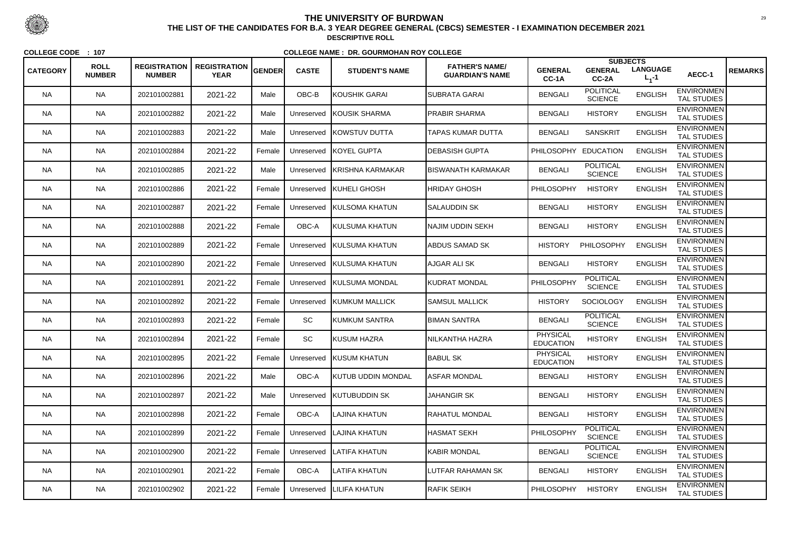| <b>CATEGORY</b> | <b>ROLL</b><br><b>NUMBER</b> | <b>REGISTRATION</b><br><b>NUMBER</b> | <b>REGISTRATION</b><br><b>YEAR</b> | <b>GENDER</b> | <b>CASTE</b> | <b>STUDENT'S NAME</b>      | <b>FATHER'S NAME/</b><br><b>GUARDIAN'S NAME</b> | <b>GENERAL</b><br>CC-1A             | <b>GENERAL</b><br>CC-2A            | <b>SUBJECTS</b><br><b>LANGUAGE</b><br>$L_1 - 1$ | AECC-1                                  | <b>REMARKS</b> |
|-----------------|------------------------------|--------------------------------------|------------------------------------|---------------|--------------|----------------------------|-------------------------------------------------|-------------------------------------|------------------------------------|-------------------------------------------------|-----------------------------------------|----------------|
| <b>NA</b>       | <b>NA</b>                    | 202101002881                         | 2021-22                            | Male          | OBC-B        | KOUSHIK GARAI              | SUBRATA GARAI                                   | <b>BENGALI</b>                      | <b>POLITICAL</b><br><b>SCIENCE</b> | <b>ENGLISH</b>                                  | <b>ENVIRONMEN</b><br><b>TAL STUDIES</b> |                |
| <b>NA</b>       | <b>NA</b>                    | 202101002882                         | 2021-22                            | Male          | Unreserved   | <b>KOUSIK SHARMA</b>       | <b>PRABIR SHARMA</b>                            | <b>BENGALI</b>                      | <b>HISTORY</b>                     | <b>ENGLISH</b>                                  | <b>ENVIRONMEN</b><br><b>TAL STUDIES</b> |                |
| NA.             | <b>NA</b>                    | 202101002883                         | 2021-22                            | Male          | Unreserved   | <b>IKOWSTUV DUTTA</b>      | TAPAS KUMAR DUTTA                               | <b>BENGALI</b>                      | <b>SANSKRIT</b>                    | <b>ENGLISH</b>                                  | <b>ENVIRONMEN</b><br><b>TAL STUDIES</b> |                |
| <b>NA</b>       | <b>NA</b>                    | 202101002884                         | 2021-22                            | Female        | Unreserved   | <b>IKOYEL GUPTA</b>        | <b>IDEBASISH GUPTA</b>                          | PHILOSOPHY EDUCATION                |                                    | <b>ENGLISH</b>                                  | <b>ENVIRONMEN</b><br><b>TAL STUDIES</b> |                |
| <b>NA</b>       | <b>NA</b>                    | 202101002885                         | 2021-22                            | Male          | Unreserved   | <b>KRISHNA KARMAKAR</b>    | <b>BISWANATH KARMAKAR</b>                       | <b>BENGALI</b>                      | <b>POLITICAL</b><br><b>SCIENCE</b> | <b>ENGLISH</b>                                  | <b>ENVIRONMEN</b><br><b>TAL STUDIES</b> |                |
| NA.             | <b>NA</b>                    | 202101002886                         | 2021-22                            | Female        | Unreserved   | <b>KUHELI GHOSH</b>        | HRIDAY GHOSH                                    | <b>PHILOSOPHY</b>                   | <b>HISTORY</b>                     | <b>ENGLISH</b>                                  | <b>ENVIRONMEN</b><br><b>TAL STUDIES</b> |                |
| NA.             | <b>NA</b>                    | 202101002887                         | 2021-22                            | Female        | Unreserved   | <b>IKULSOMA KHATUN</b>     | <b>I</b> SALAUDDIN SK                           | <b>BENGALI</b>                      | <b>HISTORY</b>                     | <b>ENGLISH</b>                                  | <b>ENVIRONMEN</b><br><b>TAL STUDIES</b> |                |
| <b>NA</b>       | <b>NA</b>                    | 202101002888                         | 2021-22                            | Female        | OBC-A        | KULSUMA KHATUN             | NAJIM UDDIN SEKH                                | <b>BENGALI</b>                      | <b>HISTORY</b>                     | <b>ENGLISH</b>                                  | <b>ENVIRONMEN</b><br><b>TAL STUDIES</b> |                |
| <b>NA</b>       | <b>NA</b>                    | 202101002889                         | 2021-22                            | Female        | Unreserved   | <b>KULSUMA KHATUN</b>      | <b>ABDUS SAMAD SK</b>                           | <b>HISTORY</b>                      | PHILOSOPHY                         | <b>ENGLISH</b>                                  | <b>ENVIRONMEN</b><br><b>TAL STUDIES</b> |                |
| NA.             | <b>NA</b>                    | 202101002890                         | 2021-22                            | Female        | Unreserved   | <b>KULSUMA KHATUN</b>      | AJGAR ALI SK                                    | <b>BENGALI</b>                      | <b>HISTORY</b>                     | <b>ENGLISH</b>                                  | <b>ENVIRONMEN</b><br><b>TAL STUDIES</b> |                |
| <b>NA</b>       | <b>NA</b>                    | 202101002891                         | 2021-22                            | Female        | Unreserved   | <b>KULSUMA MONDAL</b>      | KUDRAT MONDAL                                   | PHILOSOPHY                          | <b>POLITICAL</b><br><b>SCIENCE</b> | <b>ENGLISH</b>                                  | <b>ENVIRONMEN</b><br><b>TAL STUDIES</b> |                |
| <b>NA</b>       | <b>NA</b>                    | 202101002892                         | 2021-22                            | Female        | Unreserved   | <b>KUMKUM MALLICK</b>      | <b>SAMSUL MALLICK</b>                           | <b>HISTORY</b>                      | <b>SOCIOLOGY</b>                   | <b>ENGLISH</b>                                  | <b>ENVIRONMEN</b><br><b>TAL STUDIES</b> |                |
| <b>NA</b>       | <b>NA</b>                    | 202101002893                         | 2021-22                            | Female        | SC           | KUMKUM SANTRA              | <b>IBIMAN SANTRA</b>                            | <b>BENGALI</b>                      | <b>POLITICAL</b><br><b>SCIENCE</b> | <b>ENGLISH</b>                                  | <b>ENVIRONMEN</b><br><b>TAL STUDIES</b> |                |
| <b>NA</b>       | <b>NA</b>                    | 202101002894                         | 2021-22                            | Female        | SC           | KUSUM HAZRA                | NILKANTHA HAZRA                                 | <b>PHYSICAL</b><br><b>EDUCATION</b> | <b>HISTORY</b>                     | <b>ENGLISH</b>                                  | <b>ENVIRONMEN</b><br>TAL STUDIES        |                |
| <b>NA</b>       | <b>NA</b>                    | 202101002895                         | 2021-22                            | Female        | Unreserved   | <b>KUSUM KHATUN</b>        | <b>BABUL SK</b>                                 | <b>PHYSICAL</b><br><b>EDUCATION</b> | <b>HISTORY</b>                     | <b>ENGLISH</b>                                  | <b>ENVIRONMEN</b><br><b>TAL STUDIES</b> |                |
| <b>NA</b>       | <b>NA</b>                    | 202101002896                         | 2021-22                            | Male          | OBC-A        | IKUTUB UDDIN MONDAL        | <b>ASFAR MONDAL</b>                             | <b>BENGALI</b>                      | <b>HISTORY</b>                     | <b>ENGLISH</b>                                  | <b>ENVIRONMEN</b><br><b>TAL STUDIES</b> |                |
| NA.             | <b>NA</b>                    | 202101002897                         | 2021-22                            | Male          | Unreserved   | <b>KUTUBUDDIN SK</b>       | <b>JAHANGIR SK</b>                              | <b>BENGALI</b>                      | <b>HISTORY</b>                     | <b>ENGLISH</b>                                  | <b>ENVIRONMEN</b><br><b>TAL STUDIES</b> |                |
| <b>NA</b>       | <b>NA</b>                    | 202101002898                         | 2021-22                            | Female        | OBC-A        | <b>LAJINA KHATUN</b>       | RAHATUL MONDAL                                  | <b>BENGALI</b>                      | <b>HISTORY</b>                     | <b>ENGLISH</b>                                  | <b>ENVIRONMEN</b><br><b>TAL STUDIES</b> |                |
| <b>NA</b>       | <b>NA</b>                    | 202101002899                         | 2021-22                            | Female        | Unreserved   | LAJINA KHATUN              | <b>HASMAT SEKH</b>                              | PHILOSOPHY                          | <b>POLITICAL</b><br><b>SCIENCE</b> | <b>ENGLISH</b>                                  | <b>ENVIRONMEN</b><br>TAL STUDIES        |                |
| <b>NA</b>       | <b>NA</b>                    | 202101002900                         | 2021-22                            | Female        |              | Unreserved   LATIFA KHATUN | <b>KABIR MONDAL</b>                             | <b>BENGALI</b>                      | <b>POLITICAL</b><br><b>SCIENCE</b> | <b>ENGLISH</b>                                  | <b>ENVIRONMEN</b><br><b>TAL STUDIES</b> |                |
| <b>NA</b>       | <b>NA</b>                    | 202101002901                         | 2021-22                            | Female        | OBC-A        | <b>LATIFA KHATUN</b>       | <b>LUTFAR RAHAMAN SK</b>                        | <b>BENGALI</b>                      | <b>HISTORY</b>                     | <b>ENGLISH</b>                                  | <b>ENVIRONMEN</b><br>TAL STUDIES        |                |
| <b>NA</b>       | <b>NA</b>                    | 202101002902                         | 2021-22                            | Female        | Unreserved   | LILIFA KHATUN              | <b>RAFIK SEIKH</b>                              | <b>PHILOSOPHY</b>                   | <b>HISTORY</b>                     | <b>ENGLISH</b>                                  | <b>ENVIRONMEN</b><br>TAL STUDIES        |                |



 <sup>29</sup> **THE LIST OF THE CANDIDATES FOR B.A. 3 YEAR DEGREE GENERAL (CBCS) SEMESTER - I EXAMINATION DECEMBER 2021DESCRIPTIVE ROLL**

**COLLEGE CODE : <sup>107</sup>**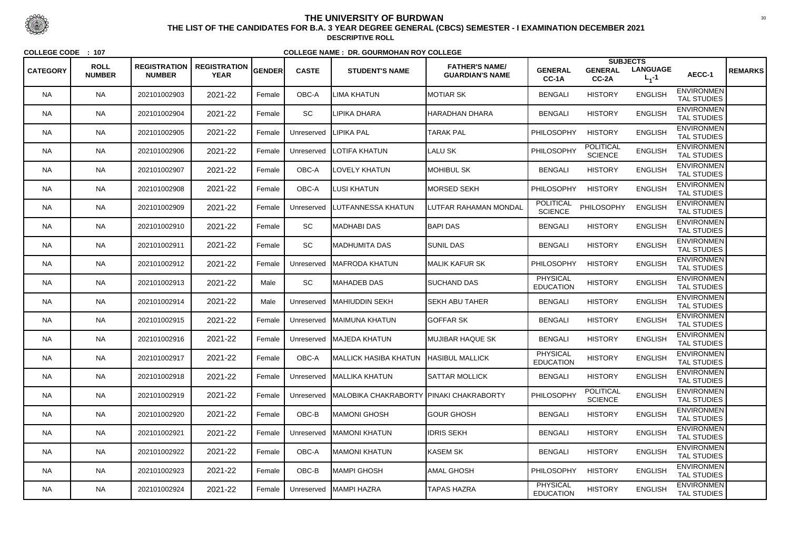|                 |                              |                                      |                                    |        |              |                                         |                                                 |                                     |                                    | <b>SUBJECTS</b>              |                                         |                |
|-----------------|------------------------------|--------------------------------------|------------------------------------|--------|--------------|-----------------------------------------|-------------------------------------------------|-------------------------------------|------------------------------------|------------------------------|-----------------------------------------|----------------|
| <b>CATEGORY</b> | <b>ROLL</b><br><b>NUMBER</b> | <b>REGISTRATION</b><br><b>NUMBER</b> | <b>REGISTRATION</b><br><b>YEAR</b> | GENDER | <b>CASTE</b> | <b>STUDENT'S NAME</b>                   | <b>FATHER'S NAME/</b><br><b>GUARDIAN'S NAME</b> | <b>GENERAL</b><br>CC-1A             | <b>GENERAL</b><br>CC-2A            | <b>LANGUAGE</b><br>$L_1 - 1$ | AECC-1                                  | <b>REMARKS</b> |
| <b>NA</b>       | <b>NA</b>                    | 202101002903                         | 2021-22                            | Female | OBC-A        | LIMA KHATUN                             | IMOTIAR SK                                      | <b>BENGALI</b>                      | <b>HISTORY</b>                     | <b>ENGLISH</b>               | <b>ENVIRONMEN</b><br><b>TAL STUDIES</b> |                |
| <b>NA</b>       | <b>NA</b>                    | 202101002904                         | 2021-22                            | Female | SC           | LIPIKA DHARA                            | HARADHAN DHARA                                  | <b>BENGALI</b>                      | <b>HISTORY</b>                     | <b>ENGLISH</b>               | <b>ENVIRONMEN</b><br><b>TAL STUDIES</b> |                |
| NA.             | <b>NA</b>                    | 202101002905                         | 2021-22                            | Female | Unreserved   | <b>LIPIKA PAL</b>                       | <b>TARAK PAL</b>                                | <b>PHILOSOPHY</b>                   | <b>HISTORY</b>                     | <b>ENGLISH</b>               | <b>ENVIRONMEN</b><br><b>TAL STUDIES</b> |                |
| <b>NA</b>       | <b>NA</b>                    | 202101002906                         | 2021-22                            | Female | Unreserved   | <b>LOTIFA KHATUN</b>                    | <b>LALU SK</b>                                  | PHILOSOPHY                          | <b>POLITICAL</b><br><b>SCIENCE</b> | <b>ENGLISH</b>               | <b>ENVIRONMEN</b><br><b>TAL STUDIES</b> |                |
| <b>NA</b>       | <b>NA</b>                    | 202101002907                         | 2021-22                            | Female | OBC-A        | <b>LOVELY KHATUN</b>                    | <b>MOHIBUL SK</b>                               | <b>BENGALI</b>                      | <b>HISTORY</b>                     | <b>ENGLISH</b>               | <b>ENVIRONMEN</b><br><b>TAL STUDIES</b> |                |
| NA.             | <b>NA</b>                    | 202101002908                         | 2021-22                            | Female | OBC-A        | <b>LUSI KHATUN</b>                      | MORSED SEKH                                     | <b>PHILOSOPHY</b>                   | <b>HISTORY</b>                     | <b>ENGLISH</b>               | <b>ENVIRONMEN</b><br><b>TAL STUDIES</b> |                |
| NA.             | <b>NA</b>                    | 202101002909                         | 2021-22                            | Female | Unreserved   | <b>LUTFANNESSA KHATUN</b>               | LUTFAR RAHAMAN MONDAL                           | <b>POLITICAL</b><br><b>SCIENCE</b>  | PHILOSOPHY                         | <b>ENGLISH</b>               | <b>ENVIRONMEN</b><br><b>TAL STUDIES</b> |                |
| <b>NA</b>       | <b>NA</b>                    | 202101002910                         | 2021-22                            | Female | <b>SC</b>    | <b>I</b> MADHABI DAS                    | <b>BAPI DAS</b>                                 | <b>BENGALI</b>                      | <b>HISTORY</b>                     | <b>ENGLISH</b>               | <b>ENVIRONMEN</b><br><b>TAL STUDIES</b> |                |
| <b>NA</b>       | <b>NA</b>                    | 202101002911                         | 2021-22                            | Female | SC           | MADHUMITA DAS                           | <b>SUNIL DAS</b>                                | <b>BENGALI</b>                      | <b>HISTORY</b>                     | <b>ENGLISH</b>               | <b>ENVIRONMEN</b><br><b>TAL STUDIES</b> |                |
| NA.             | <b>NA</b>                    | 202101002912                         | 2021-22                            | Female | Unreserved   | <b>IMAFRODA KHATUN</b>                  | <b>MALIK KAFUR SK</b>                           | PHILOSOPHY                          | <b>HISTORY</b>                     | <b>ENGLISH</b>               | <b>ENVIRONMEN</b><br><b>TAL STUDIES</b> |                |
| <b>NA</b>       | <b>NA</b>                    | 202101002913                         | 2021-22                            | Male   | SC           | MAHADEB DAS                             | <b>SUCHAND DAS</b>                              | <b>PHYSICAL</b><br><b>EDUCATION</b> | <b>HISTORY</b>                     | <b>ENGLISH</b>               | <b>ENVIRONMEN</b><br><b>TAL STUDIES</b> |                |
| <b>NA</b>       | <b>NA</b>                    | 202101002914                         | 2021-22                            | Male   | Unreserved   | <b>IMAHIUDDIN SEKH</b>                  | <b>SEKH ABU TAHER</b>                           | <b>BENGALI</b>                      | <b>HISTORY</b>                     | <b>ENGLISH</b>               | <b>ENVIRONMEN</b><br><b>TAL STUDIES</b> |                |
| <b>NA</b>       | <b>NA</b>                    | 202101002915                         | 2021-22                            | Female | Unreserved   | <b>IMAIMUNA KHATUN</b>                  | <b>GOFFAR SK</b>                                | <b>BENGALI</b>                      | <b>HISTORY</b>                     | <b>ENGLISH</b>               | <b>ENVIRONMEN</b><br><b>TAL STUDIES</b> |                |
| <b>NA</b>       | <b>NA</b>                    | 202101002916                         | 2021-22                            | Female | Unreserved   | <b>MAJEDA KHATUN</b>                    | <b>MUJIBAR HAQUE SK</b>                         | <b>BENGALI</b>                      | <b>HISTORY</b>                     | <b>ENGLISH</b>               | <b>ENVIRONMEN</b><br>TAL STUDIES        |                |
| <b>NA</b>       | <b>NA</b>                    | 202101002917                         | 2021-22                            | Female | OBC-A        | MALLICK HASIBA KHATUN HASIBUL MALLICK   |                                                 | <b>PHYSICAL</b><br><b>EDUCATION</b> | <b>HISTORY</b>                     | <b>ENGLISH</b>               | <b>ENVIRONMEN</b><br><b>TAL STUDIES</b> |                |
| <b>NA</b>       | <b>NA</b>                    | 202101002918                         | 2021-22                            | Female |              | Unreserved MALLIKA KHATUN               | <b>SATTAR MOLLICK</b>                           | <b>BENGALI</b>                      | <b>HISTORY</b>                     | <b>ENGLISH</b>               | <b>ENVIRONMEN</b><br><b>TAL STUDIES</b> |                |
| NA.             | <b>NA</b>                    | 202101002919                         | 2021-22                            | Female | Unreserved   | MALOBIKA CHAKRABORTY PINAKI CHAKRABORTY |                                                 | PHILOSOPHY                          | <b>POLITICAL</b><br><b>SCIENCE</b> | <b>ENGLISH</b>               | <b>ENVIRONMEN</b><br><b>TAL STUDIES</b> |                |
| <b>NA</b>       | <b>NA</b>                    | 202101002920                         | 2021-22                            | Female | OBC-B        | MAMONI GHOSH                            | <b>GOUR GHOSH</b>                               | <b>BENGALI</b>                      | <b>HISTORY</b>                     | <b>ENGLISH</b>               | <b>ENVIRONMEN</b><br><b>TAL STUDIES</b> |                |
| <b>NA</b>       | <b>NA</b>                    | 202101002921                         | 2021-22                            | Female | Unreserved   | <b>MAMONI KHATUN</b>                    | <b>IDRIS SEKH</b>                               | <b>BENGALI</b>                      | <b>HISTORY</b>                     | <b>ENGLISH</b>               | <b>ENVIRONMEN</b><br>TAL STUDIES        |                |
| <b>NA</b>       | <b>NA</b>                    | 202101002922                         | 2021-22                            | Female | OBC-A        | MAMONI KHATUN                           | KASEM SK                                        | <b>BENGALI</b>                      | <b>HISTORY</b>                     | <b>ENGLISH</b>               | <b>ENVIRONMEN</b><br><b>TAL STUDIES</b> |                |
| <b>NA</b>       | <b>NA</b>                    | 202101002923                         | 2021-22                            | Female | OBC-B        | IMAMPI GHOSH                            | AMAL GHOSH                                      | <b>PHILOSOPHY</b>                   | <b>HISTORY</b>                     | <b>ENGLISH</b>               | <b>ENVIRONMEN</b><br>TAL STUDIES        |                |
| <b>NA</b>       | <b>NA</b>                    | 202101002924                         | 2021-22                            | Female | Unreserved   | MAMPI HAZRA                             | <b>TAPAS HAZRA</b>                              | <b>PHYSICAL</b><br><b>EDUCATION</b> | <b>HISTORY</b>                     | <b>ENGLISH</b>               | <b>ENVIRONMEN</b><br>TAL STUDIES        |                |



 <sup>30</sup> **THE LIST OF THE CANDIDATES FOR B.A. 3 YEAR DEGREE GENERAL (CBCS) SEMESTER - I EXAMINATION DECEMBER 2021DESCRIPTIVE ROLL**

**COLLEGE CODE : <sup>107</sup>**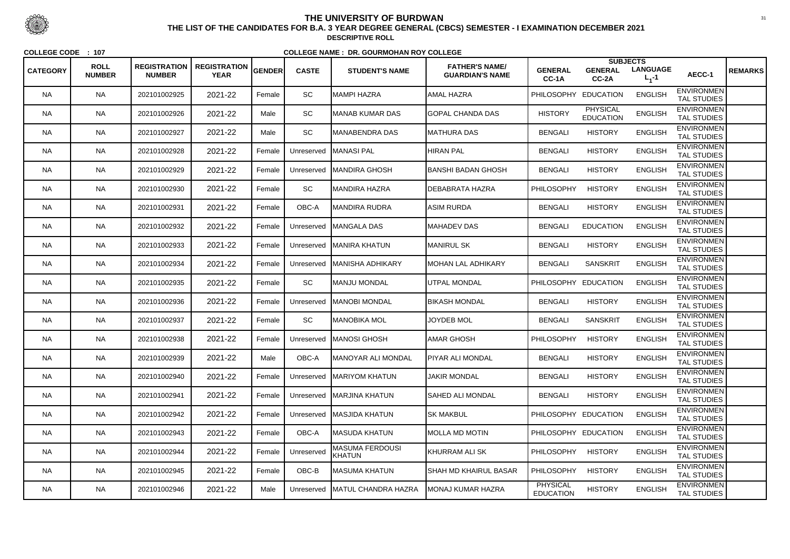|                 |                              |                                      |                                    |               |              |                                         |                                                 |                                     |                                     | <b>SUBJECTS</b>              |                                         |                |
|-----------------|------------------------------|--------------------------------------|------------------------------------|---------------|--------------|-----------------------------------------|-------------------------------------------------|-------------------------------------|-------------------------------------|------------------------------|-----------------------------------------|----------------|
| <b>CATEGORY</b> | <b>ROLL</b><br><b>NUMBER</b> | <b>REGISTRATION</b><br><b>NUMBER</b> | <b>REGISTRATION</b><br><b>YEAR</b> | <b>GENDER</b> | <b>CASTE</b> | <b>STUDENT'S NAME</b>                   | <b>FATHER'S NAME/</b><br><b>GUARDIAN'S NAME</b> | <b>GENERAL</b><br>CC-1A             | <b>GENERAL</b><br>CC-2A             | <b>LANGUAGE</b><br>$L_1 - 1$ | AECC-1                                  | <b>REMARKS</b> |
| <b>NA</b>       | <b>NA</b>                    | 202101002925                         | 2021-22                            | Female        | <b>SC</b>    | MAMPI HAZRA                             | AMAL HAZRA                                      | <b>PHILOSOPHY</b>                   | <b>EDUCATION</b>                    | <b>ENGLISH</b>               | <b>ENVIRONMEN</b><br><b>TAL STUDIES</b> |                |
| <b>NA</b>       | <b>NA</b>                    | 202101002926                         | 2021-22                            | Male          | SC           | MANAB KUMAR DAS                         | <b>GOPAL CHANDA DAS</b>                         | <b>HISTORY</b>                      | <b>PHYSICAL</b><br><b>EDUCATION</b> | <b>ENGLISH</b>               | <b>ENVIRONMEN</b><br><b>TAL STUDIES</b> |                |
| NA.             | <b>NA</b>                    | 202101002927                         | 2021-22                            | Male          | SC           | MANABENDRA DAS                          | MATHURA DAS                                     | <b>BENGALI</b>                      | <b>HISTORY</b>                      | <b>ENGLISH</b>               | <b>ENVIRONMEN</b><br><b>TAL STUDIES</b> |                |
| <b>NA</b>       | <b>NA</b>                    | 202101002928                         | 2021-22                            | Female        | Unreserved   | <b>IMANASI PAL</b>                      | <b>HIRAN PAL</b>                                | <b>BENGALI</b>                      | <b>HISTORY</b>                      | <b>ENGLISH</b>               | <b>ENVIRONMEN</b><br><b>TAL STUDIES</b> |                |
| <b>NA</b>       | <b>NA</b>                    | 202101002929                         | 2021-22                            | Female        | Unreserved   | <b>IMANDIRA GHOSH</b>                   | <b>BANSHI BADAN GHOSH</b>                       | <b>BENGALI</b>                      | <b>HISTORY</b>                      | <b>ENGLISH</b>               | <b>ENVIRONMEN</b><br><b>TAL STUDIES</b> |                |
| <b>NA</b>       | <b>NA</b>                    | 202101002930                         | 2021-22                            | Female        | SC           | MANDIRA HAZRA                           | <b>DEBABRATA HAZRA</b>                          | <b>PHILOSOPHY</b>                   | <b>HISTORY</b>                      | <b>ENGLISH</b>               | <b>ENVIRONMEN</b><br><b>TAL STUDIES</b> |                |
| NA.             | <b>NA</b>                    | 202101002931                         | 2021-22                            | Female        | OBC-A        | MANDIRA RUDRA                           | ASIM RURDA                                      | <b>BENGALI</b>                      | <b>HISTORY</b>                      | <b>ENGLISH</b>               | <b>ENVIRONMEN</b><br><b>TAL STUDIES</b> |                |
| <b>NA</b>       | <b>NA</b>                    | 202101002932                         | 2021-22                            | Female        | Unreserved   | <b>IMANGALA DAS</b>                     | <b>MAHADEV DAS</b>                              | <b>BENGALI</b>                      | <b>EDUCATION</b>                    | <b>ENGLISH</b>               | <b>ENVIRONMEN</b><br><b>TAL STUDIES</b> |                |
| <b>NA</b>       | <b>NA</b>                    | 202101002933                         | 2021-22                            | Female        | Unreserved   | <b>IMANIRA KHATUN</b>                   | <b>MANIRUL SK</b>                               | <b>BENGALI</b>                      | <b>HISTORY</b>                      | <b>ENGLISH</b>               | <b>ENVIRONMEN</b><br><b>TAL STUDIES</b> |                |
| NA.             | <b>NA</b>                    | 202101002934                         | 2021-22                            | Female        | Unreserved   | <b>MANISHA ADHIKARY</b>                 | <b>MOHAN LAL ADHIKARY</b>                       | <b>BENGALI</b>                      | <b>SANSKRIT</b>                     | <b>ENGLISH</b>               | <b>ENVIRONMEN</b><br>TAL STUDIES        |                |
| <b>NA</b>       | <b>NA</b>                    | 202101002935                         | 2021-22                            | Female        | <b>SC</b>    | MANJU MONDAL                            | <b>UTPAL MONDAL</b>                             | PHILOSOPHY EDUCATION                |                                     | <b>ENGLISH</b>               | <b>ENVIRONMEN</b><br><b>TAL STUDIES</b> |                |
| <b>NA</b>       | <b>NA</b>                    | 202101002936                         | 2021-22                            | Female        | Unreserved   | <b>MANOBI MONDAL</b>                    | <b>BIKASH MONDAL</b>                            | <b>BENGALI</b>                      | <b>HISTORY</b>                      | <b>ENGLISH</b>               | <b>ENVIRONMEN</b><br><b>TAL STUDIES</b> |                |
| <b>NA</b>       | <b>NA</b>                    | 202101002937                         | 2021-22                            | Female        | SC           | MANOBIKA MOL                            | JOYDEB MOL                                      | <b>BENGALI</b>                      | <b>SANSKRIT</b>                     | <b>ENGLISH</b>               | <b>ENVIRONMEN</b><br><b>TAL STUDIES</b> |                |
| <b>NA</b>       | <b>NA</b>                    | 202101002938                         | 2021-22                            | Female        | Unreserved   | <b>IMANOSI GHOSH</b>                    | <b>AMAR GHOSH</b>                               | <b>PHILOSOPHY</b>                   | <b>HISTORY</b>                      | <b>ENGLISH</b>               | <b>ENVIRONMEN</b><br><b>TAL STUDIES</b> |                |
| <b>NA</b>       | <b>NA</b>                    | 202101002939                         | 2021-22                            | Male          | OBC-A        | MANOYAR ALI MONDAL                      | <b>PIYAR ALI MONDAL</b>                         | <b>BENGALI</b>                      | <b>HISTORY</b>                      | <b>ENGLISH</b>               | <b>ENVIRONMEN</b><br><b>TAL STUDIES</b> |                |
| <b>NA</b>       | <b>NA</b>                    | 202101002940                         | 2021-22                            | Female        | Unreserved   | <b>MARIYOM KHATUN</b>                   | <b>JAKIR MONDAL</b>                             | <b>BENGALI</b>                      | <b>HISTORY</b>                      | <b>ENGLISH</b>               | <b>ENVIRONMEN</b><br><b>TAL STUDIES</b> |                |
| NA.             | <b>NA</b>                    | 202101002941                         | 2021-22                            | Female        | Unreserved   | MARJINA KHATUN                          | <b>SAHED ALI MONDAL</b>                         | <b>BENGALI</b>                      | <b>HISTORY</b>                      | <b>ENGLISH</b>               | <b>ENVIRONMEN</b><br><b>TAL STUDIES</b> |                |
| <b>NA</b>       | <b>NA</b>                    | 202101002942                         | 2021-22                            | Female        | Unreserved   | <b>MASJIDA KHATUN</b>                   | <b>SK MAKBUL</b>                                | PHILOSOPHY EDUCATION                |                                     | <b>ENGLISH</b>               | <b>ENVIRONMEN</b><br>TAL STUDIES        |                |
| <b>NA</b>       | <b>NA</b>                    | 202101002943                         | 2021-22                            | Female        | OBC-A        | MASUDA KHATUN                           | <b>MOLLA MD MOTIN</b>                           | PHILOSOPHY EDUCATION                |                                     | <b>ENGLISH</b>               | <b>ENVIRONMEN</b><br>TAL STUDIES        |                |
| <b>NA</b>       | <b>NA</b>                    | 202101002944                         | 2021-22                            | Female        | Unreserved   | <b>MASUMA FERDOUSI</b><br><b>KHATUN</b> | KHURRAM ALI SK                                  | <b>PHILOSOPHY</b>                   | <b>HISTORY</b>                      | <b>ENGLISH</b>               | <b>ENVIRONMEN</b><br><b>TAL STUDIES</b> |                |
| <b>NA</b>       | <b>NA</b>                    | 202101002945                         | 2021-22                            | Female        | OBC-B        | MASUMA KHATUN                           | SHAH MD KHAIRUL BASAR                           | <b>PHILOSOPHY</b>                   | <b>HISTORY</b>                      | <b>ENGLISH</b>               | <b>ENVIRONMEN</b><br>TAL STUDIES        |                |
| <b>NA</b>       | <b>NA</b>                    | 202101002946                         | 2021-22                            | Male          | Unreserved   | <b>MATUL CHANDRA HAZRA</b>              | MONAJ KUMAR HAZRA                               | <b>PHYSICAL</b><br><b>EDUCATION</b> | <b>HISTORY</b>                      | <b>ENGLISH</b>               | <b>ENVIRONMEN</b><br>TAL STUDIES        |                |



 <sup>31</sup> **THE LIST OF THE CANDIDATES FOR B.A. 3 YEAR DEGREE GENERAL (CBCS) SEMESTER - I EXAMINATION DECEMBER 2021DESCRIPTIVE ROLL**

**COLLEGE CODE : <sup>107</sup>**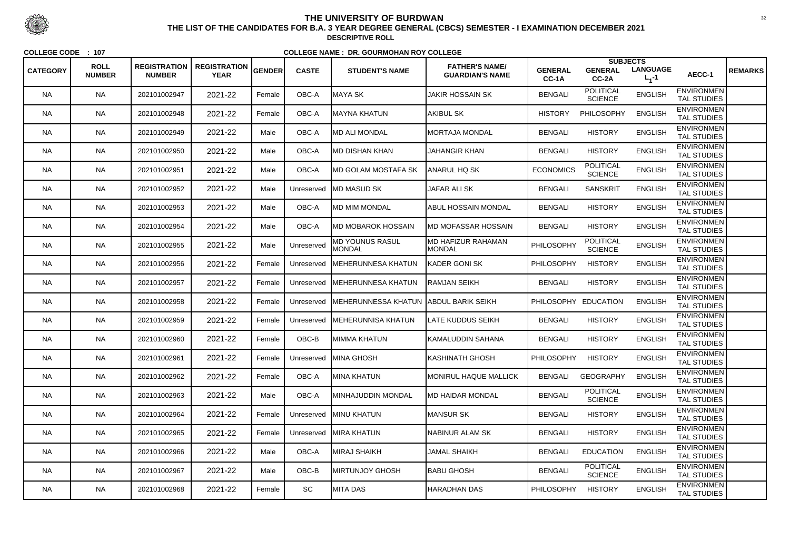|                 | <b>ROLL</b>   | <b>REGISTRATION</b> | <b>REGISTRATION</b> |        |              |                                         | <b>FATHER'S NAME/</b>                      |                         | <b>SUBJECTS</b>                    | <b>LANGUAGE</b> |                                         |                |
|-----------------|---------------|---------------------|---------------------|--------|--------------|-----------------------------------------|--------------------------------------------|-------------------------|------------------------------------|-----------------|-----------------------------------------|----------------|
| <b>CATEGORY</b> | <b>NUMBER</b> | <b>NUMBER</b>       | <b>YEAR</b>         | GENDER | <b>CASTE</b> | <b>STUDENT'S NAME</b>                   | <b>GUARDIAN'S NAME</b>                     | <b>GENERAL</b><br>CC-1A | <b>GENERAL</b><br>CC-2A            | $L_1 - 1$       | AECC-1                                  | <b>REMARKS</b> |
| <b>NA</b>       | <b>NA</b>     | 202101002947        | 2021-22             | Female | OBC-A        | ∣MAYA SK                                | <b>JAKIR HOSSAIN SK</b>                    | <b>BENGALI</b>          | <b>POLITICAL</b><br><b>SCIENCE</b> | <b>ENGLISH</b>  | <b>ENVIRONMEN</b><br><b>TAL STUDIES</b> |                |
| <b>NA</b>       | <b>NA</b>     | 202101002948        | 2021-22             | Female | OBC-A        | MAYNA KHATUN                            | <b>AKIBUL SK</b>                           | <b>HISTORY</b>          | PHILOSOPHY                         | <b>ENGLISH</b>  | <b>ENVIRONMEN</b><br><b>TAL STUDIES</b> |                |
| NA.             | <b>NA</b>     | 202101002949        | 2021-22             | Male   | OBC-A        | IMD ALI MONDAL                          | <b>MORTAJA MONDAL</b>                      | <b>BENGALI</b>          | <b>HISTORY</b>                     | <b>ENGLISH</b>  | <b>ENVIRONMEN</b><br><b>TAL STUDIES</b> |                |
| <b>NA</b>       | <b>NA</b>     | 202101002950        | 2021-22             | Male   | OBC-A        | IMD DISHAN KHAN                         | <b>JAHANGIR KHAN</b>                       | <b>BENGALI</b>          | <b>HISTORY</b>                     | <b>ENGLISH</b>  | <b>ENVIRONMEN</b><br><b>TAL STUDIES</b> |                |
| <b>NA</b>       | <b>NA</b>     | 202101002951        | 2021-22             | Male   | OBC-A        | <b>MD GOLAM MOSTAFA SK</b>              | <b>ANARUL HQ SK</b>                        | <b>ECONOMICS</b>        | <b>POLITICAL</b><br><b>SCIENCE</b> | <b>ENGLISH</b>  | <b>ENVIRONMEN</b><br><b>TAL STUDIES</b> |                |
| <b>NA</b>       | <b>NA</b>     | 202101002952        | 2021-22             | Male   | Unreserved   | <b>IMD MASUD SK</b>                     | <b>JAFAR ALI SK</b>                        | <b>BENGALI</b>          | <b>SANSKRIT</b>                    | <b>ENGLISH</b>  | <b>ENVIRONMEN</b><br><b>TAL STUDIES</b> |                |
| NA.             | <b>NA</b>     | 202101002953        | 2021-22             | Male   | OBC-A        | <b>MD MIM MONDAL</b>                    | <b>ABUL HOSSAIN MONDAL</b>                 | <b>BENGALI</b>          | <b>HISTORY</b>                     | <b>ENGLISH</b>  | <b>ENVIRONMEN</b><br><b>TAL STUDIES</b> |                |
| <b>NA</b>       | <b>NA</b>     | 202101002954        | 2021-22             | Male   | OBC-A        | IMD MOBAROK HOSSAIN                     | IMD MOFASSAR HOSSAIN                       | <b>BENGALI</b>          | <b>HISTORY</b>                     | <b>ENGLISH</b>  | <b>ENVIRONMEN</b><br><b>TAL STUDIES</b> |                |
| <b>NA</b>       | <b>NA</b>     | 202101002955        | 2021-22             | Male   | Unreserved   | <b>MD YOUNUS RASUL</b><br><b>MONDAL</b> | <b>MD HAFIZUR RAHAMAN</b><br><b>MONDAL</b> | PHILOSOPHY              | <b>POLITICAL</b><br><b>SCIENCE</b> | <b>ENGLISH</b>  | <b>ENVIRONMEN</b><br><b>TAL STUDIES</b> |                |
| NA.             | <b>NA</b>     | 202101002956        | 2021-22             | Female | Unreserved   | MEHERUNNESA KHATUN                      | KADER GONI SK                              | <b>PHILOSOPHY</b>       | <b>HISTORY</b>                     | <b>ENGLISH</b>  | <b>ENVIRONMEN</b><br><b>TAL STUDIES</b> |                |
| <b>NA</b>       | <b>NA</b>     | 202101002957        | 2021-22             | Female | Unreserved   | MEHERUNNESA KHATUN                      | <b>RAMJAN SEIKH</b>                        | <b>BENGALI</b>          | <b>HISTORY</b>                     | <b>ENGLISH</b>  | <b>ENVIRONMEN</b><br><b>TAL STUDIES</b> |                |
| <b>NA</b>       | <b>NA</b>     | 202101002958        | 2021-22             | Female | Unreserved   | MEHERUNNESSA KHATUN  ABDUL BARIK SEIKH  |                                            | <b>PHILOSOPHY</b>       | <b>EDUCATION</b>                   | <b>ENGLISH</b>  | <b>ENVIRONMEN</b><br><b>TAL STUDIES</b> |                |
| <b>NA</b>       | <b>NA</b>     | 202101002959        | 2021-22             | Female | Unreserved   | <b>MEHERUNNISA KHATUN</b>               | <b>LATE KUDDUS SEIKH</b>                   | <b>BENGALI</b>          | <b>HISTORY</b>                     | <b>ENGLISH</b>  | <b>ENVIRONMEN</b><br><b>TAL STUDIES</b> |                |
| NA.             | <b>NA</b>     | 202101002960        | 2021-22             | Female | OBC-B        | <b>MIMMA KHATUN</b>                     | İKAMALUDDIN SAHANA                         | <b>BENGALI</b>          | <b>HISTORY</b>                     | <b>ENGLISH</b>  | <b>ENVIRONMEN</b><br><b>TAL STUDIES</b> |                |
| <b>NA</b>       | <b>NA</b>     | 202101002961        | 2021-22             | Female |              | Unreserved   MINA GHOSH                 | KASHINATH GHOSH                            | <b>PHILOSOPHY</b>       | <b>HISTORY</b>                     | <b>ENGLISH</b>  | <b>ENVIRONMEN</b><br><b>TAL STUDIES</b> |                |
| <b>NA</b>       | <b>NA</b>     | 202101002962        | 2021-22             | Female | OBC-A        | MINA KHATUN                             | <b>MONIRUL HAQUE MALLICK</b>               | <b>BENGALI</b>          | <b>GEOGRAPHY</b>                   | <b>ENGLISH</b>  | <b>ENVIRONMEN</b><br><b>TAL STUDIES</b> |                |
| NA.             | <b>NA</b>     | 202101002963        | 2021-22             | Male   | OBC-A        | MINHAJUDDIN MONDAL                      | <b>IMD HAIDAR MONDAL</b>                   | <b>BENGALI</b>          | <b>POLITICAL</b><br><b>SCIENCE</b> | <b>ENGLISH</b>  | <b>ENVIRONMEN</b><br>TAL STUDIES        |                |
| <b>NA</b>       | <b>NA</b>     | 202101002964        | 2021-22             | Female | Unreserved   | <b>MINU KHATUN</b>                      | <b>MANSUR SK</b>                           | <b>BENGALI</b>          | <b>HISTORY</b>                     | <b>ENGLISH</b>  | <b>ENVIRONMEN</b><br><b>TAL STUDIES</b> |                |
| <b>NA</b>       | <b>NA</b>     | 202101002965        | 2021-22             | Female | Unreserved   | <b>MIRA KHATUN</b>                      | <b>NABINUR ALAM SK</b>                     | <b>BENGALI</b>          | <b>HISTORY</b>                     | <b>ENGLISH</b>  | <b>ENVIRONMEN</b><br>TAL STUDIES        |                |
| <b>NA</b>       | <b>NA</b>     | 202101002966        | 2021-22             | Male   | OBC-A        | MIRAJ SHAIKH                            | <b>JAMAL SHAIKH</b>                        | <b>BENGALI</b>          | <b>EDUCATION</b>                   | <b>ENGLISH</b>  | <b>ENVIRONMEN</b><br>TAL STUDIES        |                |
| NA.             | <b>NA</b>     | 202101002967        | 2021-22             | Male   | OBC-B        | <b>MIRTUNJOY GHOSH</b>                  | <b>BABU GHOSH</b>                          | <b>BENGALI</b>          | <b>POLITICAL</b><br><b>SCIENCE</b> | <b>ENGLISH</b>  | <b>ENVIRONMEN</b><br>TAL STUDIES        |                |
| NA              | <b>NA</b>     | 202101002968        | 2021-22             | Female | SC           | MITA DAS                                | <b>HARADHAN DAS</b>                        | <b>PHILOSOPHY</b>       | <b>HISTORY</b>                     | <b>ENGLISH</b>  | <b>ENVIRONMEN</b><br>TAL STUDIES        |                |



 <sup>32</sup> **THE LIST OF THE CANDIDATES FOR B.A. 3 YEAR DEGREE GENERAL (CBCS) SEMESTER - I EXAMINATION DECEMBER 2021DESCRIPTIVE ROLL**

**COLLEGE CODE : <sup>107</sup>**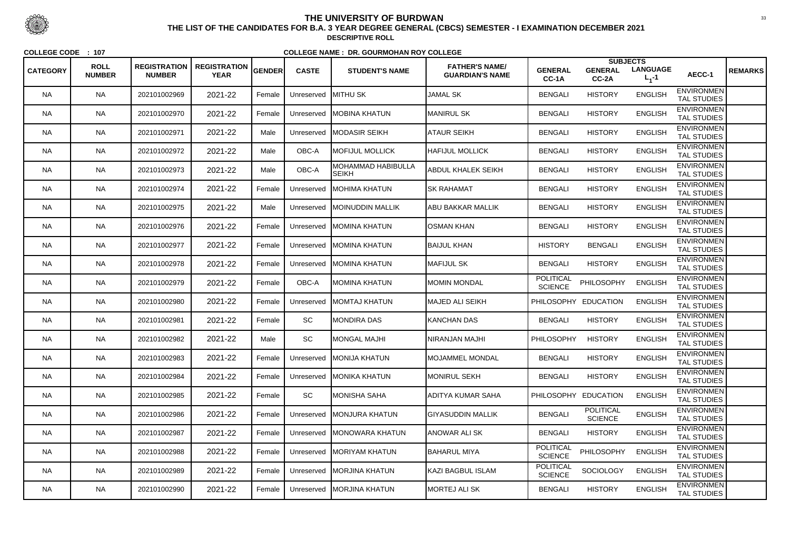|                 | <b>ROLL</b>   | <b>REGISTRATION</b> | <b>REGISTRATION</b> |        |              |                                           | <b>FATHER'S NAME/</b>    |                                    | <b>SUBJECTS</b>                    |                              |                                         |                |
|-----------------|---------------|---------------------|---------------------|--------|--------------|-------------------------------------------|--------------------------|------------------------------------|------------------------------------|------------------------------|-----------------------------------------|----------------|
| <b>CATEGORY</b> | <b>NUMBER</b> | <b>NUMBER</b>       | <b>YEAR</b>         | GENDER | <b>CASTE</b> | <b>STUDENT'S NAME</b>                     | <b>GUARDIAN'S NAME</b>   | <b>GENERAL</b><br>CC-1A            | <b>GENERAL</b><br>CC-2A            | <b>LANGUAGE</b><br>$L_1 - 1$ | AECC-1                                  | <b>REMARKS</b> |
| <b>NA</b>       | <b>NA</b>     | 202101002969        | 2021-22             | Female | Unreserved   | <b>IMITHU SK</b>                          | <b>JAMAL SK</b>          | <b>BENGALI</b>                     | <b>HISTORY</b>                     | <b>ENGLISH</b>               | <b>ENVIRONMEN</b><br><b>TAL STUDIES</b> |                |
| <b>NA</b>       | <b>NA</b>     | 202101002970        | 2021-22             | Female | Unreserved   | <b>IMOBINA KHATUN</b>                     | <b>MANIRUL SK</b>        | <b>BENGALI</b>                     | <b>HISTORY</b>                     | <b>ENGLISH</b>               | <b>ENVIRONMEN</b><br><b>TAL STUDIES</b> |                |
| NA.             | <b>NA</b>     | 202101002971        | 2021-22             | Male   | Unreserved   | <b>IMODASIR SEIKH</b>                     | ATAUR SEIKH              | <b>BENGALI</b>                     | <b>HISTORY</b>                     | <b>ENGLISH</b>               | <b>ENVIRONMEN</b><br><b>TAL STUDIES</b> |                |
| <b>NA</b>       | <b>NA</b>     | 202101002972        | 2021-22             | Male   | OBC-A        | <b>MOFIJUL MOLLICK</b>                    | <b>HAFIJUL MOLLICK</b>   | <b>BENGALI</b>                     | <b>HISTORY</b>                     | <b>ENGLISH</b>               | <b>ENVIRONMEN</b><br><b>TAL STUDIES</b> |                |
| <b>NA</b>       | <b>NA</b>     | 202101002973        | 2021-22             | Male   | OBC-A        | <b>MOHAMMAD HABIBULLA</b><br><b>SEIKH</b> | ABDUL KHALEK SEIKH       | <b>BENGALI</b>                     | <b>HISTORY</b>                     | <b>ENGLISH</b>               | <b>ENVIRONMEN</b><br><b>TAL STUDIES</b> |                |
| <b>NA</b>       | <b>NA</b>     | 202101002974        | 2021-22             | Female | Unreserved   | <b>IMOHIMA KHATUN</b>                     | <b>ISK RAHAMAT</b>       | <b>BENGALI</b>                     | <b>HISTORY</b>                     | <b>ENGLISH</b>               | <b>ENVIRONMEN</b><br><b>TAL STUDIES</b> |                |
| NA.             | <b>NA</b>     | 202101002975        | 2021-22             | Male   | Unreserved   | <b>MOINUDDIN MALLIK</b>                   | ABU BAKKAR MALLIK        | <b>BENGALI</b>                     | <b>HISTORY</b>                     | <b>ENGLISH</b>               | <b>ENVIRONMEN</b><br><b>TAL STUDIES</b> |                |
| <b>NA</b>       | <b>NA</b>     | 202101002976        | 2021-22             | Female | Unreserved   | <b>MOMINA KHATUN</b>                      | <b>OSMAN KHAN</b>        | <b>BENGALI</b>                     | <b>HISTORY</b>                     | <b>ENGLISH</b>               | <b>ENVIRONMEN</b><br>TAL STUDIES        |                |
| <b>NA</b>       | <b>NA</b>     | 202101002977        | 2021-22             | Female | Unreserved   | <b>IMOMINA KHATUN</b>                     | <b>BAIJUL KHAN</b>       | <b>HISTORY</b>                     | <b>BENGALI</b>                     | <b>ENGLISH</b>               | <b>ENVIRONMEN</b><br><b>TAL STUDIES</b> |                |
| NA.             | <b>NA</b>     | 202101002978        | 2021-22             | Female | Unreserved   | <b>IMOMINA KHATUN</b>                     | <b>MAFIJUL SK</b>        | <b>BENGALI</b>                     | <b>HISTORY</b>                     | <b>ENGLISH</b>               | <b>ENVIRONMEN</b><br><b>TAL STUDIES</b> |                |
| <b>NA</b>       | <b>NA</b>     | 202101002979        | 2021-22             | Female | OBC-A        | MOMINA KHATUN                             | <b>MOMIN MONDAL</b>      | <b>POLITICAL</b><br><b>SCIENCE</b> | PHILOSOPHY                         | <b>ENGLISH</b>               | <b>ENVIRONMEN</b><br><b>TAL STUDIES</b> |                |
| <b>NA</b>       | <b>NA</b>     | 202101002980        | 2021-22             | Female | Unreserved   | <b>IMOMTAJ KHATUN</b>                     | <b>MAJED ALI SEIKH</b>   |                                    | PHILOSOPHY EDUCATION               | <b>ENGLISH</b>               | <b>ENVIRONMEN</b><br><b>TAL STUDIES</b> |                |
| <b>NA</b>       | <b>NA</b>     | 202101002981        | 2021-22             | Female | SC           | MONDIRA DAS                               | <b>KANCHAN DAS</b>       | <b>BENGALI</b>                     | <b>HISTORY</b>                     | <b>ENGLISH</b>               | <b>ENVIRONMEN</b><br><b>TAL STUDIES</b> |                |
| NA.             | <b>NA</b>     | 202101002982        | 2021-22             | Male   | SC           | MONGAL MAJHI                              | <b>NIRANJAN MAJHI</b>    | <b>PHILOSOPHY</b>                  | <b>HISTORY</b>                     | <b>ENGLISH</b>               | <b>ENVIRONMEN</b><br><b>TAL STUDIES</b> |                |
| <b>NA</b>       | <b>NA</b>     | 202101002983        | 2021-22             | Female |              | Unreserved   MONIJA KHATUN                | MOJAMMEL MONDAL          | <b>BENGALI</b>                     | <b>HISTORY</b>                     | <b>ENGLISH</b>               | <b>ENVIRONMEN</b><br><b>TAL STUDIES</b> |                |
| <b>NA</b>       | <b>NA</b>     | 202101002984        | 2021-22             | Female |              | Unreserved   MONIKA KHATUN                | <b>MONIRUL SEKH</b>      | <b>BENGALI</b>                     | <b>HISTORY</b>                     | <b>ENGLISH</b>               | <b>ENVIRONMEN</b><br><b>TAL STUDIES</b> |                |
| NA.             | <b>NA</b>     | 202101002985        | 2021-22             | Female | SC           | MONISHA SAHA                              | ADITYA KUMAR SAHA        |                                    | PHILOSOPHY EDUCATION               | <b>ENGLISH</b>               | <b>ENVIRONMEN</b><br><b>TAL STUDIES</b> |                |
| <b>NA</b>       | <b>NA</b>     | 202101002986        | 2021-22             | Female | Unreserved   | <b>MONJURA KHATUN</b>                     | <b>GIYASUDDIN MALLIK</b> | <b>BENGALI</b>                     | <b>POLITICAL</b><br><b>SCIENCE</b> | <b>ENGLISH</b>               | <b>ENVIRONMEN</b><br><b>TAL STUDIES</b> |                |
| <b>NA</b>       | <b>NA</b>     | 202101002987        | 2021-22             | Female | Unreserved   | <b>IMONOWARA KHATUN</b>                   | <b>ANOWAR ALI SK</b>     | <b>BENGALI</b>                     | <b>HISTORY</b>                     | <b>ENGLISH</b>               | <b>ENVIRONMEN</b><br>TAL STUDIES        |                |
| <b>NA</b>       | <b>NA</b>     | 202101002988        | 2021-22             | Female |              | Unreserved MORIYAM KHATUN                 | <b>BAHARUL MIYA</b>      | POLITICAL<br><b>SCIENCE</b>        | PHILOSOPHY                         | <b>ENGLISH</b>               | <b>ENVIRONMEN</b><br>TAL STUDIES        |                |
| NA.             | <b>NA</b>     | 202101002989        | 2021-22             | Female | Unreserved   | <b>IMORJINA KHATUN</b>                    | KAZI BAGBUL ISLAM        | <b>POLITICAL</b><br><b>SCIENCE</b> | <b>SOCIOLOGY</b>                   | <b>ENGLISH</b>               | <b>ENVIRONMEN</b><br>TAL STUDIES        |                |
| NA              | <b>NA</b>     | 202101002990        | 2021-22             | Female | Unreserved   | <b>MORJINA KHATUN</b>                     | MORTEJ ALI SK            | <b>BENGALI</b>                     | <b>HISTORY</b>                     | <b>ENGLISH</b>               | <b>ENVIRONMEN</b><br>TAL STUDIES        |                |



 <sup>33</sup> **THE LIST OF THE CANDIDATES FOR B.A. 3 YEAR DEGREE GENERAL (CBCS) SEMESTER - I EXAMINATION DECEMBER 2021DESCRIPTIVE ROLL**

**COLLEGE CODE : <sup>107</sup>**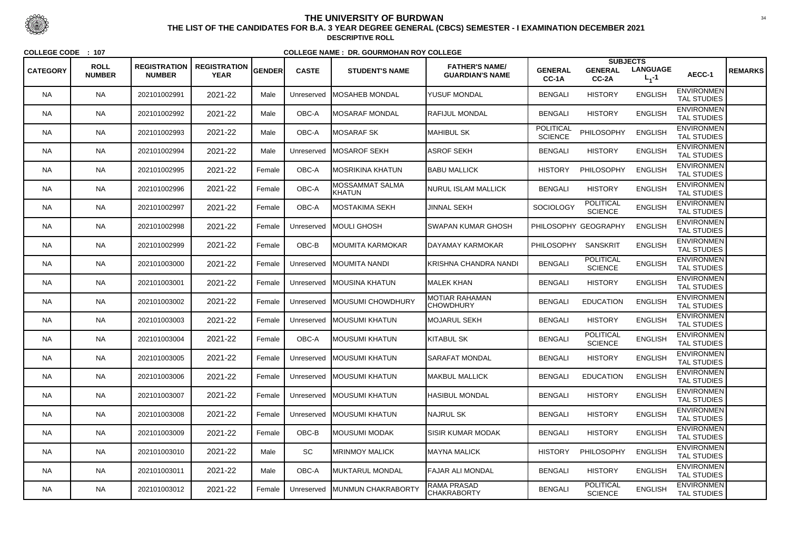|                 |                              |                                      |                                    |               |              |                                  |                                                 |                                    | <b>SUBJECTS</b>                    |                              |                                         |                |
|-----------------|------------------------------|--------------------------------------|------------------------------------|---------------|--------------|----------------------------------|-------------------------------------------------|------------------------------------|------------------------------------|------------------------------|-----------------------------------------|----------------|
| <b>CATEGORY</b> | <b>ROLL</b><br><b>NUMBER</b> | <b>REGISTRATION</b><br><b>NUMBER</b> | <b>REGISTRATION</b><br><b>YEAR</b> | <b>GENDER</b> | <b>CASTE</b> | <b>STUDENT'S NAME</b>            | <b>FATHER'S NAME/</b><br><b>GUARDIAN'S NAME</b> | <b>GENERAL</b><br>CC-1A            | <b>GENERAL</b><br>CC-2A            | <b>LANGUAGE</b><br>$L_1 - 1$ | AECC-1                                  | <b>REMARKS</b> |
| <b>NA</b>       | <b>NA</b>                    | 202101002991                         | 2021-22                            | Male          | Unreserved   | <b>MOSAHEB MONDAL</b>            | <b>YUSUF MONDAL</b>                             | <b>BENGALI</b>                     | <b>HISTORY</b>                     | <b>ENGLISH</b>               | <b>ENVIRONMEN</b><br><b>TAL STUDIES</b> |                |
| <b>NA</b>       | <b>NA</b>                    | 202101002992                         | 2021-22                            | Male          | OBC-A        | IMOSARAF MONDAL                  | <b>RAFIJUL MONDAL</b>                           | <b>BENGALI</b>                     | <b>HISTORY</b>                     | <b>ENGLISH</b>               | <b>ENVIRONMEN</b><br>TAL STUDIES        |                |
| <b>NA</b>       | <b>NA</b>                    | 202101002993                         | 2021-22                            | Male          | OBC-A        | MOSARAF SK                       | MAHIBUL SK                                      | <b>POLITICAL</b><br><b>SCIENCE</b> | PHILOSOPHY                         | <b>ENGLISH</b>               | <b>ENVIRONMEN</b><br><b>TAL STUDIES</b> |                |
| <b>NA</b>       | <b>NA</b>                    | 202101002994                         | 2021-22                            | Male          | Unreserved   | <b>MOSAROF SEKH</b>              | <b>ASROF SEKH</b>                               | <b>BENGALI</b>                     | <b>HISTORY</b>                     | <b>ENGLISH</b>               | <b>ENVIRONMEN</b><br><b>TAL STUDIES</b> |                |
| <b>NA</b>       | <b>NA</b>                    | 202101002995                         | 2021-22                            | Female        | OBC-A        | <b>IMOSRIKINA KHATUN</b>         | <b>BABU MALLICK</b>                             | <b>HISTORY</b>                     | PHILOSOPHY                         | <b>ENGLISH</b>               | <b>ENVIRONMEN</b><br><b>TAL STUDIES</b> |                |
| <b>NA</b>       | <b>NA</b>                    | 202101002996                         | 2021-22                            | Female        | OBC-A        | <b>MOSSAMMAT SALMA</b><br>KHATUN | <b>NURUL ISLAM MALLICK</b>                      | <b>BENGALI</b>                     | <b>HISTORY</b>                     | <b>ENGLISH</b>               | <b>ENVIRONMEN</b><br><b>TAL STUDIES</b> |                |
| <b>NA</b>       | <b>NA</b>                    | 202101002997                         | 2021-22                            | Female        | OBC-A        | <b>IMOSTAKIMA SEKH</b>           | <b>JINNAL SEKH</b>                              | <b>SOCIOLOGY</b>                   | <b>POLITICAL</b><br><b>SCIENCE</b> | <b>ENGLISH</b>               | <b>ENVIRONMEN</b><br><b>TAL STUDIES</b> |                |
| <b>NA</b>       | <b>NA</b>                    | 202101002998                         | 2021-22                            | Female        | Unreserved   | <b>IMOULI GHOSH</b>              | <b>SWAPAN KUMAR GHOSH</b>                       |                                    | PHILOSOPHY GEOGRAPHY               | <b>ENGLISH</b>               | <b>ENVIRONMEN</b><br><b>TAL STUDIES</b> |                |
| <b>NA</b>       | <b>NA</b>                    | 202101002999                         | 2021-22                            | Female        | OBC-B        | <b>IMOUMITA KARMOKAR</b>         | DAYAMAY KARMOKAR                                | <b>PHILOSOPHY</b>                  | <b>SANSKRIT</b>                    | <b>ENGLISH</b>               | <b>ENVIRONMEN</b><br><b>TAL STUDIES</b> |                |
| <b>NA</b>       | <b>NA</b>                    | 202101003000                         | 2021-22                            | Female        | Unreserved   | <b>IMOUMITA NANDI</b>            | KRISHNA CHANDRA NANDI                           | <b>BENGALI</b>                     | <b>POLITICAL</b><br><b>SCIENCE</b> | <b>ENGLISH</b>               | <b>ENVIRONMEN</b><br><b>TAL STUDIES</b> |                |
| <b>NA</b>       | <b>NA</b>                    | 202101003001                         | 2021-22                            | Female        | Unreserved   | <b>IMOUSINA KHATUN</b>           | MALEK KHAN                                      | <b>BENGALI</b>                     | <b>HISTORY</b>                     | <b>ENGLISH</b>               | <b>ENVIRONMEN</b><br><b>TAL STUDIES</b> |                |
| <b>NA</b>       | <b>NA</b>                    | 202101003002                         | 2021-22                            | Female        | Unreserved   | <b>MOUSUMI CHOWDHURY</b>         | <b>MOTIAR RAHAMAN</b><br><b>CHOWDHURY</b>       | <b>BENGALI</b>                     | <b>EDUCATION</b>                   | <b>ENGLISH</b>               | <b>ENVIRONMEN</b><br><b>TAL STUDIES</b> |                |
| <b>NA</b>       | <b>NA</b>                    | 202101003003                         | 2021-22                            | Female        | Unreserved   | <b>IMOUSUMI KHATUN</b>           | <b>MOJARUL SEKH</b>                             | <b>BENGALI</b>                     | <b>HISTORY</b>                     | <b>ENGLISH</b>               | <b>ENVIRONMEN</b><br><b>TAL STUDIES</b> |                |
| <b>NA</b>       | <b>NA</b>                    | 202101003004                         | 2021-22                            | Female        | OBC-A        | IMOUSUMI KHATUN                  | <b>KITABUL SK</b>                               | <b>BENGALI</b>                     | <b>POLITICAL</b><br><b>SCIENCE</b> | <b>ENGLISH</b>               | <b>ENVIRONMEN</b><br><b>TAL STUDIES</b> |                |
| <b>NA</b>       | <b>NA</b>                    | 202101003005                         | 2021-22                            | Female        |              | Unreserved   MOUSUMI KHATUN      | <b>SARAFAT MONDAL</b>                           | <b>BENGALI</b>                     | <b>HISTORY</b>                     | <b>ENGLISH</b>               | <b>ENVIRONMEN</b><br><b>TAL STUDIES</b> |                |
| <b>NA</b>       | <b>NA</b>                    | 202101003006                         | 2021-22                            | Female        |              | Unreserved   MOUSUMI KHATUN      | <b>MAKBUL MALLICK</b>                           | <b>BENGALI</b>                     | <b>EDUCATION</b>                   | <b>ENGLISH</b>               | <b>ENVIRONMEN</b><br><b>TAL STUDIES</b> |                |
| <b>NA</b>       | <b>NA</b>                    | 202101003007                         | 2021-22                            | Female        | Unreserved   | <b>IMOUSUMI KHATUN</b>           | <b>HASIBUL MONDAL</b>                           | <b>BENGALI</b>                     | <b>HISTORY</b>                     | <b>ENGLISH</b>               | <b>ENVIRONMEN</b><br><b>TAL STUDIES</b> |                |
| <b>NA</b>       | <b>NA</b>                    | 202101003008                         | 2021-22                            | Female        | Unreserved   | <b>MOUSUMI KHATUN</b>            | <b>NAJRUL SK</b>                                | <b>BENGALI</b>                     | <b>HISTORY</b>                     | <b>ENGLISH</b>               | <b>ENVIRONMEN</b><br><b>TAL STUDIES</b> |                |
| <b>NA</b>       | <b>NA</b>                    | 202101003009                         | 2021-22                            | Female        | OBC-B        | MOUSUMI MODAK                    | <b>SISIR KUMAR MODAK</b>                        | <b>BENGALI</b>                     | <b>HISTORY</b>                     | <b>ENGLISH</b>               | <b>ENVIRONMEN</b><br>TAL STUDIES        |                |
| <b>NA</b>       | <b>NA</b>                    | 202101003010                         | 2021-22                            | Male          | SC           | <b>IMRINMOY MALICK</b>           | MAYNA MALICK                                    | <b>HISTORY</b>                     | PHILOSOPHY                         | <b>ENGLISH</b>               | <b>ENVIRONMEN</b><br><b>TAL STUDIES</b> |                |
| <b>NA</b>       | <b>NA</b>                    | 202101003011                         | 2021-22                            | Male          | OBC-A        | MUKTARUL MONDAL                  | <b>FAJAR ALI MONDAL</b>                         | <b>BENGALI</b>                     | <b>HISTORY</b>                     | <b>ENGLISH</b>               | <b>ENVIRONMEN</b><br>TAL STUDIES        |                |
| <b>NA</b>       | <b>NA</b>                    | 202101003012                         | 2021-22                            | Female        | Unreserved   | MUNMUN CHAKRABORTY               | <b>RAMA PRASAD</b><br><b>CHAKRABORTY</b>        | <b>BENGALI</b>                     | <b>POLITICAL</b><br><b>SCIENCE</b> | <b>ENGLISH</b>               | <b>ENVIRONMEN</b><br>TAL STUDIES        |                |



 <sup>34</sup> **THE LIST OF THE CANDIDATES FOR B.A. 3 YEAR DEGREE GENERAL (CBCS) SEMESTER - I EXAMINATION DECEMBER 2021DESCRIPTIVE ROLL**

**COLLEGE CODE : <sup>107</sup>**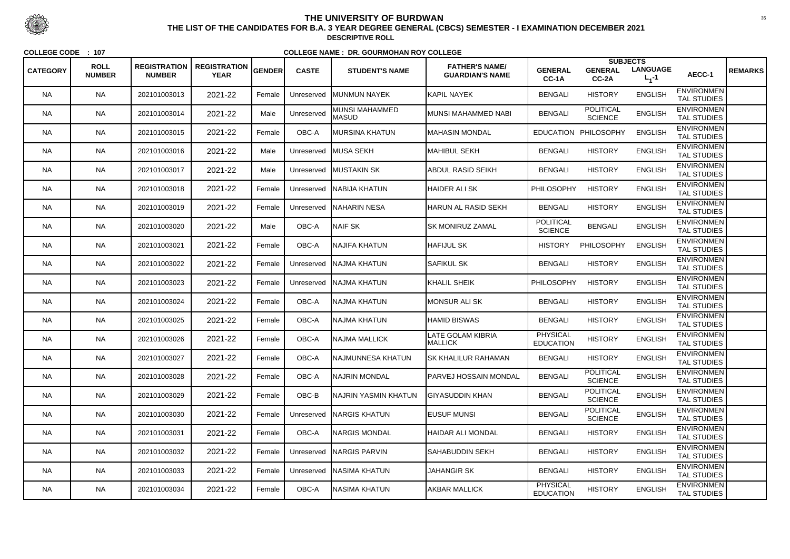| <b>CATEGORY</b> | <b>ROLL</b>   | <b>REGISTRATION</b> | <b>REGISTRATION</b> | <b>GENDER</b> | <b>CASTE</b> | <b>STUDENT'S NAME</b>          | <b>FATHER'S NAME/</b>               | <b>GENERAL</b>                      | <b>SUBJECTS</b><br><b>GENERAL</b>  | <b>LANGUAGE</b> |                                         | <b>REMARKS</b> |
|-----------------|---------------|---------------------|---------------------|---------------|--------------|--------------------------------|-------------------------------------|-------------------------------------|------------------------------------|-----------------|-----------------------------------------|----------------|
|                 | <b>NUMBER</b> | <b>NUMBER</b>       | <b>YEAR</b>         |               |              |                                | <b>GUARDIAN'S NAME</b>              | CC-1A                               | CC-2A                              | $L_1 - 1$       | AECC-1                                  |                |
| <b>NA</b>       | <b>NA</b>     | 202101003013        | 2021-22             | Female        | Unreserved   | <b>IMUNMUN NAYEK</b>           | <b>KAPIL NAYEK</b>                  | <b>BENGALI</b>                      | <b>HISTORY</b>                     | <b>ENGLISH</b>  | <b>ENVIRONMEN</b><br><b>TAL STUDIES</b> |                |
| <b>NA</b>       | <b>NA</b>     | 202101003014        | 2021-22             | Male          | Unreserved   | MUNSI MAHAMMED<br><b>MASUD</b> | MUNSI MAHAMMED NABI                 | <b>BENGALI</b>                      | <b>POLITICAL</b><br><b>SCIENCE</b> | <b>ENGLISH</b>  | <b>ENVIRONMEN</b><br><b>TAL STUDIES</b> |                |
| NA.             | <b>NA</b>     | 202101003015        | 2021-22             | Female        | OBC-A        | <b>IMURSINA KHATUN</b>         | IMAHASIN MONDAL                     |                                     | EDUCATION PHILOSOPHY               | <b>ENGLISH</b>  | <b>ENVIRONMEN</b><br><b>TAL STUDIES</b> |                |
| <b>NA</b>       | <b>NA</b>     | 202101003016        | 2021-22             | Male          | Unreserved   | <b>MUSA SEKH</b>               | MAHIBUL SEKH                        | <b>BENGALI</b>                      | <b>HISTORY</b>                     | <b>ENGLISH</b>  | <b>ENVIRONMEN</b><br><b>TAL STUDIES</b> |                |
| <b>NA</b>       | <b>NA</b>     | 202101003017        | 2021-22             | Male          |              | Unreserved MUSTAKIN SK         | <b>ABDUL RASID SEIKH</b>            | <b>BENGALI</b>                      | <b>HISTORY</b>                     | <b>ENGLISH</b>  | <b>ENVIRONMEN</b><br><b>TAL STUDIES</b> |                |
| <b>NA</b>       | <b>NA</b>     | 202101003018        | 2021-22             | Female        | Unreserved   | <b>NABIJA KHATUN</b>           | <b>HAIDER ALI SK</b>                | <b>PHILOSOPHY</b>                   | <b>HISTORY</b>                     | <b>ENGLISH</b>  | <b>ENVIRONMEN</b><br><b>TAL STUDIES</b> |                |
| NA.             | <b>NA</b>     | 202101003019        | 2021-22             | Female        | Unreserved   | <b>INAHARIN NESA</b>           | HARUN AL RASID SEKH                 | <b>BENGALI</b>                      | <b>HISTORY</b>                     | <b>ENGLISH</b>  | <b>ENVIRONMEN</b><br><b>TAL STUDIES</b> |                |
| <b>NA</b>       | <b>NA</b>     | 202101003020        | 2021-22             | Male          | OBC-A        | NAIF SK                        | SK MONIRUZ ZAMAL                    | <b>POLITICAL</b><br><b>SCIENCE</b>  | <b>BENGALI</b>                     | <b>ENGLISH</b>  | <b>ENVIRONMEN</b><br>TAL STUDIES        |                |
| <b>NA</b>       | <b>NA</b>     | 202101003021        | 2021-22             | Female        | OBC-A        | <b>NAJIFA KHATUN</b>           | <b>HAFIJUL SK</b>                   | <b>HISTORY</b>                      | PHILOSOPHY                         | <b>ENGLISH</b>  | <b>ENVIRONMEN</b><br><b>TAL STUDIES</b> |                |
| NA.             | <b>NA</b>     | 202101003022        | 2021-22             | Female        | Unreserved   | <b>NAJMA KHATUN</b>            | <b>SAFIKUL SK</b>                   | <b>BENGALI</b>                      | <b>HISTORY</b>                     | <b>ENGLISH</b>  | <b>ENVIRONMEN</b><br><b>TAL STUDIES</b> |                |
| <b>NA</b>       | <b>NA</b>     | 202101003023        | 2021-22             | Female        | Unreserved   | <b>INAJMA KHATUN</b>           | KHALIL SHEIK                        | PHILOSOPHY                          | <b>HISTORY</b>                     | <b>ENGLISH</b>  | <b>ENVIRONMEN</b><br><b>TAL STUDIES</b> |                |
| <b>NA</b>       | <b>NA</b>     | 202101003024        | 2021-22             | Female        | OBC-A        | NAJMA KHATUN                   | <b>MONSUR ALI SK</b>                | <b>BENGALI</b>                      | <b>HISTORY</b>                     | <b>ENGLISH</b>  | <b>ENVIRONMEN</b><br><b>TAL STUDIES</b> |                |
| <b>NA</b>       | <b>NA</b>     | 202101003025        | 2021-22             | Female        | OBC-A        | NAJMA KHATUN                   | <b>HAMID BISWAS</b>                 | <b>BENGALI</b>                      | <b>HISTORY</b>                     | <b>ENGLISH</b>  | <b>ENVIRONMEN</b><br><b>TAL STUDIES</b> |                |
| NA.             | <b>NA</b>     | 202101003026        | 2021-22             | Female        | OBC-A        | NAJMA MALLICK                  | LATE GOLAM KIBRIA<br><b>MALLICK</b> | <b>PHYSICAL</b><br><b>EDUCATION</b> | <b>HISTORY</b>                     | <b>ENGLISH</b>  | <b>ENVIRONMEN</b><br><b>TAL STUDIES</b> |                |
| <b>NA</b>       | <b>NA</b>     | 202101003027        | 2021-22             | Female        | OBC-A        | NAJMUNNESA KHATUN              | <b>SK KHALILUR RAHAMAN</b>          | <b>BENGALI</b>                      | <b>HISTORY</b>                     | <b>ENGLISH</b>  | <b>ENVIRONMEN</b><br><b>TAL STUDIES</b> |                |
| <b>NA</b>       | <b>NA</b>     | 202101003028        | 2021-22             | Female        | OBC-A        | NAJRIN MONDAL                  | <b>PARVEJ HOSSAIN MONDAL</b>        | <b>BENGALI</b>                      | <b>POLITICAL</b><br><b>SCIENCE</b> | <b>ENGLISH</b>  | <b>ENVIRONMEN</b><br><b>TAL STUDIES</b> |                |
| NA.             | <b>NA</b>     | 202101003029        | 2021-22             | Female        | OBC-B        | INAJRIN YASMIN KHATUN          | <b>I</b> GIYASUDDIN KHAN            | <b>BENGALI</b>                      | <b>POLITICAL</b><br><b>SCIENCE</b> | <b>ENGLISH</b>  | <b>ENVIRONMEN</b><br>TAL STUDIES        |                |
| <b>NA</b>       | <b>NA</b>     | 202101003030        | 2021-22             | Female        | Unreserved   | <b>NARGIS KHATUN</b>           | <b>EUSUF MUNSI</b>                  | <b>BENGALI</b>                      | <b>POLITICAL</b><br><b>SCIENCE</b> | <b>ENGLISH</b>  | <b>ENVIRONMEN</b><br>TAL STUDIES        |                |
| <b>NA</b>       | <b>NA</b>     | 202101003031        | 2021-22             | Female        | OBC-A        | <b>NARGIS MONDAL</b>           | <b>HAIDAR ALI MONDAL</b>            | <b>BENGALI</b>                      | <b>HISTORY</b>                     | <b>ENGLISH</b>  | <b>ENVIRONMEN</b><br>TAL STUDIES        |                |
| <b>NA</b>       | <b>NA</b>     | 202101003032        | 2021-22             | Female        | Unreserved   | <b>NARGIS PARVIN</b>           | <b>SAHABUDDIN SEKH</b>              | <b>BENGALI</b>                      | <b>HISTORY</b>                     | <b>ENGLISH</b>  | <b>ENVIRONMEN</b><br>TAL STUDIES        |                |
| NA.             | <b>NA</b>     | 202101003033        | 2021-22             | Female        | Unreserved   | <b>NASIMA KHATUN</b>           | <b>JAHANGIR SK</b>                  | <b>BENGALI</b>                      | <b>HISTORY</b>                     | <b>ENGLISH</b>  | <b>ENVIRONMEN</b><br>TAL STUDIES        |                |
| NA              | <b>NA</b>     | 202101003034        | 2021-22             | Female        | OBC-A        | NASIMA KHATUN                  | <b>AKBAR MALLICK</b>                | <b>PHYSICAL</b><br><b>EDUCATION</b> | <b>HISTORY</b>                     | <b>ENGLISH</b>  | <b>ENVIRONMEN</b><br>TAL STUDIES        |                |



 <sup>35</sup> **THE LIST OF THE CANDIDATES FOR B.A. 3 YEAR DEGREE GENERAL (CBCS) SEMESTER - I EXAMINATION DECEMBER 2021DESCRIPTIVE ROLL**

**COLLEGE CODE : <sup>107</sup>**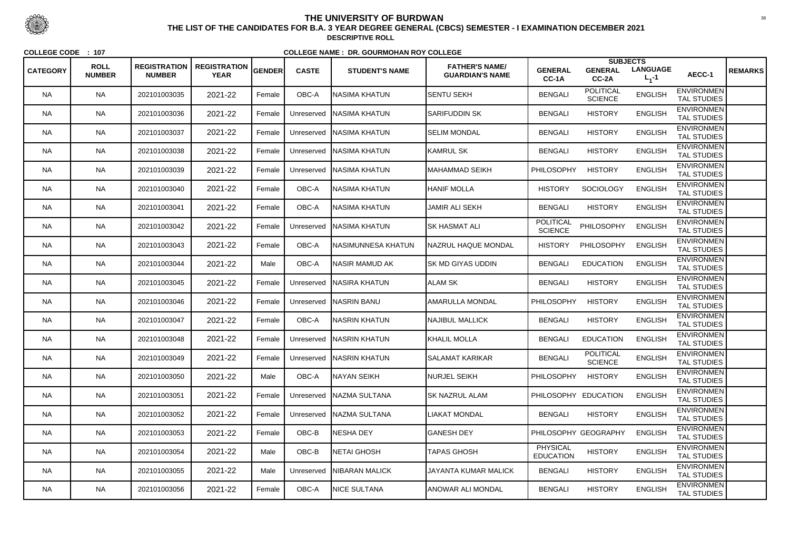|                 |                              |                                      |                                    |               |              |                            |                                                 |                                    | <b>SUBJECTS</b>                    |                              |                                         |                |
|-----------------|------------------------------|--------------------------------------|------------------------------------|---------------|--------------|----------------------------|-------------------------------------------------|------------------------------------|------------------------------------|------------------------------|-----------------------------------------|----------------|
| <b>CATEGORY</b> | <b>ROLL</b><br><b>NUMBER</b> | <b>REGISTRATION</b><br><b>NUMBER</b> | <b>REGISTRATION</b><br><b>YEAR</b> | <b>GENDER</b> | <b>CASTE</b> | <b>STUDENT'S NAME</b>      | <b>FATHER'S NAME/</b><br><b>GUARDIAN'S NAME</b> | <b>GENERAL</b><br>CC-1A            | <b>GENERAL</b><br>$CC-2A$          | <b>LANGUAGE</b><br>$L_1 - 1$ | AECC-1                                  | <b>REMARKS</b> |
| <b>NA</b>       | <b>NA</b>                    | 202101003035                         | 2021-22                            | Female        | OBC-A        | INASIMA KHATUN             | <b>SENTU SEKH</b>                               | <b>BENGALI</b>                     | <b>POLITICAL</b><br><b>SCIENCE</b> | <b>ENGLISH</b>               | <b>ENVIRONMEN</b><br><b>TAL STUDIES</b> |                |
| <b>NA</b>       | <b>NA</b>                    | 202101003036                         | 2021-22                            | Female        | Unreserved   | <b>NASIMA KHATUN</b>       | <b>SARIFUDDIN SK</b>                            | <b>BENGALI</b>                     | <b>HISTORY</b>                     | <b>ENGLISH</b>               | <b>ENVIRONMEN</b><br><b>TAL STUDIES</b> |                |
| <b>NA</b>       | <b>NA</b>                    | 202101003037                         | 2021-22                            | Female        | Unreserved   | <b>NASIMA KHATUN</b>       | <b>SELIM MONDAL</b>                             | <b>BENGALI</b>                     | <b>HISTORY</b>                     | <b>ENGLISH</b>               | <b>ENVIRONMEN</b><br>TAL STUDIES        |                |
| NA              | <b>NA</b>                    | 202101003038                         | 2021-22                            | Female        | Unreserved   | <b>NASIMA KHATUN</b>       | <b>KAMRUL SK</b>                                | <b>BENGALI</b>                     | <b>HISTORY</b>                     | <b>ENGLISH</b>               | <b>ENVIRONMEN</b><br><b>TAL STUDIES</b> |                |
| <b>NA</b>       | <b>NA</b>                    | 202101003039                         | 2021-22                            | Female        | Unreserved   | <b>NASIMA KHATUN</b>       | MAHAMMAD SEIKH                                  | <b>PHILOSOPHY</b>                  | <b>HISTORY</b>                     | <b>ENGLISH</b>               | <b>ENVIRONMEN</b><br><b>TAL STUDIES</b> |                |
| NA              | <b>NA</b>                    | 202101003040                         | 2021-22                            | Female        | OBC-A        | INASIMA KHATUN             | <b>HANIF MOLLA</b>                              | <b>HISTORY</b>                     | <b>SOCIOLOGY</b>                   | <b>ENGLISH</b>               | <b>ENVIRONMEN</b><br><b>TAL STUDIES</b> |                |
| <b>NA</b>       | <b>NA</b>                    | 202101003041                         | 2021-22                            | Female        | OBC-A        | <b>NASIMA KHATUN</b>       | <b>JAMIR ALI SEKH</b>                           | <b>BENGALI</b>                     | <b>HISTORY</b>                     | <b>ENGLISH</b>               | <b>ENVIRONMEN</b><br><b>TAL STUDIES</b> |                |
| <b>NA</b>       | <b>NA</b>                    | 202101003042                         | 2021-22                            | Female        | Unreserved   | <b>NASIMA KHATUN</b>       | ISK HASMAT ALI                                  | <b>POLITICAL</b><br><b>SCIENCE</b> | PHILOSOPHY                         | <b>ENGLISH</b>               | <b>ENVIRONMEN</b><br><b>TAL STUDIES</b> |                |
| <b>NA</b>       | <b>NA</b>                    | 202101003043                         | 2021-22                            | Female        | OBC-A        | NASIMUNNESA KHATUN         | <b>NAZRUL HAQUE MONDAL</b>                      | <b>HISTORY</b>                     | PHILOSOPHY                         | <b>ENGLISH</b>               | <b>ENVIRONMEN</b><br><b>TAL STUDIES</b> |                |
| NA              | <b>NA</b>                    | 202101003044                         | 2021-22                            | Male          | OBC-A        | NASIR MAMUD AK             | <b>ISK MD GIYAS UDDIN</b>                       | <b>BENGALI</b>                     | <b>EDUCATION</b>                   | <b>ENGLISH</b>               | <b>ENVIRONMEN</b><br><b>TAL STUDIES</b> |                |
| NA              | <b>NA</b>                    | 202101003045                         | 2021-22                            | Female        | Unreserved   | <b>NASIRA KHATUN</b>       | ALAM SK                                         | <b>BENGALI</b>                     | <b>HISTORY</b>                     | <b>ENGLISH</b>               | <b>ENVIRONMEN</b><br><b>TAL STUDIES</b> |                |
| <b>NA</b>       | <b>NA</b>                    | 202101003046                         | 2021-22                            | Female        | Unreserved   | <b>NASRIN BANU</b>         | <b>AMARULLA MONDAL</b>                          | <b>PHILOSOPHY</b>                  | <b>HISTORY</b>                     | <b>ENGLISH</b>               | <b>ENVIRONMEN</b><br><b>TAL STUDIES</b> |                |
| NA              | <b>NA</b>                    | 202101003047                         | 2021-22                            | Female        | OBC-A        | INASRIN KHATUN             | <b>NAJIBUL MALLICK</b>                          | <b>BENGALI</b>                     | <b>HISTORY</b>                     | <b>ENGLISH</b>               | <b>ENVIRONMEN</b><br><b>TAL STUDIES</b> |                |
| <b>NA</b>       | <b>NA</b>                    | 202101003048                         | 2021-22                            | Female        | Unreserved   | <b>NASRIN KHATUN</b>       | KHALIL MOLLA                                    | <b>BENGALI</b>                     | <b>EDUCATION</b>                   | <b>ENGLISH</b>               | <b>ENVIRONMEN</b><br><b>TAL STUDIES</b> |                |
| <b>NA</b>       | <b>NA</b>                    | 202101003049                         | 2021-22                            | Female        |              | Unreserved   NASRIN KHATUN | <b>SALAMAT KARIKAR</b>                          | <b>BENGALI</b>                     | <b>POLITICAL</b><br><b>SCIENCE</b> | <b>ENGLISH</b>               | <b>ENVIRONMEN</b><br><b>TAL STUDIES</b> |                |
| <b>NA</b>       | <b>NA</b>                    | 202101003050                         | 2021-22                            | Male          | OBC-A        | NAYAN SEIKH                | <b>NURJEL SEIKH</b>                             | <b>PHILOSOPHY</b>                  | <b>HISTORY</b>                     | <b>ENGLISH</b>               | <b>ENVIRONMEN</b><br><b>TAL STUDIES</b> |                |
| <b>NA</b>       | <b>NA</b>                    | 202101003051                         | 2021-22                            | Female        | Unreserved   | NAZMA SULTANA              | <b>SK NAZRUL ALAM</b>                           |                                    | PHILOSOPHY EDUCATION               | <b>ENGLISH</b>               | <b>ENVIRONMEN</b><br>TAL STUDIES        |                |
| <b>NA</b>       | <b>NA</b>                    | 202101003052                         | 2021-22                            | Female        | Unreserved   | NAZMA SULTANA              | LIAKAT MONDAL                                   | <b>BENGALI</b>                     | <b>HISTORY</b>                     | <b>ENGLISH</b>               | <b>ENVIRONMEN</b><br>TAL STUDIES        |                |
| <b>NA</b>       | <b>NA</b>                    | 202101003053                         | 2021-22                            | Female        | OBC-B        | NESHA DEY                  | <b>GANESH DEY</b>                               |                                    | PHILOSOPHY GEOGRAPHY               | <b>ENGLISH</b>               | <b>ENVIRONMEN</b><br>TAL STUDIES        |                |
| <b>NA</b>       | <b>NA</b>                    | 202101003054                         | 2021-22                            | Male          | OBC-B        | <b>NETAI GHOSH</b>         | <b>TAPAS GHOSH</b>                              | PHYSICAL<br><b>EDUCATION</b>       | <b>HISTORY</b>                     | <b>ENGLISH</b>               | <b>ENVIRONMEN</b><br>TAL STUDIES        |                |
| <b>NA</b>       | <b>NA</b>                    | 202101003055                         | 2021-22                            | Male          | Unreserved   | <b>NIBARAN MALICK</b>      | JAYANTA KUMAR MALICK                            | <b>BENGALI</b>                     | <b>HISTORY</b>                     | <b>ENGLISH</b>               | <b>ENVIRONMEN</b><br>TAL STUDIES        |                |
| <b>NA</b>       | <b>NA</b>                    | 202101003056                         | 2021-22                            | Female        | OBC-A        | <b>NICE SULTANA</b>        | <b>ANOWAR ALI MONDAL</b>                        | <b>BENGALI</b>                     | <b>HISTORY</b>                     | <b>ENGLISH</b>               | <b>ENVIRONMEN</b><br>TAL STUDIES        |                |



 <sup>36</sup> **THE LIST OF THE CANDIDATES FOR B.A. 3 YEAR DEGREE GENERAL (CBCS) SEMESTER - I EXAMINATION DECEMBER 2021DESCRIPTIVE ROLL**

**COLLEGE CODE : <sup>107</sup>**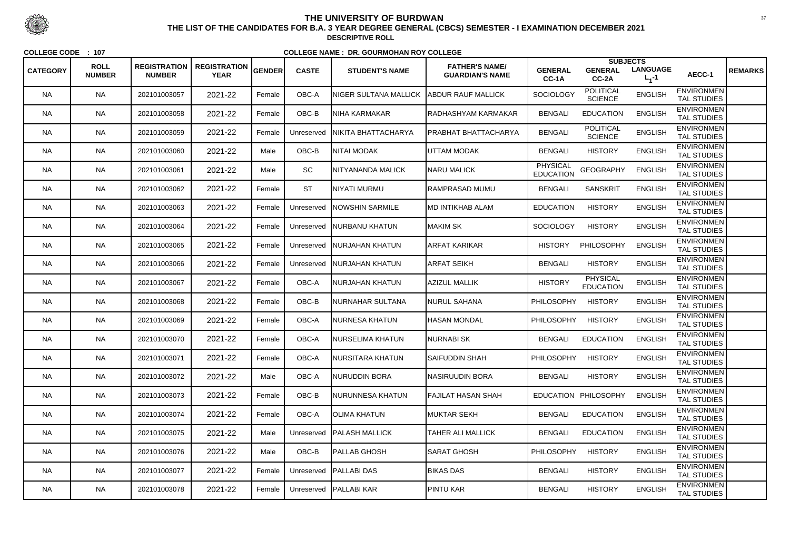|                 | <b>ROLL</b>   | <b>REGISTRATION</b> | <b>REGISTRATION</b> |        |              |                          | <b>FATHER'S NAME/</b>       |                                     | <b>SUBJECTS</b>                     |                              |                                         |                |
|-----------------|---------------|---------------------|---------------------|--------|--------------|--------------------------|-----------------------------|-------------------------------------|-------------------------------------|------------------------------|-----------------------------------------|----------------|
| <b>CATEGORY</b> | <b>NUMBER</b> | <b>NUMBER</b>       | <b>YEAR</b>         | GENDER | <b>CASTE</b> | <b>STUDENT'S NAME</b>    | <b>GUARDIAN'S NAME</b>      | <b>GENERAL</b><br>CC-1A             | <b>GENERAL</b><br>CC-2A             | <b>LANGUAGE</b><br>$L_1 - 1$ | AECC-1                                  | <b>REMARKS</b> |
| <b>NA</b>       | <b>NA</b>     | 202101003057        | 2021-22             | Female | OBC-A        | NIGER SULTANA MALLICK    | ABDUR RAUF MALLICK          | SOCIOLOGY                           | <b>POLITICAL</b><br><b>SCIENCE</b>  | <b>ENGLISH</b>               | <b>ENVIRONMEN</b><br><b>TAL STUDIES</b> |                |
| <b>NA</b>       | <b>NA</b>     | 202101003058        | 2021-22             | Female | OBC-B        | NIHA KARMAKAR            | <b>IRADHASHYAM KARMAKAR</b> | <b>BENGALI</b>                      | <b>EDUCATION</b>                    | <b>ENGLISH</b>               | <b>ENVIRONMEN</b><br>TAL STUDIES        |                |
| NA.             | <b>NA</b>     | 202101003059        | 2021-22             | Female | Unreserved   | NIKITA BHATTACHARYA      | PRABHAT BHATTACHARYA        | <b>BENGALI</b>                      | <b>POLITICAL</b><br><b>SCIENCE</b>  | <b>ENGLISH</b>               | <b>ENVIRONMEN</b><br><b>TAL STUDIES</b> |                |
| <b>NA</b>       | <b>NA</b>     | 202101003060        | 2021-22             | Male   | OBC-B        | NITAI MODAK              | UTTAM MODAK                 | <b>BENGALI</b>                      | <b>HISTORY</b>                      | <b>ENGLISH</b>               | <b>ENVIRONMEN</b><br><b>TAL STUDIES</b> |                |
| <b>NA</b>       | <b>NA</b>     | 202101003061        | 2021-22             | Male   | SC           | NITYANANDA MALICK        | <b>NARU MALICK</b>          | <b>PHYSICAL</b><br><b>EDUCATION</b> | <b>GEOGRAPHY</b>                    | <b>ENGLISH</b>               | <b>ENVIRONMEN</b><br><b>TAL STUDIES</b> |                |
| <b>NA</b>       | <b>NA</b>     | 202101003062        | 2021-22             | Female | <b>ST</b>    | NIYATI MURMU             | RAMPRASAD MUMU              | <b>BENGALI</b>                      | <b>SANSKRIT</b>                     | <b>ENGLISH</b>               | <b>ENVIRONMEN</b><br><b>TAL STUDIES</b> |                |
| NA.             | <b>NA</b>     | 202101003063        | 2021-22             | Female | Unreserved   | <b>INOWSHIN SARMILE</b>  | <b>IMD INTIKHAB ALAM</b>    | <b>EDUCATION</b>                    | <b>HISTORY</b>                      | <b>ENGLISH</b>               | <b>ENVIRONMEN</b><br><b>TAL STUDIES</b> |                |
| <b>NA</b>       | <b>NA</b>     | 202101003064        | 2021-22             | Female | Unreserved   | <b>INURBANU KHATUN</b>   | MAKIM SK                    | <b>SOCIOLOGY</b>                    | <b>HISTORY</b>                      | <b>ENGLISH</b>               | <b>ENVIRONMEN</b><br><b>TAL STUDIES</b> |                |
| <b>NA</b>       | <b>NA</b>     | 202101003065        | 2021-22             | Female | Unreserved   | <b>INURJAHAN KHATUN</b>  | <b>ARFAT KARIKAR</b>        | <b>HISTORY</b>                      | PHILOSOPHY                          | <b>ENGLISH</b>               | <b>ENVIRONMEN</b><br><b>TAL STUDIES</b> |                |
| NA.             | <b>NA</b>     | 202101003066        | 2021-22             | Female | Unreserved   | <b>INURJAHAN KHATUN</b>  | <b>ARFAT SEIKH</b>          | <b>BENGALI</b>                      | <b>HISTORY</b>                      | <b>ENGLISH</b>               | <b>ENVIRONMEN</b><br><b>TAL STUDIES</b> |                |
| <b>NA</b>       | <b>NA</b>     | 202101003067        | 2021-22             | Female | OBC-A        | NURJAHAN KHATUN          | <b>AZIZUL MALLIK</b>        | <b>HISTORY</b>                      | <b>PHYSICAL</b><br><b>EDUCATION</b> | <b>ENGLISH</b>               | <b>ENVIRONMEN</b><br><b>TAL STUDIES</b> |                |
| <b>NA</b>       | <b>NA</b>     | 202101003068        | 2021-22             | Female | OBC-B        | NURNAHAR SULTANA         | NURUL SAHANA                | PHILOSOPHY                          | <b>HISTORY</b>                      | <b>ENGLISH</b>               | <b>ENVIRONMEN</b><br><b>TAL STUDIES</b> |                |
| <b>NA</b>       | <b>NA</b>     | 202101003069        | 2021-22             | Female | OBC-A        | NURNESA KHATUN           | <b>IHASAN MONDAL</b>        | <b>PHILOSOPHY</b>                   | <b>HISTORY</b>                      | <b>ENGLISH</b>               | <b>ENVIRONMEN</b><br><b>TAL STUDIES</b> |                |
| NA.             | <b>NA</b>     | 202101003070        | 2021-22             | Female | OBC-A        | INURSELIMA KHATUN        | <b>NURNABI SK</b>           | <b>BENGALI</b>                      | <b>EDUCATION</b>                    | <b>ENGLISH</b>               | <b>ENVIRONMEN</b><br><b>TAL STUDIES</b> |                |
| <b>NA</b>       | <b>NA</b>     | 202101003071        | 2021-22             | Female | OBC-A        | NURSITARA KHATUN         | <b>SAIFUDDIN SHAH</b>       | <b>PHILOSOPHY</b>                   | <b>HISTORY</b>                      | <b>ENGLISH</b>               | <b>ENVIRONMEN</b><br><b>TAL STUDIES</b> |                |
| <b>NA</b>       | <b>NA</b>     | 202101003072        | 2021-22             | Male   | OBC-A        | NURUDDIN BORA            | NASIRUUDIN BORA             | <b>BENGALI</b>                      | <b>HISTORY</b>                      | <b>ENGLISH</b>               | <b>ENVIRONMEN</b><br><b>TAL STUDIES</b> |                |
| NA.             | <b>NA</b>     | 202101003073        | 2021-22             | Female | OBC-B        | NURUNNESA KHATUN         | <b>FAJILAT HASAN SHAH</b>   |                                     | EDUCATION PHILOSOPHY                | <b>ENGLISH</b>               | <b>ENVIRONMEN</b><br>TAL STUDIES        |                |
| <b>NA</b>       | <b>NA</b>     | 202101003074        | 2021-22             | Female | OBC-A        | OLIMA KHATUN             | <b>MUKTAR SEKH</b>          | <b>BENGALI</b>                      | <b>EDUCATION</b>                    | <b>ENGLISH</b>               | <b>ENVIRONMEN</b><br><b>TAL STUDIES</b> |                |
| <b>NA</b>       | <b>NA</b>     | 202101003075        | 2021-22             | Male   | Unreserved   | <b>IPALASH MALLICK</b>   | TAHER ALI MALLICK           | <b>BENGALI</b>                      | <b>EDUCATION</b>                    | <b>ENGLISH</b>               | <b>ENVIRONMEN</b><br>TAL STUDIES        |                |
| <b>NA</b>       | <b>NA</b>     | 202101003076        | 2021-22             | Male   | OBC-B        | <b>PALLAB GHOSH</b>      | <b>SARAT GHOSH</b>          | <b>PHILOSOPHY</b>                   | <b>HISTORY</b>                      | <b>ENGLISH</b>               | <b>ENVIRONMEN</b><br><b>TAL STUDIES</b> |                |
| NA.             | <b>NA</b>     | 202101003077        | 2021-22             | Female |              | Unreserved   PALLABI DAS | <b>BIKAS DAS</b>            | <b>BENGALI</b>                      | <b>HISTORY</b>                      | <b>ENGLISH</b>               | <b>ENVIRONMEN</b><br>TAL STUDIES        |                |
| NA              | <b>NA</b>     | 202101003078        | 2021-22             | Female |              | Unreserved   PALLABI KAR | <b>PINTU KAR</b>            | <b>BENGALI</b>                      | <b>HISTORY</b>                      | <b>ENGLISH</b>               | <b>ENVIRONMEN</b><br>TAL STUDIES        |                |



 <sup>37</sup> **THE LIST OF THE CANDIDATES FOR B.A. 3 YEAR DEGREE GENERAL (CBCS) SEMESTER - I EXAMINATION DECEMBER 2021DESCRIPTIVE ROLL**

**COLLEGE CODE : <sup>107</sup>**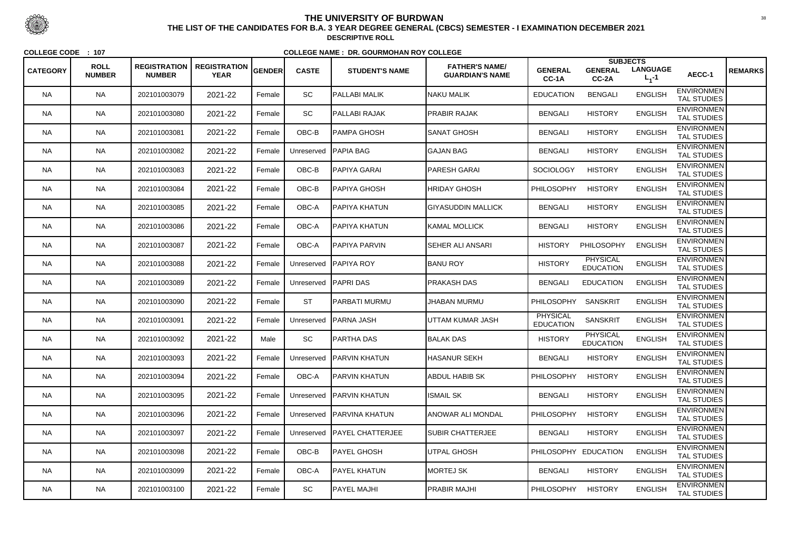<sup>38</sup><br>THE LIST OF THE CANDIDATES FOR B.A. 3 YEAR DEGREE GENERAL (CBCS) SEMESTER - I EXAMINATION DECEMBER 2021 **DESCRIPTIVE ROLL**

|                 | <b>ROLL</b>   | <b>REGISTRATION</b> | <b>REGISTRATION</b> | GENDER | <b>CASTE</b> | <b>STUDENT'S NAME</b>      | <b>FATHER'S NAME/</b>     | <b>GENERAL</b>                      | <b>SUBJECTS</b><br><b>GENERAL</b>   | <b>LANGUAGE</b> |                                         | <b>REMARKS</b> |
|-----------------|---------------|---------------------|---------------------|--------|--------------|----------------------------|---------------------------|-------------------------------------|-------------------------------------|-----------------|-----------------------------------------|----------------|
| <b>CATEGORY</b> | <b>NUMBER</b> | <b>NUMBER</b>       | <b>YEAR</b>         |        |              |                            | <b>GUARDIAN'S NAME</b>    | CC-1A                               | CC-2A                               | $L_1 - 1$       | AECC-1                                  |                |
| <b>NA</b>       | <b>NA</b>     | 202101003079        | 2021-22             | Female | SC           | <b>PALLABI MALIK</b>       | <b>NAKU MALIK</b>         | <b>EDUCATION</b>                    | <b>BENGALI</b>                      | <b>ENGLISH</b>  | <b>ENVIRONMEN</b><br><b>TAL STUDIES</b> |                |
| <b>NA</b>       | <b>NA</b>     | 202101003080        | 2021-22             | Female | SC           | PALLABI RAJAK              | <b>PRABIR RAJAK</b>       | <b>BENGALI</b>                      | <b>HISTORY</b>                      | <b>ENGLISH</b>  | <b>ENVIRONMEN</b><br><b>TAL STUDIES</b> |                |
| <b>NA</b>       | <b>NA</b>     | 202101003081        | 2021-22             | Female | OBC-B        | <b>PAMPA GHOSH</b>         | <b>SANAT GHOSH</b>        | <b>BENGALI</b>                      | <b>HISTORY</b>                      | <b>ENGLISH</b>  | <b>ENVIRONMEN</b><br><b>TAL STUDIES</b> |                |
| <b>NA</b>       | <b>NA</b>     | 202101003082        | 2021-22             | Female | Unreserved   | <b>PAPIA BAG</b>           | <b>GAJAN BAG</b>          | <b>BENGALI</b>                      | <b>HISTORY</b>                      | <b>ENGLISH</b>  | <b>ENVIRONMEN</b><br><b>TAL STUDIES</b> |                |
| <b>NA</b>       | <b>NA</b>     | 202101003083        | 2021-22             | Female | OBC-B        | <b>PAPIYA GARAI</b>        | <b>PARESH GARAI</b>       | <b>SOCIOLOGY</b>                    | <b>HISTORY</b>                      | <b>ENGLISH</b>  | <b>ENVIRONMEN</b><br><b>TAL STUDIES</b> |                |
| <b>NA</b>       | <b>NA</b>     | 202101003084        | 2021-22             | Female | OBC-B        | <b>PAPIYA GHOSH</b>        | <b>HRIDAY GHOSH</b>       | <b>PHILOSOPHY</b>                   | <b>HISTORY</b>                      | <b>ENGLISH</b>  | <b>ENVIRONMEN</b><br><b>TAL STUDIES</b> |                |
| <b>NA</b>       | <b>NA</b>     | 202101003085        | 2021-22             | Female | OBC-A        | <b>PAPIYA KHATUN</b>       | <b>GIYASUDDIN MALLICK</b> | <b>BENGALI</b>                      | <b>HISTORY</b>                      | <b>ENGLISH</b>  | <b>ENVIRONMEN</b><br><b>TAL STUDIES</b> |                |
| <b>NA</b>       | <b>NA</b>     | 202101003086        | 2021-22             | Female | OBC-A        | PAPIYA KHATUN              | KAMAL MOLLICK             | <b>BENGALI</b>                      | <b>HISTORY</b>                      | <b>ENGLISH</b>  | <b>ENVIRONMEN</b><br><b>TAL STUDIES</b> |                |
| <b>NA</b>       | <b>NA</b>     | 202101003087        | 2021-22             | Female | OBC-A        | <b>PAPIYA PARVIN</b>       | <b>SEHER ALI ANSARI</b>   | <b>HISTORY</b>                      | PHILOSOPHY                          | <b>ENGLISH</b>  | <b>ENVIRONMEN</b><br><b>TAL STUDIES</b> |                |
| NA.             | <b>NA</b>     | 202101003088        | 2021-22             | Female | Unreserved   | <b>PAPIYA ROY</b>          | <b>BANU ROY</b>           | <b>HISTORY</b>                      | <b>PHYSICAL</b><br><b>EDUCATION</b> | <b>ENGLISH</b>  | <b>ENVIRONMEN</b><br><b>TAL STUDIES</b> |                |
| <b>NA</b>       | <b>NA</b>     | 202101003089        | 2021-22             | Female | Unreserved   | <b>PAPRIDAS</b>            | <b>PRAKASH DAS</b>        | <b>BENGALI</b>                      | <b>EDUCATION</b>                    | <b>ENGLISH</b>  | <b>ENVIRONMEN</b><br><b>TAL STUDIES</b> |                |
| <b>NA</b>       | <b>NA</b>     | 202101003090        | 2021-22             | Female | <b>ST</b>    | <b>PARBATI MURMU</b>       | <b>JHABAN MURMU</b>       | <b>PHILOSOPHY</b>                   | <b>SANSKRIT</b>                     | <b>ENGLISH</b>  | <b>ENVIRONMEN</b><br><b>TAL STUDIES</b> |                |
| <b>NA</b>       | <b>NA</b>     | 202101003091        | 2021-22             | Female | Unreserved   | <b>PARNA JASH</b>          | UTTAM KUMAR JASH          | <b>PHYSICAL</b><br><b>EDUCATION</b> | <b>SANSKRIT</b>                     | <b>ENGLISH</b>  | <b>ENVIRONMEN</b><br><b>TAL STUDIES</b> |                |
| <b>NA</b>       | NA            | 202101003092        | 2021-22             | Male   | SC           | <b>PARTHA DAS</b>          | <b>BALAK DAS</b>          | <b>HISTORY</b>                      | <b>PHYSICAL</b><br><b>EDUCATION</b> | <b>ENGLISH</b>  | <b>ENVIRONMEN</b><br><b>TAL STUDIES</b> |                |
| <b>NA</b>       | <b>NA</b>     | 202101003093        | 2021-22             | Female |              | Unreserved   PARVIN KHATUN | <b>HASANUR SEKH</b>       | <b>BENGALI</b>                      | <b>HISTORY</b>                      | <b>ENGLISH</b>  | <b>ENVIRONMEN</b><br><b>TAL STUDIES</b> |                |
| <b>NA</b>       | <b>NA</b>     | 202101003094        | 2021-22             | Female | OBC-A        | <b>PARVIN KHATUN</b>       | <b>ABDUL HABIB SK</b>     | <b>PHILOSOPHY</b>                   | <b>HISTORY</b>                      | <b>ENGLISH</b>  | <b>ENVIRONMEN</b><br><b>TAL STUDIES</b> |                |
| NA.             | NA            | 202101003095        | 2021-22             | Female | Unreserved   | <b>IPARVIN KHATUN</b>      | <b>ISMAIL SK</b>          | <b>BENGALI</b>                      | <b>HISTORY</b>                      | <b>ENGLISH</b>  | <b>ENVIRONMEN</b><br>TAL STUDIES        |                |
| <b>NA</b>       | <b>NA</b>     | 202101003096        | 2021-22             | Female | Unreserved   | <b>PARVINA KHATUN</b>      | ANOWAR ALI MONDAL         | <b>PHILOSOPHY</b>                   | <b>HISTORY</b>                      | <b>ENGLISH</b>  | <b>ENVIRONMEN</b><br><b>TAL STUDIES</b> |                |
| <b>NA</b>       | <b>NA</b>     | 202101003097        | 2021-22             | Female | Unreserved   | <b>PAYEL CHATTERJEE</b>    | <b>SUBIR CHATTERJEE</b>   | <b>BENGALI</b>                      | <b>HISTORY</b>                      | <b>ENGLISH</b>  | <b>ENVIRONMEN</b><br>TAL STUDIES        |                |
| <b>NA</b>       | <b>NA</b>     | 202101003098        | 2021-22             | Female | OBC-B        | <b>PAYEL GHOSH</b>         | UTPAL GHOSH               | PHILOSOPHY EDUCATION                |                                     | <b>ENGLISH</b>  | <b>ENVIRONMEN</b><br>TAL STUDIES        |                |
| NA              | <b>NA</b>     | 202101003099        | 2021-22             | Female | OBC-A        | <b>PAYEL KHATUN</b>        | MORTEJ SK                 | <b>BENGALI</b>                      | <b>HISTORY</b>                      | <b>ENGLISH</b>  | <b>ENVIRONMEN</b><br>TAL STUDIES        |                |
| NA              | NA            | 202101003100        | 2021-22             | Female | SC           | <b>PAYEL MAJHI</b>         | <b>PRABIR MAJHI</b>       | <b>PHILOSOPHY</b>                   | <b>HISTORY</b>                      | <b>ENGLISH</b>  | <b>ENVIRONMEN</b><br>TAL STUDIES        |                |



# **THE UNIVERSITY OF BURDWAN**

**COLLEGE CODE : <sup>107</sup>**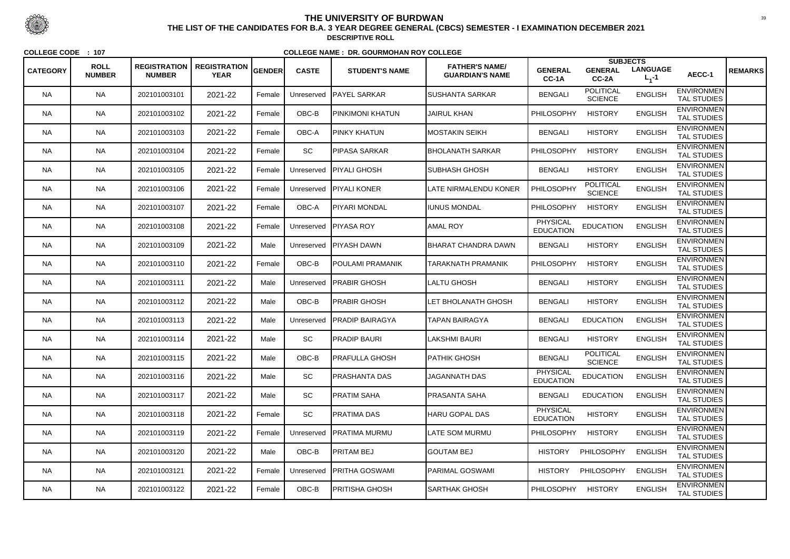<sup>39</sup><br>THE LIST OF THE CANDIDATES FOR B.A. 3 YEAR DEGREE GENERAL (CBCS) SEMESTER - I EXAMINATION DECEMBER 2021 **DESCRIPTIVE ROLL**

|                 |                              |                                      |                                    |               |              |                        |                                                 |                                     |                                    | <b>SUBJECTS</b>              |                                         |                |
|-----------------|------------------------------|--------------------------------------|------------------------------------|---------------|--------------|------------------------|-------------------------------------------------|-------------------------------------|------------------------------------|------------------------------|-----------------------------------------|----------------|
| <b>CATEGORY</b> | <b>ROLL</b><br><b>NUMBER</b> | <b>REGISTRATION</b><br><b>NUMBER</b> | <b>REGISTRATION</b><br><b>YEAR</b> | <b>GENDER</b> | <b>CASTE</b> | <b>STUDENT'S NAME</b>  | <b>FATHER'S NAME/</b><br><b>GUARDIAN'S NAME</b> | <b>GENERAL</b><br>CC-1A             | <b>GENERAL</b><br>CC-2A            | <b>LANGUAGE</b><br>$L_1 - 1$ | AECC-1                                  | <b>REMARKS</b> |
| <b>NA</b>       | <b>NA</b>                    | 202101003101                         | 2021-22                            | Female        | Unreserved   | <b>IPAYEL SARKAR</b>   | <b>SUSHANTA SARKAR</b>                          | <b>BENGALI</b>                      | <b>POLITICAL</b><br><b>SCIENCE</b> | <b>ENGLISH</b>               | <b>ENVIRONMEN</b><br><b>TAL STUDIES</b> |                |
| <b>NA</b>       | <b>NA</b>                    | 202101003102                         | 2021-22                            | Female        | OBC-B        | PINKIMONI KHATUN       | <b>JAIRUL KHAN</b>                              | PHILOSOPHY                          | <b>HISTORY</b>                     | <b>ENGLISH</b>               | <b>ENVIRONMEN</b><br><b>TAL STUDIES</b> |                |
| NA.             | <b>NA</b>                    | 202101003103                         | 2021-22                            | Female        | OBC-A        | PINKY KHATUN           | MOSTAKIN SEIKH                                  | <b>BENGALI</b>                      | <b>HISTORY</b>                     | <b>ENGLISH</b>               | <b>ENVIRONMEN</b><br><b>TAL STUDIES</b> |                |
| <b>NA</b>       | <b>NA</b>                    | 202101003104                         | 2021-22                            | Female        | SC           | IPIPASA SARKAR         | <b>IBHOLANATH SARKAR</b>                        | <b>PHILOSOPHY</b>                   | <b>HISTORY</b>                     | <b>ENGLISH</b>               | <b>ENVIRONMEN</b><br><b>TAL STUDIES</b> |                |
| <b>NA</b>       | <b>NA</b>                    | 202101003105                         | 2021-22                            | Female        | Unreserved   | <b>PIYALI GHOSH</b>    | SUBHASH GHOSH                                   | <b>BENGALI</b>                      | <b>HISTORY</b>                     | <b>ENGLISH</b>               | <b>ENVIRONMEN</b><br><b>TAL STUDIES</b> |                |
| <b>NA</b>       | <b>NA</b>                    | 202101003106                         | 2021-22                            | Female        | Unreserved   | <b>IPIYALI KONER</b>   | LATE NIRMALENDU KONER                           | PHILOSOPHY                          | <b>POLITICAL</b><br><b>SCIENCE</b> | <b>ENGLISH</b>               | <b>ENVIRONMEN</b><br><b>TAL STUDIES</b> |                |
| NA.             | <b>NA</b>                    | 202101003107                         | 2021-22                            | Female        | OBC-A        | PIYARI MONDAL          | <b>IUNUS MONDAL</b>                             | <b>PHILOSOPHY</b>                   | <b>HISTORY</b>                     | <b>ENGLISH</b>               | <b>ENVIRONMEN</b><br><b>TAL STUDIES</b> |                |
| <b>NA</b>       | <b>NA</b>                    | 202101003108                         | 2021-22                            | Female        | Unreserved   | <b>PIYASA ROY</b>      | <b>AMAL ROY</b>                                 | <b>PHYSICAL</b><br><b>EDUCATION</b> | <b>EDUCATION</b>                   | <b>ENGLISH</b>               | <b>ENVIRONMEN</b><br><b>TAL STUDIES</b> |                |
| <b>NA</b>       | <b>NA</b>                    | 202101003109                         | 2021-22                            | Male          | Unreserved   | <b>PIYASH DAWN</b>     | <b>BHARAT CHANDRA DAWN</b>                      | <b>BENGALI</b>                      | <b>HISTORY</b>                     | <b>ENGLISH</b>               | <b>ENVIRONMEN</b><br><b>TAL STUDIES</b> |                |
| NA.             | <b>NA</b>                    | 202101003110                         | 2021-22                            | Female        | OBC-B        | POULAMI PRAMANIK       | <b>TARAKNATH PRAMANIK</b>                       | PHILOSOPHY                          | <b>HISTORY</b>                     | <b>ENGLISH</b>               | <b>ENVIRONMEN</b><br><b>TAL STUDIES</b> |                |
| <b>NA</b>       | <b>NA</b>                    | 202101003111                         | 2021-22                            | Male          | Unreserved   | <b>PRABIR GHOSH</b>    | <b>LALTU GHOSH</b>                              | <b>BENGALI</b>                      | <b>HISTORY</b>                     | <b>ENGLISH</b>               | <b>ENVIRONMEN</b><br><b>TAL STUDIES</b> |                |
| <b>NA</b>       | <b>NA</b>                    | 202101003112                         | 2021-22                            | Male          | OBC-B        | <b>PRABIR GHOSH</b>    | LET BHOLANATH GHOSH                             | <b>BENGALI</b>                      | <b>HISTORY</b>                     | <b>ENGLISH</b>               | <b>ENVIRONMEN</b><br><b>TAL STUDIES</b> |                |
| <b>NA</b>       | <b>NA</b>                    | 202101003113                         | 2021-22                            | Male          | Unreserved   | <b>PRADIP BAIRAGYA</b> | TAPAN BAIRAGYA                                  | <b>BENGALI</b>                      | <b>EDUCATION</b>                   | <b>ENGLISH</b>               | <b>ENVIRONMEN</b><br><b>TAL STUDIES</b> |                |
| <b>NA</b>       | <b>NA</b>                    | 202101003114                         | 2021-22                            | Male          | SC           | <b>PRADIP BAURI</b>    | <b>LAKSHMI BAURI</b>                            | <b>BENGALI</b>                      | <b>HISTORY</b>                     | <b>ENGLISH</b>               | <b>ENVIRONMEN</b><br>TAL STUDIES        |                |
| <b>NA</b>       | <b>NA</b>                    | 202101003115                         | 2021-22                            | Male          | OBC-B        | <b>PRAFULLA GHOSH</b>  | <b>PATHIK GHOSH</b>                             | <b>BENGALI</b>                      | <b>POLITICAL</b><br><b>SCIENCE</b> | <b>ENGLISH</b>               | <b>ENVIRONMEN</b><br><b>TAL STUDIES</b> |                |
| <b>NA</b>       | <b>NA</b>                    | 202101003116                         | 2021-22                            | Male          | SC           | <b>PRASHANTA DAS</b>   | <b>JAGANNATH DAS</b>                            | <b>PHYSICAL</b><br><b>EDUCATION</b> | <b>EDUCATION</b>                   | <b>ENGLISH</b>               | <b>ENVIRONMEN</b><br><b>TAL STUDIES</b> |                |
| NA.             | <b>NA</b>                    | 202101003117                         | 2021-22                            | Male          | SC           | <b>PRATIM SAHA</b>     | <b>PRASANTA SAHA</b>                            | <b>BENGALI</b>                      | <b>EDUCATION</b>                   | <b>ENGLISH</b>               | <b>ENVIRONMEN</b><br><b>TAL STUDIES</b> |                |
| <b>NA</b>       | <b>NA</b>                    | 202101003118                         | 2021-22                            | Female        | SC           | <b>IPRATIMA DAS</b>    | HARU GOPAL DAS                                  | <b>PHYSICAL</b><br><b>EDUCATION</b> | <b>HISTORY</b>                     | <b>ENGLISH</b>               | <b>ENVIRONMEN</b><br><b>TAL STUDIES</b> |                |
| <b>NA</b>       | <b>NA</b>                    | 202101003119                         | 2021-22                            | Female        | Unreserved   | <b>IPRATIMA MURMU</b>  | <b>LATE SOM MURMU</b>                           | <b>PHILOSOPHY</b>                   | <b>HISTORY</b>                     | <b>ENGLISH</b>               | <b>ENVIRONMEN</b><br><b>TAL STUDIES</b> |                |
| <b>NA</b>       | <b>NA</b>                    | 202101003120                         | 2021-22                            | Male          | OBC-B        | <b>PRITAM BEJ</b>      | <b>GOUTAM BEJ</b>                               | <b>HISTORY</b>                      | PHILOSOPHY                         | <b>ENGLISH</b>               | <b>ENVIRONMEN</b><br><b>TAL STUDIES</b> |                |
| <b>NA</b>       | <b>NA</b>                    | 202101003121                         | 2021-22                            | Female        | Unreserved   | <b>PRITHA GOSWAMI</b>  | <b>PARIMAL GOSWAMI</b>                          | <b>HISTORY</b>                      | PHILOSOPHY                         | <b>ENGLISH</b>               | <b>ENVIRONMEN</b><br>TAL STUDIES        |                |
| <b>NA</b>       | <b>NA</b>                    | 202101003122                         | 2021-22                            | Female        | OBC-B        | PRITISHA GHOSH         | SARTHAK GHOSH                                   | <b>PHILOSOPHY</b>                   | <b>HISTORY</b>                     | <b>ENGLISH</b>               | <b>ENVIRONMEN</b><br>TAL STUDIES        |                |



## **THE UNIVERSITY OF BURDWAN**

**COLLEGE CODE : <sup>107</sup>**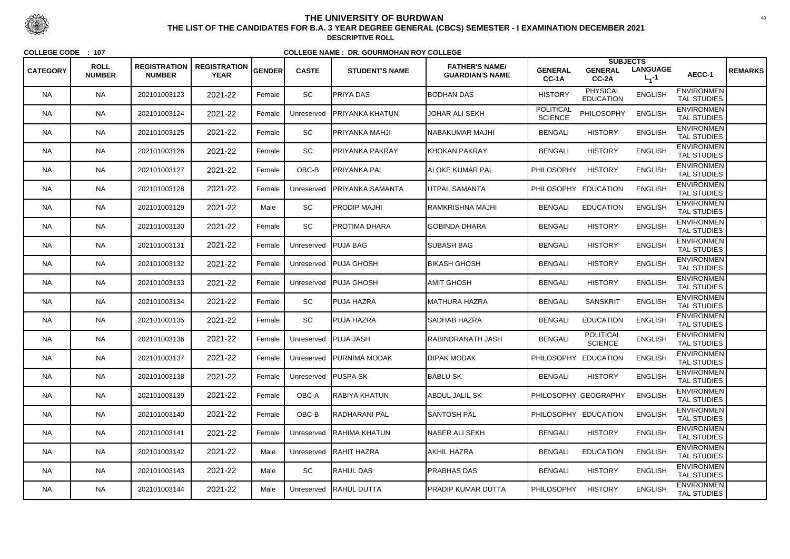|                 |                              |                                      |                                    |               |                       |                          |                                                 |                                    | <b>SUBJECTS</b>                     |                              |                                         |                |
|-----------------|------------------------------|--------------------------------------|------------------------------------|---------------|-----------------------|--------------------------|-------------------------------------------------|------------------------------------|-------------------------------------|------------------------------|-----------------------------------------|----------------|
| <b>CATEGORY</b> | <b>ROLL</b><br><b>NUMBER</b> | <b>REGISTRATION</b><br><b>NUMBER</b> | <b>REGISTRATION</b><br><b>YEAR</b> | <b>GENDER</b> | <b>CASTE</b>          | <b>STUDENT'S NAME</b>    | <b>FATHER'S NAME/</b><br><b>GUARDIAN'S NAME</b> | <b>GENERAL</b><br>CC-1A            | <b>GENERAL</b><br>CC-2A             | <b>LANGUAGE</b><br>$L_1 - 1$ | AECC-1                                  | <b>REMARKS</b> |
| <b>NA</b>       | <b>NA</b>                    | 202101003123                         | 2021-22                            | Female        | SC                    | <b>PRIYA DAS</b>         | <b>BODHAN DAS</b>                               | <b>HISTORY</b>                     | <b>PHYSICAL</b><br><b>EDUCATION</b> | <b>ENGLISH</b>               | <b>ENVIRONMEN</b><br><b>TAL STUDIES</b> |                |
| <b>NA</b>       | <b>NA</b>                    | 202101003124                         | 2021-22                            | Female        | Unreserved            | <b>PRIYANKA KHATUN</b>   | <b>JOHAR ALI SEKH</b>                           | <b>POLITICAL</b><br><b>SCIENCE</b> | PHILOSOPHY                          | <b>ENGLISH</b>               | <b>ENVIRONMEN</b><br><b>TAL STUDIES</b> |                |
| <b>NA</b>       | <b>NA</b>                    | 202101003125                         | 2021-22                            | Female        | <b>SC</b>             | PRIYANKA MAHJI           | NABAKUMAR MAJHI                                 | <b>BENGALI</b>                     | <b>HISTORY</b>                      | <b>ENGLISH</b>               | <b>ENVIRONMEN</b><br>TAL STUDIES        |                |
| <b>NA</b>       | <b>NA</b>                    | 202101003126                         | 2021-22                            | Female        | SC                    | PRIYANKA PAKRAY          | <b>IKHOKAN PAKRAY</b>                           | <b>BENGALI</b>                     | <b>HISTORY</b>                      | <b>ENGLISH</b>               | <b>ENVIRONMEN</b><br><b>TAL STUDIES</b> |                |
| <b>NA</b>       | <b>NA</b>                    | 202101003127                         | 2021-22                            | Female        | OBC-B                 | <b>PRIYANKA PAL</b>      | <b>ALOKE KUMAR PAL</b>                          | <b>PHILOSOPHY</b>                  | <b>HISTORY</b>                      | <b>ENGLISH</b>               | <b>ENVIRONMEN</b><br><b>TAL STUDIES</b> |                |
| <b>NA</b>       | <b>NA</b>                    | 202101003128                         | 2021-22                            | Female        | Unreserved            | <b>PRIYANKA SAMANTA</b>  | <b>I</b> UTPAL SAMANTA                          | PHILOSOPHY EDUCATION               |                                     | <b>ENGLISH</b>               | <b>ENVIRONMEN</b><br><b>TAL STUDIES</b> |                |
| <b>NA</b>       | <b>NA</b>                    | 202101003129                         | 2021-22                            | Male          | SC                    | PRODIP MAJHI             | RAMKRISHNA MAJHI                                | <b>BENGALI</b>                     | <b>EDUCATION</b>                    | <b>ENGLISH</b>               | <b>ENVIRONMEN</b><br><b>TAL STUDIES</b> |                |
| <b>NA</b>       | <b>NA</b>                    | 202101003130                         | 2021-22                            | Female        | SC                    | PROTIMA DHARA            | <b>GOBINDA DHARA</b>                            | <b>BENGALI</b>                     | <b>HISTORY</b>                      | <b>ENGLISH</b>               | <b>ENVIRONMEN</b><br><b>TAL STUDIES</b> |                |
| <b>NA</b>       | <b>NA</b>                    | 202101003131                         | 2021-22                            | Female        | Unreserved   PUJA BAG |                          | <b>SUBASH BAG</b>                               | <b>BENGALI</b>                     | <b>HISTORY</b>                      | <b>ENGLISH</b>               | <b>ENVIRONMEN</b><br><b>TAL STUDIES</b> |                |
| <b>NA</b>       | <b>NA</b>                    | 202101003132                         | 2021-22                            | Female        | Unreserved            | <b>PUJA GHOSH</b>        | <b>BIKASH GHOSH</b>                             | <b>BENGALI</b>                     | <b>HISTORY</b>                      | <b>ENGLISH</b>               | <b>ENVIRONMEN</b><br><b>TAL STUDIES</b> |                |
| <b>NA</b>       | <b>NA</b>                    | 202101003133                         | 2021-22                            | Female        | Unreserved            | <b>PUJA GHOSH</b>        | <b>AMIT GHOSH</b>                               | <b>BENGALI</b>                     | <b>HISTORY</b>                      | <b>ENGLISH</b>               | <b>ENVIRONMEN</b><br><b>TAL STUDIES</b> |                |
| <b>NA</b>       | <b>NA</b>                    | 202101003134                         | 2021-22                            | Female        | SC                    | PUJA HAZRA               | MATHURA HAZRA                                   | <b>BENGALI</b>                     | <b>SANSKRIT</b>                     | <b>ENGLISH</b>               | <b>ENVIRONMEN</b><br><b>TAL STUDIES</b> |                |
| <b>NA</b>       | <b>NA</b>                    | 202101003135                         | 2021-22                            | Female        | SC                    | PUJA HAZRA               | <b>I</b> SADHAB HAZRA                           | <b>BENGALI</b>                     | <b>EDUCATION</b>                    | <b>ENGLISH</b>               | <b>ENVIRONMEN</b><br><b>TAL STUDIES</b> |                |
| <b>NA</b>       | <b>NA</b>                    | 202101003136                         | 2021-22                            | Female        | Unreserved            | <b>PUJA JASH</b>         | <b>RABINDRANATH JASH</b>                        | <b>BENGALI</b>                     | <b>POLITICAL</b><br><b>SCIENCE</b>  | <b>ENGLISH</b>               | <b>ENVIRONMEN</b><br>TAL STUDIES        |                |
| <b>NA</b>       | <b>NA</b>                    | 202101003137                         | 2021-22                            | Female        |                       | Unreserved PURNIMA MODAK | <b>DIPAK MODAK</b>                              | PHILOSOPHY EDUCATION               |                                     | <b>ENGLISH</b>               | <b>ENVIRONMEN</b><br><b>TAL STUDIES</b> |                |
| <b>NA</b>       | <b>NA</b>                    | 202101003138                         | 2021-22                            | Female        | Unreserved   PUSPA SK |                          | <b>BABLU SK</b>                                 | <b>BENGALI</b>                     | <b>HISTORY</b>                      | <b>ENGLISH</b>               | <b>ENVIRONMEN</b><br><b>TAL STUDIES</b> |                |
| NA.             | <b>NA</b>                    | 202101003139                         | 2021-22                            | Female        | OBC-A                 | RABIYA KHATUN            | <b>ABDUL JALIL SK</b>                           |                                    | PHILOSOPHY GEOGRAPHY                | <b>ENGLISH</b>               | <b>ENVIRONMEN</b><br>TAL STUDIES        |                |
| <b>NA</b>       | <b>NA</b>                    | 202101003140                         | 2021-22                            | Female        | OBC-B                 | RADHARANI PAL            | <b>SANTOSH PAL</b>                              |                                    | PHILOSOPHY EDUCATION                | <b>ENGLISH</b>               | <b>ENVIRONMEN</b><br>TAL STUDIES        |                |
| <b>NA</b>       | <b>NA</b>                    | 202101003141                         | 2021-22                            | Female        | Unreserved            | <b>IRAHIMA KHATUN</b>    | <b>NASER ALI SEKH</b>                           | <b>BENGALI</b>                     | <b>HISTORY</b>                      | <b>ENGLISH</b>               | <b>ENVIRONMEN</b><br>TAL STUDIES        |                |
| <b>NA</b>       | <b>NA</b>                    | 202101003142                         | 2021-22                            | Male          |                       | Unreserved   RAHIT HAZRA | <b>AKHIL HAZRA</b>                              | <b>BENGALI</b>                     | <b>EDUCATION</b>                    | <b>ENGLISH</b>               | <b>ENVIRONMEN</b><br>TAL STUDIES        |                |
| <b>NA</b>       | <b>NA</b>                    | 202101003143                         | 2021-22                            | Male          | SC                    | <b>RAHUL DAS</b>         | <b>PRABHAS DAS</b>                              | <b>BENGALI</b>                     | <b>HISTORY</b>                      | <b>ENGLISH</b>               | <b>ENVIRONMEN</b><br>TAL STUDIES        |                |
| <b>NA</b>       | <b>NA</b>                    | 202101003144                         | 2021-22                            | Male          | Unreserved            | <b>RAHUL DUTTA</b>       | <b>PRADIP KUMAR DUTTA</b>                       | <b>PHILOSOPHY</b>                  | <b>HISTORY</b>                      | <b>ENGLISH</b>               | <b>ENVIRONMEN</b><br>TAL STUDIES        |                |



 <sup>40</sup> **THE LIST OF THE CANDIDATES FOR B.A. 3 YEAR DEGREE GENERAL (CBCS) SEMESTER - I EXAMINATION DECEMBER 2021DESCRIPTIVE ROLL**

**COLLEGE CODE : <sup>107</sup>**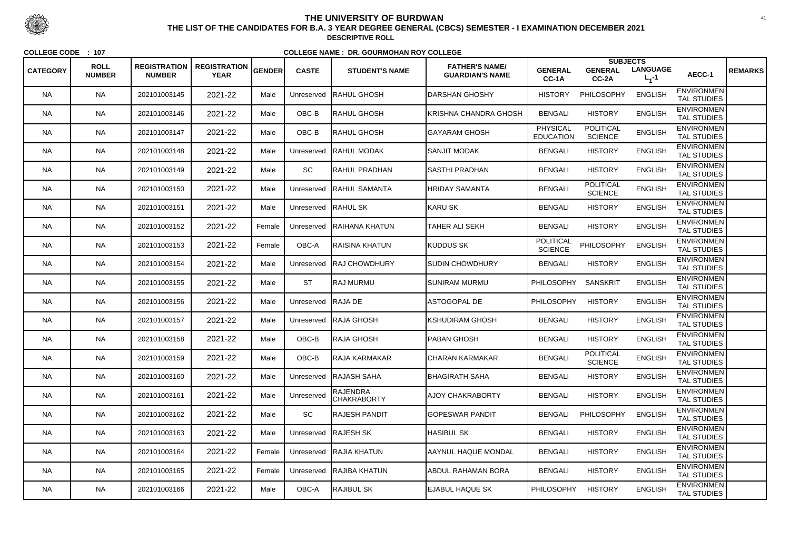|                 | <b>ROLL</b>   | <b>REGISTRATION</b> | <b>REGISTRATION</b> |        |              |                                       | <b>FATHER'S NAME/</b>      |                                     | <b>SUBJECTS</b>                    |                              |                                         |                |
|-----------------|---------------|---------------------|---------------------|--------|--------------|---------------------------------------|----------------------------|-------------------------------------|------------------------------------|------------------------------|-----------------------------------------|----------------|
| <b>CATEGORY</b> | <b>NUMBER</b> | <b>NUMBER</b>       | <b>YEAR</b>         | GENDER | <b>CASTE</b> | <b>STUDENT'S NAME</b>                 | <b>GUARDIAN'S NAME</b>     | <b>GENERAL</b><br>CC-1A             | <b>GENERAL</b><br>CC-2A            | <b>LANGUAGE</b><br>$L_1 - 1$ | AECC-1                                  | <b>REMARKS</b> |
| <b>NA</b>       | <b>NA</b>     | 202101003145        | 2021-22             | Male   | Unreserved   | RAHUL GHOSH                           | DARSHAN GHOSHY             | <b>HISTORY</b>                      | PHILOSOPHY                         | <b>ENGLISH</b>               | <b>ENVIRONMEN</b><br><b>TAL STUDIES</b> |                |
| <b>NA</b>       | <b>NA</b>     | 202101003146        | 2021-22             | Male   | OBC-B        | RAHUL GHOSH                           | KRISHNA CHANDRA GHOSH      | <b>BENGALI</b>                      | <b>HISTORY</b>                     | <b>ENGLISH</b>               | <b>ENVIRONMEN</b><br>TAL STUDIES        |                |
| NA.             | <b>NA</b>     | 202101003147        | 2021-22             | Male   | OBC-B        | RAHUL GHOSH                           | GAYARAM GHOSH              | <b>PHYSICAL</b><br><b>EDUCATION</b> | <b>POLITICAL</b><br><b>SCIENCE</b> | <b>ENGLISH</b>               | <b>ENVIRONMEN</b><br><b>TAL STUDIES</b> |                |
| <b>NA</b>       | <b>NA</b>     | 202101003148        | 2021-22             | Male   | Unreserved   | <b>IRAHUL MODAK</b>                   | <b>SANJIT MODAK</b>        | <b>BENGALI</b>                      | <b>HISTORY</b>                     | <b>ENGLISH</b>               | <b>ENVIRONMEN</b><br><b>TAL STUDIES</b> |                |
| <b>NA</b>       | <b>NA</b>     | 202101003149        | 2021-22             | Male   | SC           | <b>RAHUL PRADHAN</b>                  | <b>SASTHI PRADHAN</b>      | <b>BENGALI</b>                      | <b>HISTORY</b>                     | <b>ENGLISH</b>               | <b>ENVIRONMEN</b><br><b>TAL STUDIES</b> |                |
| <b>NA</b>       | <b>NA</b>     | 202101003150        | 2021-22             | Male   | Unreserved   | <b>RAHUL SAMANTA</b>                  | HRIDAY SAMANTA             | <b>BENGALI</b>                      | <b>POLITICAL</b><br><b>SCIENCE</b> | <b>ENGLISH</b>               | <b>ENVIRONMEN</b><br><b>TAL STUDIES</b> |                |
| NA.             | <b>NA</b>     | 202101003151        | 2021-22             | Male   | Unreserved   | <b>RAHUL SK</b>                       | KARU SK                    | <b>BENGALI</b>                      | <b>HISTORY</b>                     | <b>ENGLISH</b>               | <b>ENVIRONMEN</b><br><b>TAL STUDIES</b> |                |
| <b>NA</b>       | <b>NA</b>     | 202101003152        | 2021-22             | Female | Unreserved   | RAIHANA KHATUN                        | TAHER ALI SEKH             | <b>BENGALI</b>                      | <b>HISTORY</b>                     | <b>ENGLISH</b>               | <b>ENVIRONMEN</b><br><b>TAL STUDIES</b> |                |
| <b>NA</b>       | <b>NA</b>     | 202101003153        | 2021-22             | Female | OBC-A        | RAISINA KHATUN                        | <b>KUDDUS SK</b>           | <b>POLITICAL</b><br><b>SCIENCE</b>  | PHILOSOPHY                         | <b>ENGLISH</b>               | <b>ENVIRONMEN</b><br><b>TAL STUDIES</b> |                |
| NA.             | <b>NA</b>     | 202101003154        | 2021-22             | Male   | Unreserved   | <b>RAJ CHOWDHURY</b>                  | <b>ISUDIN CHOWDHURY</b>    | <b>BENGALI</b>                      | <b>HISTORY</b>                     | <b>ENGLISH</b>               | <b>ENVIRONMEN</b><br><b>TAL STUDIES</b> |                |
| <b>NA</b>       | <b>NA</b>     | 202101003155        | 2021-22             | Male   | <b>ST</b>    | ∥RAJ MURMU                            | SUNIRAM MURMU              | <b>PHILOSOPHY</b>                   | <b>SANSKRIT</b>                    | <b>ENGLISH</b>               | <b>ENVIRONMEN</b><br><b>TAL STUDIES</b> |                |
| <b>NA</b>       | <b>NA</b>     | 202101003156        | 2021-22             | Male   | Unreserved   | RAJA DE                               | <b>ASTOGOPAL DE</b>        | <b>PHILOSOPHY</b>                   | <b>HISTORY</b>                     | <b>ENGLISH</b>               | <b>ENVIRONMEN</b><br><b>TAL STUDIES</b> |                |
| <b>NA</b>       | <b>NA</b>     | 202101003157        | 2021-22             | Male   |              | Unreserved   RAJA GHOSH               | KSHUDIRAM GHOSH            | <b>BENGALI</b>                      | <b>HISTORY</b>                     | <b>ENGLISH</b>               | <b>ENVIRONMEN</b><br><b>TAL STUDIES</b> |                |
| NA.             | <b>NA</b>     | 202101003158        | 2021-22             | Male   | OBC-B        | ∣RAJA GHOSH                           | <b>PABAN GHOSH</b>         | <b>BENGALI</b>                      | <b>HISTORY</b>                     | <b>ENGLISH</b>               | <b>ENVIRONMEN</b><br><b>TAL STUDIES</b> |                |
| <b>NA</b>       | <b>NA</b>     | 202101003159        | 2021-22             | Male   | OBC-B        | <b>RAJA KARMAKAR</b>                  | CHARAN KARMAKAR            | <b>BENGALI</b>                      | <b>POLITICAL</b><br><b>SCIENCE</b> | <b>ENGLISH</b>               | <b>ENVIRONMEN</b><br><b>TAL STUDIES</b> |                |
| <b>NA</b>       | <b>NA</b>     | 202101003160        | 2021-22             | Male   |              | Unreserved RAJASH SAHA                | <b>BHAGIRATH SAHA</b>      | <b>BENGALI</b>                      | <b>HISTORY</b>                     | <b>ENGLISH</b>               | <b>ENVIRONMEN</b><br><b>TAL STUDIES</b> |                |
| NA.             | <b>NA</b>     | 202101003161        | 2021-22             | Male   | Unreserved   | <b>RAJENDRA</b><br><b>CHAKRABORTY</b> | <b>AJOY CHAKRABORTY</b>    | <b>BENGALI</b>                      | <b>HISTORY</b>                     | <b>ENGLISH</b>               | <b>ENVIRONMEN</b><br>TAL STUDIES        |                |
| <b>NA</b>       | <b>NA</b>     | 202101003162        | 2021-22             | Male   | SC           | RAJESH PANDIT                         | <b>GOPESWAR PANDIT</b>     | <b>BENGALI</b>                      | PHILOSOPHY                         | <b>ENGLISH</b>               | <b>ENVIRONMEN</b><br><b>TAL STUDIES</b> |                |
| <b>NA</b>       | <b>NA</b>     | 202101003163        | 2021-22             | Male   |              | Unreserved RAJESH SK                  | <b>HASIBUL SK</b>          | <b>BENGALI</b>                      | <b>HISTORY</b>                     | <b>ENGLISH</b>               | <b>ENVIRONMEN</b><br>TAL STUDIES        |                |
| <b>NA</b>       | <b>NA</b>     | 202101003164        | 2021-22             | Female |              | Unreserved RAJIA KHATUN               | <b>AAYNUL HAQUE MONDAL</b> | <b>BENGALI</b>                      | <b>HISTORY</b>                     | <b>ENGLISH</b>               | <b>ENVIRONMEN</b><br>TAL STUDIES        |                |
| NA.             | <b>NA</b>     | 202101003165        | 2021-22             | Female |              | Unreserved RAJIBA KHATUN              | <b>ABDUL RAHAMAN BORA</b>  | <b>BENGALI</b>                      | <b>HISTORY</b>                     | <b>ENGLISH</b>               | <b>ENVIRONMEN</b><br>TAL STUDIES        |                |
| NA              | <b>NA</b>     | 202101003166        | 2021-22             | Male   | OBC-A        | RAJIBUL SK                            | <b>EJABUL HAQUE SK</b>     | <b>PHILOSOPHY</b>                   | <b>HISTORY</b>                     | <b>ENGLISH</b>               | <b>ENVIRONMEN</b><br><b>TAL STUDIES</b> |                |



 <sup>41</sup> **THE LIST OF THE CANDIDATES FOR B.A. 3 YEAR DEGREE GENERAL (CBCS) SEMESTER - I EXAMINATION DECEMBER 2021DESCRIPTIVE ROLL**

**COLLEGE CODE : <sup>107</sup>**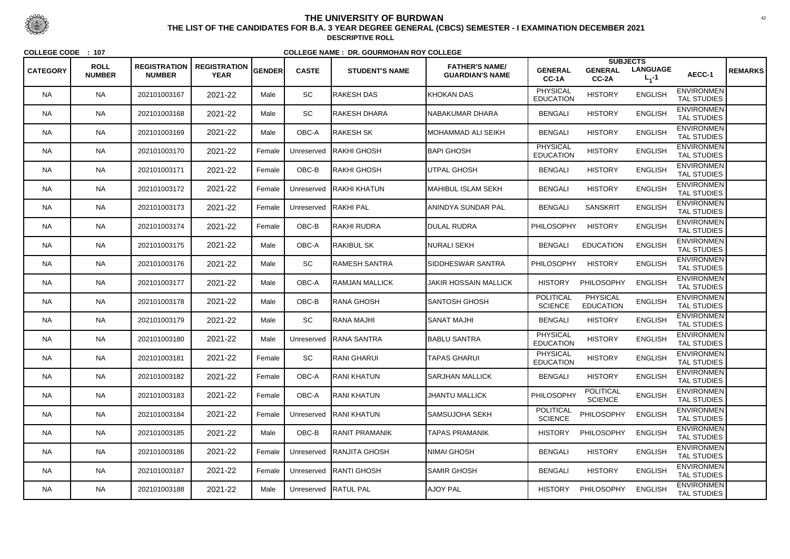| <b>CATEGORY</b> | <b>ROLL</b>   | <b>REGISTRATION</b> | <b>REGISTRATION</b> | GENDER | <b>CASTE</b> | <b>STUDENT'S NAME</b>    | <b>FATHER'S NAME/</b>    | <b>GENERAL</b>                      | <b>SUBJECTS</b><br><b>GENERAL</b>   | <b>LANGUAGE</b> |                                         | <b>REMARKS</b> |
|-----------------|---------------|---------------------|---------------------|--------|--------------|--------------------------|--------------------------|-------------------------------------|-------------------------------------|-----------------|-----------------------------------------|----------------|
|                 | <b>NUMBER</b> | <b>NUMBER</b>       | <b>YEAR</b>         |        |              |                          | <b>GUARDIAN'S NAME</b>   | CC-1A                               | CC-2A                               | $L_1 - 1$       | AECC-1                                  |                |
| <b>NA</b>       | <b>NA</b>     | 202101003167        | 2021-22             | Male   | SC           | <b>RAKESH DAS</b>        | <b>KHOKAN DAS</b>        | <b>PHYSICAL</b><br><b>EDUCATION</b> | <b>HISTORY</b>                      | <b>ENGLISH</b>  | <b>ENVIRONMEN</b><br><b>TAL STUDIES</b> |                |
| <b>NA</b>       | <b>NA</b>     | 202101003168        | 2021-22             | Male   | SC           | RAKESH DHARA             | NABAKUMAR DHARA          | <b>BENGALI</b>                      | <b>HISTORY</b>                      | <b>ENGLISH</b>  | <b>ENVIRONMEN</b><br>TAL STUDIES        |                |
| NA.             | <b>NA</b>     | 202101003169        | 2021-22             | Male   | OBC-A        | RAKESH SK                | IMOHAMMAD ALI SEIKH      | <b>BENGALI</b>                      | <b>HISTORY</b>                      | <b>ENGLISH</b>  | <b>ENVIRONMEN</b><br><b>TAL STUDIES</b> |                |
| <b>NA</b>       | <b>NA</b>     | 202101003170        | 2021-22             | Female | Unreserved   | <b>RAKHI GHOSH</b>       | <b>BAPI GHOSH</b>        | <b>PHYSICAL</b><br><b>EDUCATION</b> | <b>HISTORY</b>                      | <b>ENGLISH</b>  | <b>ENVIRONMEN</b><br><b>TAL STUDIES</b> |                |
| <b>NA</b>       | <b>NA</b>     | 202101003171        | 2021-22             | Female | OBC-B        | RAKHI GHOSH              | UTPAL GHOSH              | <b>BENGALI</b>                      | <b>HISTORY</b>                      | <b>ENGLISH</b>  | <b>ENVIRONMEN</b><br><b>TAL STUDIES</b> |                |
| <b>NA</b>       | <b>NA</b>     | 202101003172        | 2021-22             | Female | Unreserved   | <b>RAKHI KHATUN</b>      | MAHIBUL ISLAM SEKH       | <b>BENGALI</b>                      | <b>HISTORY</b>                      | <b>ENGLISH</b>  | <b>ENVIRONMEN</b><br><b>TAL STUDIES</b> |                |
| NA.             | <b>NA</b>     | 202101003173        | 2021-22             | Female | Unreserved   | <b>RAKHI PAL</b>         | ANINDYA SUNDAR PAL       | <b>BENGALI</b>                      | <b>SANSKRIT</b>                     | <b>ENGLISH</b>  | <b>ENVIRONMEN</b><br><b>TAL STUDIES</b> |                |
| <b>NA</b>       | <b>NA</b>     | 202101003174        | 2021-22             | Female | OBC-B        | RAKHI RUDRA              | <b>DULAL RUDRA</b>       | PHILOSOPHY                          | <b>HISTORY</b>                      | <b>ENGLISH</b>  | <b>ENVIRONMEN</b><br><b>TAL STUDIES</b> |                |
| <b>NA</b>       | <b>NA</b>     | 202101003175        | 2021-22             | Male   | OBC-A        | <b>RAKIBUL SK</b>        | <b>NURALI SEKH</b>       | <b>BENGALI</b>                      | <b>EDUCATION</b>                    | <b>ENGLISH</b>  | <b>ENVIRONMEN</b><br><b>TAL STUDIES</b> |                |
| NA.             | <b>NA</b>     | 202101003176        | 2021-22             | Male   | SC           | RAMESH SANTRA            | <b>SIDDHESWAR SANTRA</b> | <b>PHILOSOPHY</b>                   | <b>HISTORY</b>                      | <b>ENGLISH</b>  | <b>ENVIRONMEN</b><br><b>TAL STUDIES</b> |                |
| <b>NA</b>       | <b>NA</b>     | 202101003177        | 2021-22             | Male   | OBC-A        | RAMJAN MALLICK           | JAKIR HOSSAIN MALLICK    | <b>HISTORY</b>                      | PHILOSOPHY                          | <b>ENGLISH</b>  | <b>ENVIRONMEN</b><br><b>TAL STUDIES</b> |                |
| <b>NA</b>       | <b>NA</b>     | 202101003178        | 2021-22             | Male   | OBC-B        | RANA GHOSH               | SANTOSH GHOSH            | <b>POLITICAL</b><br><b>SCIENCE</b>  | <b>PHYSICAL</b><br><b>EDUCATION</b> | <b>ENGLISH</b>  | <b>ENVIRONMEN</b><br><b>TAL STUDIES</b> |                |
| <b>NA</b>       | <b>NA</b>     | 202101003179        | 2021-22             | Male   | SC           | RANA MAJHI               | <b>ISANAT MAJHI</b>      | <b>BENGALI</b>                      | <b>HISTORY</b>                      | <b>ENGLISH</b>  | <b>ENVIRONMEN</b><br><b>TAL STUDIES</b> |                |
| NA.             | <b>NA</b>     | 202101003180        | 2021-22             | Male   | Unreserved   | <b>RANA SANTRA</b>       | <b>BABLU SANTRA</b>      | <b>PHYSICAL</b><br><b>EDUCATION</b> | <b>HISTORY</b>                      | <b>ENGLISH</b>  | <b>ENVIRONMEN</b><br><b>TAL STUDIES</b> |                |
| <b>NA</b>       | <b>NA</b>     | 202101003181        | 2021-22             | Female | <b>SC</b>    | RANI GHARUI              | <b>TAPAS GHARUI</b>      | <b>PHYSICAL</b><br><b>EDUCATION</b> | <b>HISTORY</b>                      | <b>ENGLISH</b>  | <b>ENVIRONMEN</b><br><b>TAL STUDIES</b> |                |
| <b>NA</b>       | <b>NA</b>     | 202101003182        | 2021-22             | Female | OBC-A        | IRANI KHATUN             | <b>SARJHAN MALLICK</b>   | <b>BENGALI</b>                      | <b>HISTORY</b>                      | <b>ENGLISH</b>  | <b>ENVIRONMEN</b><br><b>TAL STUDIES</b> |                |
| NA.             | <b>NA</b>     | 202101003183        | 2021-22             | Female | OBC-A        | RANI KHATUN              | <b>JHANTU MALLICK</b>    | <b>PHILOSOPHY</b>                   | <b>POLITICAL</b><br><b>SCIENCE</b>  | <b>ENGLISH</b>  | <b>ENVIRONMEN</b><br><b>TAL STUDIES</b> |                |
| <b>NA</b>       | <b>NA</b>     | 202101003184        | 2021-22             | Female | Unreserved   | <b>RANI KHATUN</b>       | SAMSUJOHA SEKH           | <b>POLITICAL</b><br><b>SCIENCE</b>  | PHILOSOPHY                          | <b>ENGLISH</b>  | <b>ENVIRONMEN</b><br><b>TAL STUDIES</b> |                |
| <b>NA</b>       | <b>NA</b>     | 202101003185        | 2021-22             | Male   | OBC-B        | RANIT PRAMANIK           | <b>TAPAS PRAMANIK</b>    | <b>HISTORY</b>                      | PHILOSOPHY                          | <b>ENGLISH</b>  | <b>ENVIRONMEN</b><br>TAL STUDIES        |                |
| <b>NA</b>       | <b>NA</b>     | 202101003186        | 2021-22             | Female |              | Unreserved RANJITA GHOSH | NIMAI GHOSH              | <b>BENGALI</b>                      | <b>HISTORY</b>                      | <b>ENGLISH</b>  | <b>ENVIRONMEN</b><br>TAL STUDIES        |                |
| NA.             | <b>NA</b>     | 202101003187        | 2021-22             | Female |              | Unreserved RANTI GHOSH   | <b>SAMIR GHOSH</b>       | <b>BENGALI</b>                      | <b>HISTORY</b>                      | <b>ENGLISH</b>  | <b>ENVIRONMEN</b><br>TAL STUDIES        |                |
| NA              | <b>NA</b>     | 202101003188        | 2021-22             | Male   |              | Unreserved RATUL PAL     | <b>AJOY PAL</b>          | <b>HISTORY</b>                      | PHILOSOPHY                          | <b>ENGLISH</b>  | <b>ENVIRONMEN</b><br><b>TAL STUDIES</b> |                |



 <sup>42</sup> **THE LIST OF THE CANDIDATES FOR B.A. 3 YEAR DEGREE GENERAL (CBCS) SEMESTER - I EXAMINATION DECEMBER 2021DESCRIPTIVE ROLL**

**COLLEGE CODE : <sup>107</sup>**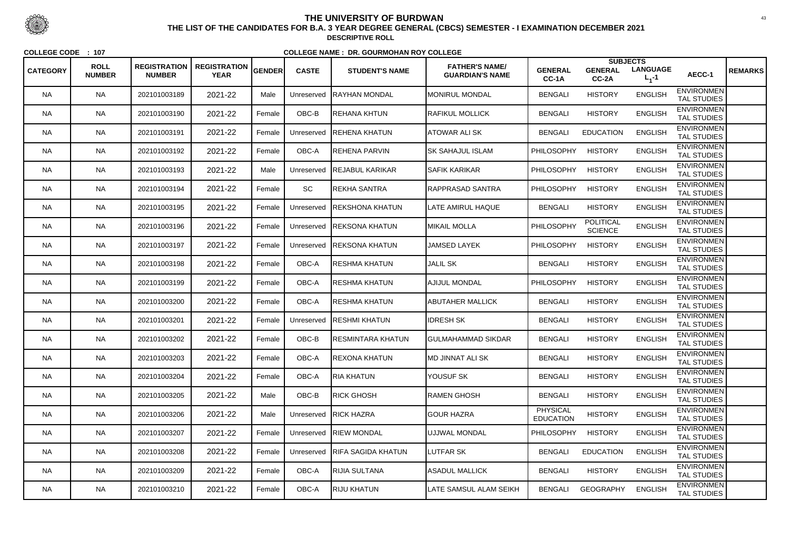|                 |                              |                                      |                                    |               |              |                           |                                                 |                                     | <b>SUBJECTS</b>                    |                              |                                         |                |
|-----------------|------------------------------|--------------------------------------|------------------------------------|---------------|--------------|---------------------------|-------------------------------------------------|-------------------------------------|------------------------------------|------------------------------|-----------------------------------------|----------------|
| <b>CATEGORY</b> | <b>ROLL</b><br><b>NUMBER</b> | <b>REGISTRATION</b><br><b>NUMBER</b> | <b>REGISTRATION</b><br><b>YEAR</b> | <b>GENDER</b> | <b>CASTE</b> | <b>STUDENT'S NAME</b>     | <b>FATHER'S NAME/</b><br><b>GUARDIAN'S NAME</b> | <b>GENERAL</b><br>CC-1A             | <b>GENERAL</b><br>CC-2A            | <b>LANGUAGE</b><br>$L_1 - 1$ | AECC-1                                  | <b>REMARKS</b> |
| <b>NA</b>       | <b>NA</b>                    | 202101003189                         | 2021-22                            | Male          | Unreserved   | RAYHAN MONDAL             | <b>MONIRUL MONDAL</b>                           | <b>BENGALI</b>                      | <b>HISTORY</b>                     | <b>ENGLISH</b>               | <b>ENVIRONMEN</b><br><b>TAL STUDIES</b> |                |
| <b>NA</b>       | <b>NA</b>                    | 202101003190                         | 2021-22                            | Female        | OBC-B        | REHANA KHTUN              | <b>RAFIKUL MOLLICK</b>                          | <b>BENGALI</b>                      | <b>HISTORY</b>                     | <b>ENGLISH</b>               | <b>ENVIRONMEN</b><br><b>TAL STUDIES</b> |                |
| NA.             | <b>NA</b>                    | 202101003191                         | 2021-22                            | Female        | Unreserved   | IREHENA KHATUN            | ATOWAR ALI SK                                   | <b>BENGALI</b>                      | <b>EDUCATION</b>                   | <b>ENGLISH</b>               | <b>ENVIRONMEN</b><br><b>TAL STUDIES</b> |                |
| <b>NA</b>       | <b>NA</b>                    | 202101003192                         | 2021-22                            | Female        | OBC-A        | REHENA PARVIN             | ISK SAHAJUL ISLAM                               | <b>PHILOSOPHY</b>                   | <b>HISTORY</b>                     | <b>ENGLISH</b>               | <b>ENVIRONMEN</b><br><b>TAL STUDIES</b> |                |
| <b>NA</b>       | <b>NA</b>                    | 202101003193                         | 2021-22                            | Male          | Unreserved   | <b>REJABUL KARIKAR</b>    | <b>SAFIK KARIKAR</b>                            | <b>PHILOSOPHY</b>                   | <b>HISTORY</b>                     | <b>ENGLISH</b>               | <b>ENVIRONMEN</b><br><b>TAL STUDIES</b> |                |
| NA.             | <b>NA</b>                    | 202101003194                         | 2021-22                            | Female        | SC           | REKHA SANTRA              | <b>RAPPRASAD SANTRA</b>                         | <b>PHILOSOPHY</b>                   | <b>HISTORY</b>                     | <b>ENGLISH</b>               | <b>ENVIRONMEN</b><br><b>TAL STUDIES</b> |                |
| NA.             | <b>NA</b>                    | 202101003195                         | 2021-22                            | Female        | Unreserved   | REKSHONA KHATUN           | LATE AMIRUL HAQUE                               | <b>BENGALI</b>                      | <b>HISTORY</b>                     | <b>ENGLISH</b>               | <b>ENVIRONMEN</b><br><b>TAL STUDIES</b> |                |
| <b>NA</b>       | <b>NA</b>                    | 202101003196                         | 2021-22                            | Female        | Unreserved   | REKSONA KHATUN            | <b>MIKAIL MOLLA</b>                             | PHILOSOPHY                          | <b>POLITICAL</b><br><b>SCIENCE</b> | <b>ENGLISH</b>               | <b>ENVIRONMEN</b><br><b>TAL STUDIES</b> |                |
| <b>NA</b>       | <b>NA</b>                    | 202101003197                         | 2021-22                            | Female        | Unreserved   | <b>REKSONA KHATUN</b>     | <b>JAMSED LAYEK</b>                             | PHILOSOPHY                          | <b>HISTORY</b>                     | <b>ENGLISH</b>               | <b>ENVIRONMEN</b><br><b>TAL STUDIES</b> |                |
| NA.             | <b>NA</b>                    | 202101003198                         | 2021-22                            | Female        | OBC-A        | RESHMA KHATUN             | <b>JALIL SK</b>                                 | <b>BENGALI</b>                      | <b>HISTORY</b>                     | <b>ENGLISH</b>               | <b>ENVIRONMEN</b><br><b>TAL STUDIES</b> |                |
| <b>NA</b>       | <b>NA</b>                    | 202101003199                         | 2021-22                            | Female        | OBC-A        | RESHMA KHATUN             | <b>AJIJUL MONDAL</b>                            | <b>PHILOSOPHY</b>                   | <b>HISTORY</b>                     | <b>ENGLISH</b>               | <b>ENVIRONMEN</b><br><b>TAL STUDIES</b> |                |
| <b>NA</b>       | <b>NA</b>                    | 202101003200                         | 2021-22                            | Female        | OBC-A        | RESHMA KHATUN             | <b>ABUTAHER MALLICK</b>                         | <b>BENGALI</b>                      | <b>HISTORY</b>                     | <b>ENGLISH</b>               | <b>ENVIRONMEN</b><br><b>TAL STUDIES</b> |                |
| <b>NA</b>       | <b>NA</b>                    | 202101003201                         | 2021-22                            | Female        | Unreserved   | <b>RESHMI KHATUN</b>      | <b>IDRESH SK</b>                                | <b>BENGALI</b>                      | <b>HISTORY</b>                     | <b>ENGLISH</b>               | <b>ENVIRONMEN</b><br><b>TAL STUDIES</b> |                |
| <b>NA</b>       | <b>NA</b>                    | 202101003202                         | 2021-22                            | Female        | $OBC-B$      | RESMINTARA KHATUN         | GULMAHAMMAD SIKDAR                              | <b>BENGALI</b>                      | <b>HISTORY</b>                     | <b>ENGLISH</b>               | <b>ENVIRONMEN</b><br>TAL STUDIES        |                |
| <b>NA</b>       | <b>NA</b>                    | 202101003203                         | 2021-22                            | Female        | OBC-A        | REXONA KHATUN             | <b>MD JINNAT ALI SK</b>                         | <b>BENGALI</b>                      | <b>HISTORY</b>                     | <b>ENGLISH</b>               | <b>ENVIRONMEN</b><br><b>TAL STUDIES</b> |                |
| <b>NA</b>       | <b>NA</b>                    | 202101003204                         | 2021-22                            | Female        | OBC-A        | RIA KHATUN                | YOUSUF SK                                       | <b>BENGALI</b>                      | <b>HISTORY</b>                     | <b>ENGLISH</b>               | <b>ENVIRONMEN</b><br><b>TAL STUDIES</b> |                |
| NA.             | <b>NA</b>                    | 202101003205                         | 2021-22                            | Male          | OBC-B        | RICK GHOSH                | <b>RAMEN GHOSH</b>                              | <b>BENGALI</b>                      | <b>HISTORY</b>                     | <b>ENGLISH</b>               | <b>ENVIRONMEN</b><br>TAL STUDIES        |                |
| <b>NA</b>       | <b>NA</b>                    | 202101003206                         | 2021-22                            | Male          |              | Unreserved RICK HAZRA     | <b>GOUR HAZRA</b>                               | <b>PHYSICAL</b><br><b>EDUCATION</b> | <b>HISTORY</b>                     | <b>ENGLISH</b>               | <b>ENVIRONMEN</b><br>TAL STUDIES        |                |
| <b>NA</b>       | <b>NA</b>                    | 202101003207                         | 2021-22                            | Female        | Unreserved   | <b>IRIEW MONDAL</b>       | UJJWAL MONDAL                                   | <b>PHILOSOPHY</b>                   | <b>HISTORY</b>                     | <b>ENGLISH</b>               | <b>ENVIRONMEN</b><br>TAL STUDIES        |                |
| <b>NA</b>       | <b>NA</b>                    | 202101003208                         | 2021-22                            | Female        | Unreserved   | <b>RIFA SAGIDA KHATUN</b> | LUTFAR SK                                       | <b>BENGALI</b>                      | <b>EDUCATION</b>                   | <b>ENGLISH</b>               | <b>ENVIRONMEN</b><br><b>TAL STUDIES</b> |                |
| <b>NA</b>       | <b>NA</b>                    | 202101003209                         | 2021-22                            | Female        | OBC-A        | RIJIA SULTANA             | <b>ASADUL MALLICK</b>                           | <b>BENGALI</b>                      | <b>HISTORY</b>                     | <b>ENGLISH</b>               | <b>ENVIRONMEN</b><br>TAL STUDIES        |                |
| <b>NA</b>       | <b>NA</b>                    | 202101003210                         | 2021-22                            | Female        | OBC-A        | RIJU KHATUN               | <b>LATE SAMSUL ALAM SEIKH</b>                   | <b>BENGALI</b>                      | <b>GEOGRAPHY</b>                   | <b>ENGLISH</b>               | <b>ENVIRONMEN</b><br>TAL STUDIES        |                |



 <sup>43</sup> **THE LIST OF THE CANDIDATES FOR B.A. 3 YEAR DEGREE GENERAL (CBCS) SEMESTER - I EXAMINATION DECEMBER 2021DESCRIPTIVE ROLL**

**COLLEGE CODE : <sup>107</sup>**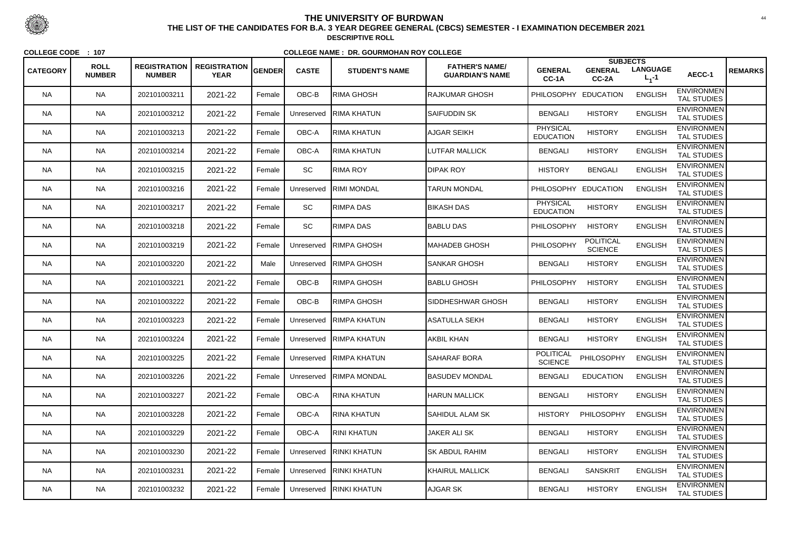|                 |                              |                                      |                                    |               |              |                         |                                                 |                                    | <b>SUBJECTS</b>                    |                              |                                         |                |
|-----------------|------------------------------|--------------------------------------|------------------------------------|---------------|--------------|-------------------------|-------------------------------------------------|------------------------------------|------------------------------------|------------------------------|-----------------------------------------|----------------|
| <b>CATEGORY</b> | <b>ROLL</b><br><b>NUMBER</b> | <b>REGISTRATION</b><br><b>NUMBER</b> | <b>REGISTRATION</b><br><b>YEAR</b> | <b>GENDER</b> | <b>CASTE</b> | <b>STUDENT'S NAME</b>   | <b>FATHER'S NAME/</b><br><b>GUARDIAN'S NAME</b> | <b>GENERAL</b><br>CC-1A            | <b>GENERAL</b><br>CC-2A            | <b>LANGUAGE</b><br>$L_1 - 1$ | AECC-1                                  | <b>REMARKS</b> |
| <b>NA</b>       | <b>NA</b>                    | 202101003211                         | 2021-22                            | Female        | OBC-B        | <b>RIMA GHOSH</b>       | <b>RAJKUMAR GHOSH</b>                           | <b>PHILOSOPHY</b>                  | <b>EDUCATION</b>                   | <b>ENGLISH</b>               | <b>ENVIRONMEN</b><br><b>TAL STUDIES</b> |                |
| <b>NA</b>       | <b>NA</b>                    | 202101003212                         | 2021-22                            | Female        | Unreserved   | RIMA KHATUN             | <b>SAIFUDDIN SK</b>                             | <b>BENGALI</b>                     | <b>HISTORY</b>                     | <b>ENGLISH</b>               | <b>ENVIRONMEN</b><br><b>TAL STUDIES</b> |                |
| <b>NA</b>       | <b>NA</b>                    | 202101003213                         | 2021-22                            | Female        | OBC-A        | RIMA KHATUN             | AJGAR SEIKH                                     | PHYSICAL<br><b>EDUCATION</b>       | <b>HISTORY</b>                     | <b>ENGLISH</b>               | <b>ENVIRONMEN</b><br><b>TAL STUDIES</b> |                |
| <b>NA</b>       | <b>NA</b>                    | 202101003214                         | 2021-22                            | Female        | OBC-A        | <b>RIMA KHATUN</b>      | <b>LUTFAR MALLICK</b>                           | <b>BENGALI</b>                     | <b>HISTORY</b>                     | <b>ENGLISH</b>               | <b>ENVIRONMEN</b><br><b>TAL STUDIES</b> |                |
| <b>NA</b>       | <b>NA</b>                    | 202101003215                         | 2021-22                            | Female        | SC           | <b>RIMA ROY</b>         | <b>DIPAK ROY</b>                                | <b>HISTORY</b>                     | <b>BENGALI</b>                     | <b>ENGLISH</b>               | <b>ENVIRONMEN</b><br><b>TAL STUDIES</b> |                |
| <b>NA</b>       | <b>NA</b>                    | 202101003216                         | 2021-22                            | Female        | Unreserved   | RIMI MONDAL             | <b>TARUN MONDAL</b>                             | <b>PHILOSOPHY</b>                  | <b>EDUCATION</b>                   | <b>ENGLISH</b>               | <b>ENVIRONMEN</b><br><b>TAL STUDIES</b> |                |
| <b>NA</b>       | <b>NA</b>                    | 202101003217                         | 2021-22                            | Female        | SC           | <b>RIMPA DAS</b>        | <b>BIKASH DAS</b>                               | PHYSICAL<br><b>EDUCATION</b>       | <b>HISTORY</b>                     | <b>ENGLISH</b>               | <b>ENVIRONMEN</b><br><b>TAL STUDIES</b> |                |
| <b>NA</b>       | <b>NA</b>                    | 202101003218                         | 2021-22                            | Female        | SC           | <b>RIMPA DAS</b>        | <b>BABLU DAS</b>                                | PHILOSOPHY                         | <b>HISTORY</b>                     | <b>ENGLISH</b>               | <b>ENVIRONMEN</b><br><b>TAL STUDIES</b> |                |
| <b>NA</b>       | <b>NA</b>                    | 202101003219                         | 2021-22                            | Female        | Unreserved   | RIMPA GHOSH             | MAHADEB GHOSH                                   | PHILOSOPHY                         | <b>POLITICAL</b><br><b>SCIENCE</b> | <b>ENGLISH</b>               | <b>ENVIRONMEN</b><br><b>TAL STUDIES</b> |                |
| <b>NA</b>       | <b>NA</b>                    | 202101003220                         | 2021-22                            | Male          | Unreserved   | <b>RIMPA GHOSH</b>      | <b>SANKAR GHOSH</b>                             | <b>BENGALI</b>                     | <b>HISTORY</b>                     | <b>ENGLISH</b>               | <b>ENVIRONMEN</b><br><b>TAL STUDIES</b> |                |
| <b>NA</b>       | <b>NA</b>                    | 202101003221                         | 2021-22                            | Female        | OBC-B        | <b>RIMPA GHOSH</b>      | BABLU GHOSH                                     | <b>PHILOSOPHY</b>                  | <b>HISTORY</b>                     | <b>ENGLISH</b>               | <b>ENVIRONMEN</b><br><b>TAL STUDIES</b> |                |
| <b>NA</b>       | <b>NA</b>                    | 202101003222                         | 2021-22                            | Female        | OBC-B        | ∣RIMPA GHOSH            | SIDDHESHWAR GHOSH                               | <b>BENGALI</b>                     | <b>HISTORY</b>                     | <b>ENGLISH</b>               | <b>ENVIRONMEN</b><br><b>TAL STUDIES</b> |                |
| <b>NA</b>       | <b>NA</b>                    | 202101003223                         | 2021-22                            | Female        | Unreserved   | RIMPA KHATUN            | ASATULLA SEKH                                   | <b>BENGALI</b>                     | <b>HISTORY</b>                     | <b>ENGLISH</b>               | <b>ENVIRONMEN</b><br><b>TAL STUDIES</b> |                |
| <b>NA</b>       | <b>NA</b>                    | 202101003224                         | 2021-22                            | Female        | Unreserved   | RIMPA KHATUN            | <b>AKBIL KHAN</b>                               | <b>BENGALI</b>                     | <b>HISTORY</b>                     | <b>ENGLISH</b>               | <b>ENVIRONMEN</b><br>TAL STUDIES        |                |
| <b>NA</b>       | <b>NA</b>                    | 202101003225                         | 2021-22                            | Female        |              | Unreserved RIMPA KHATUN | <b>SAHARAF BORA</b>                             | <b>POLITICAL</b><br><b>SCIENCE</b> | PHILOSOPHY                         | <b>ENGLISH</b>               | <b>ENVIRONMEN</b><br><b>TAL STUDIES</b> |                |
| <b>NA</b>       | <b>NA</b>                    | 202101003226                         | 2021-22                            | Female        |              | Unreserved RIMPA MONDAL | <b>BASUDEV MONDAL</b>                           | <b>BENGALI</b>                     | <b>EDUCATION</b>                   | <b>ENGLISH</b>               | <b>ENVIRONMEN</b><br><b>TAL STUDIES</b> |                |
| NA.             | <b>NA</b>                    | 202101003227                         | 2021-22                            | Female        | OBC-A        | RINA KHATUN             | <b>HARUN MALLICK</b>                            | <b>BENGALI</b>                     | <b>HISTORY</b>                     | <b>ENGLISH</b>               | <b>ENVIRONMEN</b><br>TAL STUDIES        |                |
| <b>NA</b>       | <b>NA</b>                    | 202101003228                         | 2021-22                            | Female        | OBC-A        | <b>RINA KHATUN</b>      | SAHIDUL ALAM SK                                 | <b>HISTORY</b>                     | PHILOSOPHY                         | <b>ENGLISH</b>               | <b>ENVIRONMEN</b><br>TAL STUDIES        |                |
| <b>NA</b>       | <b>NA</b>                    | 202101003229                         | 2021-22                            | Female        | OBC-A        | RINI KHATUN             | <b>JAKER ALI SK</b>                             | <b>BENGALI</b>                     | <b>HISTORY</b>                     | <b>ENGLISH</b>               | <b>ENVIRONMEN</b><br>TAL STUDIES        |                |
| <b>NA</b>       | <b>NA</b>                    | 202101003230                         | 2021-22                            | Female        | Unreserved   | <b>RINKI KHATUN</b>     | <b>SK ABDUL RAHIM</b>                           | <b>BENGALI</b>                     | <b>HISTORY</b>                     | <b>ENGLISH</b>               | <b>ENVIRONMEN</b><br>TAL STUDIES        |                |
| <b>NA</b>       | <b>NA</b>                    | 202101003231                         | 2021-22                            | Female        | Unreserved   | <b>RINKI KHATUN</b>     | <b>KHAIRUL MALLICK</b>                          | <b>BENGALI</b>                     | <b>SANSKRIT</b>                    | <b>ENGLISH</b>               | <b>ENVIRONMEN</b><br>TAL STUDIES        |                |
| <b>NA</b>       | <b>NA</b>                    | 202101003232                         | 2021-22                            | Female        | Unreserved   | <b>RINKI KHATUN</b>     | AJGAR SK                                        | <b>BENGALI</b>                     | <b>HISTORY</b>                     | <b>ENGLISH</b>               | <b>ENVIRONMEN</b><br>TAL STUDIES        |                |



 <sup>44</sup> **THE LIST OF THE CANDIDATES FOR B.A. 3 YEAR DEGREE GENERAL (CBCS) SEMESTER - I EXAMINATION DECEMBER 2021DESCRIPTIVE ROLL**

**COLLEGE CODE : <sup>107</sup>**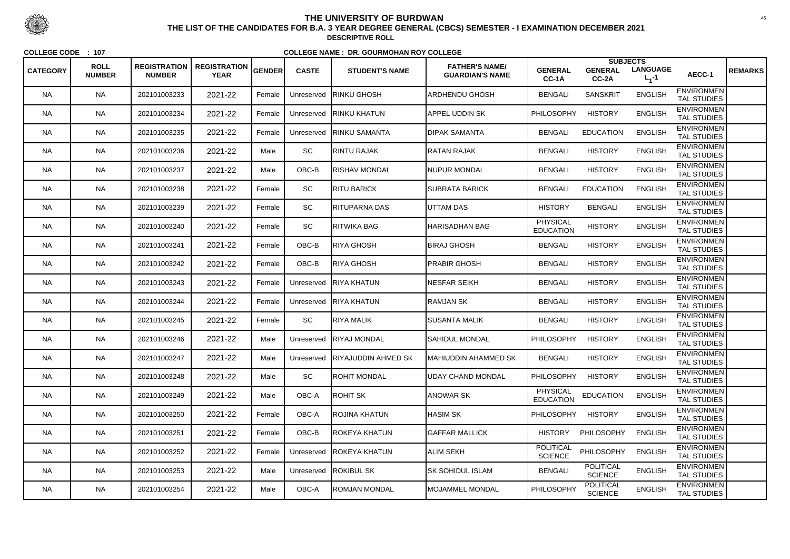|                 |                              |                                      |                                    |               |              |                                  |                                                 |                                     | <b>SUBJECTS</b>                    |                                |                                         |                |
|-----------------|------------------------------|--------------------------------------|------------------------------------|---------------|--------------|----------------------------------|-------------------------------------------------|-------------------------------------|------------------------------------|--------------------------------|-----------------------------------------|----------------|
| <b>CATEGORY</b> | <b>ROLL</b><br><b>NUMBER</b> | <b>REGISTRATION</b><br><b>NUMBER</b> | <b>REGISTRATION</b><br><b>YEAR</b> | <b>GENDER</b> | <b>CASTE</b> | <b>STUDENT'S NAME</b>            | <b>FATHER'S NAME/</b><br><b>GUARDIAN'S NAME</b> | <b>GENERAL</b><br>CC-1A             | <b>GENERAL</b><br>CC-2A            | <b>LANGUAGE</b><br>$L_{1} - 1$ | AECC-1                                  | <b>REMARKS</b> |
| <b>NA</b>       | <b>NA</b>                    | 202101003233                         | 2021-22                            | Female        | Unreserved   | <b>RINKU GHOSH</b>               | <b>ARDHENDU GHOSH</b>                           | <b>BENGALI</b>                      | <b>SANSKRIT</b>                    | <b>ENGLISH</b>                 | <b>ENVIRONMEN</b><br><b>TAL STUDIES</b> |                |
| <b>NA</b>       | <b>NA</b>                    | 202101003234                         | 2021-22                            | Female        | Unreserved   | <b>RINKU KHATUN</b>              | APPEL UDDIN SK                                  | PHILOSOPHY                          | <b>HISTORY</b>                     | <b>ENGLISH</b>                 | <b>ENVIRONMEN</b><br>TAL STUDIES        |                |
| <b>NA</b>       | <b>NA</b>                    | 202101003235                         | 2021-22                            | Female        | Unreserved   | ∥RINKU SAMANTA                   | <b>DIPAK SAMANTA</b>                            | <b>BENGALI</b>                      | <b>EDUCATION</b>                   | <b>ENGLISH</b>                 | <b>ENVIRONMEN</b><br><b>TAL STUDIES</b> |                |
| <b>NA</b>       | <b>NA</b>                    | 202101003236                         | 2021-22                            | Male          | SC           | <b>RINTU RAJAK</b>               | RATAN RAJAK                                     | <b>BENGALI</b>                      | <b>HISTORY</b>                     | <b>ENGLISH</b>                 | <b>ENVIRONMEN</b><br><b>TAL STUDIES</b> |                |
| <b>NA</b>       | <b>NA</b>                    | 202101003237                         | 2021-22                            | Male          | OBC-B        | <b>RISHAV MONDAL</b>             | NUPUR MONDAL                                    | <b>BENGALI</b>                      | <b>HISTORY</b>                     | <b>ENGLISH</b>                 | <b>ENVIRONMEN</b><br><b>TAL STUDIES</b> |                |
| <b>NA</b>       | <b>NA</b>                    | 202101003238                         | 2021-22                            | Female        | <b>SC</b>    | <b>RITU BARICK</b>               | <b>I</b> SUBRATA BARICK                         | <b>BENGALI</b>                      | <b>EDUCATION</b>                   | <b>ENGLISH</b>                 | <b>ENVIRONMEN</b><br><b>TAL STUDIES</b> |                |
| <b>NA</b>       | <b>NA</b>                    | 202101003239                         | 2021-22                            | Female        | SC           | RITUPARNA DAS                    | UTTAM DAS                                       | <b>HISTORY</b>                      | <b>BENGALI</b>                     | <b>ENGLISH</b>                 | <b>ENVIRONMEN</b><br><b>TAL STUDIES</b> |                |
| <b>NA</b>       | <b>NA</b>                    | 202101003240                         | 2021-22                            | Female        | SC           | <b>RITWIKA BAG</b>               | <b>HARISADHAN BAG</b>                           | <b>PHYSICAL</b><br><b>EDUCATION</b> | <b>HISTORY</b>                     | <b>ENGLISH</b>                 | <b>ENVIRONMEN</b><br><b>TAL STUDIES</b> |                |
| <b>NA</b>       | <b>NA</b>                    | 202101003241                         | 2021-22                            | Female        | OBC-B        | RIYA GHOSH                       | <b>BIRAJ GHOSH</b>                              | <b>BENGALI</b>                      | <b>HISTORY</b>                     | <b>ENGLISH</b>                 | <b>ENVIRONMEN</b><br><b>TAL STUDIES</b> |                |
| NA.             | <b>NA</b>                    | 202101003242                         | 2021-22                            | Female        | OBC-B        | RIYA GHOSH                       | <b>PRABIR GHOSH</b>                             | <b>BENGALI</b>                      | <b>HISTORY</b>                     | <b>ENGLISH</b>                 | <b>ENVIRONMEN</b><br><b>TAL STUDIES</b> |                |
| <b>NA</b>       | <b>NA</b>                    | 202101003243                         | 2021-22                            | Female        | Unreserved   | <b>RIYA KHATUN</b>               | <b>NESFAR SEIKH</b>                             | <b>BENGALI</b>                      | <b>HISTORY</b>                     | <b>ENGLISH</b>                 | <b>ENVIRONMEN</b><br><b>TAL STUDIES</b> |                |
| <b>NA</b>       | <b>NA</b>                    | 202101003244                         | 2021-22                            | Female        | Unreserved   | <b>RIYA KHATUN</b>               | <b>RAMJAN SK</b>                                | <b>BENGALI</b>                      | <b>HISTORY</b>                     | <b>ENGLISH</b>                 | <b>ENVIRONMEN</b><br><b>TAL STUDIES</b> |                |
| <b>NA</b>       | <b>NA</b>                    | 202101003245                         | 2021-22                            | Female        | SC           | <b>RIYA MALIK</b>                | <b>SUSANTA MALIK</b>                            | <b>BENGALI</b>                      | <b>HISTORY</b>                     | <b>ENGLISH</b>                 | <b>ENVIRONMEN</b><br><b>TAL STUDIES</b> |                |
| <b>NA</b>       | <b>NA</b>                    | 202101003246                         | 2021-22                            | Male          | Unreserved   | <b>RIYAJ MONDAL</b>              | <b>SAHIDUL MONDAL</b>                           | <b>PHILOSOPHY</b>                   | <b>HISTORY</b>                     | <b>ENGLISH</b>                 | <b>ENVIRONMEN</b><br><b>TAL STUDIES</b> |                |
| <b>NA</b>       | <b>NA</b>                    | 202101003247                         | 2021-22                            | Male          |              | Unreserved   RIYAJUDDIN AHMED SK | MAHIUDDIN AHAMMED SK                            | <b>BENGALI</b>                      | <b>HISTORY</b>                     | <b>ENGLISH</b>                 | <b>ENVIRONMEN</b><br><b>TAL STUDIES</b> |                |
| <b>NA</b>       | <b>NA</b>                    | 202101003248                         | 2021-22                            | Male          | SC           | <b>ROHIT MONDAL</b>              | UDAY CHAND MONDAL                               | <b>PHILOSOPHY</b>                   | <b>HISTORY</b>                     | <b>ENGLISH</b>                 | <b>ENVIRONMEN</b><br><b>TAL STUDIES</b> |                |
| <b>NA</b>       | <b>NA</b>                    | 202101003249                         | 2021-22                            | Male          | OBC-A        | ROHIT SK                         | <b>ANOWAR SK</b>                                | <b>PHYSICAL</b><br><b>EDUCATION</b> | <b>EDUCATION</b>                   | <b>ENGLISH</b>                 | <b>ENVIRONMEN</b><br><b>TAL STUDIES</b> |                |
| <b>NA</b>       | <b>NA</b>                    | 202101003250                         | 2021-22                            | Female        | OBC-A        | <b>ROJINA KHATUN</b>             | <b>HASIM SK</b>                                 | <b>PHILOSOPHY</b>                   | <b>HISTORY</b>                     | <b>ENGLISH</b>                 | <b>ENVIRONMEN</b><br><b>TAL STUDIES</b> |                |
| <b>NA</b>       | <b>NA</b>                    | 202101003251                         | 2021-22                            | Female        | OBC-B        | ROKEYA KHATUN                    | <b>GAFFAR MALLICK</b>                           | <b>HISTORY</b>                      | PHILOSOPHY                         | <b>ENGLISH</b>                 | <b>ENVIRONMEN</b><br>TAL STUDIES        |                |
| <b>NA</b>       | <b>NA</b>                    | 202101003252                         | 2021-22                            | Female        |              | Unreserved ROKEYA KHATUN         | ALIM SEKH                                       | <b>POLITICAL</b><br><b>SCIENCE</b>  | PHILOSOPHY                         | <b>ENGLISH</b>                 | <b>ENVIRONMEN</b><br>TAL STUDIES        |                |
| <b>NA</b>       | <b>NA</b>                    | 202101003253                         | 2021-22                            | Male          | Unreserved   | <b>ROKIBUL SK</b>                | <b>ISK SOHIDUL ISLAM</b>                        | <b>BENGALI</b>                      | <b>POLITICAL</b><br><b>SCIENCE</b> | <b>ENGLISH</b>                 | <b>ENVIRONMEN</b><br>TAL STUDIES        |                |
| <b>NA</b>       | <b>NA</b>                    | 202101003254                         | 2021-22                            | Male          | OBC-A        | <b>ROMJAN MONDAL</b>             | <b>MOJAMMEL MONDAL</b>                          | PHILOSOPHY                          | <b>POLITICAL</b><br><b>SCIENCE</b> | <b>ENGLISH</b>                 | <b>ENVIRONMEN</b><br>TAL STUDIES        |                |



 <sup>45</sup> **THE LIST OF THE CANDIDATES FOR B.A. 3 YEAR DEGREE GENERAL (CBCS) SEMESTER - I EXAMINATION DECEMBER 2021DESCRIPTIVE ROLL**

**COLLEGE CODE : <sup>107</sup>**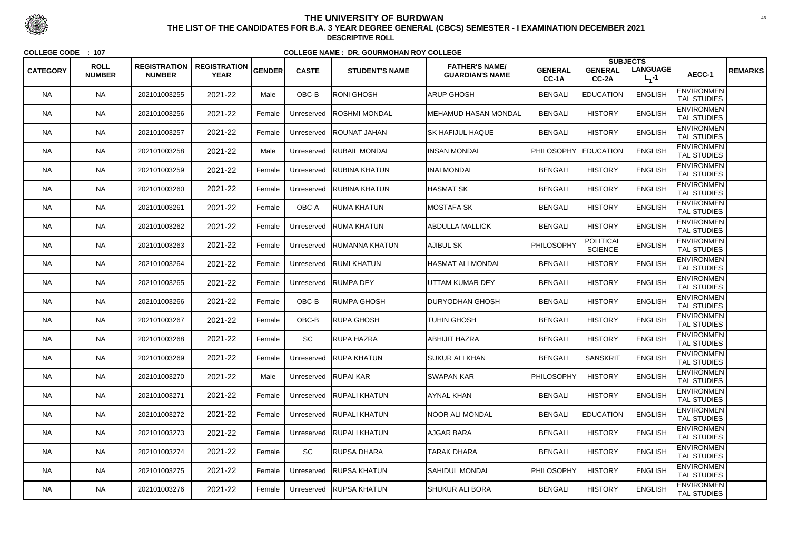|                 |                              |                                      |                                    |               |              |                        |                                                 |                         | <b>SUBJECTS</b>                    |                              |                                         |                |
|-----------------|------------------------------|--------------------------------------|------------------------------------|---------------|--------------|------------------------|-------------------------------------------------|-------------------------|------------------------------------|------------------------------|-----------------------------------------|----------------|
| <b>CATEGORY</b> | <b>ROLL</b><br><b>NUMBER</b> | <b>REGISTRATION</b><br><b>NUMBER</b> | <b>REGISTRATION</b><br><b>YEAR</b> | <b>GENDER</b> | <b>CASTE</b> | <b>STUDENT'S NAME</b>  | <b>FATHER'S NAME/</b><br><b>GUARDIAN'S NAME</b> | <b>GENERAL</b><br>CC-1A | <b>GENERAL</b><br>CC-2A            | <b>LANGUAGE</b><br>$L_1 - 1$ | AECC-1                                  | <b>REMARKS</b> |
| <b>NA</b>       | <b>NA</b>                    | 202101003255                         | 2021-22                            | Male          | OBC-B        | <b>RONI GHOSH</b>      | ARUP GHOSH                                      | <b>BENGALI</b>          | <b>EDUCATION</b>                   | <b>ENGLISH</b>               | <b>ENVIRONMEN</b><br><b>TAL STUDIES</b> |                |
| <b>NA</b>       | <b>NA</b>                    | 202101003256                         | 2021-22                            | Female        | Unreserved   | <b>ROSHMI MONDAL</b>   | MEHAMUD HASAN MONDAL                            | <b>BENGALI</b>          | <b>HISTORY</b>                     | <b>ENGLISH</b>               | <b>ENVIRONMEN</b><br><b>TAL STUDIES</b> |                |
| <b>NA</b>       | <b>NA</b>                    | 202101003257                         | 2021-22                            | Female        | Unreserved   | <b>ROUNAT JAHAN</b>    | <b>SK HAFIJUL HAQUE</b>                         | <b>BENGALI</b>          | <b>HISTORY</b>                     | <b>ENGLISH</b>               | <b>ENVIRONMEN</b><br><b>TAL STUDIES</b> |                |
| <b>NA</b>       | <b>NA</b>                    | 202101003258                         | 2021-22                            | Male          | Unreserved   | <b>RUBAIL MONDAL</b>   | <b>INSAN MONDAL</b>                             | PHILOSOPHY EDUCATION    |                                    | <b>ENGLISH</b>               | <b>ENVIRONMEN</b><br><b>TAL STUDIES</b> |                |
| <b>NA</b>       | <b>NA</b>                    | 202101003259                         | 2021-22                            | Female        | Unreserved   | RUBINA KHATUN          | <b>INAI MONDAL</b>                              | <b>BENGALI</b>          | <b>HISTORY</b>                     | <b>ENGLISH</b>               | <b>ENVIRONMEN</b><br><b>TAL STUDIES</b> |                |
| <b>NA</b>       | <b>NA</b>                    | 202101003260                         | 2021-22                            | Female        | Unreserved   | <b>RUBINA KHATUN</b>   | <b>I</b> HASMAT SK                              | <b>BENGALI</b>          | <b>HISTORY</b>                     | <b>ENGLISH</b>               | <b>ENVIRONMEN</b><br><b>TAL STUDIES</b> |                |
| <b>NA</b>       | <b>NA</b>                    | 202101003261                         | 2021-22                            | Female        | OBC-A        | RUMA KHATUN            | IMOSTAFA SK                                     | <b>BENGALI</b>          | <b>HISTORY</b>                     | <b>ENGLISH</b>               | <b>ENVIRONMEN</b><br><b>TAL STUDIES</b> |                |
| <b>NA</b>       | <b>NA</b>                    | 202101003262                         | 2021-22                            | Female        | Unreserved   | <b>RUMA KHATUN</b>     | <b>ABDULLA MALLICK</b>                          | <b>BENGALI</b>          | <b>HISTORY</b>                     | <b>ENGLISH</b>               | <b>ENVIRONMEN</b><br><b>TAL STUDIES</b> |                |
| <b>NA</b>       | <b>NA</b>                    | 202101003263                         | 2021-22                            | Female        | Unreserved   | <b>RUMANNA KHATUN</b>  | AJIBUL SK                                       | PHILOSOPHY              | <b>POLITICAL</b><br><b>SCIENCE</b> | <b>ENGLISH</b>               | <b>ENVIRONMEN</b><br><b>TAL STUDIES</b> |                |
| <b>NA</b>       | <b>NA</b>                    | 202101003264                         | 2021-22                            | Female        | Unreserved   | <b>RUMI KHATUN</b>     | HASMAT ALI MONDAL                               | <b>BENGALI</b>          | <b>HISTORY</b>                     | <b>ENGLISH</b>               | <b>ENVIRONMEN</b><br><b>TAL STUDIES</b> |                |
| <b>NA</b>       | <b>NA</b>                    | 202101003265                         | 2021-22                            | Female        | Unreserved   | <b>RUMPADEY</b>        | UTTAM KUMAR DEY                                 | <b>BENGALI</b>          | <b>HISTORY</b>                     | <b>ENGLISH</b>               | <b>ENVIRONMEN</b><br><b>TAL STUDIES</b> |                |
| <b>NA</b>       | <b>NA</b>                    | 202101003266                         | 2021-22                            | Female        | OBC-B        | RUMPA GHOSH            | <b>DURYODHAN GHOSH</b>                          | <b>BENGALI</b>          | <b>HISTORY</b>                     | <b>ENGLISH</b>               | <b>ENVIRONMEN</b><br><b>TAL STUDIES</b> |                |
| <b>NA</b>       | <b>NA</b>                    | 202101003267                         | 2021-22                            | Female        | OBC-B        | ∣RUPA GHOSH            | <b>TUHIN GHOSH</b>                              | <b>BENGALI</b>          | <b>HISTORY</b>                     | <b>ENGLISH</b>               | <b>ENVIRONMEN</b><br><b>TAL STUDIES</b> |                |
| <b>NA</b>       | <b>NA</b>                    | 202101003268                         | 2021-22                            | Female        | SC           | RUPA HAZRA             | <b>ABHIJIT HAZRA</b>                            | <b>BENGALI</b>          | <b>HISTORY</b>                     | <b>ENGLISH</b>               | <b>ENVIRONMEN</b><br><b>TAL STUDIES</b> |                |
| <b>NA</b>       | <b>NA</b>                    | 202101003269                         | 2021-22                            | Female        |              | Unreserved RUPA KHATUN | <b>SUKUR ALI KHAN</b>                           | <b>BENGALI</b>          | <b>SANSKRIT</b>                    | <b>ENGLISH</b>               | <b>ENVIRONMEN</b><br><b>TAL STUDIES</b> |                |
| <b>NA</b>       | <b>NA</b>                    | 202101003270                         | 2021-22                            | Male          |              | Unreserved RUPAI KAR   | <b>SWAPAN KAR</b>                               | <b>PHILOSOPHY</b>       | <b>HISTORY</b>                     | <b>ENGLISH</b>               | <b>ENVIRONMEN</b><br><b>TAL STUDIES</b> |                |
| <b>NA</b>       | <b>NA</b>                    | 202101003271                         | 2021-22                            | Female        | Unreserved   | <b>RUPALI KHATUN</b>   | AYNAL KHAN                                      | <b>BENGALI</b>          | <b>HISTORY</b>                     | <b>ENGLISH</b>               | <b>ENVIRONMEN</b><br><b>TAL STUDIES</b> |                |
| <b>NA</b>       | <b>NA</b>                    | 202101003272                         | 2021-22                            | Female        | Unreserved   | <b>RUPALI KHATUN</b>   | NOOR ALI MONDAL                                 | <b>BENGALI</b>          | <b>EDUCATION</b>                   | <b>ENGLISH</b>               | <b>ENVIRONMEN</b><br><b>TAL STUDIES</b> |                |
| <b>NA</b>       | <b>NA</b>                    | 202101003273                         | 2021-22                            | Female        | Unreserved   | <b>RUPALI KHATUN</b>   | AJGAR BARA                                      | <b>BENGALI</b>          | <b>HISTORY</b>                     | <b>ENGLISH</b>               | <b>ENVIRONMEN</b><br>TAL STUDIES        |                |
| <b>NA</b>       | <b>NA</b>                    | 202101003274                         | 2021-22                            | Female        | SC           | RUPSA DHARA            | TARAK DHARA                                     | <b>BENGALI</b>          | <b>HISTORY</b>                     | <b>ENGLISH</b>               | <b>ENVIRONMEN</b><br><b>TAL STUDIES</b> |                |
| <b>NA</b>       | <b>NA</b>                    | 202101003275                         | 2021-22                            | Female        | Unreserved   | <b>RUPSA KHATUN</b>    | <b>SAHIDUL MONDAL</b>                           | <b>PHILOSOPHY</b>       | <b>HISTORY</b>                     | <b>ENGLISH</b>               | <b>ENVIRONMEN</b><br>TAL STUDIES        |                |
| <b>NA</b>       | <b>NA</b>                    | 202101003276                         | 2021-22                            | Female        | Unreserved   | <b>RUPSA KHATUN</b>    | <b>SHUKUR ALI BORA</b>                          | <b>BENGALI</b>          | <b>HISTORY</b>                     | <b>ENGLISH</b>               | <b>ENVIRONMEN</b><br>TAL STUDIES        |                |



 <sup>46</sup> **THE LIST OF THE CANDIDATES FOR B.A. 3 YEAR DEGREE GENERAL (CBCS) SEMESTER - I EXAMINATION DECEMBER 2021DESCRIPTIVE ROLL**

**COLLEGE CODE : <sup>107</sup>**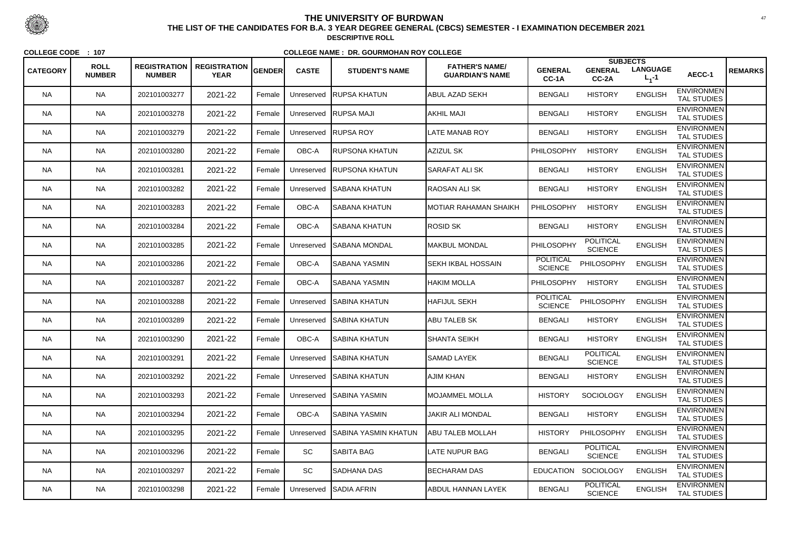|                 |                              |                                      |                                    |               |              |                             |                                                 |                                    |                                    | <b>SUBJECTS</b>              |                                         |                |
|-----------------|------------------------------|--------------------------------------|------------------------------------|---------------|--------------|-----------------------------|-------------------------------------------------|------------------------------------|------------------------------------|------------------------------|-----------------------------------------|----------------|
| <b>CATEGORY</b> | <b>ROLL</b><br><b>NUMBER</b> | <b>REGISTRATION</b><br><b>NUMBER</b> | <b>REGISTRATION</b><br><b>YEAR</b> | <b>GENDER</b> | <b>CASTE</b> | <b>STUDENT'S NAME</b>       | <b>FATHER'S NAME/</b><br><b>GUARDIAN'S NAME</b> | <b>GENERAL</b><br>CC-1A            | <b>GENERAL</b><br>CC-2A            | <b>LANGUAGE</b><br>$L_1 - 1$ | AECC-1                                  | <b>REMARKS</b> |
| <b>NA</b>       | <b>NA</b>                    | 202101003277                         | 2021-22                            | Female        | Unreserved   | RUPSA KHATUN                | <b>ABUL AZAD SEKH</b>                           | <b>BENGALI</b>                     | <b>HISTORY</b>                     | <b>ENGLISH</b>               | <b>ENVIRONMEN</b><br><b>TAL STUDIES</b> |                |
| <b>NA</b>       | <b>NA</b>                    | 202101003278                         | 2021-22                            | Female        | Unreserved   | <b>RUPSA MAJI</b>           | AKHIL MAJI                                      | <b>BENGALI</b>                     | <b>HISTORY</b>                     | <b>ENGLISH</b>               | <b>ENVIRONMEN</b><br><b>TAL STUDIES</b> |                |
| <b>NA</b>       | <b>NA</b>                    | 202101003279                         | 2021-22                            | Female        | Unreserved   | <b>RUPSA ROY</b>            | <b>LATE MANAB ROY</b>                           | <b>BENGALI</b>                     | <b>HISTORY</b>                     | <b>ENGLISH</b>               | <b>ENVIRONMEN</b><br>TAL STUDIES        |                |
| <b>NA</b>       | <b>NA</b>                    | 202101003280                         | 2021-22                            | Female        | OBC-A        | <b>IRUPSONA KHATUN</b>      | AZIZUL SK                                       | PHILOSOPHY                         | <b>HISTORY</b>                     | <b>ENGLISH</b>               | <b>ENVIRONMEN</b><br><b>TAL STUDIES</b> |                |
| <b>NA</b>       | <b>NA</b>                    | 202101003281                         | 2021-22                            | Female        | Unreserved   | <b>RUPSONA KHATUN</b>       | <b>SARAFAT ALI SK</b>                           | <b>BENGALI</b>                     | <b>HISTORY</b>                     | <b>ENGLISH</b>               | <b>ENVIRONMEN</b><br><b>TAL STUDIES</b> |                |
| <b>NA</b>       | <b>NA</b>                    | 202101003282                         | 2021-22                            | Female        | Unreserved   | ISABANA KHATUN              | IRAOSAN ALI SK                                  | <b>BENGALI</b>                     | <b>HISTORY</b>                     | <b>ENGLISH</b>               | <b>ENVIRONMEN</b><br><b>TAL STUDIES</b> |                |
| <b>NA</b>       | <b>NA</b>                    | 202101003283                         | 2021-22                            | Female        | OBC-A        | <b>I</b> SABANA KHATUN      | IMOTIAR RAHAMAN SHAIKH                          | <b>PHILOSOPHY</b>                  | <b>HISTORY</b>                     | <b>ENGLISH</b>               | <b>ENVIRONMEN</b><br><b>TAL STUDIES</b> |                |
| <b>NA</b>       | <b>NA</b>                    | 202101003284                         | 2021-22                            | Female        | OBC-A        | <b>SABANA KHATUN</b>        | ROSID SK                                        | <b>BENGALI</b>                     | <b>HISTORY</b>                     | <b>ENGLISH</b>               | <b>ENVIRONMEN</b><br><b>TAL STUDIES</b> |                |
| <b>NA</b>       | <b>NA</b>                    | 202101003285                         | 2021-22                            | Female        | Unreserved   | <b>ISABANA MONDAL</b>       | <b>MAKBUL MONDAL</b>                            | PHILOSOPHY                         | <b>POLITICAL</b><br><b>SCIENCE</b> | <b>ENGLISH</b>               | <b>ENVIRONMEN</b><br><b>TAL STUDIES</b> |                |
| <b>NA</b>       | <b>NA</b>                    | 202101003286                         | 2021-22                            | Female        | OBC-A        | ∣SABANA YASMIN              | <b>SEKH IKBAL HOSSAIN</b>                       | <b>POLITICAL</b><br><b>SCIENCE</b> | PHILOSOPHY                         | <b>ENGLISH</b>               | <b>ENVIRONMEN</b><br><b>TAL STUDIES</b> |                |
| <b>NA</b>       | <b>NA</b>                    | 202101003287                         | 2021-22                            | Female        | OBC-A        | SABANA YASMIN               | HAKIM MOLLA                                     | PHILOSOPHY                         | <b>HISTORY</b>                     | <b>ENGLISH</b>               | <b>ENVIRONMEN</b><br><b>TAL STUDIES</b> |                |
| <b>NA</b>       | <b>NA</b>                    | 202101003288                         | 2021-22                            | Female        | Unreserved   | <b>ISABINA KHATUN</b>       | <b>HAFIJUL SEKH</b>                             | <b>POLITICAL</b><br><b>SCIENCE</b> | PHILOSOPHY                         | <b>ENGLISH</b>               | <b>ENVIRONMEN</b><br><b>TAL STUDIES</b> |                |
| <b>NA</b>       | <b>NA</b>                    | 202101003289                         | 2021-22                            | Female        | Unreserved   | <b>ISABINA KHATUN</b>       | <b>ABU TALEB SK</b>                             | <b>BENGALI</b>                     | <b>HISTORY</b>                     | <b>ENGLISH</b>               | <b>ENVIRONMEN</b><br><b>TAL STUDIES</b> |                |
| <b>NA</b>       | <b>NA</b>                    | 202101003290                         | 2021-22                            | Female        | OBC-A        | <b>SABINA KHATUN</b>        | <b>SHANTA SEIKH</b>                             | <b>BENGALI</b>                     | <b>HISTORY</b>                     | <b>ENGLISH</b>               | <b>ENVIRONMEN</b><br><b>TAL STUDIES</b> |                |
| <b>NA</b>       | <b>NA</b>                    | 202101003291                         | 2021-22                            | Female        |              | Unreserved SABINA KHATUN    | <b>SAMAD LAYEK</b>                              | <b>BENGALI</b>                     | <b>POLITICAL</b><br><b>SCIENCE</b> | <b>ENGLISH</b>               | <b>ENVIRONMEN</b><br><b>TAL STUDIES</b> |                |
| <b>NA</b>       | <b>NA</b>                    | 202101003292                         | 2021-22                            | Female        | Unreserved   | <b>SABINA KHATUN</b>        | AJIM KHAN                                       | <b>BENGALI</b>                     | <b>HISTORY</b>                     | <b>ENGLISH</b>               | <b>ENVIRONMEN</b><br><b>TAL STUDIES</b> |                |
| <b>NA</b>       | <b>NA</b>                    | 202101003293                         | 2021-22                            | Female        | Unreserved   | <b>SABINA YASMIN</b>        | <b>MOJAMMEL MOLLA</b>                           | <b>HISTORY</b>                     | <b>SOCIOLOGY</b>                   | <b>ENGLISH</b>               | <b>ENVIRONMEN</b><br>TAL STUDIES        |                |
| <b>NA</b>       | <b>NA</b>                    | 202101003294                         | 2021-22                            | Female        | OBC-A        | ISABINA YASMIN              | <b>JAKIR ALI MONDAL</b>                         | <b>BENGALI</b>                     | <b>HISTORY</b>                     | <b>ENGLISH</b>               | <b>ENVIRONMEN</b><br><b>TAL STUDIES</b> |                |
| <b>NA</b>       | <b>NA</b>                    | 202101003295                         | 2021-22                            | Female        | Unreserved   | <b>SABINA YASMIN KHATUN</b> | <b>ABU TALEB MOLLAH</b>                         | <b>HISTORY</b>                     | PHILOSOPHY                         | <b>ENGLISH</b>               | <b>ENVIRONMEN</b><br>TAL STUDIES        |                |
| <b>NA</b>       | <b>NA</b>                    | 202101003296                         | 2021-22                            | Female        | SC           | SABITA BAG                  | <b>LATE NUPUR BAG</b>                           | <b>BENGALI</b>                     | <b>POLITICAL</b><br><b>SCIENCE</b> | <b>ENGLISH</b>               | <b>ENVIRONMEN</b><br>TAL STUDIES        |                |
| <b>NA</b>       | <b>NA</b>                    | 202101003297                         | 2021-22                            | Female        | SC           | <b>SADHANA DAS</b>          | <b>BECHARAM DAS</b>                             | <b>EDUCATION</b>                   | SOCIOLOGY                          | <b>ENGLISH</b>               | <b>ENVIRONMEN</b><br>TAL STUDIES        |                |
| <b>NA</b>       | <b>NA</b>                    | 202101003298                         | 2021-22                            | Female        | Unreserved   | <b>SADIA AFRIN</b>          | <b>ABDUL HANNAN LAYEK</b>                       | <b>BENGALI</b>                     | <b>POLITICAL</b><br><b>SCIENCE</b> | <b>ENGLISH</b>               | <b>ENVIRONMEN</b><br>TAL STUDIES        |                |



 <sup>47</sup> **THE LIST OF THE CANDIDATES FOR B.A. 3 YEAR DEGREE GENERAL (CBCS) SEMESTER - I EXAMINATION DECEMBER 2021DESCRIPTIVE ROLL**

**COLLEGE CODE : <sup>107</sup>**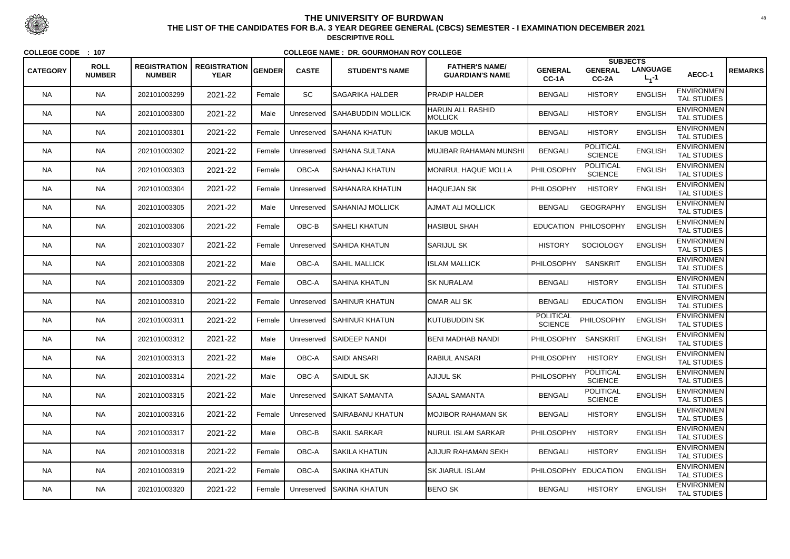|                 |                              |                                      |                                    |        |              |                           |                                                 |                             | <b>SUBJECTS</b>                    |                                |                                         |                |
|-----------------|------------------------------|--------------------------------------|------------------------------------|--------|--------------|---------------------------|-------------------------------------------------|-----------------------------|------------------------------------|--------------------------------|-----------------------------------------|----------------|
| <b>CATEGORY</b> | <b>ROLL</b><br><b>NUMBER</b> | <b>REGISTRATION</b><br><b>NUMBER</b> | <b>REGISTRATION</b><br><b>YEAR</b> | GENDER | <b>CASTE</b> | <b>STUDENT'S NAME</b>     | <b>FATHER'S NAME/</b><br><b>GUARDIAN'S NAME</b> | <b>GENERAL</b><br>CC-1A     | <b>GENERAL</b><br>CC-2A            | <b>LANGUAGE</b><br>$L_{1} - 1$ | AECC-1                                  | <b>REMARKS</b> |
| <b>NA</b>       | <b>NA</b>                    | 202101003299                         | 2021-22                            | Female | <b>SC</b>    | <b>SAGARIKA HALDER</b>    | <b>PRADIP HALDER</b>                            | <b>BENGALI</b>              | <b>HISTORY</b>                     | <b>ENGLISH</b>                 | <b>ENVIRONMEN</b><br><b>TAL STUDIES</b> |                |
| <b>NA</b>       | <b>NA</b>                    | 202101003300                         | 2021-22                            | Male   | Unreserved   | <b>SAHABUDDIN MOLLICK</b> | <b>HARUN ALL RASHID</b><br>MOLLICK              | <b>BENGALI</b>              | <b>HISTORY</b>                     | <b>ENGLISH</b>                 | <b>ENVIRONMEN</b><br>TAL STUDIES        |                |
| NA.             | <b>NA</b>                    | 202101003301                         | 2021-22                            | Female | Unreserved   | <b>ISAHANA KHATUN</b>     | <b>IAKUB MOLLA</b>                              | <b>BENGALI</b>              | <b>HISTORY</b>                     | <b>ENGLISH</b>                 | <b>ENVIRONMEN</b><br><b>TAL STUDIES</b> |                |
| <b>NA</b>       | <b>NA</b>                    | 202101003302                         | 2021-22                            | Female | Unreserved   | ISAHANA SULTANA           | IMUJIBAR RAHAMAN MUNSHI                         | <b>BENGALI</b>              | <b>POLITICAL</b><br><b>SCIENCE</b> | <b>ENGLISH</b>                 | <b>ENVIRONMEN</b><br><b>TAL STUDIES</b> |                |
| <b>NA</b>       | <b>NA</b>                    | 202101003303                         | 2021-22                            | Female | OBC-A        | SAHANAJ KHATUN            | <b>MONIRUL HAQUE MOLLA</b>                      | PHILOSOPHY                  | <b>POLITICAL</b><br><b>SCIENCE</b> | <b>ENGLISH</b>                 | <b>ENVIRONMEN</b><br><b>TAL STUDIES</b> |                |
| <b>NA</b>       | <b>NA</b>                    | 202101003304                         | 2021-22                            | Female | Unreserved   | <b>SAHANARA KHATUN</b>    | <b>HAQUEJAN SK</b>                              | <b>PHILOSOPHY</b>           | <b>HISTORY</b>                     | <b>ENGLISH</b>                 | <b>ENVIRONMEN</b><br><b>TAL STUDIES</b> |                |
| NA.             | <b>NA</b>                    | 202101003305                         | 2021-22                            | Male   | Unreserved   | ISAHANIAJ MOLLICK         | <b>AJMAT ALI MOLLICK</b>                        | <b>BENGALI</b>              | <b>GEOGRAPHY</b>                   | <b>ENGLISH</b>                 | <b>ENVIRONMEN</b><br><b>TAL STUDIES</b> |                |
| <b>NA</b>       | <b>NA</b>                    | 202101003306                         | 2021-22                            | Female | OBC-B        | SAHELI KHATUN             | <b>HASIBUL SHAH</b>                             |                             | EDUCATION PHILOSOPHY               | <b>ENGLISH</b>                 | <b>ENVIRONMEN</b><br>TAL STUDIES        |                |
| <b>NA</b>       | <b>NA</b>                    | 202101003307                         | 2021-22                            | Female | Unreserved   | <b>SAHIDA KHATUN</b>      | <b>SARIJUL SK</b>                               | <b>HISTORY</b>              | SOCIOLOGY                          | <b>ENGLISH</b>                 | <b>ENVIRONMEN</b><br><b>TAL STUDIES</b> |                |
| NA.             | <b>NA</b>                    | 202101003308                         | 2021-22                            | Male   | OBC-A        | <b>SAHIL MALLICK</b>      | <b>ISLAM MALLICK</b>                            | <b>PHILOSOPHY</b>           | <b>SANSKRIT</b>                    | <b>ENGLISH</b>                 | <b>ENVIRONMEN</b><br>TAL STUDIES        |                |
| <b>NA</b>       | <b>NA</b>                    | 202101003309                         | 2021-22                            | Female | OBC-A        | SAHINA KHATUN             | <b>SK NURALAM</b>                               | <b>BENGALI</b>              | <b>HISTORY</b>                     | <b>ENGLISH</b>                 | <b>ENVIRONMEN</b><br><b>TAL STUDIES</b> |                |
| <b>NA</b>       | <b>NA</b>                    | 202101003310                         | 2021-22                            | Female | Unreserved   | <b>SAHINUR KHATUN</b>     | OMAR ALI SK                                     | <b>BENGALI</b>              | <b>EDUCATION</b>                   | <b>ENGLISH</b>                 | <b>ENVIRONMEN</b><br><b>TAL STUDIES</b> |                |
| <b>NA</b>       | <b>NA</b>                    | 202101003311                         | 2021-22                            | Female | Unreserved   | <b>ISAHINUR KHATUN</b>    | IKUTUBUDDIN SK                                  | POLITICAL<br><b>SCIENCE</b> | PHILOSOPHY                         | <b>ENGLISH</b>                 | <b>ENVIRONMEN</b><br><b>TAL STUDIES</b> |                |
| NA.             | <b>NA</b>                    | 202101003312                         | 2021-22                            | Male   | Unreserved   | <b>SAIDEEP NANDI</b>      | BENI MADHAB NANDI                               | <b>PHILOSOPHY</b>           | <b>SANSKRIT</b>                    | <b>ENGLISH</b>                 | <b>ENVIRONMEN</b><br><b>TAL STUDIES</b> |                |
| <b>NA</b>       | <b>NA</b>                    | 202101003313                         | 2021-22                            | Male   | OBC-A        | SAIDI ANSARI              | <b>RABIUL ANSARI</b>                            | <b>PHILOSOPHY</b>           | <b>HISTORY</b>                     | <b>ENGLISH</b>                 | <b>ENVIRONMEN</b><br><b>TAL STUDIES</b> |                |
| <b>NA</b>       | <b>NA</b>                    | 202101003314                         | 2021-22                            | Male   | OBC-A        | SAIDUL SK                 | AJIJUL SK                                       | <b>PHILOSOPHY</b>           | <b>POLITICAL</b><br><b>SCIENCE</b> | <b>ENGLISH</b>                 | <b>ENVIRONMEN</b><br><b>TAL STUDIES</b> |                |
| NA.             | <b>NA</b>                    | 202101003315                         | 2021-22                            | Male   | Unreserved   | <b>SAIKAT SAMANTA</b>     | <b>SAJAL SAMANTA</b>                            | <b>BENGALI</b>              | <b>POLITICAL</b><br><b>SCIENCE</b> | <b>ENGLISH</b>                 | <b>ENVIRONMEN</b><br><b>TAL STUDIES</b> |                |
| <b>NA</b>       | <b>NA</b>                    | 202101003316                         | 2021-22                            | Female | Unreserved   | SAIRABANU KHATUN          | MOJIBOR RAHAMAN SK                              | <b>BENGALI</b>              | <b>HISTORY</b>                     | <b>ENGLISH</b>                 | <b>ENVIRONMEN</b><br><b>TAL STUDIES</b> |                |
| <b>NA</b>       | <b>NA</b>                    | 202101003317                         | 2021-22                            | Male   | OBC-B        | <b>SAKIL SARKAR</b>       | NURUL ISLAM SARKAR                              | PHILOSOPHY                  | <b>HISTORY</b>                     | <b>ENGLISH</b>                 | <b>ENVIRONMEN</b><br>TAL STUDIES        |                |
| <b>NA</b>       | <b>NA</b>                    | 202101003318                         | 2021-22                            | Female | OBC-A        | SAKILA KHATUN             | AJIJUR RAHAMAN SEKH                             | <b>BENGALI</b>              | <b>HISTORY</b>                     | <b>ENGLISH</b>                 | <b>ENVIRONMEN</b><br>TAL STUDIES        |                |
| NA.             | <b>NA</b>                    | 202101003319                         | 2021-22                            | Female | OBC-A        | SAKINA KHATUN             | <b>SK JIARUL ISLAM</b>                          | PHILOSOPHY EDUCATION        |                                    | <b>ENGLISH</b>                 | <b>ENVIRONMEN</b><br>TAL STUDIES        |                |
| NA              | <b>NA</b>                    | 202101003320                         | 2021-22                            | Female | Unreserved   | <b>SAKINA KHATUN</b>      | <b>BENO SK</b>                                  | <b>BENGALI</b>              | <b>HISTORY</b>                     | <b>ENGLISH</b>                 | <b>ENVIRONMEN</b><br>TAL STUDIES        |                |



 <sup>48</sup> **THE LIST OF THE CANDIDATES FOR B.A. 3 YEAR DEGREE GENERAL (CBCS) SEMESTER - I EXAMINATION DECEMBER 2021DESCRIPTIVE ROLL**

**COLLEGE CODE : <sup>107</sup>**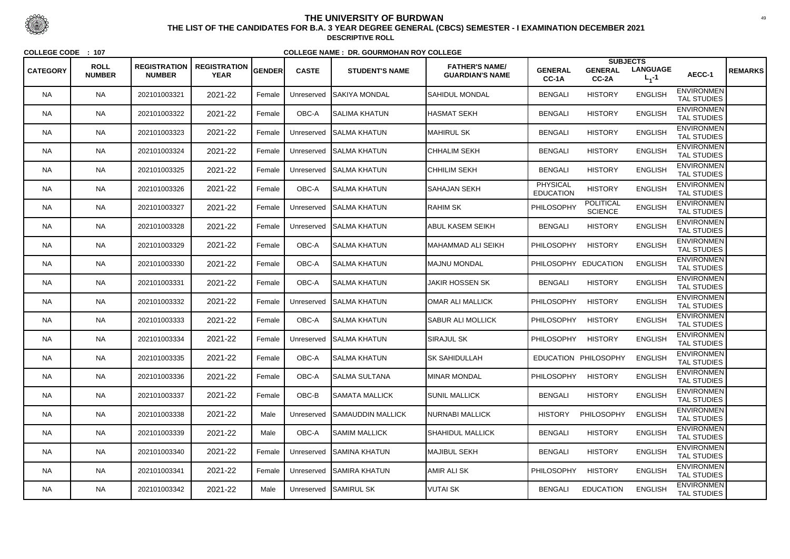| <b>CATEGORY</b> | <b>ROLL</b><br><b>NUMBER</b> | <b>REGISTRATION</b><br><b>NUMBER</b> | <b>REGISTRATION</b><br><b>YEAR</b> | <b>GENDER</b> | <b>CASTE</b> | <b>STUDENT'S NAME</b> | <b>FATHER'S NAME/</b><br><b>GUARDIAN'S NAME</b> | <b>GENERAL</b><br>CC-1A             | <b>SUBJECTS</b><br><b>GENERAL</b><br>CC-2A | <b>LANGUAGE</b><br>$L_1 - 1$ | AECC-1                                  | <b>REMARKS</b> |
|-----------------|------------------------------|--------------------------------------|------------------------------------|---------------|--------------|-----------------------|-------------------------------------------------|-------------------------------------|--------------------------------------------|------------------------------|-----------------------------------------|----------------|
| <b>NA</b>       | <b>NA</b>                    | 202101003321                         | 2021-22                            | Female        | Unreserved   | ISAKIYA MONDAL        | SAHIDUL MONDAL                                  | <b>BENGALI</b>                      | <b>HISTORY</b>                             | <b>ENGLISH</b>               | <b>ENVIRONMEN</b><br><b>TAL STUDIES</b> |                |
| <b>NA</b>       | <b>NA</b>                    | 202101003322                         | 2021-22                            | Female        | OBC-A        | SALIMA KHATUN         | <b>HASMAT SEKH</b>                              | <b>BENGALI</b>                      | <b>HISTORY</b>                             | <b>ENGLISH</b>               | <b>ENVIRONMEN</b><br><b>TAL STUDIES</b> |                |
| NA.             | <b>NA</b>                    | 202101003323                         | 2021-22                            | Female        | Unreserved   | <b>SALMA KHATUN</b>   | <b>MAHIRUL SK</b>                               | <b>BENGALI</b>                      | <b>HISTORY</b>                             | <b>ENGLISH</b>               | <b>ENVIRONMEN</b><br><b>TAL STUDIES</b> |                |
| <b>NA</b>       | <b>NA</b>                    | 202101003324                         | 2021-22                            | Female        | Unreserved   | <b>ISALMA KHATUN</b>  | CHHALIM SEKH                                    | <b>BENGALI</b>                      | <b>HISTORY</b>                             | <b>ENGLISH</b>               | <b>ENVIRONMEN</b><br><b>TAL STUDIES</b> |                |
| <b>NA</b>       | <b>NA</b>                    | 202101003325                         | 2021-22                            | Female        | Unreserved   | <b>SALMA KHATUN</b>   | <b>CHHILIM SEKH</b>                             | <b>BENGALI</b>                      | <b>HISTORY</b>                             | <b>ENGLISH</b>               | <b>ENVIRONMEN</b><br><b>TAL STUDIES</b> |                |
| <b>NA</b>       | <b>NA</b>                    | 202101003326                         | 2021-22                            | Female        | OBC-A        | <b>I</b> SALMA KHATUN | <b>SAHAJAN SEKH</b>                             | <b>PHYSICAL</b><br><b>EDUCATION</b> | <b>HISTORY</b>                             | <b>ENGLISH</b>               | <b>ENVIRONMEN</b><br><b>TAL STUDIES</b> |                |
| NA.             | <b>NA</b>                    | 202101003327                         | 2021-22                            | Female        | Unreserved   | <b>SALMA KHATUN</b>   | <b>RAHIM SK</b>                                 | PHILOSOPHY                          | <b>POLITICAL</b><br><b>SCIENCE</b>         | <b>ENGLISH</b>               | <b>ENVIRONMEN</b><br><b>TAL STUDIES</b> |                |
| <b>NA</b>       | <b>NA</b>                    | 202101003328                         | 2021-22                            | Female        | Unreserved   | <b>SALMA KHATUN</b>   | <b>ABUL KASEM SEIKH</b>                         | <b>BENGALI</b>                      | <b>HISTORY</b>                             | <b>ENGLISH</b>               | <b>ENVIRONMEN</b><br>TAL STUDIES        |                |
| <b>NA</b>       | <b>NA</b>                    | 202101003329                         | 2021-22                            | Female        | OBC-A        | <b>I</b> SALMA KHATUN | İMAHAMMAD ALI SEIKH                             | <b>PHILOSOPHY</b>                   | <b>HISTORY</b>                             | <b>ENGLISH</b>               | <b>ENVIRONMEN</b><br><b>TAL STUDIES</b> |                |
| NA.             | <b>NA</b>                    | 202101003330                         | 2021-22                            | Female        | OBC-A        | <b>SALMA KHATUN</b>   | <b>IMAJNU MONDAL</b>                            | PHILOSOPHY EDUCATION                |                                            | <b>ENGLISH</b>               | <b>ENVIRONMEN</b><br><b>TAL STUDIES</b> |                |
| <b>NA</b>       | <b>NA</b>                    | 202101003331                         | 2021-22                            | Female        | OBC-A        | SALMA KHATUN          | JAKIR HOSSEN SK                                 | <b>BENGALI</b>                      | <b>HISTORY</b>                             | <b>ENGLISH</b>               | <b>ENVIRONMEN</b><br><b>TAL STUDIES</b> |                |
| <b>NA</b>       | <b>NA</b>                    | 202101003332                         | 2021-22                            | Female        | Unreserved   | <b>SALMA KHATUN</b>   | OMAR ALI MALLICK                                | PHILOSOPHY                          | <b>HISTORY</b>                             | <b>ENGLISH</b>               | <b>ENVIRONMEN</b><br><b>TAL STUDIES</b> |                |
| <b>NA</b>       | <b>NA</b>                    | 202101003333                         | 2021-22                            | Female        | OBC-A        | <b>SALMA KHATUN</b>   | <b>SABUR ALI MOLLICK</b>                        | <b>PHILOSOPHY</b>                   | <b>HISTORY</b>                             | <b>ENGLISH</b>               | <b>ENVIRONMEN</b><br><b>TAL STUDIES</b> |                |
| NA.             | <b>NA</b>                    | 202101003334                         | 2021-22                            | Female        | Unreserved   | <b>SALMA KHATUN</b>   | <b>SIRAJUL SK</b>                               | <b>PHILOSOPHY</b>                   | <b>HISTORY</b>                             | <b>ENGLISH</b>               | <b>ENVIRONMEN</b><br><b>TAL STUDIES</b> |                |
| <b>NA</b>       | <b>NA</b>                    | 202101003335                         | 2021-22                            | Female        | OBC-A        | <b>SALMA KHATUN</b>   | <b>SK SAHIDULLAH</b>                            |                                     | EDUCATION PHILOSOPHY                       | <b>ENGLISH</b>               | <b>ENVIRONMEN</b><br><b>TAL STUDIES</b> |                |
| <b>NA</b>       | <b>NA</b>                    | 202101003336                         | 2021-22                            | Female        | OBC-A        | SALMA SULTANA         | <b>MINAR MONDAL</b>                             | PHILOSOPHY HISTORY                  |                                            | <b>ENGLISH</b>               | <b>ENVIRONMEN</b><br>TAL STUDIES        |                |
| NA.             | <b>NA</b>                    | 202101003337                         | 2021-22                            | Female        | OBC-B        | SAMATA MALLICK        | <b>SUNIL MALLICK</b>                            | <b>BENGALI</b>                      | <b>HISTORY</b>                             | <b>ENGLISH</b>               | <b>ENVIRONMEN</b><br>TAL STUDIES        |                |
| <b>NA</b>       | <b>NA</b>                    | 202101003338                         | 2021-22                            | Male          | Unreserved   | SAMAUDDIN MALLICK     | NURNABI MALLICK                                 | <b>HISTORY</b>                      | PHILOSOPHY                                 | <b>ENGLISH</b>               | <b>ENVIRONMEN</b><br><b>TAL STUDIES</b> |                |
| <b>NA</b>       | <b>NA</b>                    | 202101003339                         | 2021-22                            | Male          | OBC-A        | <b>SAMIM MALLICK</b>  | <b>SHAHIDUL MALLICK</b>                         | <b>BENGALI</b>                      | <b>HISTORY</b>                             | <b>ENGLISH</b>               | <b>ENVIRONMEN</b><br>TAL STUDIES        |                |
| <b>NA</b>       | <b>NA</b>                    | 202101003340                         | 2021-22                            | Female        | Unreserved   | <b>SAMINA KHATUN</b>  | MAJIBUL SEKH                                    | <b>BENGALI</b>                      | <b>HISTORY</b>                             | <b>ENGLISH</b>               | <b>ENVIRONMEN</b><br><b>TAL STUDIES</b> |                |
| NA.             | <b>NA</b>                    | 202101003341                         | 2021-22                            | Female        | Unreserved   | <b>SAMIRA KHATUN</b>  | AMIR ALI SK                                     | <b>PHILOSOPHY</b>                   | <b>HISTORY</b>                             | <b>ENGLISH</b>               | <b>ENVIRONMEN</b><br>TAL STUDIES        |                |
| NA              | <b>NA</b>                    | 202101003342                         | 2021-22                            | Male          |              | Unreserved SAMIRUL SK | <b>VUTAI SK</b>                                 | <b>BENGALI</b>                      | <b>EDUCATION</b>                           | <b>ENGLISH</b>               | <b>ENVIRONMEN</b><br>TAL STUDIES        |                |



 <sup>49</sup> **THE LIST OF THE CANDIDATES FOR B.A. 3 YEAR DEGREE GENERAL (CBCS) SEMESTER - I EXAMINATION DECEMBER 2021DESCRIPTIVE ROLL**

**COLLEGE CODE : <sup>107</sup>**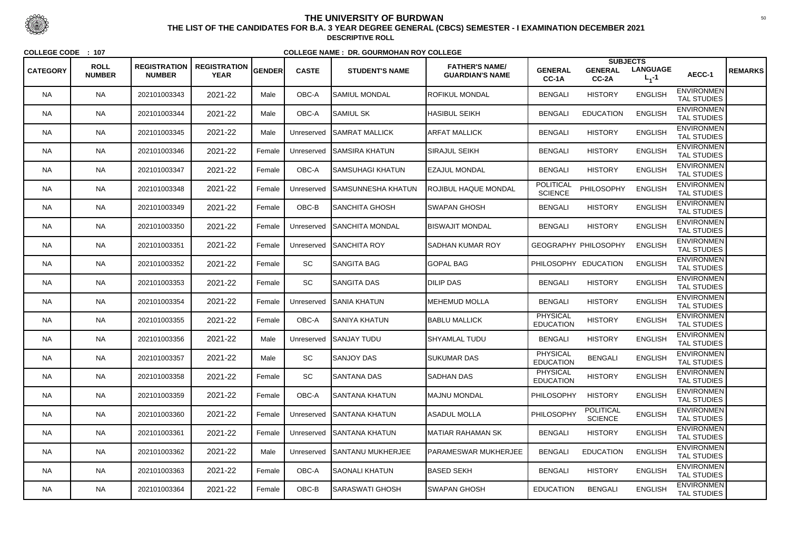| <b>CATEGORY</b> | <b>ROLL</b><br><b>NUMBER</b> | <b>REGISTRATION</b><br><b>NUMBER</b> | <b>REGISTRATION</b><br><b>YEAR</b> | <b>GENDER</b> | <b>CASTE</b> | <b>STUDENT'S NAME</b>    | <b>FATHER'S NAME/</b><br><b>GUARDIAN'S NAME</b> | <b>GENERAL</b><br>CC-1A             | <b>SUBJECTS</b><br><b>GENERAL</b><br>CC-2A | <b>LANGUAGE</b><br>$L_{1} - 1$ | AECC-1                                  | <b>REMARKS</b> |
|-----------------|------------------------------|--------------------------------------|------------------------------------|---------------|--------------|--------------------------|-------------------------------------------------|-------------------------------------|--------------------------------------------|--------------------------------|-----------------------------------------|----------------|
| <b>NA</b>       | <b>NA</b>                    | 202101003343                         | 2021-22                            | Male          | OBC-A        | SAMIUL MONDAL            | <b>ROFIKUL MONDAL</b>                           | <b>BENGALI</b>                      | <b>HISTORY</b>                             | <b>ENGLISH</b>                 | <b>ENVIRONMEN</b><br><b>TAL STUDIES</b> |                |
| <b>NA</b>       | <b>NA</b>                    | 202101003344                         | 2021-22                            | Male          | OBC-A        | SAMIUL SK                | <b>HASIBUL SEIKH</b>                            | <b>BENGALI</b>                      | <b>EDUCATION</b>                           | <b>ENGLISH</b>                 | <b>ENVIRONMEN</b><br><b>TAL STUDIES</b> |                |
| NA.             | <b>NA</b>                    | 202101003345                         | 2021-22                            | Male          | Unreserved   | <b>SAMRAT MALLICK</b>    | <b>ARFAT MALLICK</b>                            | <b>BENGALI</b>                      | <b>HISTORY</b>                             | <b>ENGLISH</b>                 | <b>ENVIRONMEN</b><br><b>TAL STUDIES</b> |                |
| <b>NA</b>       | <b>NA</b>                    | 202101003346                         | 2021-22                            | Female        | Unreserved   | SAMSIRA KHATUN           | SIRAJUL SEIKH                                   | <b>BENGALI</b>                      | <b>HISTORY</b>                             | <b>ENGLISH</b>                 | <b>ENVIRONMEN</b><br><b>TAL STUDIES</b> |                |
| <b>NA</b>       | <b>NA</b>                    | 202101003347                         | 2021-22                            | Female        | OBC-A        | SAMSUHAGI KHATUN         | <b>EZAJUL MONDAL</b>                            | <b>BENGALI</b>                      | <b>HISTORY</b>                             | <b>ENGLISH</b>                 | <b>ENVIRONMEN</b><br><b>TAL STUDIES</b> |                |
| <b>NA</b>       | <b>NA</b>                    | 202101003348                         | 2021-22                            | Female        | Unreserved   | ISAMSUNNESHA KHATUN      | <b>ROJIBUL HAQUE MONDAL</b>                     | <b>POLITICAL</b><br><b>SCIENCE</b>  | PHILOSOPHY                                 | <b>ENGLISH</b>                 | <b>ENVIRONMEN</b><br><b>TAL STUDIES</b> |                |
| NA.             | <b>NA</b>                    | 202101003349                         | 2021-22                            | Female        | OBC-B        | ISANCHITA GHOSH          | <b>I</b> SWAPAN GHOSH                           | <b>BENGALI</b>                      | <b>HISTORY</b>                             | <b>ENGLISH</b>                 | <b>ENVIRONMEN</b><br><b>TAL STUDIES</b> |                |
| <b>NA</b>       | <b>NA</b>                    | 202101003350                         | 2021-22                            | Female        | Unreserved   | SANCHITA MONDAL          | <b>BISWAJIT MONDAL</b>                          | <b>BENGALI</b>                      | <b>HISTORY</b>                             | <b>ENGLISH</b>                 | <b>ENVIRONMEN</b><br><b>TAL STUDIES</b> |                |
| <b>NA</b>       | <b>NA</b>                    | 202101003351                         | 2021-22                            | Female        | Unreserved   | <b>ISANCHITA ROY</b>     | <b>ISADHAN KUMAR ROY</b>                        |                                     | <b>GEOGRAPHY PHILOSOPHY</b>                | <b>ENGLISH</b>                 | <b>ENVIRONMEN</b><br><b>TAL STUDIES</b> |                |
| NA.             | <b>NA</b>                    | 202101003352                         | 2021-22                            | Female        | <b>SC</b>    | <b>SANGITA BAG</b>       | <b>GOPAL BAG</b>                                | PHILOSOPHY EDUCATION                |                                            | <b>ENGLISH</b>                 | <b>ENVIRONMEN</b><br><b>TAL STUDIES</b> |                |
| <b>NA</b>       | <b>NA</b>                    | 202101003353                         | 2021-22                            | Female        | SC           | <b>SANGITA DAS</b>       | <b>DILIP DAS</b>                                | <b>BENGALI</b>                      | <b>HISTORY</b>                             | <b>ENGLISH</b>                 | <b>ENVIRONMEN</b><br><b>TAL STUDIES</b> |                |
| <b>NA</b>       | <b>NA</b>                    | 202101003354                         | 2021-22                            | Female        | Unreserved   | <b>ISANIA KHATUN</b>     | MEHEMUD MOLLA                                   | <b>BENGALI</b>                      | <b>HISTORY</b>                             | <b>ENGLISH</b>                 | <b>ENVIRONMEN</b><br><b>TAL STUDIES</b> |                |
| <b>NA</b>       | <b>NA</b>                    | 202101003355                         | 2021-22                            | Female        | OBC-A        | ISANIYA KHATUN           | <b>BABLU MALLICK</b>                            | <b>PHYSICAL</b><br><b>EDUCATION</b> | <b>HISTORY</b>                             | <b>ENGLISH</b>                 | <b>ENVIRONMEN</b><br><b>TAL STUDIES</b> |                |
| NA.             | <b>NA</b>                    | 202101003356                         | 2021-22                            | Male          | Unreserved   | <b>ISANJAY TUDU</b>      | SHYAMLAL TUDU                                   | <b>BENGALI</b>                      | <b>HISTORY</b>                             | <b>ENGLISH</b>                 | <b>ENVIRONMEN</b><br><b>TAL STUDIES</b> |                |
| <b>NA</b>       | <b>NA</b>                    | 202101003357                         | 2021-22                            | Male          | <b>SC</b>    | SANJOY DAS               | <b>SUKUMAR DAS</b>                              | <b>PHYSICAL</b><br><b>EDUCATION</b> | <b>BENGALI</b>                             | <b>ENGLISH</b>                 | <b>ENVIRONMEN</b><br><b>TAL STUDIES</b> |                |
| <b>NA</b>       | <b>NA</b>                    | 202101003358                         | 2021-22                            | Female        | <b>SC</b>    | <b>SANTANA DAS</b>       | <b>SADHAN DAS</b>                               | <b>PHYSICAL</b><br><b>EDUCATION</b> | <b>HISTORY</b>                             | <b>ENGLISH</b>                 | <b>ENVIRONMEN</b><br><b>TAL STUDIES</b> |                |
| NA.             | <b>NA</b>                    | 202101003359                         | 2021-22                            | Female        | OBC-A        | ISANTANA KHATUN          | <b>MAJNU MONDAL</b>                             | <b>PHILOSOPHY</b>                   | <b>HISTORY</b>                             | <b>ENGLISH</b>                 | <b>ENVIRONMEN</b><br>TAL STUDIES        |                |
| <b>NA</b>       | <b>NA</b>                    | 202101003360                         | 2021-22                            | Female        | Unreserved   | <b>SANTANA KHATUN</b>    | ASADUL MOLLA                                    | PHILOSOPHY                          | <b>POLITICAL</b><br><b>SCIENCE</b>         | <b>ENGLISH</b>                 | <b>ENVIRONMEN</b><br><b>TAL STUDIES</b> |                |
| <b>NA</b>       | <b>NA</b>                    | 202101003361                         | 2021-22                            | Female        | Unreserved   | <b>ISANTANA KHATUN</b>   | MATIAR RAHAMAN SK                               | <b>BENGALI</b>                      | <b>HISTORY</b>                             | <b>ENGLISH</b>                 | <b>ENVIRONMEN</b><br>TAL STUDIES        |                |
| <b>NA</b>       | <b>NA</b>                    | 202101003362                         | 2021-22                            | Male          | Unreserved   | <b>SANTANU MUKHERJEE</b> | <b>PARAMESWAR MUKHERJEE</b>                     | <b>BENGALI</b>                      | <b>EDUCATION</b>                           | <b>ENGLISH</b>                 | <b>ENVIRONMEN</b><br>TAL STUDIES        |                |
| NA.             | <b>NA</b>                    | 202101003363                         | 2021-22                            | Female        | OBC-A        | ISAONALI KHATUN          | <b>BASED SEKH</b>                               | <b>BENGALI</b>                      | <b>HISTORY</b>                             | <b>ENGLISH</b>                 | <b>ENVIRONMEN</b><br>TAL STUDIES        |                |
| <b>NA</b>       | <b>NA</b>                    | 202101003364                         | 2021-22                            | Female        | OBC-B        | SARASWATI GHOSH          | <b>SWAPAN GHOSH</b>                             | <b>EDUCATION</b>                    | <b>BENGALI</b>                             | <b>ENGLISH</b>                 | <b>ENVIRONMEN</b><br>TAL STUDIES        |                |



 <sup>50</sup> **THE LIST OF THE CANDIDATES FOR B.A. 3 YEAR DEGREE GENERAL (CBCS) SEMESTER - I EXAMINATION DECEMBER 2021DESCRIPTIVE ROLL**

**COLLEGE CODE : <sup>107</sup>**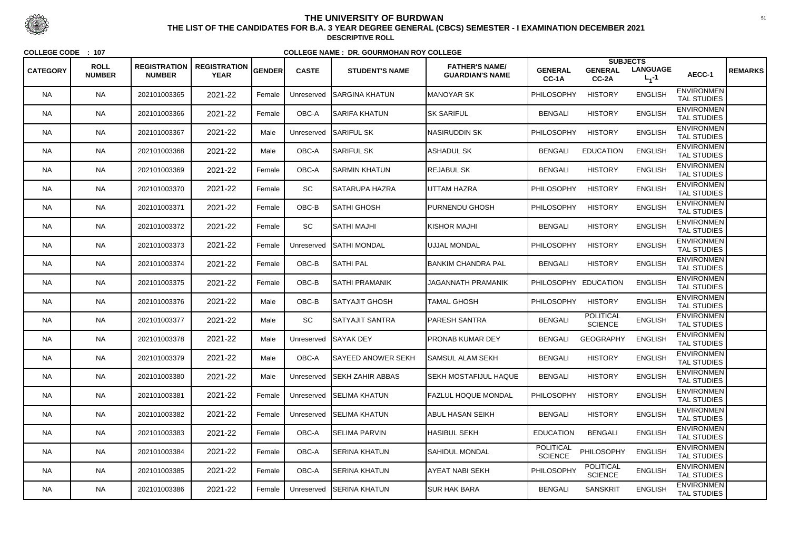|                 |                              |                                      |                                    |        |              |                           |                                                 |                                    | <b>SUBJECTS</b>                    |                                |                                         |                |
|-----------------|------------------------------|--------------------------------------|------------------------------------|--------|--------------|---------------------------|-------------------------------------------------|------------------------------------|------------------------------------|--------------------------------|-----------------------------------------|----------------|
| <b>CATEGORY</b> | <b>ROLL</b><br><b>NUMBER</b> | <b>REGISTRATION</b><br><b>NUMBER</b> | <b>REGISTRATION</b><br><b>YEAR</b> | GENDER | <b>CASTE</b> | <b>STUDENT'S NAME</b>     | <b>FATHER'S NAME/</b><br><b>GUARDIAN'S NAME</b> | <b>GENERAL</b><br>CC-1A            | <b>GENERAL</b><br>CC-2A            | <b>LANGUAGE</b><br>$L_{1} - 1$ | AECC-1                                  | <b>REMARKS</b> |
| <b>NA</b>       | <b>NA</b>                    | 202101003365                         | 2021-22                            | Female | Unreserved   | ISARGINA KHATUN           | <b>MANOYAR SK</b>                               | PHILOSOPHY                         | <b>HISTORY</b>                     | <b>ENGLISH</b>                 | <b>ENVIRONMEN</b><br><b>TAL STUDIES</b> |                |
| <b>NA</b>       | <b>NA</b>                    | 202101003366                         | 2021-22                            | Female | OBC-A        | <b>SARIFA KHATUN</b>      | <b>SK SARIFUL</b>                               | <b>BENGALI</b>                     | <b>HISTORY</b>                     | <b>ENGLISH</b>                 | <b>ENVIRONMEN</b><br><b>TAL STUDIES</b> |                |
| NA.             | <b>NA</b>                    | 202101003367                         | 2021-22                            | Male   | Unreserved   | <b>SARIFUL SK</b>         | NASIRUDDIN SK                                   | <b>PHILOSOPHY</b>                  | <b>HISTORY</b>                     | <b>ENGLISH</b>                 | <b>ENVIRONMEN</b><br><b>TAL STUDIES</b> |                |
| <b>NA</b>       | <b>NA</b>                    | 202101003368                         | 2021-22                            | Male   | OBC-A        | ISARIFUL SK               | <b>ASHADUL SK</b>                               | <b>BENGALI</b>                     | <b>EDUCATION</b>                   | <b>ENGLISH</b>                 | <b>ENVIRONMEN</b><br><b>TAL STUDIES</b> |                |
| <b>NA</b>       | <b>NA</b>                    | 202101003369                         | 2021-22                            | Female | OBC-A        | <b>SARMIN KHATUN</b>      | <b>REJABUL SK</b>                               | <b>BENGALI</b>                     | <b>HISTORY</b>                     | <b>ENGLISH</b>                 | <b>ENVIRONMEN</b><br><b>TAL STUDIES</b> |                |
| NA.             | <b>NA</b>                    | 202101003370                         | 2021-22                            | Female | <b>SC</b>    | ISATARUPA HAZRA           | UTTAM HAZRA                                     | <b>PHILOSOPHY</b>                  | <b>HISTORY</b>                     | <b>ENGLISH</b>                 | <b>ENVIRONMEN</b><br><b>TAL STUDIES</b> |                |
| NA.             | <b>NA</b>                    | 202101003371                         | 2021-22                            | Female | OBC-B        | ISATHI GHOSH              | <b>PURNENDU GHOSH</b>                           | <b>PHILOSOPHY</b>                  | <b>HISTORY</b>                     | <b>ENGLISH</b>                 | <b>ENVIRONMEN</b><br><b>TAL STUDIES</b> |                |
| <b>NA</b>       | <b>NA</b>                    | 202101003372                         | 2021-22                            | Female | SC           | ISATHI MAJHI              | KISHOR MAJHI                                    | <b>BENGALI</b>                     | <b>HISTORY</b>                     | <b>ENGLISH</b>                 | <b>ENVIRONMEN</b><br><b>TAL STUDIES</b> |                |
| <b>NA</b>       | <b>NA</b>                    | 202101003373                         | 2021-22                            | Female | Unreserved   | <b>SATHI MONDAL</b>       | <b>UJJAL MONDAL</b>                             | PHILOSOPHY                         | <b>HISTORY</b>                     | <b>ENGLISH</b>                 | <b>ENVIRONMEN</b><br><b>TAL STUDIES</b> |                |
| NA.             | <b>NA</b>                    | 202101003374                         | 2021-22                            | Female | OBC-B        | <b>SATHI PAL</b>          | <b>BANKIM CHANDRA PAL</b>                       | <b>BENGALI</b>                     | <b>HISTORY</b>                     | <b>ENGLISH</b>                 | <b>ENVIRONMEN</b><br><b>TAL STUDIES</b> |                |
| <b>NA</b>       | <b>NA</b>                    | 202101003375                         | 2021-22                            | Female | OBC-B        | SATHI PRAMANIK            | JAGANNATH PRAMANIK                              | PHILOSOPHY EDUCATION               |                                    | <b>ENGLISH</b>                 | <b>ENVIRONMEN</b><br><b>TAL STUDIES</b> |                |
| <b>NA</b>       | <b>NA</b>                    | 202101003376                         | 2021-22                            | Male   | OBC-B        | SATYAJIT GHOSH            | <b>TAMAL GHOSH</b>                              | <b>PHILOSOPHY</b>                  | <b>HISTORY</b>                     | <b>ENGLISH</b>                 | <b>ENVIRONMEN</b><br><b>TAL STUDIES</b> |                |
| <b>NA</b>       | <b>NA</b>                    | 202101003377                         | 2021-22                            | Male   | SC           | SATYAJIT SANTRA           | <b>PARESH SANTRA</b>                            | <b>BENGALI</b>                     | <b>POLITICAL</b><br><b>SCIENCE</b> | <b>ENGLISH</b>                 | <b>ENVIRONMEN</b><br><b>TAL STUDIES</b> |                |
| <b>NA</b>       | <b>NA</b>                    | 202101003378                         | 2021-22                            | Male   | Unreserved   | <b>SAYAK DEY</b>          | <b>PRONAB KUMAR DEY</b>                         | <b>BENGALI</b>                     | <b>GEOGRAPHY</b>                   | <b>ENGLISH</b>                 | <b>ENVIRONMEN</b><br><b>TAL STUDIES</b> |                |
| <b>NA</b>       | <b>NA</b>                    | 202101003379                         | 2021-22                            | Male   | OBC-A        | <b>SAYEED ANOWER SEKH</b> | <b>SAMSUL ALAM SEKH</b>                         | <b>BENGALI</b>                     | <b>HISTORY</b>                     | <b>ENGLISH</b>                 | <b>ENVIRONMEN</b><br><b>TAL STUDIES</b> |                |
| <b>NA</b>       | <b>NA</b>                    | 202101003380                         | 2021-22                            | Male   | Unreserved   | <b>SEKH ZAHIR ABBAS</b>   | <b>SEKH MOSTAFIJUL HAQUE</b>                    | <b>BENGALI</b>                     | <b>HISTORY</b>                     | <b>ENGLISH</b>                 | <b>ENVIRONMEN</b><br><b>TAL STUDIES</b> |                |
| NA.             | <b>NA</b>                    | 202101003381                         | 2021-22                            | Female | Unreserved   | <b>SELIMA KHATUN</b>      | <b>FAZLUL HOQUE MONDAL</b>                      | PHILOSOPHY                         | <b>HISTORY</b>                     | <b>ENGLISH</b>                 | <b>ENVIRONMEN</b><br><b>TAL STUDIES</b> |                |
| <b>NA</b>       | <b>NA</b>                    | 202101003382                         | 2021-22                            | Female | Unreserved   | <b>SELIMA KHATUN</b>      | <b>ABUL HASAN SEIKH</b>                         | <b>BENGALI</b>                     | <b>HISTORY</b>                     | <b>ENGLISH</b>                 | <b>ENVIRONMEN</b><br>TAL STUDIES        |                |
| <b>NA</b>       | <b>NA</b>                    | 202101003383                         | 2021-22                            | Female | OBC-A        | <b>SELIMA PARVIN</b>      | <b>HASIBUL SEKH</b>                             | <b>EDUCATION</b>                   | <b>BENGALI</b>                     | <b>ENGLISH</b>                 | <b>ENVIRONMEN</b><br>TAL STUDIES        |                |
| <b>NA</b>       | <b>NA</b>                    | 202101003384                         | 2021-22                            | Female | OBC-A        | <b>SERINA KHATUN</b>      | <b>SAHIDUL MONDAL</b>                           | <b>POLITICAL</b><br><b>SCIENCE</b> | PHILOSOPHY                         | <b>ENGLISH</b>                 | <b>ENVIRONMEN</b><br><b>TAL STUDIES</b> |                |
| <b>NA</b>       | <b>NA</b>                    | 202101003385                         | 2021-22                            | Female | OBC-A        | SERINA KHATUN             | <b>AYEAT NABI SEKH</b>                          | PHILOSOPHY                         | <b>POLITICAL</b><br><b>SCIENCE</b> | <b>ENGLISH</b>                 | <b>ENVIRONMEN</b><br>TAL STUDIES        |                |
| <b>NA</b>       | <b>NA</b>                    | 202101003386                         | 2021-22                            | Female | Unreserved   | <b>SERINA KHATUN</b>      | <b>SUR HAK BARA</b>                             | <b>BENGALI</b>                     | <b>SANSKRIT</b>                    | <b>ENGLISH</b>                 | <b>ENVIRONMEN</b><br>TAL STUDIES        |                |



 <sup>51</sup> **THE LIST OF THE CANDIDATES FOR B.A. 3 YEAR DEGREE GENERAL (CBCS) SEMESTER - I EXAMINATION DECEMBER 2021DESCRIPTIVE ROLL**

**COLLEGE CODE : <sup>107</sup>**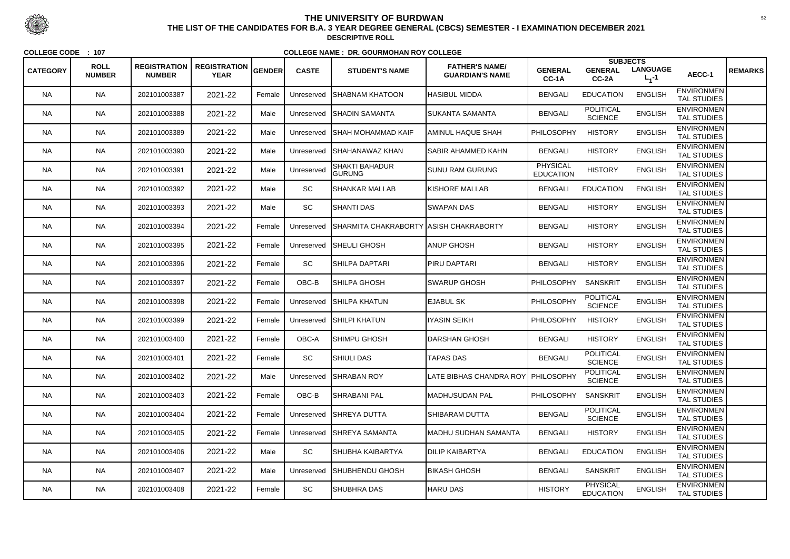|                 |                              |                                      |                                    |               |              |                                          |                                                 |                                     | <b>SUBJECTS</b>                     |                              |                                         |                |
|-----------------|------------------------------|--------------------------------------|------------------------------------|---------------|--------------|------------------------------------------|-------------------------------------------------|-------------------------------------|-------------------------------------|------------------------------|-----------------------------------------|----------------|
| <b>CATEGORY</b> | <b>ROLL</b><br><b>NUMBER</b> | <b>REGISTRATION</b><br><b>NUMBER</b> | <b>REGISTRATION</b><br><b>YEAR</b> | <b>GENDER</b> | <b>CASTE</b> | <b>STUDENT'S NAME</b>                    | <b>FATHER'S NAME/</b><br><b>GUARDIAN'S NAME</b> | <b>GENERAL</b><br>CC-1A             | <b>GENERAL</b><br>CC-2A             | <b>LANGUAGE</b><br>$L_1 - 1$ | AECC-1                                  | <b>REMARKS</b> |
| <b>NA</b>       | <b>NA</b>                    | 202101003387                         | 2021-22                            | Female        | Unreserved   | <b>I</b> SHABNAM KHATOON                 | <b>HASIBUL MIDDA</b>                            | <b>BENGALI</b>                      | <b>EDUCATION</b>                    | <b>ENGLISH</b>               | <b>ENVIRONMEN</b><br><b>TAL STUDIES</b> |                |
| <b>NA</b>       | <b>NA</b>                    | 202101003388                         | 2021-22                            | Male          | Unreserved   | <b>SHADIN SAMANTA</b>                    | <b>SUKANTA SAMANTA</b>                          | <b>BENGALI</b>                      | <b>POLITICAL</b><br><b>SCIENCE</b>  | <b>ENGLISH</b>               | <b>ENVIRONMEN</b><br><b>TAL STUDIES</b> |                |
| NA.             | <b>NA</b>                    | 202101003389                         | 2021-22                            | Male          | Unreserved   | <b>SHAH MOHAMMAD KAIF</b>                | IAMINUL HAQUE SHAH                              | PHILOSOPHY                          | <b>HISTORY</b>                      | <b>ENGLISH</b>               | <b>ENVIRONMEN</b><br><b>TAL STUDIES</b> |                |
| <b>NA</b>       | <b>NA</b>                    | 202101003390                         | 2021-22                            | Male          | Unreserved   | ISHAHANAWAZ KHAN                         | <b>SABIR AHAMMED KAHN</b>                       | <b>BENGALI</b>                      | <b>HISTORY</b>                      | <b>ENGLISH</b>               | <b>ENVIRONMEN</b><br><b>TAL STUDIES</b> |                |
| <b>NA</b>       | <b>NA</b>                    | 202101003391                         | 2021-22                            | Male          | Unreserved   | <b>SHAKTI BAHADUR</b><br><b>GURUNG</b>   | <b>SUNU RAM GURUNG</b>                          | <b>PHYSICAL</b><br><b>EDUCATION</b> | <b>HISTORY</b>                      | <b>ENGLISH</b>               | <b>ENVIRONMEN</b><br><b>TAL STUDIES</b> |                |
| <b>NA</b>       | <b>NA</b>                    | 202101003392                         | 2021-22                            | Male          | SC           | <b>SHANKAR MALLAB</b>                    | <b>IKISHORE MALLAB</b>                          | <b>BENGALI</b>                      | <b>EDUCATION</b>                    | <b>ENGLISH</b>               | <b>ENVIRONMEN</b><br><b>TAL STUDIES</b> |                |
| NA.             | <b>NA</b>                    | 202101003393                         | 2021-22                            | Male          | SC           | <b>SHANTI DAS</b>                        | <b>SWAPAN DAS</b>                               | <b>BENGALI</b>                      | <b>HISTORY</b>                      | <b>ENGLISH</b>               | <b>ENVIRONMEN</b><br><b>TAL STUDIES</b> |                |
| <b>NA</b>       | <b>NA</b>                    | 202101003394                         | 2021-22                            | Female        | Unreserved   | SHARMITA CHAKRABORTY   ASISH CHAKRABORTY |                                                 | <b>BENGALI</b>                      | <b>HISTORY</b>                      | <b>ENGLISH</b>               | <b>ENVIRONMEN</b><br><b>TAL STUDIES</b> |                |
| <b>NA</b>       | <b>NA</b>                    | 202101003395                         | 2021-22                            | Female        | Unreserved   | <b>ISHEULI GHOSH</b>                     | <b>ANUP GHOSH</b>                               | <b>BENGALI</b>                      | <b>HISTORY</b>                      | <b>ENGLISH</b>               | <b>ENVIRONMEN</b><br>TAL STUDIES        |                |
| NA.             | <b>NA</b>                    | 202101003396                         | 2021-22                            | Female        | <b>SC</b>    | ISHILPA DAPTARI                          | <b>PIRU DAPTARI</b>                             | <b>BENGALI</b>                      | <b>HISTORY</b>                      | <b>ENGLISH</b>               | <b>ENVIRONMEN</b><br><b>TAL STUDIES</b> |                |
| <b>NA</b>       | <b>NA</b>                    | 202101003397                         | 2021-22                            | Female        | OBC-B        | SHILPA GHOSH                             | SWARUP GHOSH                                    | <b>PHILOSOPHY</b>                   | <b>SANSKRIT</b>                     | <b>ENGLISH</b>               | <b>ENVIRONMEN</b><br><b>TAL STUDIES</b> |                |
| <b>NA</b>       | <b>NA</b>                    | 202101003398                         | 2021-22                            | Female        | Unreserved   | <b>SHILPA KHATUN</b>                     | <b>EJABUL SK</b>                                | PHILOSOPHY                          | <b>POLITICAL</b><br><b>SCIENCE</b>  | <b>ENGLISH</b>               | <b>ENVIRONMEN</b><br><b>TAL STUDIES</b> |                |
| <b>NA</b>       | <b>NA</b>                    | 202101003399                         | 2021-22                            | Female        | Unreserved   | <b>SHILPI KHATUN</b>                     | <b>IYASIN SEIKH</b>                             | PHILOSOPHY                          | <b>HISTORY</b>                      | <b>ENGLISH</b>               | <b>ENVIRONMEN</b><br><b>TAL STUDIES</b> |                |
| NA.             | <b>NA</b>                    | 202101003400                         | 2021-22                            | Female        | OBC-A        | ISHIMPU GHOSH                            | DARSHAN GHOSH                                   | <b>BENGALI</b>                      | <b>HISTORY</b>                      | <b>ENGLISH</b>               | <b>ENVIRONMEN</b><br><b>TAL STUDIES</b> |                |
| <b>NA</b>       | <b>NA</b>                    | 202101003401                         | 2021-22                            | Female        | <b>SC</b>    | <b>SHIULI DAS</b>                        | <b>TAPAS DAS</b>                                | <b>BENGALI</b>                      | <b>POLITICAL</b><br><b>SCIENCE</b>  | <b>ENGLISH</b>               | <b>ENVIRONMEN</b><br><b>TAL STUDIES</b> |                |
| <b>NA</b>       | <b>NA</b>                    | 202101003402                         | 2021-22                            | Male          | Unreserved   | <b>SHRABAN ROY</b>                       | LATE BIBHAS CHANDRA ROY PHILOSOPHY              |                                     | <b>POLITICAL</b><br><b>SCIENCE</b>  | <b>ENGLISH</b>               | <b>ENVIRONMEN</b><br><b>TAL STUDIES</b> |                |
| NA.             | <b>NA</b>                    | 202101003403                         | 2021-22                            | Female        | OBC-B        | <b>SHRABANI PAL</b>                      | <b>IMADHUSUDAN PAL</b>                          | <b>PHILOSOPHY</b>                   | <b>SANSKRIT</b>                     | <b>ENGLISH</b>               | <b>ENVIRONMEN</b><br>TAL STUDIES        |                |
| <b>NA</b>       | <b>NA</b>                    | 202101003404                         | 2021-22                            | Female        | Unreserved   | <b>SHREYA DUTTA</b>                      | ISHIBARAM DUTTA                                 | <b>BENGALI</b>                      | <b>POLITICAL</b><br><b>SCIENCE</b>  | <b>ENGLISH</b>               | <b>ENVIRONMEN</b><br><b>TAL STUDIES</b> |                |
| <b>NA</b>       | <b>NA</b>                    | 202101003405                         | 2021-22                            | Female        | Unreserved   | <b>SHREYA SAMANTA</b>                    | <b>MADHU SUDHAN SAMANTA</b>                     | <b>BENGALI</b>                      | <b>HISTORY</b>                      | <b>ENGLISH</b>               | <b>ENVIRONMEN</b><br><b>TAL STUDIES</b> |                |
| <b>NA</b>       | <b>NA</b>                    | 202101003406                         | 2021-22                            | Male          | SC           | SHUBHA KAIBARTYA                         | <b>DILIP KAIBARTYA</b>                          | <b>BENGALI</b>                      | <b>EDUCATION</b>                    | <b>ENGLISH</b>               | <b>ENVIRONMEN</b><br>TAL STUDIES        |                |
| NA.             | <b>NA</b>                    | 202101003407                         | 2021-22                            | Male          | Unreserved   | <b>I</b> SHUBHENDU GHOSH                 | <b>BIKASH GHOSH</b>                             | <b>BENGALI</b>                      | <b>SANSKRIT</b>                     | <b>ENGLISH</b>               | <b>ENVIRONMEN</b><br><b>TAL STUDIES</b> |                |
| <b>NA</b>       | <b>NA</b>                    | 202101003408                         | 2021-22                            | Female        | SC           | SHUBHRA DAS                              | <b>HARU DAS</b>                                 | <b>HISTORY</b>                      | <b>PHYSICAL</b><br><b>EDUCATION</b> | <b>ENGLISH</b>               | <b>ENVIRONMEN</b><br>TAL STUDIES        |                |



 <sup>52</sup> **THE LIST OF THE CANDIDATES FOR B.A. 3 YEAR DEGREE GENERAL (CBCS) SEMESTER - I EXAMINATION DECEMBER 2021DESCRIPTIVE ROLL**

**COLLEGE CODE : <sup>107</sup>**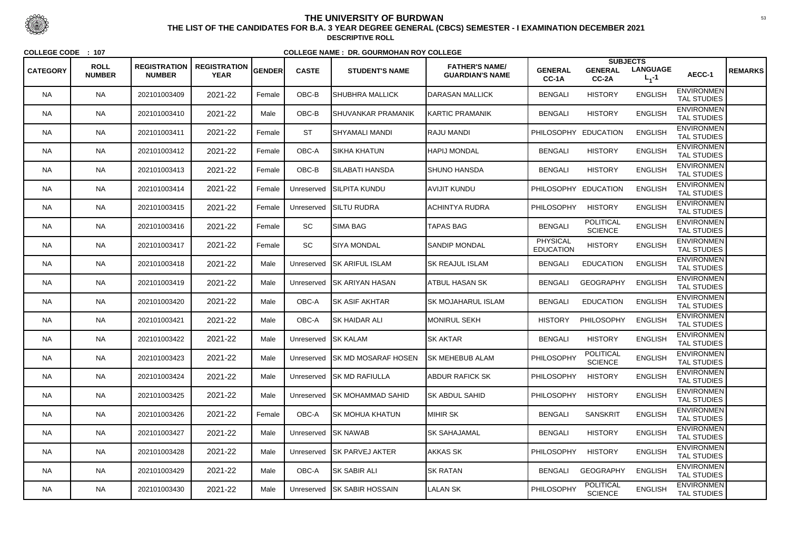|                 |                              |                                      |                                    |        |                     |                                |                                                 |                                     | <b>SUBJECTS</b>                    |                              |                                         |                |
|-----------------|------------------------------|--------------------------------------|------------------------------------|--------|---------------------|--------------------------------|-------------------------------------------------|-------------------------------------|------------------------------------|------------------------------|-----------------------------------------|----------------|
| <b>CATEGORY</b> | <b>ROLL</b><br><b>NUMBER</b> | <b>REGISTRATION</b><br><b>NUMBER</b> | <b>REGISTRATION</b><br><b>YEAR</b> | GENDER | <b>CASTE</b>        | <b>STUDENT'S NAME</b>          | <b>FATHER'S NAME/</b><br><b>GUARDIAN'S NAME</b> | <b>GENERAL</b><br>CC-1A             | <b>GENERAL</b><br>CC-2A            | <b>LANGUAGE</b><br>$L_1 - 1$ | AECC-1                                  | <b>REMARKS</b> |
| <b>NA</b>       | <b>NA</b>                    | 202101003409                         | 2021-22                            | Female | OBC-B               | <b>SHUBHRA MALLICK</b>         | DARASAN MALLICK                                 | <b>BENGALI</b>                      | <b>HISTORY</b>                     | <b>ENGLISH</b>               | <b>ENVIRONMEN</b><br><b>TAL STUDIES</b> |                |
| <b>NA</b>       | <b>NA</b>                    | 202101003410                         | 2021-22                            | Male   | OBC-B               | <b>SHUVANKAR PRAMANIK</b>      | <b>KARTIC PRAMANIK</b>                          | <b>BENGALI</b>                      | <b>HISTORY</b>                     | <b>ENGLISH</b>               | <b>ENVIRONMEN</b><br><b>TAL STUDIES</b> |                |
| <b>NA</b>       | <b>NA</b>                    | 202101003411                         | 2021-22                            | Female | <b>ST</b>           | SHYAMALI MANDI                 | <b>RAJU MANDI</b>                               | PHILOSOPHY EDUCATION                |                                    | <b>ENGLISH</b>               | <b>ENVIRONMEN</b><br><b>TAL STUDIES</b> |                |
| <b>NA</b>       | <b>NA</b>                    | 202101003412                         | 2021-22                            | Female | OBC-A               | ISIKHA KHATUN                  | <b>HAPIJ MONDAL</b>                             | <b>BENGALI</b>                      | <b>HISTORY</b>                     | <b>ENGLISH</b>               | <b>ENVIRONMEN</b><br><b>TAL STUDIES</b> |                |
| <b>NA</b>       | <b>NA</b>                    | 202101003413                         | 2021-22                            | Female | OBC-B               | SILABATI HANSDA                | <b>SHUNO HANSDA</b>                             | <b>BENGALI</b>                      | <b>HISTORY</b>                     | <b>ENGLISH</b>               | <b>ENVIRONMEN</b><br><b>TAL STUDIES</b> |                |
| <b>NA</b>       | <b>NA</b>                    | 202101003414                         | 2021-22                            | Female | Unreserved          | <b>ISILPITA KUNDU</b>          | AVIJIT KUNDU                                    | PHILOSOPHY EDUCATION                |                                    | <b>ENGLISH</b>               | <b>ENVIRONMEN</b><br><b>TAL STUDIES</b> |                |
| <b>NA</b>       | <b>NA</b>                    | 202101003415                         | 2021-22                            | Female | Unreserved          | <b>SILTU RUDRA</b>             | ACHINTYA RUDRA                                  | <b>PHILOSOPHY</b>                   | <b>HISTORY</b>                     | <b>ENGLISH</b>               | <b>ENVIRONMEN</b><br><b>TAL STUDIES</b> |                |
| <b>NA</b>       | <b>NA</b>                    | 202101003416                         | 2021-22                            | Female | SC                  | SIMA BAG                       | <b>TAPAS BAG</b>                                | <b>BENGALI</b>                      | <b>POLITICAL</b><br><b>SCIENCE</b> | <b>ENGLISH</b>               | <b>ENVIRONMEN</b><br><b>TAL STUDIES</b> |                |
| <b>NA</b>       | <b>NA</b>                    | 202101003417                         | 2021-22                            | Female | SC                  | <b>SIYA MONDAL</b>             | <b>SANDIP MONDAL</b>                            | <b>PHYSICAL</b><br><b>EDUCATION</b> | <b>HISTORY</b>                     | <b>ENGLISH</b>               | <b>ENVIRONMEN</b><br><b>TAL STUDIES</b> |                |
| NA.             | <b>NA</b>                    | 202101003418                         | 2021-22                            | Male   | Unreserved          | <b>ISK ARIFUL ISLAM</b>        | <b>SK REAJUL ISLAM</b>                          | <b>BENGALI</b>                      | <b>EDUCATION</b>                   | <b>ENGLISH</b>               | <b>ENVIRONMEN</b><br><b>TAL STUDIES</b> |                |
| <b>NA</b>       | <b>NA</b>                    | 202101003419                         | 2021-22                            | Male   | Unreserved          | <b>SK ARIYAN HASAN</b>         | ATBUL HASAN SK                                  | <b>BENGALI</b>                      | <b>GEOGRAPHY</b>                   | <b>ENGLISH</b>               | <b>ENVIRONMEN</b><br><b>TAL STUDIES</b> |                |
| <b>NA</b>       | <b>NA</b>                    | 202101003420                         | 2021-22                            | Male   | OBC-A               | <b>SK ASIF AKHTAR</b>          | <b>SK MOJAHARUL ISLAM</b>                       | <b>BENGALI</b>                      | <b>EDUCATION</b>                   | <b>ENGLISH</b>               | <b>ENVIRONMEN</b><br><b>TAL STUDIES</b> |                |
| <b>NA</b>       | <b>NA</b>                    | 202101003421                         | 2021-22                            | Male   | OBC-A               | <b>SK HAIDAR ALI</b>           | <b>MONIRUL SEKH</b>                             | <b>HISTORY</b>                      | PHILOSOPHY                         | <b>ENGLISH</b>               | <b>ENVIRONMEN</b><br><b>TAL STUDIES</b> |                |
| <b>NA</b>       | <b>NA</b>                    | 202101003422                         | 2021-22                            | Male   | Unreserved SK KALAM |                                | <b>SK AKTAR</b>                                 | <b>BENGALI</b>                      | <b>HISTORY</b>                     | <b>ENGLISH</b>               | <b>ENVIRONMEN</b><br><b>TAL STUDIES</b> |                |
| <b>NA</b>       | <b>NA</b>                    | 202101003423                         | 2021-22                            | Male   |                     | Unreserved SK MD MOSARAF HOSEN | <b>SK MEHEBUB ALAM</b>                          | PHILOSOPHY                          | <b>POLITICAL</b><br><b>SCIENCE</b> | <b>ENGLISH</b>               | <b>ENVIRONMEN</b><br><b>TAL STUDIES</b> |                |
| <b>NA</b>       | <b>NA</b>                    | 202101003424                         | 2021-22                            | Male   |                     | Unreserved SK MD RAFIULLA      | <b>ABDUR RAFICK SK</b>                          | <b>PHILOSOPHY</b>                   | <b>HISTORY</b>                     | <b>ENGLISH</b>               | <b>ENVIRONMEN</b><br>TAL STUDIES        |                |
| NA.             | NA                           | 202101003425                         | 2021-22                            | Male   | Unreserved          | <b>ISK MOHAMMAD SAHID</b>      | <b>SK ABDUL SAHID</b>                           | <b>PHILOSOPHY</b>                   | <b>HISTORY</b>                     | <b>ENGLISH</b>               | <b>ENVIRONMEN</b><br>TAL STUDIES        |                |
| <b>NA</b>       | <b>NA</b>                    | 202101003426                         | 2021-22                            | Female | OBC-A               | <b>SK MOHUA KHATUN</b>         | <b>MIHIR SK</b>                                 | <b>BENGALI</b>                      | <b>SANSKRIT</b>                    | <b>ENGLISH</b>               | <b>ENVIRONMEN</b><br><b>TAL STUDIES</b> |                |
| <b>NA</b>       | <b>NA</b>                    | 202101003427                         | 2021-22                            | Male   | Unreserved SK NAWAB |                                | <b>SK SAHAJAMAL</b>                             | <b>BENGALI</b>                      | <b>HISTORY</b>                     | <b>ENGLISH</b>               | <b>ENVIRONMEN</b><br>TAL STUDIES        |                |
| <b>NA</b>       | <b>NA</b>                    | 202101003428                         | 2021-22                            | Male   |                     | Unreserved SK PARVEJ AKTER     | AKKAS SK                                        | <b>PHILOSOPHY</b>                   | <b>HISTORY</b>                     | <b>ENGLISH</b>               | <b>ENVIRONMEN</b><br>TAL STUDIES        |                |
| NA              | <b>NA</b>                    | 202101003429                         | 2021-22                            | Male   | OBC-A               | <b>SK SABIR ALI</b>            | <b>SK RATAN</b>                                 | <b>BENGALI</b>                      | <b>GEOGRAPHY</b>                   | <b>ENGLISH</b>               | <b>ENVIRONMEN</b><br>TAL STUDIES        |                |
| NA              | <b>NA</b>                    | 202101003430                         | 2021-22                            | Male   | Unreserved          | <b>SK SABIR HOSSAIN</b>        | <b>LALAN SK</b>                                 | PHILOSOPHY                          | <b>POLITICAL</b><br><b>SCIENCE</b> | <b>ENGLISH</b>               | <b>ENVIRONMEN</b><br><b>TAL STUDIES</b> |                |



 <sup>53</sup> **THE LIST OF THE CANDIDATES FOR B.A. 3 YEAR DEGREE GENERAL (CBCS) SEMESTER - I EXAMINATION DECEMBER 2021DESCRIPTIVE ROLL**

**COLLEGE CODE : <sup>107</sup>**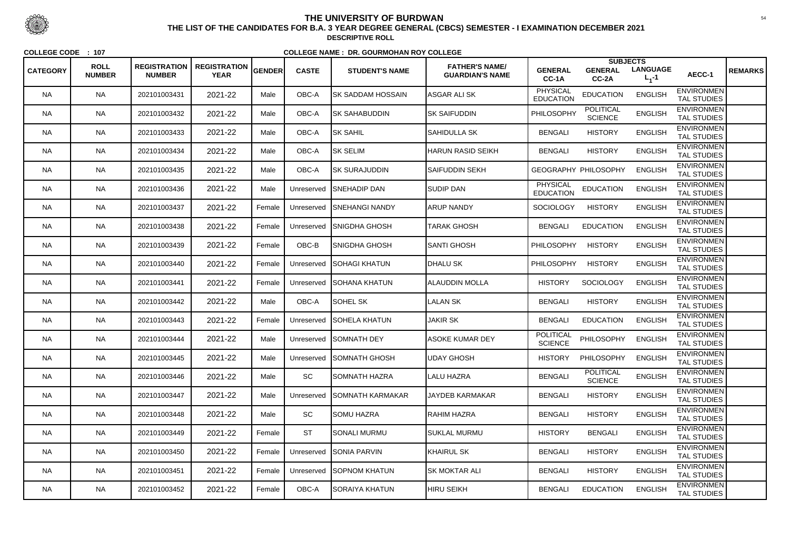| <b>CATEGORY</b> | <b>ROLL</b><br><b>NUMBER</b> | <b>REGISTRATION</b><br><b>NUMBER</b> | <b>REGISTRATION</b><br><b>YEAR</b> | GENDER | <b>CASTE</b> | <b>STUDENT'S NAME</b>   | <b>FATHER'S NAME/</b><br><b>GUARDIAN'S NAME</b> | <b>GENERAL</b><br>CC-1A             | <b>SUBJECTS</b><br><b>GENERAL</b><br>CC-2A | <b>LANGUAGE</b><br>$L_1 - 1$ | AECC-1                                  | <b>REMARKS</b> |
|-----------------|------------------------------|--------------------------------------|------------------------------------|--------|--------------|-------------------------|-------------------------------------------------|-------------------------------------|--------------------------------------------|------------------------------|-----------------------------------------|----------------|
| <b>NA</b>       | <b>NA</b>                    | 202101003431                         | 2021-22                            | Male   | OBC-A        | SK SADDAM HOSSAIN       | ASGAR ALI SK                                    | PHYSICAL<br><b>EDUCATION</b>        | <b>EDUCATION</b>                           | <b>ENGLISH</b>               | <b>ENVIRONMEN</b><br><b>TAL STUDIES</b> |                |
| <b>NA</b>       | <b>NA</b>                    | 202101003432                         | 2021-22                            | Male   | OBC-A        | ISK SAHABUDDIN          | <b>SK SAIFUDDIN</b>                             | PHILOSOPHY                          | <b>POLITICAL</b><br><b>SCIENCE</b>         | <b>ENGLISH</b>               | <b>ENVIRONMEN</b><br><b>TAL STUDIES</b> |                |
| <b>NA</b>       | <b>NA</b>                    | 202101003433                         | 2021-22                            | Male   | OBC-A        | <b>SK SAHIL</b>         | <b>SAHIDULLA SK</b>                             | <b>BENGALI</b>                      | <b>HISTORY</b>                             | <b>ENGLISH</b>               | <b>ENVIRONMEN</b><br><b>TAL STUDIES</b> |                |
| <b>NA</b>       | <b>NA</b>                    | 202101003434                         | 2021-22                            | Male   | OBC-A        | <b>SK SELIM</b>         | HARUN RASID SEIKH                               | <b>BENGALI</b>                      | <b>HISTORY</b>                             | <b>ENGLISH</b>               | <b>ENVIRONMEN</b><br><b>TAL STUDIES</b> |                |
| <b>NA</b>       | <b>NA</b>                    | 202101003435                         | 2021-22                            | Male   | OBC-A        | <b>SK SURAJUDDIN</b>    | SAIFUDDIN SEKH                                  |                                     | GEOGRAPHY PHILOSOPHY                       | <b>ENGLISH</b>               | <b>ENVIRONMEN</b><br><b>TAL STUDIES</b> |                |
| <b>NA</b>       | <b>NA</b>                    | 202101003436                         | 2021-22                            | Male   | Unreserved   | <b>ISNEHADIP DAN</b>    | <b>SUDIP DAN</b>                                | <b>PHYSICAL</b><br><b>EDUCATION</b> | <b>EDUCATION</b>                           | <b>ENGLISH</b>               | <b>ENVIRONMEN</b><br><b>TAL STUDIES</b> |                |
| NA.             | <b>NA</b>                    | 202101003437                         | 2021-22                            | Female | Unreserved   | <b>ISNEHANGI NANDY</b>  | <b>ARUP NANDY</b>                               | <b>SOCIOLOGY</b>                    | <b>HISTORY</b>                             | <b>ENGLISH</b>               | <b>ENVIRONMEN</b><br><b>TAL STUDIES</b> |                |
| <b>NA</b>       | <b>NA</b>                    | 202101003438                         | 2021-22                            | Female | Unreserved   | <b>SNIGDHA GHOSH</b>    | TARAK GHOSH                                     | <b>BENGALI</b>                      | <b>EDUCATION</b>                           | <b>ENGLISH</b>               | <b>ENVIRONMEN</b><br><b>TAL STUDIES</b> |                |
| <b>NA</b>       | <b>NA</b>                    | 202101003439                         | 2021-22                            | Female | OBC-B        | SNIGDHA GHOSH           | <b>SANTI GHOSH</b>                              | <b>PHILOSOPHY</b>                   | <b>HISTORY</b>                             | <b>ENGLISH</b>               | <b>ENVIRONMEN</b><br><b>TAL STUDIES</b> |                |
| NA.             | <b>NA</b>                    | 202101003440                         | 2021-22                            | Female | Unreserved   | <b>SOHAGI KHATUN</b>    | <b>DHALU SK</b>                                 | <b>PHILOSOPHY</b>                   | <b>HISTORY</b>                             | <b>ENGLISH</b>               | <b>ENVIRONMEN</b><br><b>TAL STUDIES</b> |                |
| <b>NA</b>       | <b>NA</b>                    | 202101003441                         | 2021-22                            | Female | Unreserved   | SOHANA KHATUN           | <b>ALAUDDIN MOLLA</b>                           | <b>HISTORY</b>                      | <b>SOCIOLOGY</b>                           | <b>ENGLISH</b>               | <b>ENVIRONMEN</b><br><b>TAL STUDIES</b> |                |
| <b>NA</b>       | <b>NA</b>                    | 202101003442                         | 2021-22                            | Male   | OBC-A        | SOHEL SK                | <b>LALAN SK</b>                                 | <b>BENGALI</b>                      | <b>HISTORY</b>                             | <b>ENGLISH</b>               | <b>ENVIRONMEN</b><br><b>TAL STUDIES</b> |                |
| <b>NA</b>       | <b>NA</b>                    | 202101003443                         | 2021-22                            | Female | Unreserved   | <b>SOHELA KHATUN</b>    | <b>JAKIR SK</b>                                 | <b>BENGALI</b>                      | <b>EDUCATION</b>                           | <b>ENGLISH</b>               | <b>ENVIRONMEN</b><br><b>TAL STUDIES</b> |                |
| NA              | <b>NA</b>                    | 202101003444                         | 2021-22                            | Male   |              | Unreserved SOMNATH DEY  | <b>ASOKE KUMAR DEY</b>                          | <b>POLITICAL</b><br><b>SCIENCE</b>  | PHILOSOPHY                                 | <b>ENGLISH</b>               | <b>ENVIRONMEN</b><br><b>TAL STUDIES</b> |                |
| <b>NA</b>       | <b>NA</b>                    | 202101003445                         | 2021-22                            | Male   | Unreserved   | <b>SOMNATH GHOSH</b>    | UDAY GHOSH                                      | <b>HISTORY</b>                      | PHILOSOPHY                                 | <b>ENGLISH</b>               | <b>ENVIRONMEN</b><br><b>TAL STUDIES</b> |                |
| <b>NA</b>       | <b>NA</b>                    | 202101003446                         | 2021-22                            | Male   | SC           | ISOMNATH HAZRA          | LALU HAZRA                                      | <b>BENGALI</b>                      | <b>POLITICAL</b><br><b>SCIENCE</b>         | <b>ENGLISH</b>               | <b>ENVIRONMEN</b><br>TAL STUDIES        |                |
| <b>NA</b>       | <b>NA</b>                    | 202101003447                         | 2021-22                            | Male   | Unreserved   | <b>SOMNATH KARMAKAR</b> | <b>JAYDEB KARMAKAR</b>                          | <b>BENGALI</b>                      | <b>HISTORY</b>                             | <b>ENGLISH</b>               | <b>ENVIRONMEN</b><br>TAL STUDIES        |                |
| <b>NA</b>       | <b>NA</b>                    | 202101003448                         | 2021-22                            | Male   | SC           | <b>SOMU HAZRA</b>       | <b>RAHIM HAZRA</b>                              | <b>BENGALI</b>                      | <b>HISTORY</b>                             | <b>ENGLISH</b>               | <b>ENVIRONMEN</b><br>TAL STUDIES        |                |
| <b>NA</b>       | <b>NA</b>                    | 202101003449                         | 2021-22                            | Female | <b>ST</b>    | <b>SONALI MURMU</b>     | SUKLAL MURMU                                    | <b>HISTORY</b>                      | <b>BENGALI</b>                             | <b>ENGLISH</b>               | <b>ENVIRONMEN</b><br><b>TAL STUDIES</b> |                |
| <b>NA</b>       | <b>NA</b>                    | 202101003450                         | 2021-22                            | Female | Unreserved   | <b>SONIA PARVIN</b>     | <b>KHAIRUL SK</b>                               | <b>BENGALI</b>                      | <b>HISTORY</b>                             | <b>ENGLISH</b>               | <b>ENVIRONMEN</b><br>TAL STUDIES        |                |
| NA.             | <b>NA</b>                    | 202101003451                         | 2021-22                            | Female | Unreserved   | <b>SOPNOM KHATUN</b>    | <b>SK MOKTAR ALI</b>                            | <b>BENGALI</b>                      | <b>HISTORY</b>                             | <b>ENGLISH</b>               | <b>ENVIRONMEN</b><br>TAL STUDIES        |                |
| <b>NA</b>       | <b>NA</b>                    | 202101003452                         | 2021-22                            | Female | OBC-A        | SORAIYA KHATUN          | <b>HIRU SEIKH</b>                               | <b>BENGALI</b>                      | <b>EDUCATION</b>                           | <b>ENGLISH</b>               | <b>ENVIRONMEN</b><br>TAL STUDIES        |                |



 <sup>54</sup> **THE LIST OF THE CANDIDATES FOR B.A. 3 YEAR DEGREE GENERAL (CBCS) SEMESTER - I EXAMINATION DECEMBER 2021DESCRIPTIVE ROLL**

**COLLEGE CODE : <sup>107</sup>**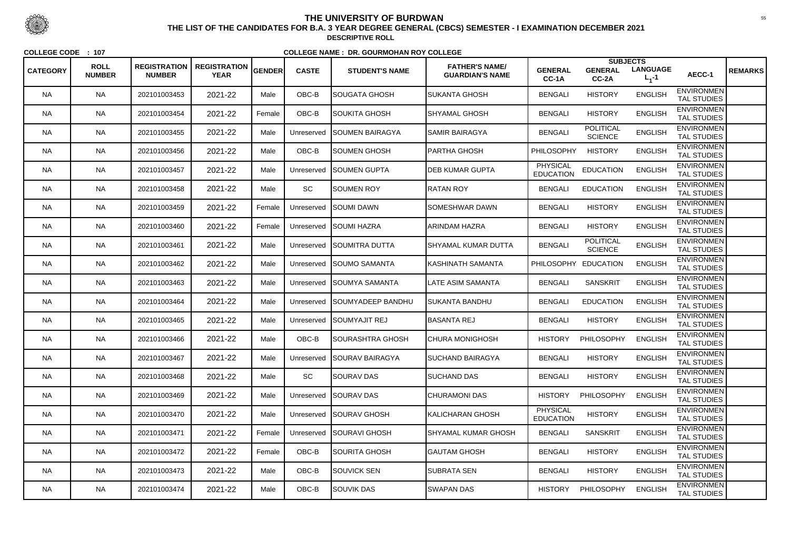|                 |                              |                                      |                                    |        |              |                          |                                                 |                                     | <b>SUBJECTS</b>                    |                                |                                         |                |
|-----------------|------------------------------|--------------------------------------|------------------------------------|--------|--------------|--------------------------|-------------------------------------------------|-------------------------------------|------------------------------------|--------------------------------|-----------------------------------------|----------------|
| <b>CATEGORY</b> | <b>ROLL</b><br><b>NUMBER</b> | <b>REGISTRATION</b><br><b>NUMBER</b> | <b>REGISTRATION</b><br><b>YEAR</b> | GENDER | <b>CASTE</b> | <b>STUDENT'S NAME</b>    | <b>FATHER'S NAME/</b><br><b>GUARDIAN'S NAME</b> | <b>GENERAL</b><br>CC-1A             | <b>GENERAL</b><br>CC-2A            | <b>LANGUAGE</b><br>$L_{1} - 1$ | AECC-1                                  | <b>REMARKS</b> |
| <b>NA</b>       | <b>NA</b>                    | 202101003453                         | 2021-22                            | Male   | OBC-B        | SOUGATA GHOSH            | <b>SUKANTA GHOSH</b>                            | <b>BENGALI</b>                      | <b>HISTORY</b>                     | <b>ENGLISH</b>                 | <b>ENVIRONMEN</b><br><b>TAL STUDIES</b> |                |
| <b>NA</b>       | <b>NA</b>                    | 202101003454                         | 2021-22                            | Female | OBC-B        | SOUKITA GHOSH            | SHYAMAL GHOSH                                   | <b>BENGALI</b>                      | <b>HISTORY</b>                     | <b>ENGLISH</b>                 | <b>ENVIRONMEN</b><br>TAL STUDIES        |                |
| NA.             | <b>NA</b>                    | 202101003455                         | 2021-22                            | Male   | Unreserved   | <b>SOUMEN BAIRAGYA</b>   | <b>SAMIR BAIRAGYA</b>                           | <b>BENGALI</b>                      | <b>POLITICAL</b><br><b>SCIENCE</b> | <b>ENGLISH</b>                 | <b>ENVIRONMEN</b><br><b>TAL STUDIES</b> |                |
| <b>NA</b>       | <b>NA</b>                    | 202101003456                         | 2021-22                            | Male   | OBC-B        | SOUMEN GHOSH             | <b> PARTHA GHOSH</b>                            | PHILOSOPHY                          | <b>HISTORY</b>                     | <b>ENGLISH</b>                 | <b>ENVIRONMEN</b><br><b>TAL STUDIES</b> |                |
| <b>NA</b>       | <b>NA</b>                    | 202101003457                         | 2021-22                            | Male   | Unreserved   | <b>SOUMEN GUPTA</b>      | <b>DEB KUMAR GUPTA</b>                          | <b>PHYSICAL</b><br><b>EDUCATION</b> | <b>EDUCATION</b>                   | <b>ENGLISH</b>                 | <b>ENVIRONMEN</b><br><b>TAL STUDIES</b> |                |
| <b>NA</b>       | <b>NA</b>                    | 202101003458                         | 2021-22                            | Male   | <b>SC</b>    | <b>ISOUMEN ROY</b>       | <b>RATAN ROY</b>                                | <b>BENGALI</b>                      | <b>EDUCATION</b>                   | <b>ENGLISH</b>                 | <b>ENVIRONMEN</b><br><b>TAL STUDIES</b> |                |
| NA.             | <b>NA</b>                    | 202101003459                         | 2021-22                            | Female | Unreserved   | <b>SOUMI DAWN</b>        | <b>ISOMESHWAR DAWN</b>                          | <b>BENGALI</b>                      | <b>HISTORY</b>                     | <b>ENGLISH</b>                 | <b>ENVIRONMEN</b><br><b>TAL STUDIES</b> |                |
| <b>NA</b>       | <b>NA</b>                    | 202101003460                         | 2021-22                            | Female | Unreserved   | <b>SOUMI HAZRA</b>       | <b>ARINDAM HAZRA</b>                            | <b>BENGALI</b>                      | <b>HISTORY</b>                     | <b>ENGLISH</b>                 | <b>ENVIRONMEN</b><br><b>TAL STUDIES</b> |                |
| <b>NA</b>       | <b>NA</b>                    | 202101003461                         | 2021-22                            | Male   | Unreserved   | <b>SOUMITRA DUTTA</b>    | <b>SHYAMAL KUMAR DUTTA</b>                      | <b>BENGALI</b>                      | <b>POLITICAL</b><br><b>SCIENCE</b> | <b>ENGLISH</b>                 | <b>ENVIRONMEN</b><br><b>TAL STUDIES</b> |                |
| NA.             | <b>NA</b>                    | 202101003462                         | 2021-22                            | Male   | Unreserved   | <b>ISOUMO SAMANTA</b>    | <b>IKASHINATH SAMANTA</b>                       | <b>PHILOSOPHY</b>                   | <b>EDUCATION</b>                   | <b>ENGLISH</b>                 | <b>ENVIRONMEN</b><br><b>TAL STUDIES</b> |                |
| <b>NA</b>       | <b>NA</b>                    | 202101003463                         | 2021-22                            | Male   | Unreserved   | <b>ISOUMYA SAMANTA</b>   | <b>LATE ASIM SAMANTA</b>                        | <b>BENGALI</b>                      | <b>SANSKRIT</b>                    | <b>ENGLISH</b>                 | <b>ENVIRONMEN</b><br><b>TAL STUDIES</b> |                |
| <b>NA</b>       | <b>NA</b>                    | 202101003464                         | 2021-22                            | Male   | Unreserved   | <b>SOUMYADEEP BANDHU</b> | <b>SUKANTA BANDHU</b>                           | <b>BENGALI</b>                      | <b>EDUCATION</b>                   | <b>ENGLISH</b>                 | <b>ENVIRONMEN</b><br><b>TAL STUDIES</b> |                |
| <b>NA</b>       | <b>NA</b>                    | 202101003465                         | 2021-22                            | Male   | Unreserved   | SOUMYAJIT REJ            | <b>BASANTA REJ</b>                              | <b>BENGALI</b>                      | <b>HISTORY</b>                     | <b>ENGLISH</b>                 | <b>ENVIRONMEN</b><br><b>TAL STUDIES</b> |                |
| NA.             | <b>NA</b>                    | 202101003466                         | 2021-22                            | Male   | OBC-B        | ISOURASHTRA GHOSH        | CHURA MONIGHOSH                                 | <b>HISTORY</b>                      | PHILOSOPHY                         | <b>ENGLISH</b>                 | <b>ENVIRONMEN</b><br><b>TAL STUDIES</b> |                |
| <b>NA</b>       | <b>NA</b>                    | 202101003467                         | 2021-22                            | Male   | Unreserved   | SOURAV BAIRAGYA          | <b>SUCHAND BAIRAGYA</b>                         | <b>BENGALI</b>                      | <b>HISTORY</b>                     | <b>ENGLISH</b>                 | <b>ENVIRONMEN</b><br><b>TAL STUDIES</b> |                |
| <b>NA</b>       | <b>NA</b>                    | 202101003468                         | 2021-22                            | Male   | SC           | <b>SOURAV DAS</b>        | <b>SUCHAND DAS</b>                              | <b>BENGALI</b>                      | <b>HISTORY</b>                     | <b>ENGLISH</b>                 | <b>ENVIRONMEN</b><br><b>TAL STUDIES</b> |                |
| NA.             | <b>NA</b>                    | 202101003469                         | 2021-22                            | Male   | Unreserved   | SOURAV DAS               | <b>CHURAMONI DAS</b>                            | <b>HISTORY</b>                      | PHILOSOPHY                         | <b>ENGLISH</b>                 | <b>ENVIRONMEN</b><br>TAL STUDIES        |                |
| <b>NA</b>       | <b>NA</b>                    | 202101003470                         | 2021-22                            | Male   | Unreserved   | <b>SOURAV GHOSH</b>      | KALICHARAN GHOSH                                | <b>PHYSICAL</b><br><b>EDUCATION</b> | <b>HISTORY</b>                     | <b>ENGLISH</b>                 | <b>ENVIRONMEN</b><br><b>TAL STUDIES</b> |                |
| <b>NA</b>       | <b>NA</b>                    | 202101003471                         | 2021-22                            | Female | Unreserved   | SOURAVI GHOSH            | <b>SHYAMAL KUMAR GHOSH</b>                      | <b>BENGALI</b>                      | <b>SANSKRIT</b>                    | <b>ENGLISH</b>                 | <b>ENVIRONMEN</b><br>TAL STUDIES        |                |
| <b>NA</b>       | <b>NA</b>                    | 202101003472                         | 2021-22                            | Female | OBC-B        | SOURITA GHOSH            | <b>GAUTAM GHOSH</b>                             | <b>BENGALI</b>                      | <b>HISTORY</b>                     | <b>ENGLISH</b>                 | <b>ENVIRONMEN</b><br>TAL STUDIES        |                |
| NA.             | <b>NA</b>                    | 202101003473                         | 2021-22                            | Male   | OBC-B        | <b>SOUVICK SEN</b>       | <b>SUBRATA SEN</b>                              | <b>BENGALI</b>                      | <b>HISTORY</b>                     | <b>ENGLISH</b>                 | <b>ENVIRONMEN</b><br>TAL STUDIES        |                |
| NA              | <b>NA</b>                    | 202101003474                         | 2021-22                            | Male   | OBC-B        | <b>SOUVIK DAS</b>        | <b>SWAPAN DAS</b>                               | <b>HISTORY</b>                      | PHILOSOPHY                         | <b>ENGLISH</b>                 | <b>ENVIRONMEN</b><br><b>TAL STUDIES</b> |                |



 <sup>55</sup> **THE LIST OF THE CANDIDATES FOR B.A. 3 YEAR DEGREE GENERAL (CBCS) SEMESTER - I EXAMINATION DECEMBER 2021DESCRIPTIVE ROLL**

**COLLEGE CODE : <sup>107</sup>**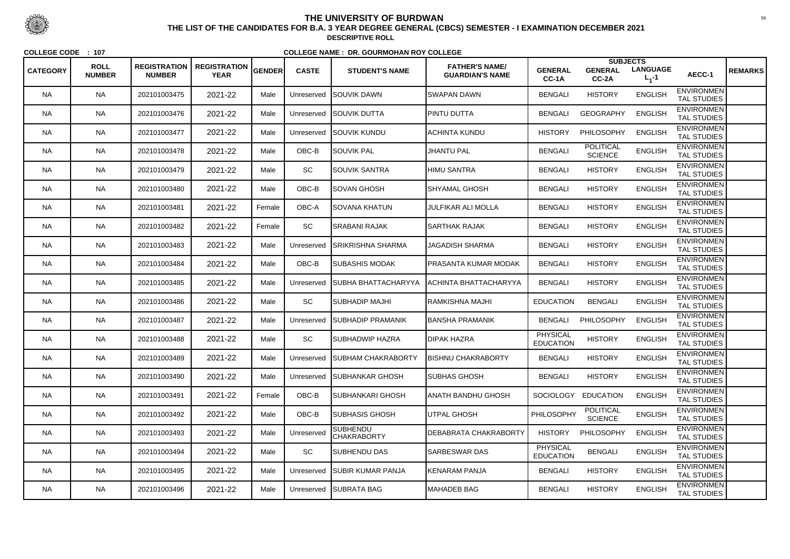| <b>CATEGORY</b> | <b>ROLL</b><br><b>NUMBER</b> | <b>REGISTRATION</b><br><b>NUMBER</b> | <b>REGISTRATION</b><br><b>YEAR</b> | GENDER | <b>CASTE</b> | <b>STUDENT'S NAME</b>                 | <b>FATHER'S NAME/</b><br><b>GUARDIAN'S NAME</b> | <b>GENERAL</b><br>CC-1A             | <b>SUBJECTS</b><br><b>GENERAL</b><br>$CC-2A$ | <b>LANGUAGE</b><br>$L_1 - 1$ | AECC-1                                  | <b>REMARKS</b> |
|-----------------|------------------------------|--------------------------------------|------------------------------------|--------|--------------|---------------------------------------|-------------------------------------------------|-------------------------------------|----------------------------------------------|------------------------------|-----------------------------------------|----------------|
| <b>NA</b>       | <b>NA</b>                    | 202101003475                         | 2021-22                            | Male   | Unreserved   | <b>SOUVIK DAWN</b>                    | SWAPAN DAWN                                     | <b>BENGALI</b>                      | <b>HISTORY</b>                               | <b>ENGLISH</b>               | <b>ENVIRONMEN</b><br><b>TAL STUDIES</b> |                |
| <b>NA</b>       | <b>NA</b>                    | 202101003476                         | 2021-22                            | Male   | Unreserved   | <b>SOUVIK DUTTA</b>                   | <b>PINTU DUTTA</b>                              | <b>BENGALI</b>                      | <b>GEOGRAPHY</b>                             | <b>ENGLISH</b>               | <b>ENVIRONMEN</b><br><b>TAL STUDIES</b> |                |
| <b>NA</b>       | <b>NA</b>                    | 202101003477                         | 2021-22                            | Male   | Unreserved   | <b>ISOUVIK KUNDU</b>                  | <b>ACHINTA KUNDU</b>                            | <b>HISTORY</b>                      | PHILOSOPHY                                   | <b>ENGLISH</b>               | <b>ENVIRONMEN</b><br><b>TAL STUDIES</b> |                |
| <b>NA</b>       | <b>NA</b>                    | 202101003478                         | 2021-22                            | Male   | OBC-B        | SOUVIK PAL                            | <b>JHANTU PAL</b>                               | <b>BENGALI</b>                      | <b>POLITICAL</b><br><b>SCIENCE</b>           | <b>ENGLISH</b>               | <b>ENVIRONMEN</b><br>TAL STUDIES        |                |
| <b>NA</b>       | <b>NA</b>                    | 202101003479                         | 2021-22                            | Male   | SC           | SOUVIK SANTRA                         | HIMU SANTRA                                     | <b>BENGALI</b>                      | <b>HISTORY</b>                               | <b>ENGLISH</b>               | <b>ENVIRONMEN</b><br><b>TAL STUDIES</b> |                |
| <b>NA</b>       | <b>NA</b>                    | 202101003480                         | 2021-22                            | Male   | OBC-B        | <b>SOVAN GHOSH</b>                    | SHYAMAL GHOSH                                   | <b>BENGALI</b>                      | <b>HISTORY</b>                               | <b>ENGLISH</b>               | <b>ENVIRONMEN</b><br><b>TAL STUDIES</b> |                |
| <b>NA</b>       | <b>NA</b>                    | 202101003481                         | 2021-22                            | Female | OBC-A        | SOVANA KHATUN                         | <b>JULFIKAR ALI MOLLA</b>                       | <b>BENGALI</b>                      | <b>HISTORY</b>                               | <b>ENGLISH</b>               | <b>ENVIRONMEN</b><br><b>TAL STUDIES</b> |                |
| <b>NA</b>       | <b>NA</b>                    | 202101003482                         | 2021-22                            | Female | SC           | SRABANI RAJAK                         | <b>SARTHAK RAJAK</b>                            | <b>BENGALI</b>                      | <b>HISTORY</b>                               | <b>ENGLISH</b>               | <b>ENVIRONMEN</b><br><b>TAL STUDIES</b> |                |
| <b>NA</b>       | <b>NA</b>                    | 202101003483                         | 2021-22                            | Male   | Unreserved   | <b>ISRIKRISHNA SHARMA</b>             | <b>JAGADISH SHARMA</b>                          | <b>BENGALI</b>                      | <b>HISTORY</b>                               | <b>ENGLISH</b>               | <b>ENVIRONMEN</b><br><b>TAL STUDIES</b> |                |
| <b>NA</b>       | <b>NA</b>                    | 202101003484                         | 2021-22                            | Male   | OBC-B        | SUBASHIS MODAK                        | <b>PRASANTA KUMAR MODAK</b>                     | <b>BENGALI</b>                      | <b>HISTORY</b>                               | <b>ENGLISH</b>               | <b>ENVIRONMEN</b><br><b>TAL STUDIES</b> |                |
| <b>NA</b>       | <b>NA</b>                    | 202101003485                         | 2021-22                            | Male   | Unreserved   | SUBHA BHATTACHARYYA                   | <b>ACHINTA BHATTACHARYYA</b>                    | <b>BENGALI</b>                      | <b>HISTORY</b>                               | <b>ENGLISH</b>               | <b>ENVIRONMEN</b><br><b>TAL STUDIES</b> |                |
| <b>NA</b>       | <b>NA</b>                    | 202101003486                         | 2021-22                            | Male   | <b>SC</b>    | <b>SUBHADIP MAJHI</b>                 | <b>RAMKISHNA MAJHI</b>                          | <b>EDUCATION</b>                    | <b>BENGALI</b>                               | <b>ENGLISH</b>               | <b>ENVIRONMEN</b><br><b>TAL STUDIES</b> |                |
| <b>NA</b>       | <b>NA</b>                    | 202101003487                         | 2021-22                            | Male   | Unreserved   | <b>SUBHADIP PRAMANIK</b>              | <b>BANSHA PRAMANIK</b>                          | <b>BENGALI</b>                      | PHILOSOPHY                                   | <b>ENGLISH</b>               | <b>ENVIRONMEN</b><br><b>TAL STUDIES</b> |                |
| <b>NA</b>       | <b>NA</b>                    | 202101003488                         | 2021-22                            | Male   | SC           | <b>SUBHADWIP HAZRA</b>                | <b>DIPAK HAZRA</b>                              | <b>PHYSICAL</b><br><b>EDUCATION</b> | <b>HISTORY</b>                               | <b>ENGLISH</b>               | <b>ENVIRONMEN</b><br>TAL STUDIES        |                |
| <b>NA</b>       | <b>NA</b>                    | 202101003489                         | 2021-22                            | Male   | Unreserved   | <b>SUBHAM CHAKRABORTY</b>             | <b>BISHNU CHAKRABORTY</b>                       | <b>BENGALI</b>                      | <b>HISTORY</b>                               | <b>ENGLISH</b>               | <b>ENVIRONMEN</b><br><b>TAL STUDIES</b> |                |
| <b>NA</b>       | <b>NA</b>                    | 202101003490                         | 2021-22                            | Male   | Unreserved   | <b>ISUBHANKAR GHOSH</b>               | <b>SUBHAS GHOSH</b>                             | <b>BENGALI</b>                      | <b>HISTORY</b>                               | <b>ENGLISH</b>               | <b>ENVIRONMEN</b><br>TAL STUDIES        |                |
| <b>NA</b>       | <b>NA</b>                    | 202101003491                         | 2021-22                            | Female | OBC-B        | SUBHANKARI GHOSH                      | ANATH BANDHU GHOSH                              | <b>SOCIOLOGY</b>                    | <b>EDUCATION</b>                             | <b>ENGLISH</b>               | <b>ENVIRONMEN</b><br><b>TAL STUDIES</b> |                |
| <b>NA</b>       | <b>NA</b>                    | 202101003492                         | 2021-22                            | Male   | OBC-B        | SUBHASIS GHOSH                        | UTPAL GHOSH                                     | PHILOSOPHY                          | <b>POLITICAL</b><br><b>SCIENCE</b>           | <b>ENGLISH</b>               | <b>ENVIRONMEN</b><br>TAL STUDIES        |                |
| <b>NA</b>       | <b>NA</b>                    | 202101003493                         | 2021-22                            | Male   | Unreserved   | <b>SUBHENDU</b><br><b>CHAKRABORTY</b> | DEBABRATA CHAKRABORTY                           | <b>HISTORY</b>                      | PHILOSOPHY                                   | <b>ENGLISH</b>               | <b>ENVIRONMEN</b><br>TAL STUDIES        |                |
| <b>NA</b>       | <b>NA</b>                    | 202101003494                         | 2021-22                            | Male   | SC           | <b>SUBHENDU DAS</b>                   | <b>SARBESWAR DAS</b>                            | <b>PHYSICAL</b><br><b>EDUCATION</b> | <b>BENGALI</b>                               | <b>ENGLISH</b>               | <b>ENVIRONMEN</b><br><b>TAL STUDIES</b> |                |
| <b>NA</b>       | <b>NA</b>                    | 202101003495                         | 2021-22                            | Male   | Unreserved   | <b>SUBIR KUMAR PANJA</b>              | KENARAM PANJA                                   | <b>BENGALI</b>                      | <b>HISTORY</b>                               | <b>ENGLISH</b>               | <b>ENVIRONMEN</b><br>TAL STUDIES        |                |
| <b>NA</b>       | <b>NA</b>                    | 202101003496                         | 2021-22                            | Male   | Unreserved   | <b>SUBRATA BAG</b>                    | MAHADEB BAG                                     | <b>BENGALI</b>                      | <b>HISTORY</b>                               | <b>ENGLISH</b>               | <b>ENVIRONMEN</b><br>TAL STUDIES        |                |



 <sup>56</sup> **THE LIST OF THE CANDIDATES FOR B.A. 3 YEAR DEGREE GENERAL (CBCS) SEMESTER - I EXAMINATION DECEMBER 2021DESCRIPTIVE ROLL**

**COLLEGE CODE : <sup>107</sup>**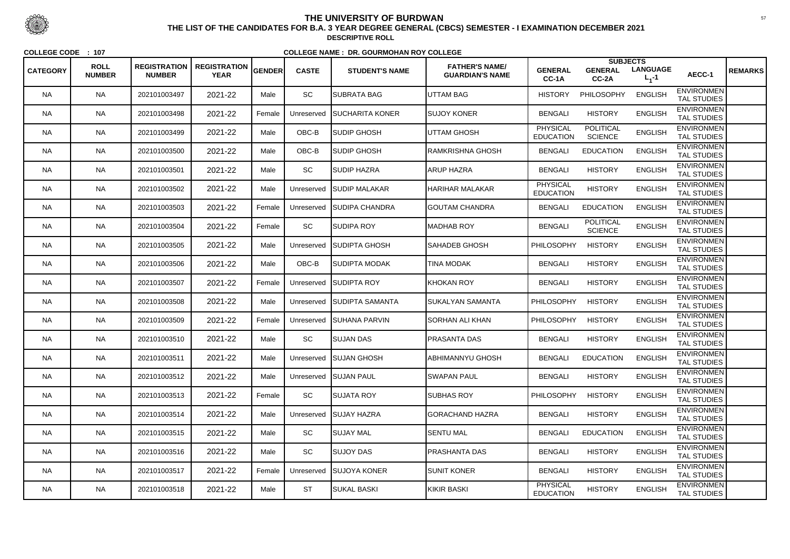|                 |                              |                                      |                                    |               |              |                          |                                                 |                                     | <b>SUBJECTS</b>                    |                              |                                         |                |
|-----------------|------------------------------|--------------------------------------|------------------------------------|---------------|--------------|--------------------------|-------------------------------------------------|-------------------------------------|------------------------------------|------------------------------|-----------------------------------------|----------------|
| <b>CATEGORY</b> | <b>ROLL</b><br><b>NUMBER</b> | <b>REGISTRATION</b><br><b>NUMBER</b> | <b>REGISTRATION</b><br><b>YEAR</b> | <b>GENDER</b> | <b>CASTE</b> | <b>STUDENT'S NAME</b>    | <b>FATHER'S NAME/</b><br><b>GUARDIAN'S NAME</b> | <b>GENERAL</b><br>CC-1A             | <b>GENERAL</b><br>CC-2A            | <b>LANGUAGE</b><br>$L_1 - 1$ | AECC-1                                  | <b>REMARKS</b> |
| <b>NA</b>       | <b>NA</b>                    | 202101003497                         | 2021-22                            | Male          | SC           | <b>I</b> SUBRATA BAG     | <b>UTTAM BAG</b>                                | <b>HISTORY</b>                      | PHILOSOPHY                         | <b>ENGLISH</b>               | <b>ENVIRONMEN</b><br><b>TAL STUDIES</b> |                |
| <b>NA</b>       | <b>NA</b>                    | 202101003498                         | 2021-22                            | Female        | Unreserved   | <b>SUCHARITA KONER</b>   | <b>SUJOY KONER</b>                              | <b>BENGALI</b>                      | <b>HISTORY</b>                     | <b>ENGLISH</b>               | <b>ENVIRONMEN</b><br><b>TAL STUDIES</b> |                |
| <b>NA</b>       | <b>NA</b>                    | 202101003499                         | 2021-22                            | Male          | OBC-B        | <b>SUDIP GHOSH</b>       | UTTAM GHOSH                                     | PHYSICAL<br><b>EDUCATION</b>        | <b>POLITICAL</b><br><b>SCIENCE</b> | <b>ENGLISH</b>               | <b>ENVIRONMEN</b><br><b>TAL STUDIES</b> |                |
| <b>NA</b>       | <b>NA</b>                    | 202101003500                         | 2021-22                            | Male          | OBC-B        | <b>SUDIP GHOSH</b>       | RAMKRISHNA GHOSH                                | <b>BENGALI</b>                      | <b>EDUCATION</b>                   | <b>ENGLISH</b>               | <b>ENVIRONMEN</b><br><b>TAL STUDIES</b> |                |
| <b>NA</b>       | <b>NA</b>                    | 202101003501                         | 2021-22                            | Male          | SC           | <b>SUDIP HAZRA</b>       | <b>ARUP HAZRA</b>                               | <b>BENGALI</b>                      | <b>HISTORY</b>                     | <b>ENGLISH</b>               | <b>ENVIRONMEN</b><br><b>TAL STUDIES</b> |                |
| <b>NA</b>       | <b>NA</b>                    | 202101003502                         | 2021-22                            | Male          | Unreserved   | <b>SUDIP MALAKAR</b>     | <b>HARIHAR MALAKAR</b>                          | <b>PHYSICAL</b><br><b>EDUCATION</b> | <b>HISTORY</b>                     | <b>ENGLISH</b>               | <b>ENVIRONMEN</b><br><b>TAL STUDIES</b> |                |
| <b>NA</b>       | <b>NA</b>                    | 202101003503                         | 2021-22                            | Female        | Unreserved   | <b>ISUDIPA CHANDRA</b>   | <b>GOUTAM CHANDRA</b>                           | <b>BENGALI</b>                      | <b>EDUCATION</b>                   | <b>ENGLISH</b>               | <b>ENVIRONMEN</b><br><b>TAL STUDIES</b> |                |
| <b>NA</b>       | <b>NA</b>                    | 202101003504                         | 2021-22                            | Female        | <b>SC</b>    | <b>SUDIPA ROY</b>        | MADHAB ROY                                      | <b>BENGALI</b>                      | <b>POLITICAL</b><br><b>SCIENCE</b> | <b>ENGLISH</b>               | <b>ENVIRONMEN</b><br><b>TAL STUDIES</b> |                |
| <b>NA</b>       | <b>NA</b>                    | 202101003505                         | 2021-22                            | Male          | Unreserved   | <b>ISUDIPTA GHOSH</b>    | SAHADEB GHOSH                                   | PHILOSOPHY                          | <b>HISTORY</b>                     | <b>ENGLISH</b>               | <b>ENVIRONMEN</b><br><b>TAL STUDIES</b> |                |
| <b>NA</b>       | <b>NA</b>                    | 202101003506                         | 2021-22                            | Male          | OBC-B        | <b>SUDIPTA MODAK</b>     | TINA MODAK                                      | <b>BENGALI</b>                      | <b>HISTORY</b>                     | <b>ENGLISH</b>               | <b>ENVIRONMEN</b><br><b>TAL STUDIES</b> |                |
| <b>NA</b>       | <b>NA</b>                    | 202101003507                         | 2021-22                            | Female        | Unreserved   | <b>SUDIPTA ROY</b>       | KHOKAN ROY                                      | <b>BENGALI</b>                      | <b>HISTORY</b>                     | <b>ENGLISH</b>               | <b>ENVIRONMEN</b><br><b>TAL STUDIES</b> |                |
| <b>NA</b>       | <b>NA</b>                    | 202101003508                         | 2021-22                            | Male          | Unreserved   | <b>SUDIPTA SAMANTA</b>   | <b>SUKALYAN SAMANTA</b>                         | PHILOSOPHY                          | <b>HISTORY</b>                     | <b>ENGLISH</b>               | <b>ENVIRONMEN</b><br><b>TAL STUDIES</b> |                |
| <b>NA</b>       | <b>NA</b>                    | 202101003509                         | 2021-22                            | Female        |              | Unreserved SUHANA PARVIN | SORHAN ALI KHAN                                 | <b>PHILOSOPHY</b>                   | <b>HISTORY</b>                     | <b>ENGLISH</b>               | <b>ENVIRONMEN</b><br><b>TAL STUDIES</b> |                |
| <b>NA</b>       | <b>NA</b>                    | 202101003510                         | 2021-22                            | Male          | SC           | <b>SUJAN DAS</b>         | <b>PRASANTA DAS</b>                             | <b>BENGALI</b>                      | <b>HISTORY</b>                     | <b>ENGLISH</b>               | <b>ENVIRONMEN</b><br><b>TAL STUDIES</b> |                |
| <b>NA</b>       | <b>NA</b>                    | 202101003511                         | 2021-22                            | Male          |              | Unreserved SUJAN GHOSH   | <b>ABHIMANNYU GHOSH</b>                         | <b>BENGALI</b>                      | <b>EDUCATION</b>                   | <b>ENGLISH</b>               | <b>ENVIRONMEN</b><br><b>TAL STUDIES</b> |                |
| <b>NA</b>       | <b>NA</b>                    | 202101003512                         | 2021-22                            | Male          |              | Unreserved SUJAN PAUL    | <b>SWAPAN PAUL</b>                              | <b>BENGALI</b>                      | <b>HISTORY</b>                     | <b>ENGLISH</b>               | <b>ENVIRONMEN</b><br>TAL STUDIES        |                |
| <b>NA</b>       | <b>NA</b>                    | 202101003513                         | 2021-22                            | Female        | SC           | <b>SUJATA ROY</b>        | <b>SUBHAS ROY</b>                               | <b>PHILOSOPHY</b>                   | <b>HISTORY</b>                     | <b>ENGLISH</b>               | <b>ENVIRONMEN</b><br><b>TAL STUDIES</b> |                |
| <b>NA</b>       | <b>NA</b>                    | 202101003514                         | 2021-22                            | Male          | Unreserved   | <b>SUJAY HAZRA</b>       | GORACHAND HAZRA                                 | <b>BENGALI</b>                      | <b>HISTORY</b>                     | <b>ENGLISH</b>               | <b>ENVIRONMEN</b><br>TAL STUDIES        |                |
| <b>NA</b>       | <b>NA</b>                    | 202101003515                         | 2021-22                            | Male          | SC           | SUJAY MAL                | <b>SENTU MAL</b>                                | <b>BENGALI</b>                      | <b>EDUCATION</b>                   | <b>ENGLISH</b>               | <b>ENVIRONMEN</b><br>TAL STUDIES        |                |
| <b>NA</b>       | <b>NA</b>                    | 202101003516                         | 2021-22                            | Male          | SC           | <b>SUJOY DAS</b>         | <b>PRASHANTA DAS</b>                            | <b>BENGALI</b>                      | <b>HISTORY</b>                     | <b>ENGLISH</b>               | <b>ENVIRONMEN</b><br>TAL STUDIES        |                |
| <b>NA</b>       | <b>NA</b>                    | 202101003517                         | 2021-22                            | Female        | Unreserved   | <b>SUJOYA KONER</b>      | <b>SUNIT KONER</b>                              | <b>BENGALI</b>                      | <b>HISTORY</b>                     | <b>ENGLISH</b>               | <b>ENVIRONMEN</b><br>TAL STUDIES        |                |
| <b>NA</b>       | <b>NA</b>                    | 202101003518                         | 2021-22                            | Male          | <b>ST</b>    | SUKAL BASKI              | KIKIR BASKI                                     | <b>PHYSICAL</b><br><b>EDUCATION</b> | <b>HISTORY</b>                     | <b>ENGLISH</b>               | <b>ENVIRONMEN</b><br>TAL STUDIES        |                |



 <sup>57</sup> **THE LIST OF THE CANDIDATES FOR B.A. 3 YEAR DEGREE GENERAL (CBCS) SEMESTER - I EXAMINATION DECEMBER 2021DESCRIPTIVE ROLL**

**COLLEGE CODE : <sup>107</sup>**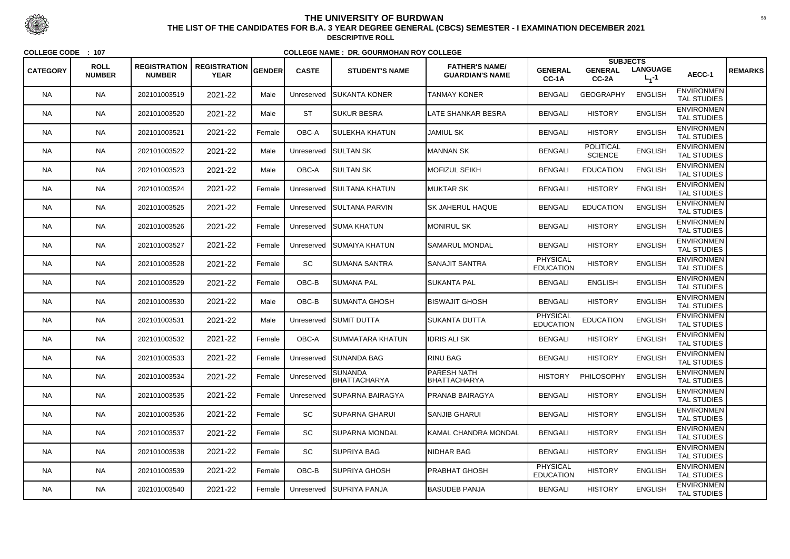|                 |                              |                                      |                                    |               |              |                                |                                                 |                                     | <b>SUBJECTS</b>                    |                              |                                         |                |
|-----------------|------------------------------|--------------------------------------|------------------------------------|---------------|--------------|--------------------------------|-------------------------------------------------|-------------------------------------|------------------------------------|------------------------------|-----------------------------------------|----------------|
| <b>CATEGORY</b> | <b>ROLL</b><br><b>NUMBER</b> | <b>REGISTRATION</b><br><b>NUMBER</b> | <b>REGISTRATION</b><br><b>YEAR</b> | <b>GENDER</b> | <b>CASTE</b> | <b>STUDENT'S NAME</b>          | <b>FATHER'S NAME/</b><br><b>GUARDIAN'S NAME</b> | <b>GENERAL</b><br>CC-1A             | <b>GENERAL</b><br>$CC-2A$          | <b>LANGUAGE</b><br>$L_1 - 1$ | AECC-1                                  | <b>REMARKS</b> |
| <b>NA</b>       | <b>NA</b>                    | 202101003519                         | 2021-22                            | Male          | Unreserved   | <b>ISUKANTA KONER</b>          | <b>TANMAY KONER</b>                             | <b>BENGALI</b>                      | <b>GEOGRAPHY</b>                   | <b>ENGLISH</b>               | <b>ENVIRONMEN</b><br><b>TAL STUDIES</b> |                |
| <b>NA</b>       | <b>NA</b>                    | 202101003520                         | 2021-22                            | Male          | <b>ST</b>    | <b>SUKUR BESRA</b>             | LATE SHANKAR BESRA                              | <b>BENGALI</b>                      | <b>HISTORY</b>                     | <b>ENGLISH</b>               | <b>ENVIRONMEN</b><br><b>TAL STUDIES</b> |                |
| <b>NA</b>       | <b>NA</b>                    | 202101003521                         | 2021-22                            | Female        | OBC-A        | SULEKHA KHATUN                 | <b>JAMIUL SK</b>                                | <b>BENGALI</b>                      | <b>HISTORY</b>                     | <b>ENGLISH</b>               | <b>ENVIRONMEN</b><br><b>TAL STUDIES</b> |                |
| <b>NA</b>       | <b>NA</b>                    | 202101003522                         | 2021-22                            | Male          | Unreserved   | <b>SULTAN SK</b>               | <b>MANNAN SK</b>                                | <b>BENGALI</b>                      | <b>POLITICAL</b><br><b>SCIENCE</b> | <b>ENGLISH</b>               | <b>ENVIRONMEN</b><br><b>TAL STUDIES</b> |                |
| <b>NA</b>       | <b>NA</b>                    | 202101003523                         | 2021-22                            | Male          | OBC-A        | <b>SULTAN SK</b>               | <b>MOFIZUL SEIKH</b>                            | <b>BENGALI</b>                      | <b>EDUCATION</b>                   | <b>ENGLISH</b>               | <b>ENVIRONMEN</b><br><b>TAL STUDIES</b> |                |
| <b>NA</b>       | <b>NA</b>                    | 202101003524                         | 2021-22                            | Female        | Unreserved   | <b>SULTANA KHATUN</b>          | <b>MUKTAR SK</b>                                | <b>BENGALI</b>                      | <b>HISTORY</b>                     | <b>ENGLISH</b>               | <b>ENVIRONMEN</b><br><b>TAL STUDIES</b> |                |
| NA.             | <b>NA</b>                    | 202101003525                         | 2021-22                            | Female        | Unreserved   | <b>SULTANA PARVIN</b>          | SK JAHERUL HAQUE                                | <b>BENGALI</b>                      | <b>EDUCATION</b>                   | <b>ENGLISH</b>               | <b>ENVIRONMEN</b><br><b>TAL STUDIES</b> |                |
| <b>NA</b>       | <b>NA</b>                    | 202101003526                         | 2021-22                            | Female        | Unreserved   | <b>SUMA KHATUN</b>             | <b>MONIRUL SK</b>                               | <b>BENGALI</b>                      | <b>HISTORY</b>                     | <b>ENGLISH</b>               | <b>ENVIRONMEN</b><br><b>TAL STUDIES</b> |                |
| <b>NA</b>       | <b>NA</b>                    | 202101003527                         | 2021-22                            | Female        | Unreserved   | <b>ISUMAIYA KHATUN</b>         | <b>SAMARUL MONDAL</b>                           | <b>BENGALI</b>                      | <b>HISTORY</b>                     | <b>ENGLISH</b>               | <b>ENVIRONMEN</b><br><b>TAL STUDIES</b> |                |
| NA.             | <b>NA</b>                    | 202101003528                         | 2021-22                            | Female        | SC           | <b>SUMANA SANTRA</b>           | SANAJIT SANTRA                                  | <b>PHYSICAL</b><br><b>EDUCATION</b> | <b>HISTORY</b>                     | <b>ENGLISH</b>               | <b>ENVIRONMEN</b><br><b>TAL STUDIES</b> |                |
| <b>NA</b>       | <b>NA</b>                    | 202101003529                         | 2021-22                            | Female        | OBC-B        | SUMANA PAL                     | <b>SUKANTA PAL</b>                              | <b>BENGALI</b>                      | <b>ENGLISH</b>                     | <b>ENGLISH</b>               | <b>ENVIRONMEN</b><br>TAL STUDIES        |                |
| <b>NA</b>       | <b>NA</b>                    | 202101003530                         | 2021-22                            | Male          | OBC-B        | SUMANTA GHOSH                  | <b>BISWAJIT GHOSH</b>                           | <b>BENGALI</b>                      | <b>HISTORY</b>                     | <b>ENGLISH</b>               | <b>ENVIRONMEN</b><br><b>TAL STUDIES</b> |                |
| <b>NA</b>       | <b>NA</b>                    | 202101003531                         | 2021-22                            | Male          | Unreserved   | <b>SUMIT DUTTA</b>             | SUKANTA DUTTA                                   | <b>PHYSICAL</b><br><b>EDUCATION</b> | <b>EDUCATION</b>                   | <b>ENGLISH</b>               | <b>ENVIRONMEN</b><br><b>TAL STUDIES</b> |                |
| NA              | <b>NA</b>                    | 202101003532                         | 2021-22                            | Female        | OBC-A        | SUMMATARA KHATUN               | <b>IDRIS ALI SK</b>                             | <b>BENGALI</b>                      | <b>HISTORY</b>                     | <b>ENGLISH</b>               | <b>ENVIRONMEN</b><br>TAL STUDIES        |                |
| <b>NA</b>       | <b>NA</b>                    | 202101003533                         | 2021-22                            | Female        | Unreserved   | <b>SUNANDA BAG</b>             | <b>RINU BAG</b>                                 | <b>BENGALI</b>                      | <b>HISTORY</b>                     | <b>ENGLISH</b>               | <b>ENVIRONMEN</b><br><b>TAL STUDIES</b> |                |
| <b>NA</b>       | <b>NA</b>                    | 202101003534                         | 2021-22                            | Female        | Unreserved   | <b>SUNANDA</b><br>BHATTACHARYA | PARESH NATH<br>BHATTACHARYA                     | <b>HISTORY</b>                      | PHILOSOPHY                         | <b>ENGLISH</b>               | <b>ENVIRONMEN</b><br>TAL STUDIES        |                |
| <b>NA</b>       | <b>NA</b>                    | 202101003535                         | 2021-22                            | Female        | Unreserved   | <b>ISUPARNA BAIRAGYA</b>       | <b>PRANAB BAIRAGYA</b>                          | <b>BENGALI</b>                      | <b>HISTORY</b>                     | <b>ENGLISH</b>               | <b>ENVIRONMEN</b><br><b>TAL STUDIES</b> |                |
| <b>NA</b>       | <b>NA</b>                    | 202101003536                         | 2021-22                            | Female        | SC           | SUPARNA GHARUI                 | <b>SANJIB GHARUI</b>                            | <b>BENGALI</b>                      | <b>HISTORY</b>                     | <b>ENGLISH</b>               | <b>ENVIRONMEN</b><br>TAL STUDIES        |                |
| <b>NA</b>       | <b>NA</b>                    | 202101003537                         | 2021-22                            | Female        | SC           | <b>SUPARNA MONDAL</b>          | KAMAL CHANDRA MONDAL                            | <b>BENGALI</b>                      | <b>HISTORY</b>                     | <b>ENGLISH</b>               | <b>ENVIRONMEN</b><br>TAL STUDIES        |                |
| <b>NA</b>       | <b>NA</b>                    | 202101003538                         | 2021-22                            | Female        | SC           | <b>SUPRIYA BAG</b>             | <b>NIDHAR BAG</b>                               | <b>BENGALI</b>                      | <b>HISTORY</b>                     | <b>ENGLISH</b>               | <b>ENVIRONMEN</b><br><b>TAL STUDIES</b> |                |
| <b>NA</b>       | <b>NA</b>                    | 202101003539                         | 2021-22                            | Female        | OBC-B        | SUPRIYA GHOSH                  | <b>PRABHAT GHOSH</b>                            | <b>PHYSICAL</b><br><b>EDUCATION</b> | <b>HISTORY</b>                     | <b>ENGLISH</b>               | <b>ENVIRONMEN</b><br>TAL STUDIES        |                |
| <b>NA</b>       | <b>NA</b>                    | 202101003540                         | 2021-22                            | Female        | Unreserved   | <b>SUPRIYA PANJA</b>           | <b>BASUDEB PANJA</b>                            | <b>BENGALI</b>                      | <b>HISTORY</b>                     | <b>ENGLISH</b>               | <b>ENVIRONMEN</b><br>TAL STUDIES        |                |



 <sup>58</sup> **THE LIST OF THE CANDIDATES FOR B.A. 3 YEAR DEGREE GENERAL (CBCS) SEMESTER - I EXAMINATION DECEMBER 2021DESCRIPTIVE ROLL**

**COLLEGE CODE : <sup>107</sup>**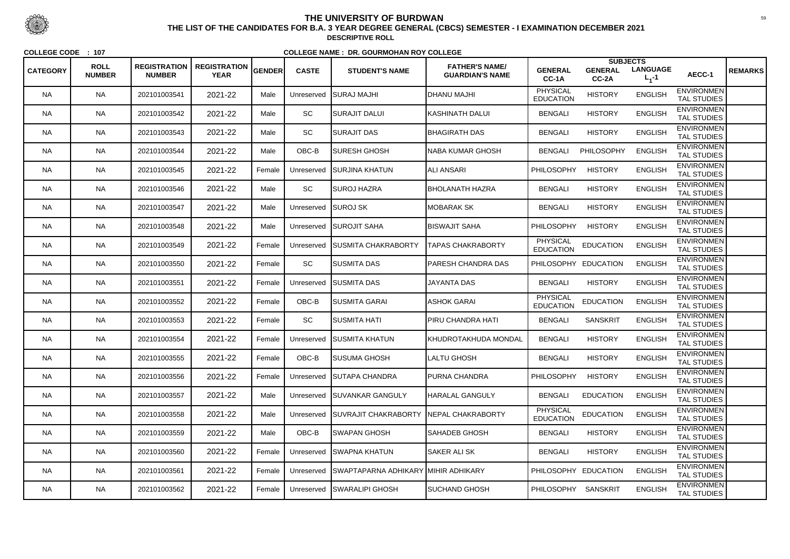|                 |                              |                                      |                                    |        |              |                                     |                                                 |                                     | <b>SUBJECTS</b>         |                              |                                         |                |
|-----------------|------------------------------|--------------------------------------|------------------------------------|--------|--------------|-------------------------------------|-------------------------------------------------|-------------------------------------|-------------------------|------------------------------|-----------------------------------------|----------------|
| <b>CATEGORY</b> | <b>ROLL</b><br><b>NUMBER</b> | <b>REGISTRATION</b><br><b>NUMBER</b> | <b>REGISTRATION</b><br><b>YEAR</b> | GENDER | <b>CASTE</b> | <b>STUDENT'S NAME</b>               | <b>FATHER'S NAME/</b><br><b>GUARDIAN'S NAME</b> | <b>GENERAL</b><br>CC-1A             | <b>GENERAL</b><br>CC-2A | <b>LANGUAGE</b><br>$L_1 - 1$ | AECC-1                                  | <b>REMARKS</b> |
| <b>NA</b>       | <b>NA</b>                    | 202101003541                         | 2021-22                            | Male   | Unreserved   | <b>I</b> SURAJ MAJHI                | <b>IHLANU MAJHI</b>                             | <b>PHYSICAL</b><br><b>EDUCATION</b> | <b>HISTORY</b>          | <b>ENGLISH</b>               | <b>ENVIRONMEN</b><br><b>TAL STUDIES</b> |                |
| <b>NA</b>       | <b>NA</b>                    | 202101003542                         | 2021-22                            | Male   | SC           | SURAJIT DALUI                       | KASHINATH DALUI                                 | <b>BENGALI</b>                      | <b>HISTORY</b>          | <b>ENGLISH</b>               | <b>ENVIRONMEN</b><br><b>TAL STUDIES</b> |                |
| NA.             | <b>NA</b>                    | 202101003543                         | 2021-22                            | Male   | SC           | SURAJIT DAS                         | <b>BHAGIRATH DAS</b>                            | <b>BENGALI</b>                      | <b>HISTORY</b>          | <b>ENGLISH</b>               | <b>ENVIRONMEN</b><br><b>TAL STUDIES</b> |                |
| <b>NA</b>       | <b>NA</b>                    | 202101003544                         | 2021-22                            | Male   | OBC-B        | ISURESH GHOSH                       | NABA KUMAR GHOSH                                | <b>BENGALI</b>                      | PHILOSOPHY              | <b>ENGLISH</b>               | <b>ENVIRONMEN</b><br><b>TAL STUDIES</b> |                |
| <b>NA</b>       | <b>NA</b>                    | 202101003545                         | 2021-22                            | Female | Unreserved   | <b>SURJINA KHATUN</b>               | <b>ALI ANSARI</b>                               | <b>PHILOSOPHY</b>                   | <b>HISTORY</b>          | <b>ENGLISH</b>               | <b>ENVIRONMEN</b><br><b>TAL STUDIES</b> |                |
| NA.             | <b>NA</b>                    | 202101003546                         | 2021-22                            | Male   | <b>SC</b>    | <b>SUROJ HAZRA</b>                  | <b>BHOLANATH HAZRA</b>                          | <b>BENGALI</b>                      | <b>HISTORY</b>          | <b>ENGLISH</b>               | <b>ENVIRONMEN</b><br><b>TAL STUDIES</b> |                |
| NA.             | <b>NA</b>                    | 202101003547                         | 2021-22                            | Male   | Unreserved   | <b>SUROJ SK</b>                     | IMOBARAK SK                                     | <b>BENGALI</b>                      | <b>HISTORY</b>          | <b>ENGLISH</b>               | <b>ENVIRONMEN</b><br><b>TAL STUDIES</b> |                |
| <b>NA</b>       | <b>NA</b>                    | 202101003548                         | 2021-22                            | Male   | Unreserved   | <b>SUROJIT SAHA</b>                 | <b>BISWAJIT SAHA</b>                            | <b>PHILOSOPHY</b>                   | <b>HISTORY</b>          | <b>ENGLISH</b>               | <b>ENVIRONMEN</b><br><b>TAL STUDIES</b> |                |
| <b>NA</b>       | <b>NA</b>                    | 202101003549                         | 2021-22                            | Female | Unreserved   | <b>ISUSMITA CHAKRABORTY</b>         | <b>TAPAS CHAKRABORTY</b>                        | <b>PHYSICAL</b><br><b>EDUCATION</b> | <b>EDUCATION</b>        | <b>ENGLISH</b>               | <b>ENVIRONMEN</b><br><b>TAL STUDIES</b> |                |
| NA.             | <b>NA</b>                    | 202101003550                         | 2021-22                            | Female | SC           | <b>SUSMITA DAS</b>                  | <b>PARESH CHANDRA DAS</b>                       | PHILOSOPHY EDUCATION                |                         | <b>ENGLISH</b>               | <b>ENVIRONMEN</b><br><b>TAL STUDIES</b> |                |
| <b>NA</b>       | <b>NA</b>                    | 202101003551                         | 2021-22                            | Female | Unreserved   | <b>I</b> SUSMITA DAS                | JAYANTA DAS                                     | <b>BENGALI</b>                      | <b>HISTORY</b>          | <b>ENGLISH</b>               | <b>ENVIRONMEN</b><br><b>TAL STUDIES</b> |                |
| <b>NA</b>       | <b>NA</b>                    | 202101003552                         | 2021-22                            | Female | OBC-B        | <b>I</b> SUSMITA GARAI              | <b>ASHOK GARAI</b>                              | <b>PHYSICAL</b><br><b>EDUCATION</b> | <b>EDUCATION</b>        | <b>ENGLISH</b>               | <b>ENVIRONMEN</b><br><b>TAL STUDIES</b> |                |
| <b>NA</b>       | <b>NA</b>                    | 202101003553                         | 2021-22                            | Female | SC           | ISUSMITA HATI                       | PIRU CHANDRA HATI                               | <b>BENGALI</b>                      | <b>SANSKRIT</b>         | <b>ENGLISH</b>               | <b>ENVIRONMEN</b><br><b>TAL STUDIES</b> |                |
| <b>NA</b>       | <b>NA</b>                    | 202101003554                         | 2021-22                            | Female | Unreserved   | <b>SUSMITA KHATUN</b>               | KHUDROTAKHUDA MONDAL                            | <b>BENGALI</b>                      | <b>HISTORY</b>          | <b>ENGLISH</b>               | <b>ENVIRONMEN</b><br><b>TAL STUDIES</b> |                |
| <b>NA</b>       | <b>NA</b>                    | 202101003555                         | 2021-22                            | Female | OBC-B        | SUSUMA GHOSH                        | LALTU GHOSH                                     | <b>BENGALI</b>                      | <b>HISTORY</b>          | <b>ENGLISH</b>               | <b>ENVIRONMEN</b><br><b>TAL STUDIES</b> |                |
| <b>NA</b>       | <b>NA</b>                    | 202101003556                         | 2021-22                            | Female | Unreserved   | <b>SUTAPA CHANDRA</b>               | <b>PURNA CHANDRA</b>                            | <b>PHILOSOPHY</b>                   | <b>HISTORY</b>          | <b>ENGLISH</b>               | <b>ENVIRONMEN</b><br><b>TAL STUDIES</b> |                |
| NA.             | <b>NA</b>                    | 202101003557                         | 2021-22                            | Male   | Unreserved   | <b>SUVANKAR GANGULY</b>             | <b>HARALAL GANGULY</b>                          | <b>BENGALI</b>                      | <b>EDUCATION</b>        | <b>ENGLISH</b>               | <b>ENVIRONMEN</b><br>TAL STUDIES        |                |
| <b>NA</b>       | <b>NA</b>                    | 202101003558                         | 2021-22                            | Male   | Unreserved   | <b>SUVRAJIT CHAKRABORTY</b>         | <b>INEPAL CHAKRABORTY</b>                       | <b>PHYSICAL</b><br><b>EDUCATION</b> | <b>EDUCATION</b>        | <b>ENGLISH</b>               | <b>ENVIRONMEN</b><br><b>TAL STUDIES</b> |                |
| <b>NA</b>       | <b>NA</b>                    | 202101003559                         | 2021-22                            | Male   | OBC-B        | SWAPAN GHOSH                        | SAHADEB GHOSH                                   | <b>BENGALI</b>                      | <b>HISTORY</b>          | <b>ENGLISH</b>               | <b>ENVIRONMEN</b><br>TAL STUDIES        |                |
| <b>NA</b>       | <b>NA</b>                    | 202101003560                         | 2021-22                            | Female | Unreserved   | <b>SWAPNA KHATUN</b>                | <b>SAKER ALI SK</b>                             | <b>BENGALI</b>                      | <b>HISTORY</b>          | <b>ENGLISH</b>               | <b>ENVIRONMEN</b><br>TAL STUDIES        |                |
| <b>NA</b>       | <b>NA</b>                    | 202101003561                         | 2021-22                            | Female | Unreserved   | SWAPTAPARNA ADHIKARY MIHIR ADHIKARY |                                                 | PHILOSOPHY EDUCATION                |                         | <b>ENGLISH</b>               | <b>ENVIRONMEN</b><br>TAL STUDIES        |                |
| <b>NA</b>       | <b>NA</b>                    | 202101003562                         | 2021-22                            | Female | Unreserved   | <b>SWARALIPI GHOSH</b>              | <b>SUCHAND GHOSH</b>                            | PHILOSOPHY                          | <b>SANSKRIT</b>         | <b>ENGLISH</b>               | <b>ENVIRONMEN</b><br>TAL STUDIES        |                |



 <sup>59</sup> **THE LIST OF THE CANDIDATES FOR B.A. 3 YEAR DEGREE GENERAL (CBCS) SEMESTER - I EXAMINATION DECEMBER 2021DESCRIPTIVE ROLL**

**COLLEGE CODE : <sup>107</sup>**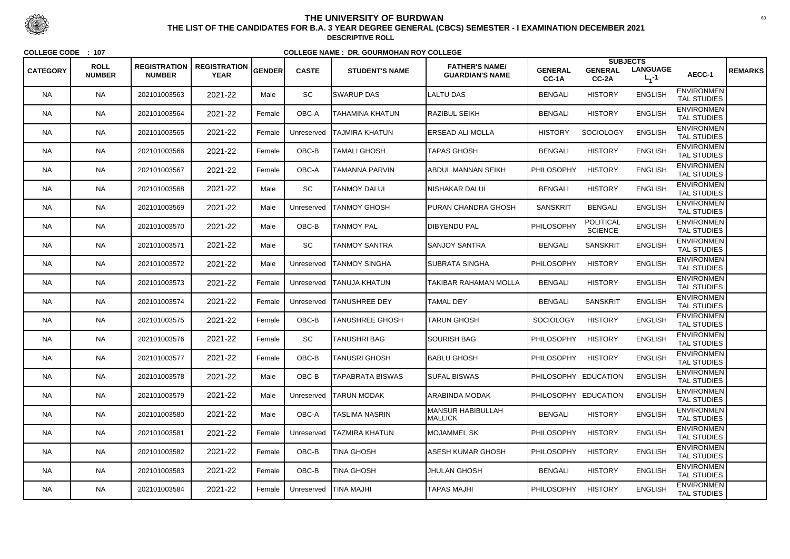|                 |                              |                                      |                                    |               |              |                         |                                                 |                         |                                    | <b>SUBJECTS</b>                |                                         |                |
|-----------------|------------------------------|--------------------------------------|------------------------------------|---------------|--------------|-------------------------|-------------------------------------------------|-------------------------|------------------------------------|--------------------------------|-----------------------------------------|----------------|
| <b>CATEGORY</b> | <b>ROLL</b><br><b>NUMBER</b> | <b>REGISTRATION</b><br><b>NUMBER</b> | <b>REGISTRATION</b><br><b>YEAR</b> | <b>GENDER</b> | <b>CASTE</b> | <b>STUDENT'S NAME</b>   | <b>FATHER'S NAME/</b><br><b>GUARDIAN'S NAME</b> | <b>GENERAL</b><br>CC-1A | <b>GENERAL</b><br>CC-2A            | <b>LANGUAGE</b><br>$L_{1} - 1$ | AECC-1                                  | <b>REMARKS</b> |
| <b>NA</b>       | <b>NA</b>                    | 202101003563                         | 2021-22                            | Male          | SC           | <b>SWARUP DAS</b>       | <b>LALTU DAS</b>                                | <b>BENGALI</b>          | <b>HISTORY</b>                     | <b>ENGLISH</b>                 | <b>ENVIRONMEN</b><br><b>TAL STUDIES</b> |                |
| <b>NA</b>       | <b>NA</b>                    | 202101003564                         | 2021-22                            | Female        | OBC-A        | <b>TAHAMINA KHATUN</b>  | <b>RAZIBUL SEIKH</b>                            | <b>BENGALI</b>          | <b>HISTORY</b>                     | <b>ENGLISH</b>                 | <b>ENVIRONMEN</b><br><b>TAL STUDIES</b> |                |
| NA.             | <b>NA</b>                    | 202101003565                         | 2021-22                            | Female        | Unreserved   | ITAJMIRA KHATUN         | ERSEAD ALI MOLLA                                | <b>HISTORY</b>          | <b>SOCIOLOGY</b>                   | <b>ENGLISH</b>                 | <b>ENVIRONMEN</b><br><b>TAL STUDIES</b> |                |
| <b>NA</b>       | <b>NA</b>                    | 202101003566                         | 2021-22                            | Female        | OBC-B        | <b>TAMALI GHOSH</b>     | <b>TAPAS GHOSH</b>                              | <b>BENGALI</b>          | <b>HISTORY</b>                     | <b>ENGLISH</b>                 | <b>ENVIRONMEN</b><br><b>TAL STUDIES</b> |                |
| <b>NA</b>       | <b>NA</b>                    | 202101003567                         | 2021-22                            | Female        | OBC-A        | <b>TAMANNA PARVIN</b>   | <b>ABDUL MANNAN SEIKH</b>                       | PHILOSOPHY              | <b>HISTORY</b>                     | <b>ENGLISH</b>                 | <b>ENVIRONMEN</b><br><b>TAL STUDIES</b> |                |
| <b>NA</b>       | <b>NA</b>                    | 202101003568                         | 2021-22                            | Male          | SC           | <b>TANMOY DALUI</b>     | <b>NISHAKAR DALUI</b>                           | <b>BENGALI</b>          | <b>HISTORY</b>                     | <b>ENGLISH</b>                 | <b>ENVIRONMEN</b><br><b>TAL STUDIES</b> |                |
| NA.             | <b>NA</b>                    | 202101003569                         | 2021-22                            | Male          | Unreserved   | <b>TANMOY GHOSH</b>     | PURAN CHANDRA GHOSH                             | <b>SANSKRIT</b>         | <b>BENGALI</b>                     | <b>ENGLISH</b>                 | <b>ENVIRONMEN</b><br><b>TAL STUDIES</b> |                |
| <b>NA</b>       | <b>NA</b>                    | 202101003570                         | 2021-22                            | Male          | OBC-B        | <b>TANMOY PAL</b>       | <b>DIBYENDU PAL</b>                             | PHILOSOPHY              | <b>POLITICAL</b><br><b>SCIENCE</b> | <b>ENGLISH</b>                 | <b>ENVIRONMEN</b><br><b>TAL STUDIES</b> |                |
| <b>NA</b>       | <b>NA</b>                    | 202101003571                         | 2021-22                            | Male          | SC           | <b>TANMOY SANTRA</b>    | <b>SANJOY SANTRA</b>                            | <b>BENGALI</b>          | <b>SANSKRIT</b>                    | <b>ENGLISH</b>                 | <b>ENVIRONMEN</b><br><b>TAL STUDIES</b> |                |
| NA.             | <b>NA</b>                    | 202101003572                         | 2021-22                            | Male          | Unreserved   | <b>TANMOY SINGHA</b>    | SUBRATA SINGHA                                  | PHILOSOPHY              | <b>HISTORY</b>                     | <b>ENGLISH</b>                 | <b>ENVIRONMEN</b><br><b>TAL STUDIES</b> |                |
| <b>NA</b>       | <b>NA</b>                    | 202101003573                         | 2021-22                            | Female        | Unreserved   | <b>TANUJA KHATUN</b>    | TAKIBAR RAHAMAN MOLLA                           | <b>BENGALI</b>          | <b>HISTORY</b>                     | <b>ENGLISH</b>                 | <b>ENVIRONMEN</b><br><b>TAL STUDIES</b> |                |
| <b>NA</b>       | <b>NA</b>                    | 202101003574                         | 2021-22                            | Female        | Unreserved   | <b>TANUSHREE DEY</b>    | <b>TAMAL DEY</b>                                | <b>BENGALI</b>          | <b>SANSKRIT</b>                    | <b>ENGLISH</b>                 | <b>ENVIRONMEN</b><br><b>TAL STUDIES</b> |                |
| <b>NA</b>       | <b>NA</b>                    | 202101003575                         | 2021-22                            | Female        | OBC-B        | <b>TANUSHREE GHOSH</b>  | <b>TARUN GHOSH</b>                              | <b>SOCIOLOGY</b>        | <b>HISTORY</b>                     | <b>ENGLISH</b>                 | <b>ENVIRONMEN</b><br><b>TAL STUDIES</b> |                |
| <b>NA</b>       | <b>NA</b>                    | 202101003576                         | 2021-22                            | Female        | SC           | <b>TANUSHRI BAG</b>     | <b>SOURISH BAG</b>                              | PHILOSOPHY              | <b>HISTORY</b>                     | <b>ENGLISH</b>                 | <b>ENVIRONMEN</b><br>TAL STUDIES        |                |
| <b>NA</b>       | <b>NA</b>                    | 202101003577                         | 2021-22                            | Female        | OBC-B        | <b>TANUSRI GHOSH</b>    | <b>BABLU GHOSH</b>                              | <b>PHILOSOPHY</b>       | <b>HISTORY</b>                     | <b>ENGLISH</b>                 | <b>ENVIRONMEN</b><br><b>TAL STUDIES</b> |                |
| <b>NA</b>       | <b>NA</b>                    | 202101003578                         | 2021-22                            | Male          | $OBC-B$      | <b>TAPABRATA BISWAS</b> | <b>SUFAL BISWAS</b>                             | PHILOSOPHY EDUCATION    |                                    | <b>ENGLISH</b>                 | <b>ENVIRONMEN</b><br><b>TAL STUDIES</b> |                |
| NA.             | <b>NA</b>                    | 202101003579                         | 2021-22                            | Male          | Unreserved   | <b>TARUN MODAK</b>      | <b>ARABINDA MODAK</b>                           | PHILOSOPHY EDUCATION    |                                    | <b>ENGLISH</b>                 | <b>ENVIRONMEN</b><br>TAL STUDIES        |                |
| <b>NA</b>       | <b>NA</b>                    | 202101003580                         | 2021-22                            | Male          | OBC-A        | <b>TASLIMA NASRIN</b>   | <b>MANSUR HABIBULLAH</b><br><b>MALLICK</b>      | <b>BENGALI</b>          | <b>HISTORY</b>                     | <b>ENGLISH</b>                 | <b>ENVIRONMEN</b><br>TAL STUDIES        |                |
| <b>NA</b>       | <b>NA</b>                    | 202101003581                         | 2021-22                            | Female        | Unreserved   | <b>TAZMIRA KHATUN</b>   | <b>MOJAMMEL SK</b>                              | <b>PHILOSOPHY</b>       | <b>HISTORY</b>                     | <b>ENGLISH</b>                 | <b>ENVIRONMEN</b><br>TAL STUDIES        |                |
| <b>NA</b>       | <b>NA</b>                    | 202101003582                         | 2021-22                            | Female        | OBC-B        | <b>TINA GHOSH</b>       | ASESH KUMAR GHOSH                               | <b>PHILOSOPHY</b>       | <b>HISTORY</b>                     | <b>ENGLISH</b>                 | <b>ENVIRONMEN</b><br>TAL STUDIES        |                |
| <b>NA</b>       | <b>NA</b>                    | 202101003583                         | 2021-22                            | Female        | OBC-B        | <b>TINA GHOSH</b>       | <b>JHULAN GHOSH</b>                             | <b>BENGALI</b>          | <b>HISTORY</b>                     | <b>ENGLISH</b>                 | <b>ENVIRONMEN</b><br>TAL STUDIES        |                |
| <b>NA</b>       | <b>NA</b>                    | 202101003584                         | 2021-22                            | Female        | Unreserved   | <b>TINA MAJHI</b>       | <b>TAPAS MAJHI</b>                              | <b>PHILOSOPHY</b>       | <b>HISTORY</b>                     | <b>ENGLISH</b>                 | <b>ENVIRONMEN</b><br>TAL STUDIES        |                |



 <sup>60</sup> **THE LIST OF THE CANDIDATES FOR B.A. 3 YEAR DEGREE GENERAL (CBCS) SEMESTER - I EXAMINATION DECEMBER 2021DESCRIPTIVE ROLL**

**COLLEGE CODE : <sup>107</sup>**